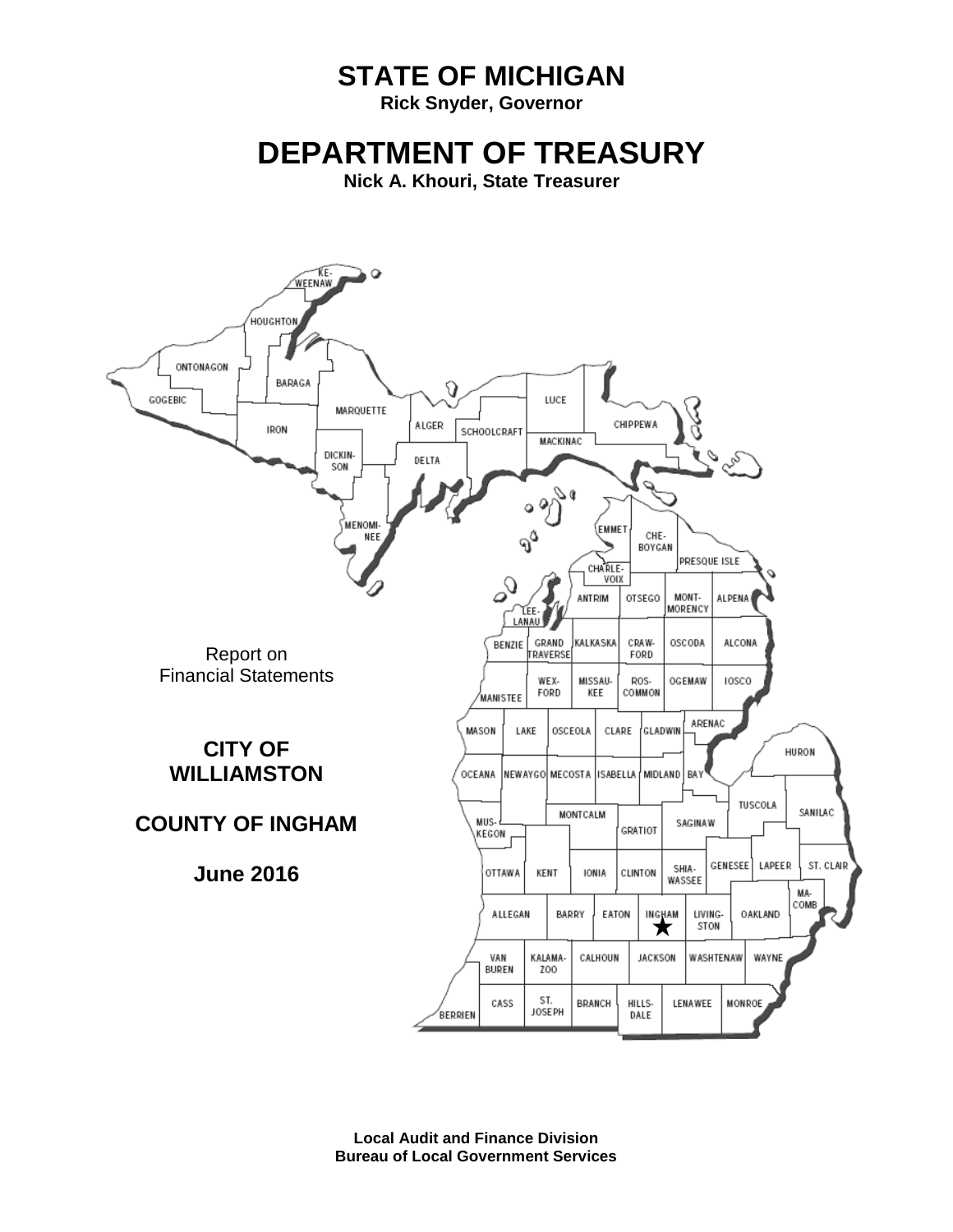# **STATE OF MICHIGAN**

**Rick Snyder, Governor**

# **DEPARTMENT OF TREASURY**

**Nick A. Khouri, State Treasurer**



**Local Audit and Finance Division Bureau of Local Government Services**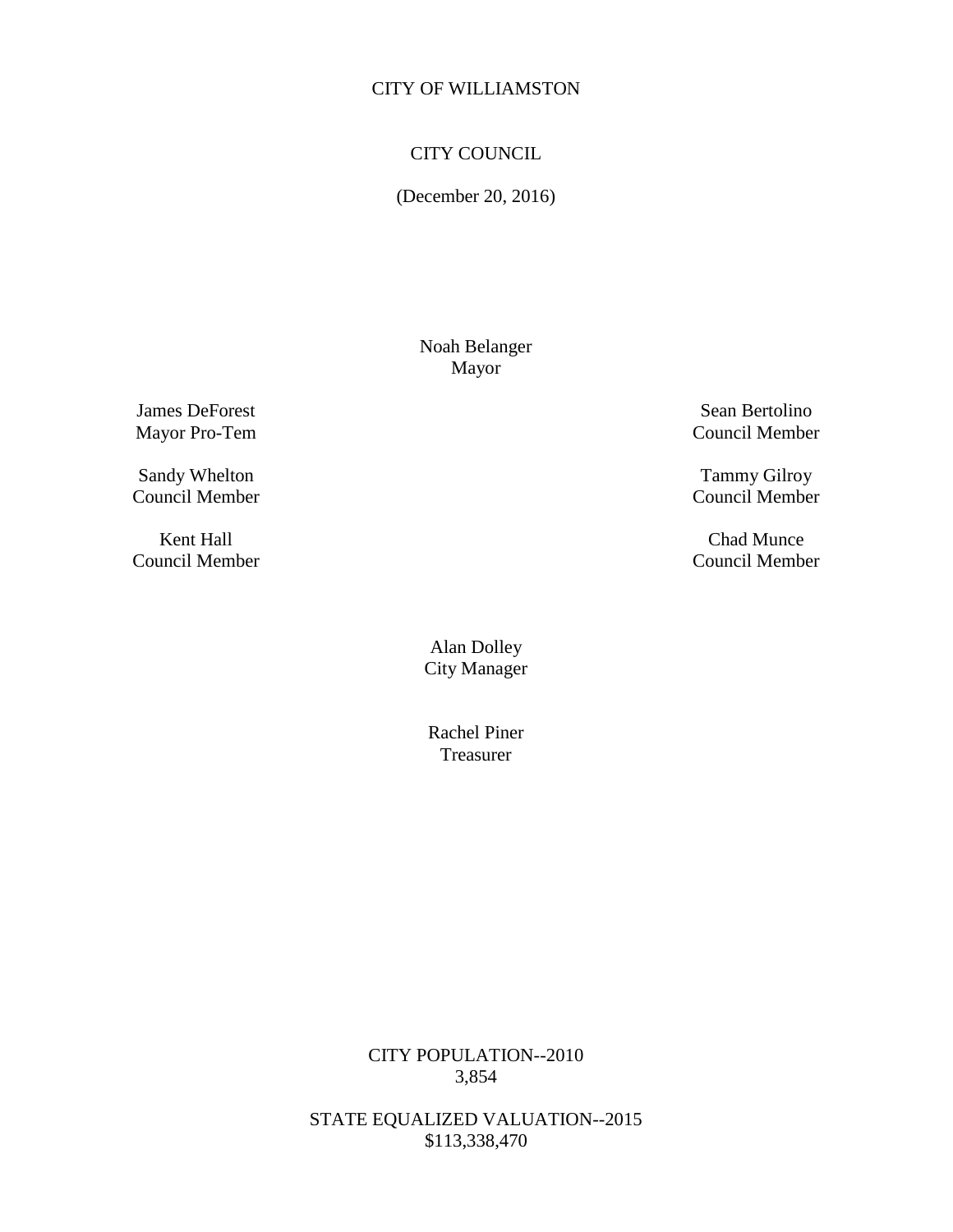# CITY COUNCIL

(December 20, 2016)

Noah Belanger Mayor

**James DeForest** Sean Bertolino

Sandy Whelton Tammy Gilroy Council Member Council Member

Mayor Pro-Tem Council Member

Council Member

Kent Hall Chad Munce Council Member Council Member

> Alan Dolley City Manager

Rachel Piner Treasurer

CITY POPULATION--2010 3,854

STATE EQUALIZED VALUATION--2015 \$113,338,470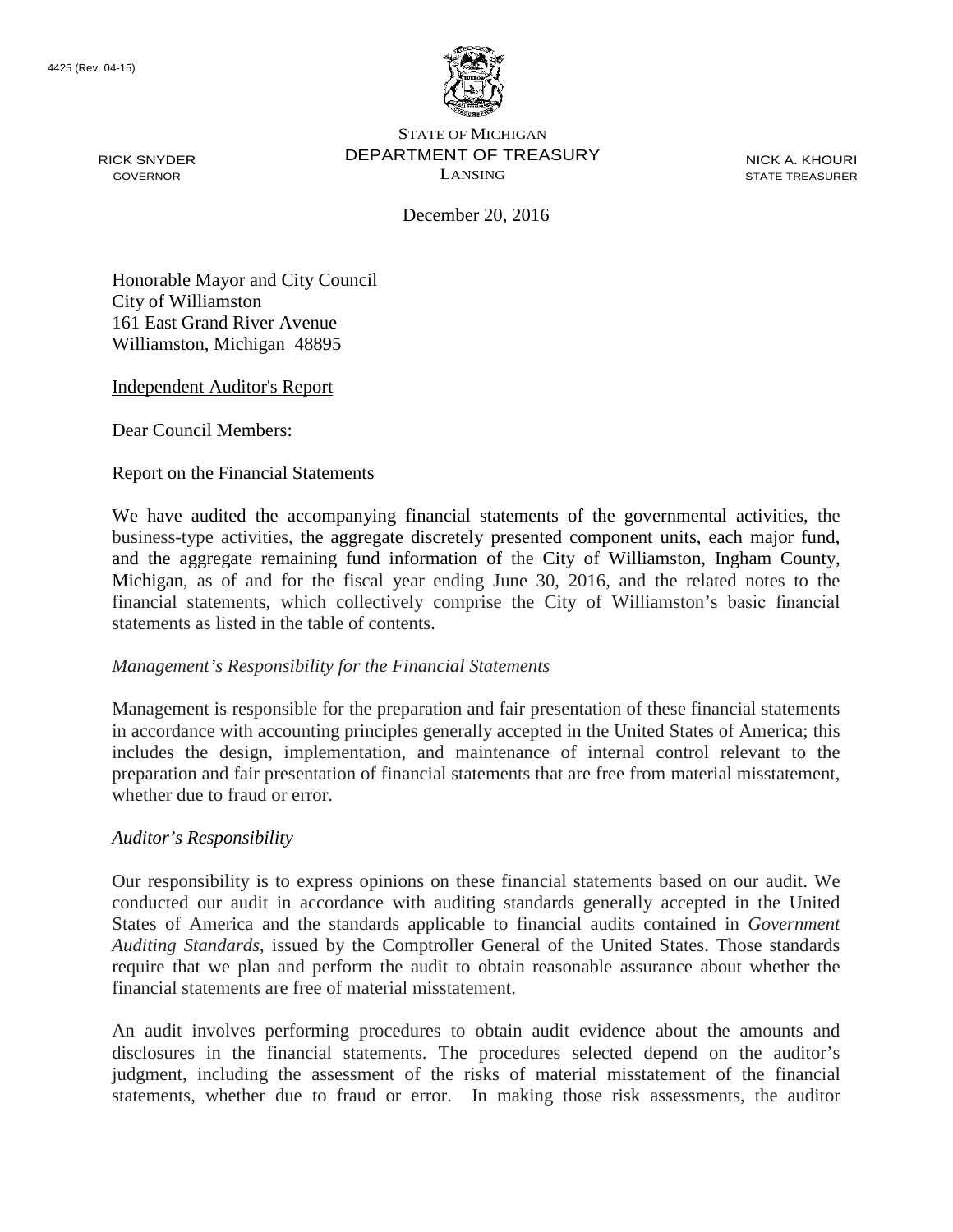

RICK SNYDER GOVERNOR

STATE OF MICHIGAN DEPARTMENT OF TREASURY LANSING

NICK A. KHOURI STATE TREASURER

December 20, 2016

Honorable Mayor and City Council City of Williamston 161 East Grand River Avenue Williamston, Michigan 48895

Independent Auditor's Report

Dear Council Members:

Report on the Financial Statements

We have audited the accompanying financial statements of the governmental activities, the business-type activities, the aggregate discretely presented component units, each major fund, and the aggregate remaining fund information of the City of Williamston, Ingham County, Michigan, as of and for the fiscal year ending June 30, 2016, and the related notes to the financial statements, which collectively comprise the City of Williamston's basic financial statements as listed in the table of contents.

#### *Management's Responsibility for the Financial Statements*

Management is responsible for the preparation and fair presentation of these financial statements in accordance with accounting principles generally accepted in the United States of America; this includes the design, implementation, and maintenance of internal control relevant to the preparation and fair presentation of financial statements that are free from material misstatement, whether due to fraud or error.

#### *Auditor's Responsibility*

Our responsibility is to express opinions on these financial statements based on our audit. We conducted our audit in accordance with auditing standards generally accepted in the United States of America and the standards applicable to financial audits contained in *Government Auditing Standards*, issued by the Comptroller General of the United States. Those standards require that we plan and perform the audit to obtain reasonable assurance about whether the financial statements are free of material misstatement.

An audit involves performing procedures to obtain audit evidence about the amounts and disclosures in the financial statements. The procedures selected depend on the auditor's judgment, including the assessment of the risks of material misstatement of the financial statements, whether due to fraud or error. In making those risk assessments, the auditor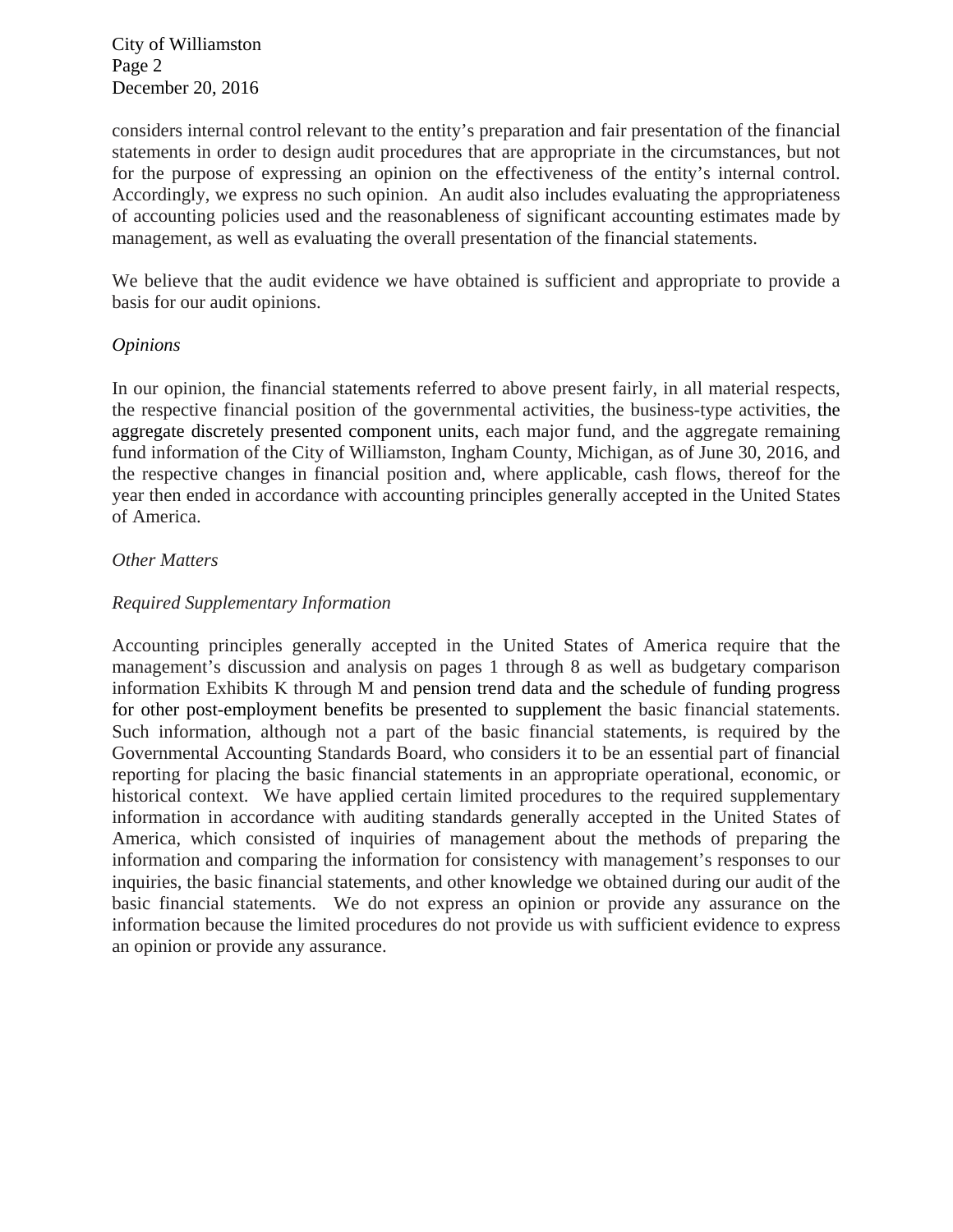City of Williamston Page 2 December 20, 2016

considers internal control relevant to the entity's preparation and fair presentation of the financial statements in order to design audit procedures that are appropriate in the circumstances, but not for the purpose of expressing an opinion on the effectiveness of the entity's internal control. Accordingly, we express no such opinion. An audit also includes evaluating the appropriateness of accounting policies used and the reasonableness of significant accounting estimates made by management, as well as evaluating the overall presentation of the financial statements.

We believe that the audit evidence we have obtained is sufficient and appropriate to provide a basis for our audit opinions.

#### *Opinions*

In our opinion, the financial statements referred to above present fairly, in all material respects, the respective financial position of the governmental activities, the business-type activities, the aggregate discretely presented component units, each major fund, and the aggregate remaining fund information of the City of Williamston, Ingham County, Michigan, as of June 30, 2016, and the respective changes in financial position and, where applicable, cash flows, thereof for the year then ended in accordance with accounting principles generally accepted in the United States of America.

#### *Other Matters*

### *Required Supplementary Information*

Accounting principles generally accepted in the United States of America require that the management's discussion and analysis on pages 1 through 8 as well as budgetary comparison information Exhibits K through M and pension trend data and the schedule of funding progress for other post-employment benefits be presented to supplement the basic financial statements. Such information, although not a part of the basic financial statements, is required by the Governmental Accounting Standards Board, who considers it to be an essential part of financial reporting for placing the basic financial statements in an appropriate operational, economic, or historical context. We have applied certain limited procedures to the required supplementary information in accordance with auditing standards generally accepted in the United States of America, which consisted of inquiries of management about the methods of preparing the information and comparing the information for consistency with management's responses to our inquiries, the basic financial statements, and other knowledge we obtained during our audit of the basic financial statements. We do not express an opinion or provide any assurance on the information because the limited procedures do not provide us with sufficient evidence to express an opinion or provide any assurance.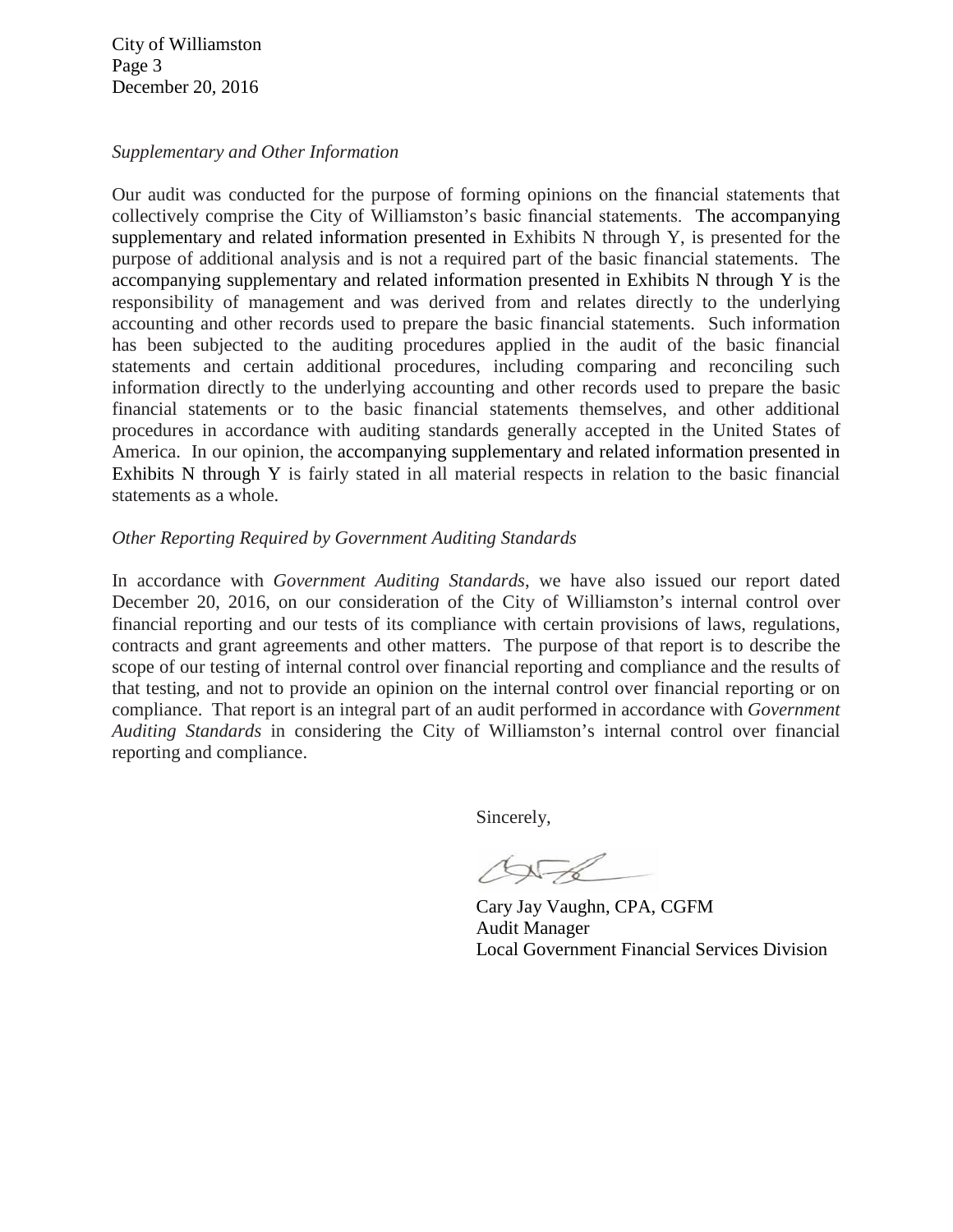City of Williamston Page 3 December 20, 2016

#### *Supplementary and Other Information*

Our audit was conducted for the purpose of forming opinions on the financial statements that collectively comprise the City of Williamston's basic financial statements. The accompanying supplementary and related information presented in Exhibits N through Y, is presented for the purpose of additional analysis and is not a required part of the basic financial statements. The accompanying supplementary and related information presented in Exhibits N through Y is the responsibility of management and was derived from and relates directly to the underlying accounting and other records used to prepare the basic financial statements. Such information has been subjected to the auditing procedures applied in the audit of the basic financial statements and certain additional procedures, including comparing and reconciling such information directly to the underlying accounting and other records used to prepare the basic financial statements or to the basic financial statements themselves, and other additional procedures in accordance with auditing standards generally accepted in the United States of America. In our opinion, the accompanying supplementary and related information presented in Exhibits N through Y is fairly stated in all material respects in relation to the basic financial statements as a whole.

### *Other Reporting Required by Government Auditing Standards*

In accordance with *Government Auditing Standards*, we have also issued our report dated December 20, 2016, on our consideration of the City of Williamston's internal control over financial reporting and our tests of its compliance with certain provisions of laws, regulations, contracts and grant agreements and other matters. The purpose of that report is to describe the scope of our testing of internal control over financial reporting and compliance and the results of that testing, and not to provide an opinion on the internal control over financial reporting or on compliance. That report is an integral part of an audit performed in accordance with *Government Auditing Standards* in considering the City of Williamston's internal control over financial reporting and compliance.

Sincerely,

 $\triangle F$ 

Cary Jay Vaughn, CPA, CGFM Audit Manager Local Government Financial Services Division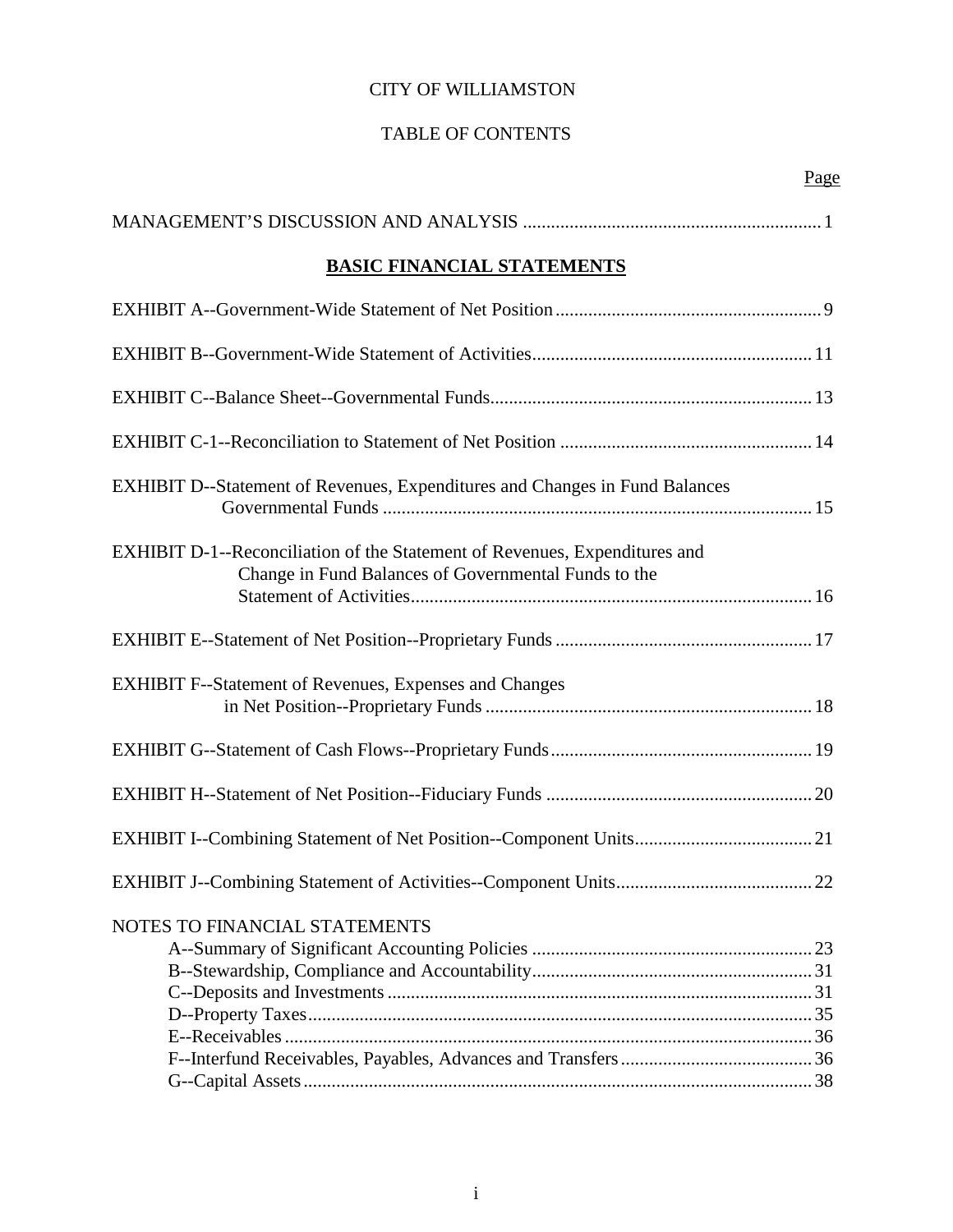# TABLE OF CONTENTS

| <b>BASIC FINANCIAL STATEMENTS</b>                                                                                                  |
|------------------------------------------------------------------------------------------------------------------------------------|
|                                                                                                                                    |
|                                                                                                                                    |
|                                                                                                                                    |
|                                                                                                                                    |
| <b>EXHIBIT D--Statement of Revenues, Expenditures and Changes in Fund Balances</b>                                                 |
| EXHIBIT D-1--Reconciliation of the Statement of Revenues, Expenditures and<br>Change in Fund Balances of Governmental Funds to the |
|                                                                                                                                    |
| <b>EXHIBIT F--Statement of Revenues, Expenses and Changes</b>                                                                      |
|                                                                                                                                    |
|                                                                                                                                    |
|                                                                                                                                    |
|                                                                                                                                    |
| NOTES TO FINANCIAL STATEMENTS                                                                                                      |
|                                                                                                                                    |
|                                                                                                                                    |
|                                                                                                                                    |
|                                                                                                                                    |
|                                                                                                                                    |
|                                                                                                                                    |
|                                                                                                                                    |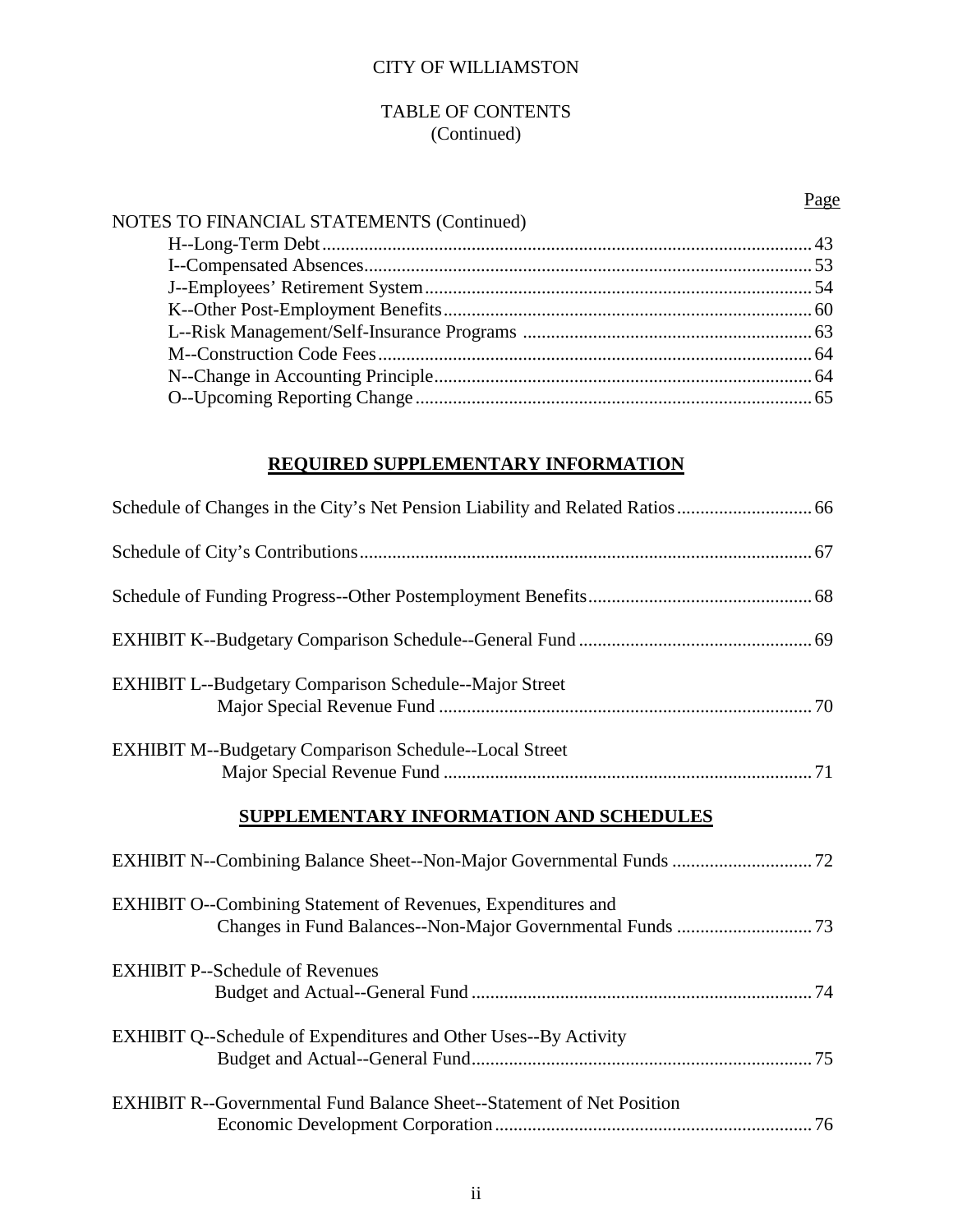# TABLE OF CONTENTS (Continued)

H--Long-Term Debt......................................................................................................... 43 I--Compensated Absences................................................................................................ 53

NOTES TO FINANCIAL STATEMENTS (Continued)

Page

# N--Change in Accounting Principle................................................................................. 64 O--Upcoming Reporting Change ..................................................................................... 65

# **REQUIRED SUPPLEMENTARY INFORMATION**

| <b>EXHIBIT L--Budgetary Comparison Schedule--Major Street</b>                |  |
|------------------------------------------------------------------------------|--|
| <b>EXHIBIT M--Budgetary Comparison Schedule--Local Street</b>                |  |
| SUPPLEMENTARY INFORMATION AND SCHEDULES                                      |  |
| EXHIBIT N--Combining Balance Sheet--Non-Major Governmental Funds  72         |  |
| <b>EXHIBIT O--Combining Statement of Revenues, Expenditures and</b>          |  |
| <b>EXHIBIT P--Schedule of Revenues</b>                                       |  |
| <b>EXHIBIT Q--Schedule of Expenditures and Other Uses--By Activity</b>       |  |
| <b>EXHIBIT R--Governmental Fund Balance Sheet--Statement of Net Position</b> |  |

Economic Development Corporation.................................................................... 76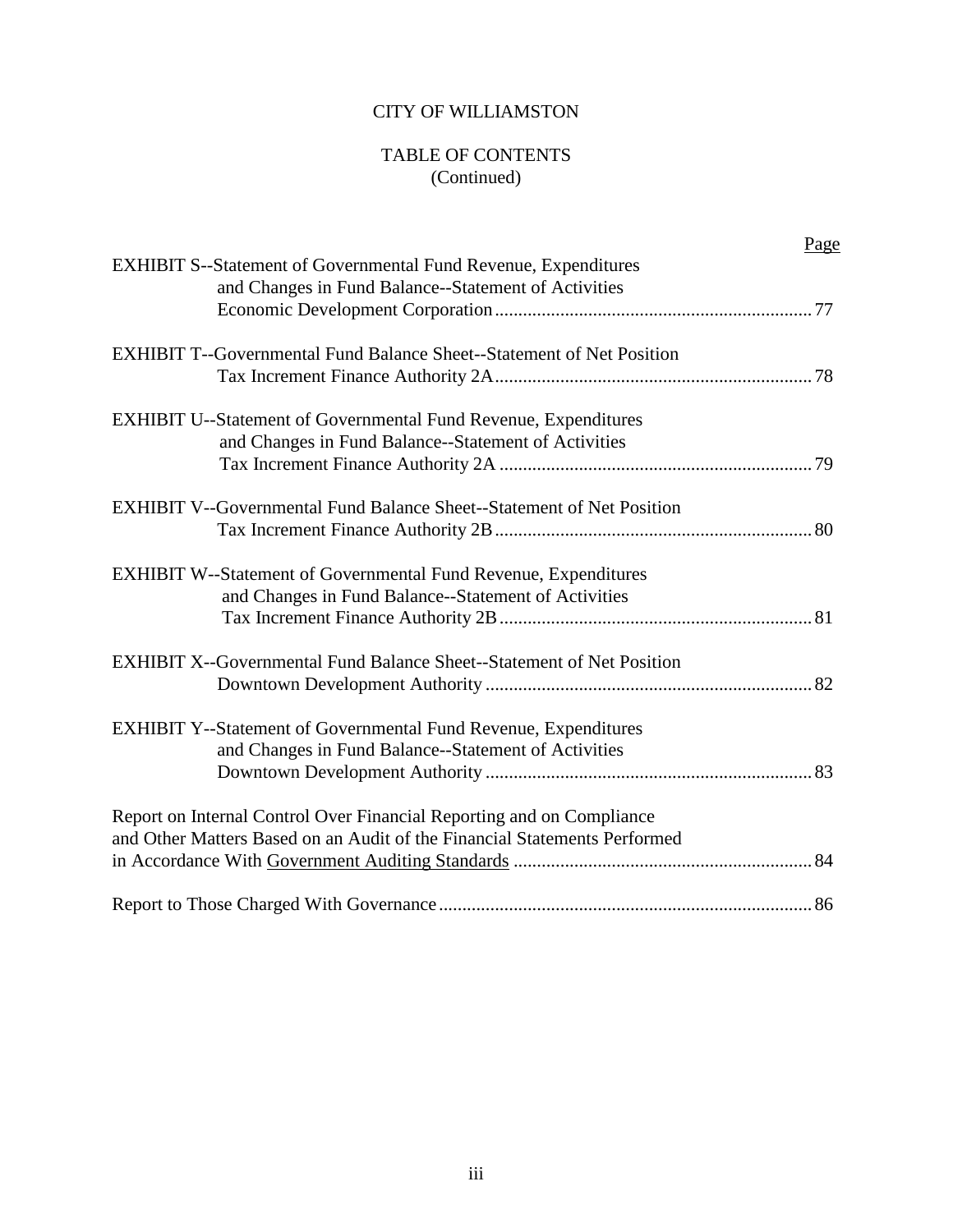# TABLE OF CONTENTS (Continued)

| Page                                                                         |
|------------------------------------------------------------------------------|
| <b>EXHIBIT S--Statement of Governmental Fund Revenue, Expenditures</b>       |
| and Changes in Fund Balance--Statement of Activities                         |
|                                                                              |
| <b>EXHIBIT T--Governmental Fund Balance Sheet--Statement of Net Position</b> |
|                                                                              |
| <b>EXHIBIT U--Statement of Governmental Fund Revenue, Expenditures</b>       |
| and Changes in Fund Balance--Statement of Activities                         |
|                                                                              |
| <b>EXHIBIT V--Governmental Fund Balance Sheet--Statement of Net Position</b> |
|                                                                              |
| <b>EXHIBIT W--Statement of Governmental Fund Revenue, Expenditures</b>       |
| and Changes in Fund Balance--Statement of Activities                         |
|                                                                              |
| <b>EXHIBIT X--Governmental Fund Balance Sheet--Statement of Net Position</b> |
|                                                                              |
| <b>EXHIBIT Y--Statement of Governmental Fund Revenue, Expenditures</b>       |
| and Changes in Fund Balance--Statement of Activities                         |
|                                                                              |
| Report on Internal Control Over Financial Reporting and on Compliance        |
| and Other Matters Based on an Audit of the Financial Statements Performed    |
|                                                                              |
|                                                                              |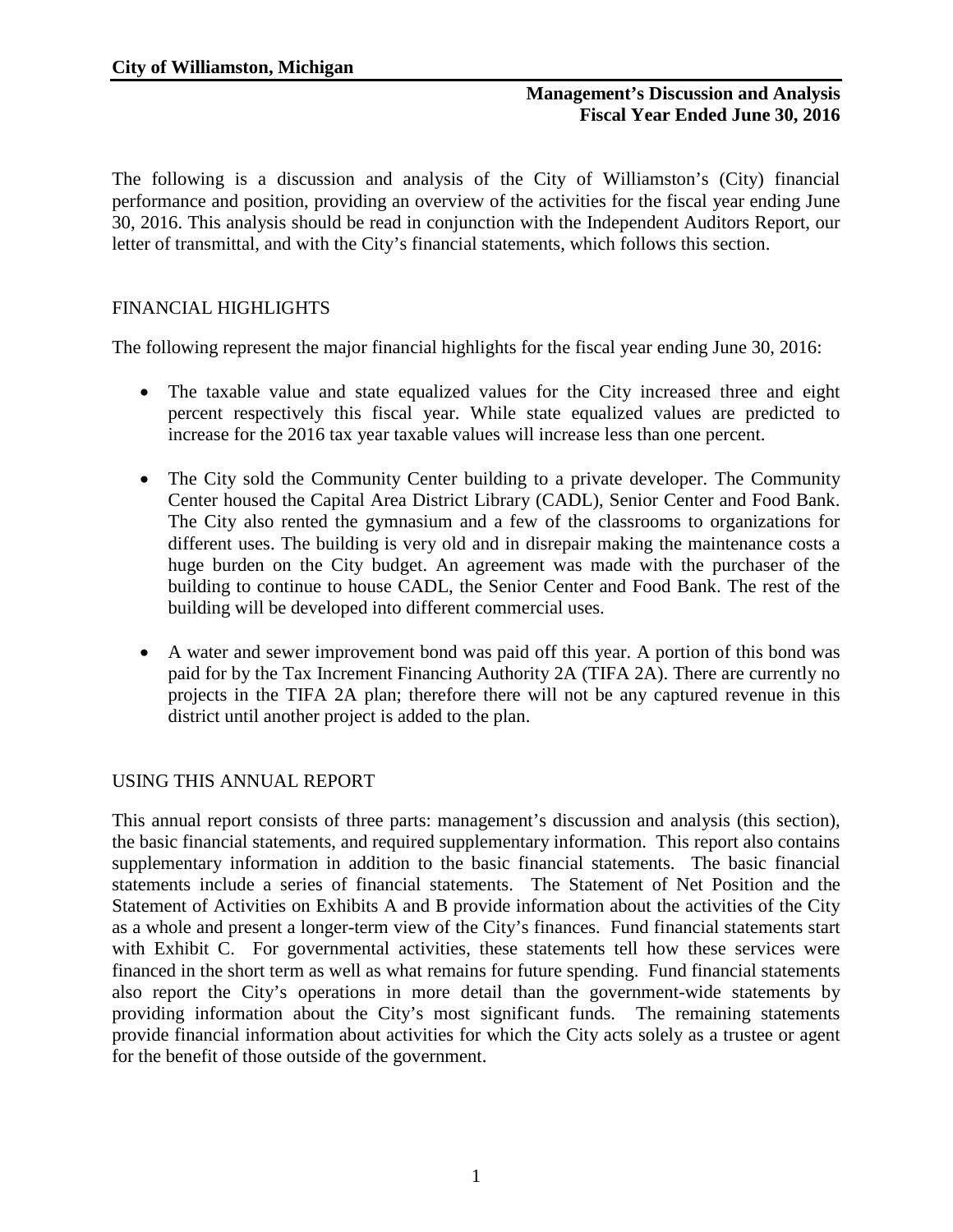The following is a discussion and analysis of the City of Williamston's (City) financial performance and position, providing an overview of the activities for the fiscal year ending June 30, 2016. This analysis should be read in conjunction with the Independent Auditors Report, our letter of transmittal, and with the City's financial statements, which follows this section.

# FINANCIAL HIGHLIGHTS

The following represent the major financial highlights for the fiscal year ending June 30, 2016:

- The taxable value and state equalized values for the City increased three and eight percent respectively this fiscal year. While state equalized values are predicted to increase for the 2016 tax year taxable values will increase less than one percent.
- The City sold the Community Center building to a private developer. The Community Center housed the Capital Area District Library (CADL), Senior Center and Food Bank. The City also rented the gymnasium and a few of the classrooms to organizations for different uses. The building is very old and in disrepair making the maintenance costs a huge burden on the City budget. An agreement was made with the purchaser of the building to continue to house CADL, the Senior Center and Food Bank. The rest of the building will be developed into different commercial uses.
- A water and sewer improvement bond was paid off this year. A portion of this bond was paid for by the Tax Increment Financing Authority 2A (TIFA 2A). There are currently no projects in the TIFA 2A plan; therefore there will not be any captured revenue in this district until another project is added to the plan.

### USING THIS ANNUAL REPORT

This annual report consists of three parts: management's discussion and analysis (this section), the basic financial statements, and required supplementary information. This report also contains supplementary information in addition to the basic financial statements. The basic financial statements include a series of financial statements. The Statement of Net Position and the Statement of Activities on Exhibits A and B provide information about the activities of the City as a whole and present a longer-term view of the City's finances. Fund financial statements start with Exhibit C. For governmental activities, these statements tell how these services were financed in the short term as well as what remains for future spending. Fund financial statements also report the City's operations in more detail than the government-wide statements by providing information about the City's most significant funds. The remaining statements provide financial information about activities for which the City acts solely as a trustee or agent for the benefit of those outside of the government.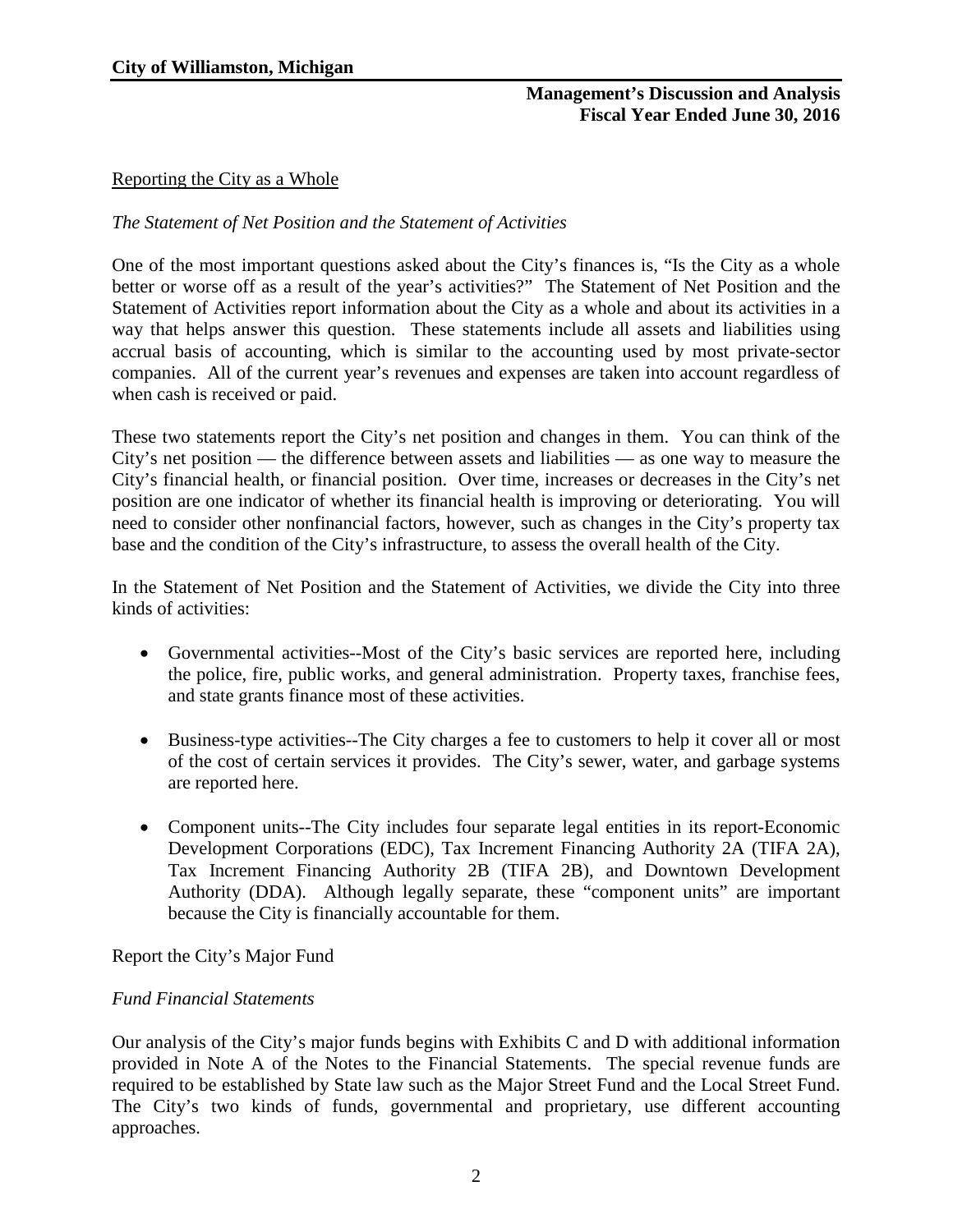# Reporting the City as a Whole

# *The Statement of Net Position and the Statement of Activities*

One of the most important questions asked about the City's finances is, "Is the City as a whole better or worse off as a result of the year's activities?" The Statement of Net Position and the Statement of Activities report information about the City as a whole and about its activities in a way that helps answer this question. These statements include all assets and liabilities using accrual basis of accounting, which is similar to the accounting used by most private-sector companies. All of the current year's revenues and expenses are taken into account regardless of when cash is received or paid.

These two statements report the City's net position and changes in them. You can think of the City's net position — the difference between assets and liabilities — as one way to measure the City's financial health, or financial position. Over time, increases or decreases in the City's net position are one indicator of whether its financial health is improving or deteriorating. You will need to consider other nonfinancial factors, however, such as changes in the City's property tax base and the condition of the City's infrastructure, to assess the overall health of the City.

In the Statement of Net Position and the Statement of Activities, we divide the City into three kinds of activities:

- Governmental activities--Most of the City's basic services are reported here, including the police, fire, public works, and general administration. Property taxes, franchise fees, and state grants finance most of these activities.
- Business-type activities--The City charges a fee to customers to help it cover all or most of the cost of certain services it provides. The City's sewer, water, and garbage systems are reported here.
- Component units--The City includes four separate legal entities in its report-Economic Development Corporations (EDC), Tax Increment Financing Authority 2A (TIFA 2A), Tax Increment Financing Authority 2B (TIFA 2B), and Downtown Development Authority (DDA). Although legally separate, these "component units" are important because the City is financially accountable for them.

Report the City's Major Fund

### *Fund Financial Statements*

Our analysis of the City's major funds begins with Exhibits C and D with additional information provided in Note A of the Notes to the Financial Statements. The special revenue funds are required to be established by State law such as the Major Street Fund and the Local Street Fund. The City's two kinds of funds, governmental and proprietary, use different accounting approaches.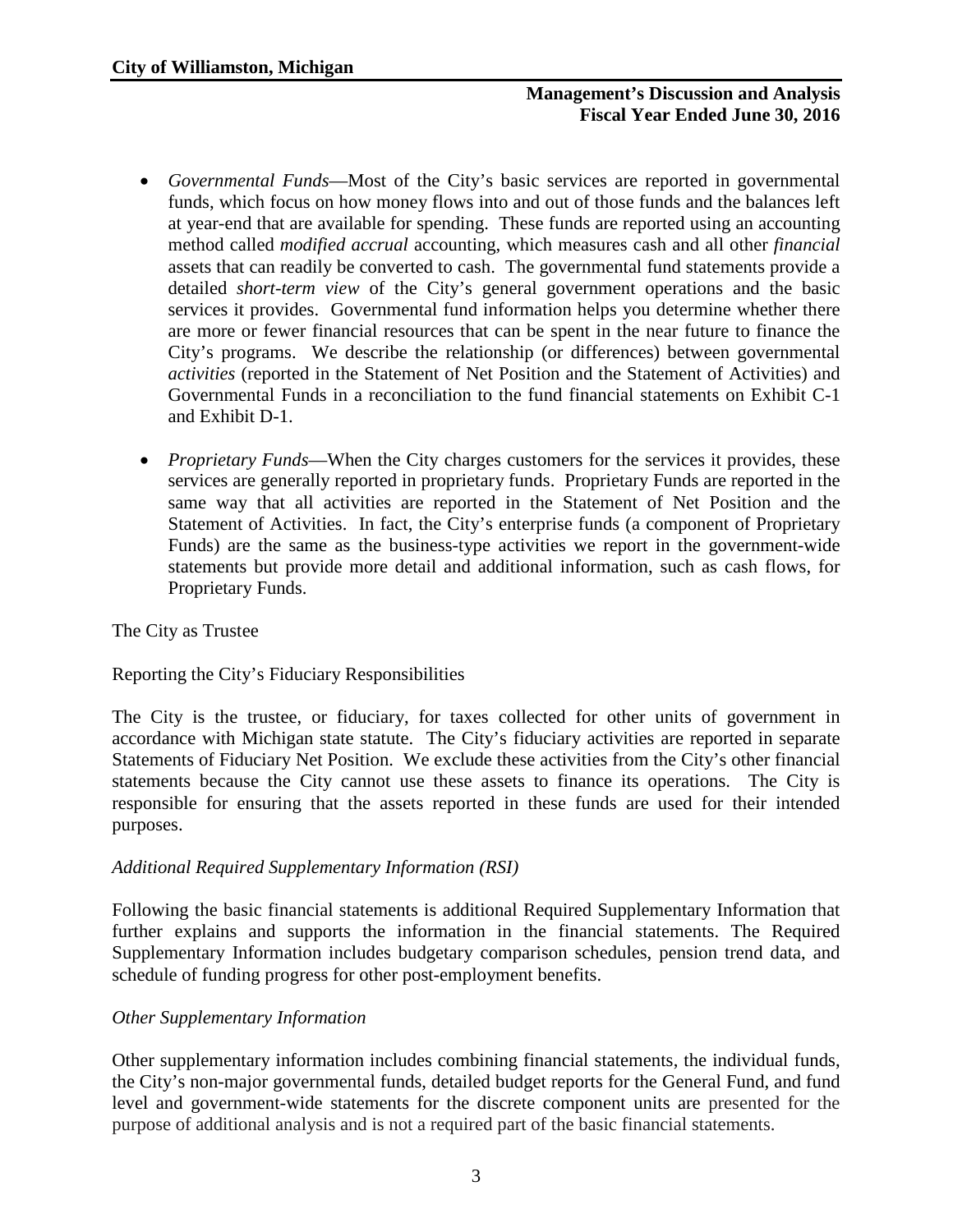- *Governmental Funds*—Most of the City's basic services are reported in governmental funds, which focus on how money flows into and out of those funds and the balances left at year-end that are available for spending. These funds are reported using an accounting method called *modified accrual* accounting, which measures cash and all other *financial*  assets that can readily be converted to cash. The governmental fund statements provide a detailed *short-term view* of the City's general government operations and the basic services it provides. Governmental fund information helps you determine whether there are more or fewer financial resources that can be spent in the near future to finance the City's programs. We describe the relationship (or differences) between governmental *activities* (reported in the Statement of Net Position and the Statement of Activities) and Governmental Funds in a reconciliation to the fund financial statements on Exhibit C-1 and Exhibit D-1.
- *Proprietary Funds*—When the City charges customers for the services it provides, these services are generally reported in proprietary funds. Proprietary Funds are reported in the same way that all activities are reported in the Statement of Net Position and the Statement of Activities. In fact, the City's enterprise funds (a component of Proprietary Funds) are the same as the business-type activities we report in the government-wide statements but provide more detail and additional information, such as cash flows, for Proprietary Funds.

# The City as Trustee

Reporting the City's Fiduciary Responsibilities

The City is the trustee, or fiduciary, for taxes collected for other units of government in accordance with Michigan state statute. The City's fiduciary activities are reported in separate Statements of Fiduciary Net Position. We exclude these activities from the City's other financial statements because the City cannot use these assets to finance its operations. The City is responsible for ensuring that the assets reported in these funds are used for their intended purposes.

### *Additional Required Supplementary Information (RSI)*

Following the basic financial statements is additional Required Supplementary Information that further explains and supports the information in the financial statements. The Required Supplementary Information includes budgetary comparison schedules, pension trend data, and schedule of funding progress for other post-employment benefits.

### *Other Supplementary Information*

Other supplementary information includes combining financial statements, the individual funds, the City's non-major governmental funds, detailed budget reports for the General Fund, and fund level and government-wide statements for the discrete component units are presented for the purpose of additional analysis and is not a required part of the basic financial statements.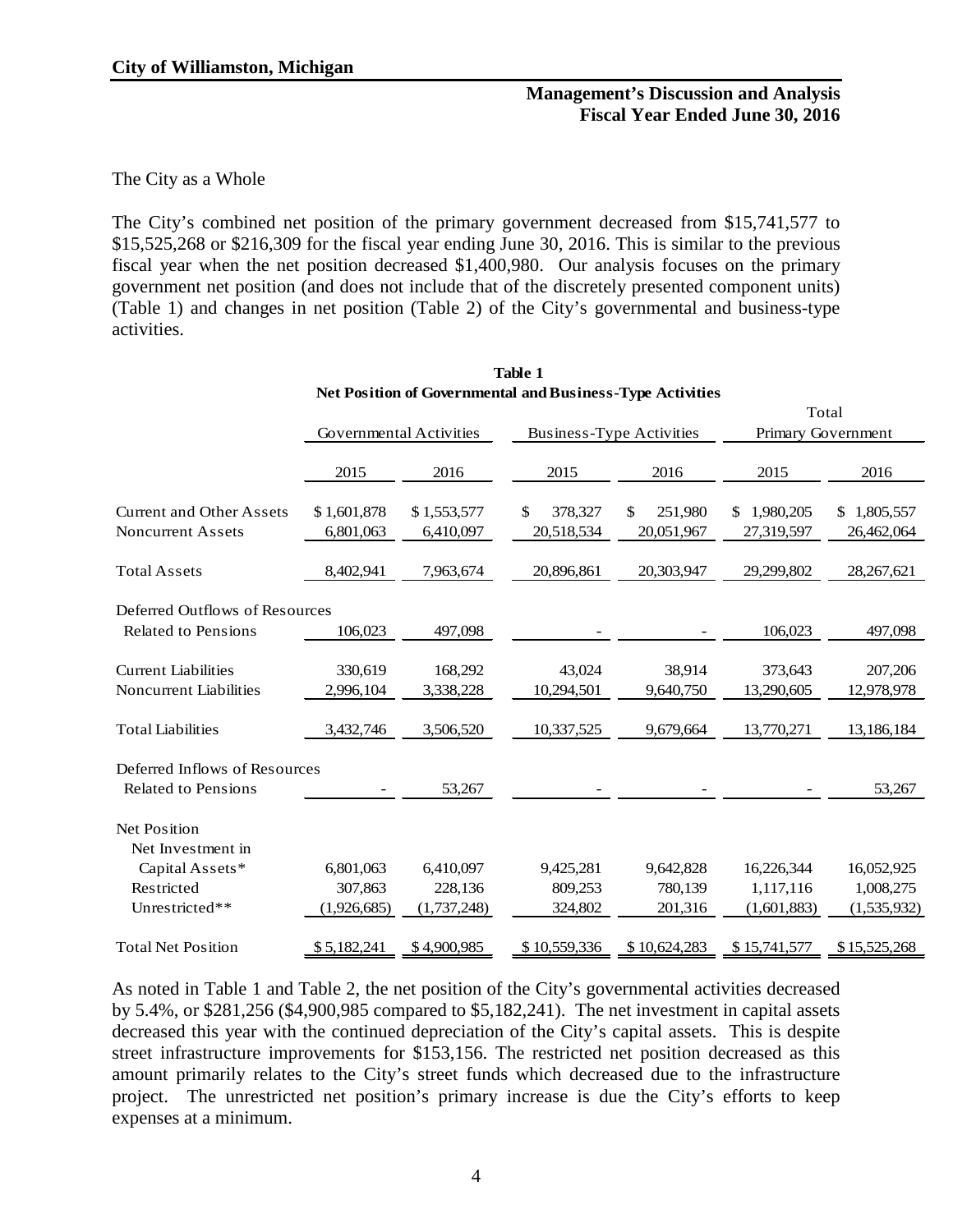#### The City as a Whole

The City's combined net position of the primary government decreased from \$15,741,577 to \$15,525,268 or \$216,309 for the fiscal year ending June 30, 2016. This is similar to the previous fiscal year when the net position decreased \$1,400,980. Our analysis focuses on the primary government net position (and does not include that of the discretely presented component units) (Table 1) and changes in net position (Table 2) of the City's governmental and business-type activities.

|                                 |                                |             | Total         |                                 |                    |              |  |
|---------------------------------|--------------------------------|-------------|---------------|---------------------------------|--------------------|--------------|--|
|                                 | <b>Governmental Activities</b> |             |               | <b>Business-Type Activities</b> | Primary Government |              |  |
|                                 | 2015                           | 2016        | 2015          | 2016                            | 2015               | 2016         |  |
|                                 |                                |             |               |                                 |                    |              |  |
| <b>Current and Other Assets</b> | \$1,601,878                    | \$1,553,577 | 378,327<br>\$ | \$<br>251,980                   | 1,980,205<br>\$    | \$1,805,557  |  |
| <b>Noncurrent Assets</b>        | 6,801,063                      | 6,410,097   | 20,518,534    | 20,051,967                      | 27,319,597         | 26,462,064   |  |
| <b>Total Assets</b>             | 8,402,941                      | 7,963,674   | 20,896,861    | 20,303,947                      | 29,299,802         | 28, 267, 621 |  |
| Deferred Outflows of Resources  |                                |             |               |                                 |                    |              |  |
| <b>Related to Pensions</b>      |                                |             |               |                                 |                    |              |  |
|                                 | 106,023                        | 497,098     |               |                                 | 106,023            | 497,098      |  |
| <b>Current Liabilities</b>      | 330,619                        | 168,292     | 43,024        | 38,914                          | 373,643            | 207,206      |  |
| <b>Noncurrent Liabilities</b>   | 2,996,104                      | 3,338,228   | 10,294,501    | 9,640,750                       | 13,290,605         | 12,978,978   |  |
|                                 |                                |             |               |                                 |                    |              |  |
| <b>Total Liabilities</b>        | 3,432,746                      | 3,506,520   | 10,337,525    | 9,679,664                       | 13,770,271         | 13,186,184   |  |
| Deferred Inflows of Resources   |                                |             |               |                                 |                    |              |  |
| <b>Related to Pensions</b>      |                                | 53,267      |               |                                 |                    | 53,267       |  |
|                                 |                                |             |               |                                 |                    |              |  |
| Net Position                    |                                |             |               |                                 |                    |              |  |
| Net Investment in               |                                |             |               |                                 |                    |              |  |
| Capital Assets*                 | 6,801,063                      | 6,410,097   | 9,425,281     | 9,642,828                       | 16,226,344         | 16,052,925   |  |
| Restricted                      | 307,863                        | 228,136     | 809,253       | 780,139                         | 1,117,116          | 1,008,275    |  |
| Unrestricted**                  | (1,926,685)                    | (1,737,248) | 324,802       | 201,316                         | (1,601,883)        | (1,535,932)  |  |
| <b>Total Net Position</b>       | \$5,182,241                    | \$4,900,985 | \$10,559,336  | \$10,624,283                    | \$15,741,577       | \$15,525,268 |  |

**Table 1 Net Position of Governmental and Business-Type Activities**

As noted in Table 1 and Table 2, the net position of the City's governmental activities decreased by 5.4%, or \$281,256 (\$4,900,985 compared to \$5,182,241). The net investment in capital assets decreased this year with the continued depreciation of the City's capital assets. This is despite street infrastructure improvements for \$153,156. The restricted net position decreased as this amount primarily relates to the City's street funds which decreased due to the infrastructure project. The unrestricted net position's primary increase is due the City's efforts to keep expenses at a minimum.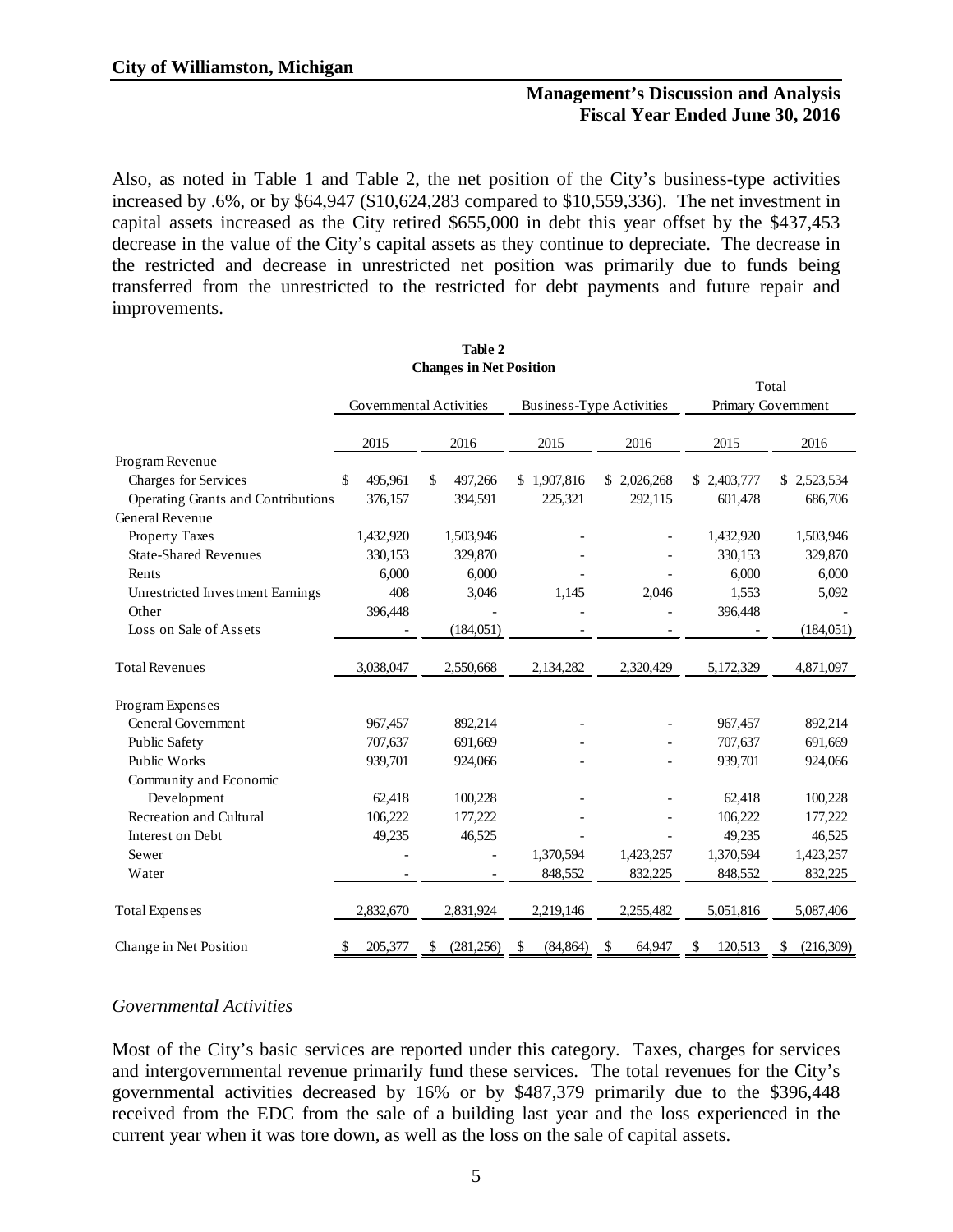Also, as noted in Table 1 and Table 2, the net position of the City's business-type activities increased by .6%, or by \$64,947 (\$10,624,283 compared to \$10,559,336). The net investment in capital assets increased as the City retired \$655,000 in debt this year offset by the \$437,453 decrease in the value of the City's capital assets as they continue to depreciate. The decrease in the restricted and decrease in unrestricted net position was primarily due to funds being transferred from the unrestricted to the restricted for debt payments and future repair and improvements.

|                                    |               | спанеся не тост означи   |                 |                          |               |                    |
|------------------------------------|---------------|--------------------------|-----------------|--------------------------|---------------|--------------------|
|                                    |               |                          |                 |                          |               | Total              |
|                                    |               | Governmental Activities  |                 | Business-Type Activities |               | Primary Government |
|                                    | 2015          | 2016                     | 2015            | 2016                     | 2015          | 2016               |
| Program Revenue                    |               |                          |                 |                          |               |                    |
| Charges for Services               | \$<br>495,961 | \$<br>497,266            | \$1,907,816     | \$2,026,268              | \$ 2,403,777  | 2,523,534<br>\$    |
| Operating Grants and Contributions | 376,157       | 394,591                  | 225,321         | 292,115                  | 601,478       | 686,706            |
| General Revenue                    |               |                          |                 |                          |               |                    |
| Property Taxes                     | 1,432,920     | 1,503,946                |                 |                          | 1,432,920     | 1,503,946          |
| <b>State-Shared Revenues</b>       | 330,153       | 329,870                  |                 |                          | 330,153       | 329,870            |
| Rents                              | 6,000         | 6,000                    |                 |                          | 6,000         | 6,000              |
| Unrestricted Investment Earnings   | 408           | 3,046                    | 1,145           | 2,046                    | 1,553         | 5,092              |
| Other                              | 396,448       |                          |                 |                          | 396,448       |                    |
| Loss on Sale of Assets             |               | (184, 051)               |                 |                          |               | (184,051)          |
| <b>Total Revenues</b>              | 3,038,047     | 2,550,668                | 2,134,282       | 2,320,429                | 5,172,329     | 4,871,097          |
| Program Expenses                   |               |                          |                 |                          |               |                    |
| General Government                 | 967,457       | 892,214                  |                 |                          | 967,457       | 892,214            |
| Public Safety                      | 707,637       | 691,669                  |                 |                          | 707,637       | 691,669            |
| Public Works                       | 939,701       | 924,066                  |                 |                          | 939,701       | 924,066            |
| Community and Economic             |               |                          |                 |                          |               |                    |
| Development                        | 62,418        | 100,228                  |                 |                          | 62,418        | 100,228            |
| Recreation and Cultural            | 106,222       | 177,222                  |                 |                          | 106,222       | 177,222            |
| Interest on Debt                   | 49,235        | 46,525                   |                 |                          | 49,235        | 46,525             |
| Sewer                              |               |                          | 1,370,594       | 1,423,257                | 1,370,594     | 1,423,257          |
| Water                              |               | $\overline{\phantom{a}}$ | 848,552         | 832,225                  | 848,552       | 832,225            |
| <b>Total Expenses</b>              | 2,832,670     | 2,831,924                | 2,219,146       | 2,255,482                | 5,051,816     | 5,087,406          |
| Change in Net Position             | \$<br>205,377 | (281, 256)<br>\$         | (84, 864)<br>\$ | \$<br>64,947             | \$<br>120,513 | (216,309)<br>\$    |

#### **Table 2 Changes in Net Position**

### *Governmental Activities*

Most of the City's basic services are reported under this category. Taxes, charges for services and intergovernmental revenue primarily fund these services. The total revenues for the City's governmental activities decreased by 16% or by \$487,379 primarily due to the \$396,448 received from the EDC from the sale of a building last year and the loss experienced in the current year when it was tore down, as well as the loss on the sale of capital assets.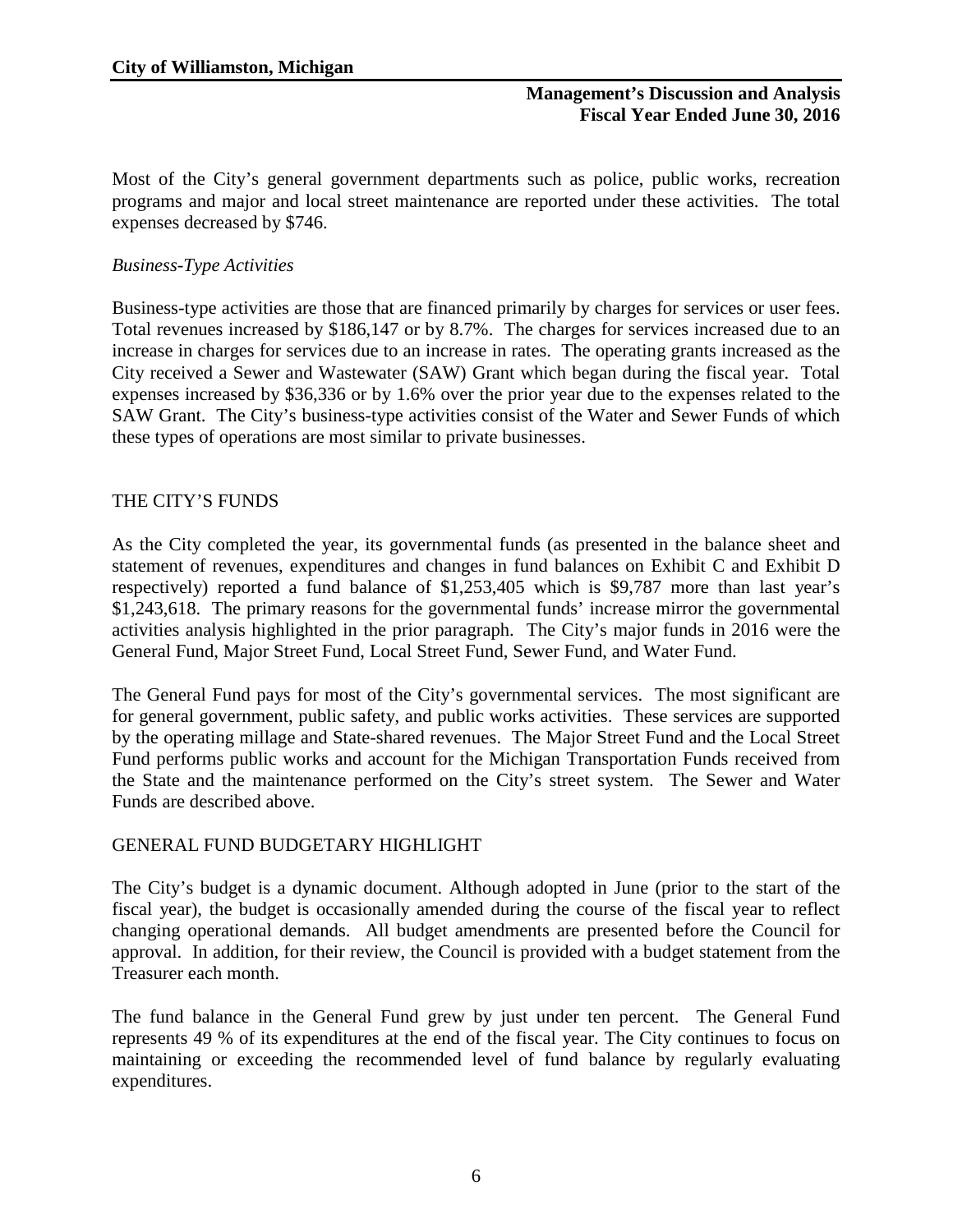Most of the City's general government departments such as police, public works, recreation programs and major and local street maintenance are reported under these activities. The total expenses decreased by \$746.

# *Business-Type Activities*

Business-type activities are those that are financed primarily by charges for services or user fees. Total revenues increased by \$186,147 or by 8.7%. The charges for services increased due to an increase in charges for services due to an increase in rates. The operating grants increased as the City received a Sewer and Wastewater (SAW) Grant which began during the fiscal year. Total expenses increased by \$36,336 or by 1.6% over the prior year due to the expenses related to the SAW Grant. The City's business-type activities consist of the Water and Sewer Funds of which these types of operations are most similar to private businesses.

# THE CITY'S FUNDS

As the City completed the year, its governmental funds (as presented in the balance sheet and statement of revenues, expenditures and changes in fund balances on Exhibit C and Exhibit D respectively) reported a fund balance of \$1,253,405 which is \$9,787 more than last year's \$1,243,618. The primary reasons for the governmental funds' increase mirror the governmental activities analysis highlighted in the prior paragraph. The City's major funds in 2016 were the General Fund, Major Street Fund, Local Street Fund, Sewer Fund, and Water Fund.

The General Fund pays for most of the City's governmental services. The most significant are for general government, public safety, and public works activities. These services are supported by the operating millage and State-shared revenues. The Major Street Fund and the Local Street Fund performs public works and account for the Michigan Transportation Funds received from the State and the maintenance performed on the City's street system. The Sewer and Water Funds are described above.

### GENERAL FUND BUDGETARY HIGHLIGHT

The City's budget is a dynamic document. Although adopted in June (prior to the start of the fiscal year), the budget is occasionally amended during the course of the fiscal year to reflect changing operational demands. All budget amendments are presented before the Council for approval. In addition, for their review, the Council is provided with a budget statement from the Treasurer each month.

The fund balance in the General Fund grew by just under ten percent. The General Fund represents 49 % of its expenditures at the end of the fiscal year. The City continues to focus on maintaining or exceeding the recommended level of fund balance by regularly evaluating expenditures.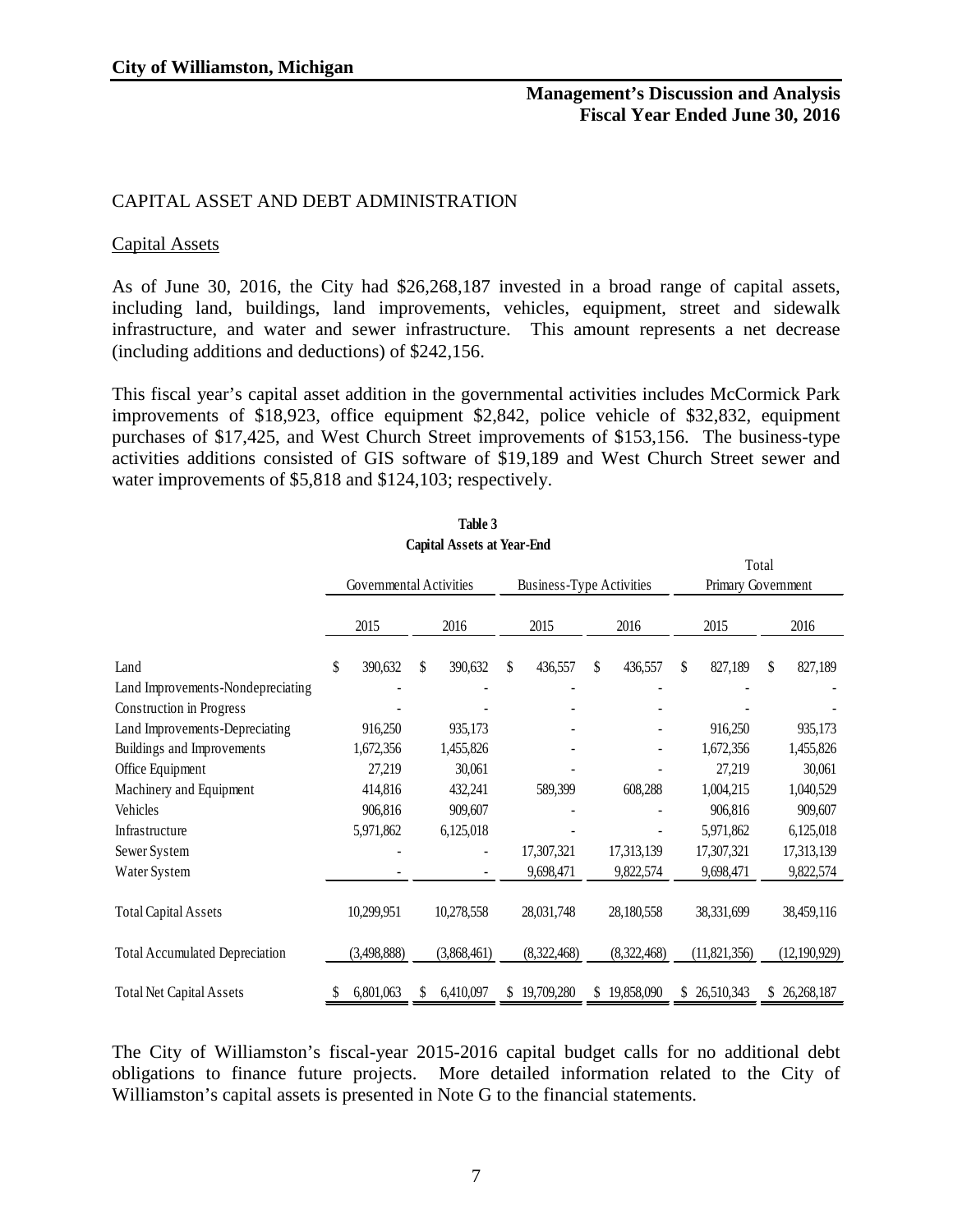### CAPITAL ASSET AND DEBT ADMINISTRATION

#### Capital Assets

As of June 30, 2016, the City had \$26,268,187 invested in a broad range of capital assets, including land, buildings, land improvements, vehicles, equipment, street and sidewalk infrastructure, and water and sewer infrastructure. This amount represents a net decrease (including additions and deductions) of \$242,156.

This fiscal year's capital asset addition in the governmental activities includes McCormick Park improvements of \$18,923, office equipment \$2,842, police vehicle of \$32,832, equipment purchases of \$17,425, and West Church Street improvements of \$153,156. The business-type activities additions consisted of GIS software of \$19,189 and West Church Street sewer and water improvements of \$5,818 and \$124,103; respectively.

|                                       |                         |             |    | Capital Assets at Ieal+Liiu     |    |             |                    |             |    |                |    |                |
|---------------------------------------|-------------------------|-------------|----|---------------------------------|----|-------------|--------------------|-------------|----|----------------|----|----------------|
|                                       |                         |             |    |                                 |    | Total       |                    |             |    |                |    |                |
|                                       | Governmental Activities |             |    | <b>Business-Type Activities</b> |    |             | Primary Government |             |    |                |    |                |
|                                       |                         |             |    |                                 |    |             |                    |             |    |                |    |                |
|                                       |                         | 2015        |    | 2016                            |    | 2015        |                    | 2016        |    | 2015           |    | 2016           |
| Land                                  | \$                      | 390,632     | \$ | 390,632                         | \$ | 436,557     | \$                 | 436,557     | \$ | 827,189        | \$ | 827,189        |
| Land Improvements-Nondepreciating     |                         |             |    |                                 |    |             |                    |             |    |                |    |                |
| Construction in Progress              |                         |             |    |                                 |    |             |                    |             |    |                |    |                |
| Land Improvements-Depreciating        |                         | 916,250     |    | 935,173                         |    |             |                    |             |    | 916,250        |    | 935,173        |
| Buildings and Improvements            |                         | 1,672,356   |    | 1,455,826                       |    |             |                    |             |    | 1,672,356      |    | 1,455,826      |
| Office Equipment                      |                         | 27,219      |    | 30,061                          |    |             |                    |             |    | 27,219         |    | 30,061         |
| Machinery and Equipment               |                         | 414,816     |    | 432,241                         |    | 589,399     |                    | 608,288     |    | 1,004,215      |    | 1,040,529      |
| Vehicles                              |                         | 906,816     |    | 909,607                         |    |             |                    |             |    | 906,816        |    | 909,607        |
| Infrastructure                        |                         | 5,971,862   |    | 6,125,018                       |    |             |                    |             |    | 5,971,862      |    | 6,125,018      |
| Sewer System                          |                         |             |    |                                 |    | 17,307,321  |                    | 17,313,139  |    | 17,307,321     |    | 17,313,139     |
| Water System                          |                         |             |    |                                 |    | 9,698,471   |                    | 9,822,574   |    | 9,698,471      |    | 9,822,574      |
|                                       |                         |             |    |                                 |    |             |                    |             |    |                |    |                |
| <b>Total Capital Assets</b>           |                         | 10,299,951  |    | 10,278,558                      |    | 28,031,748  |                    | 28,180,558  |    | 38,331,699     |    | 38,459,116     |
| <b>Total Accumulated Depreciation</b> |                         | (3,498,888) |    | (3,868,461)                     |    | (8,322,468) |                    | (8,322,468) |    | (11, 821, 356) |    | (12, 190, 929) |
| <b>Total Net Capital Assets</b>       |                         | 6,801,063   | S  | 6,410,097                       | S. | 19,709,280  | S                  | 19,858,090  | S  | 26,510,343     | S  | 26,268,187     |
|                                       |                         |             |    |                                 |    |             |                    |             |    |                |    |                |

| Table 3                    |  |
|----------------------------|--|
| Capital Assets at Year-End |  |

The City of Williamston's fiscal-year 2015-2016 capital budget calls for no additional debt obligations to finance future projects. More detailed information related to the City of Williamston's capital assets is presented in Note G to the financial statements.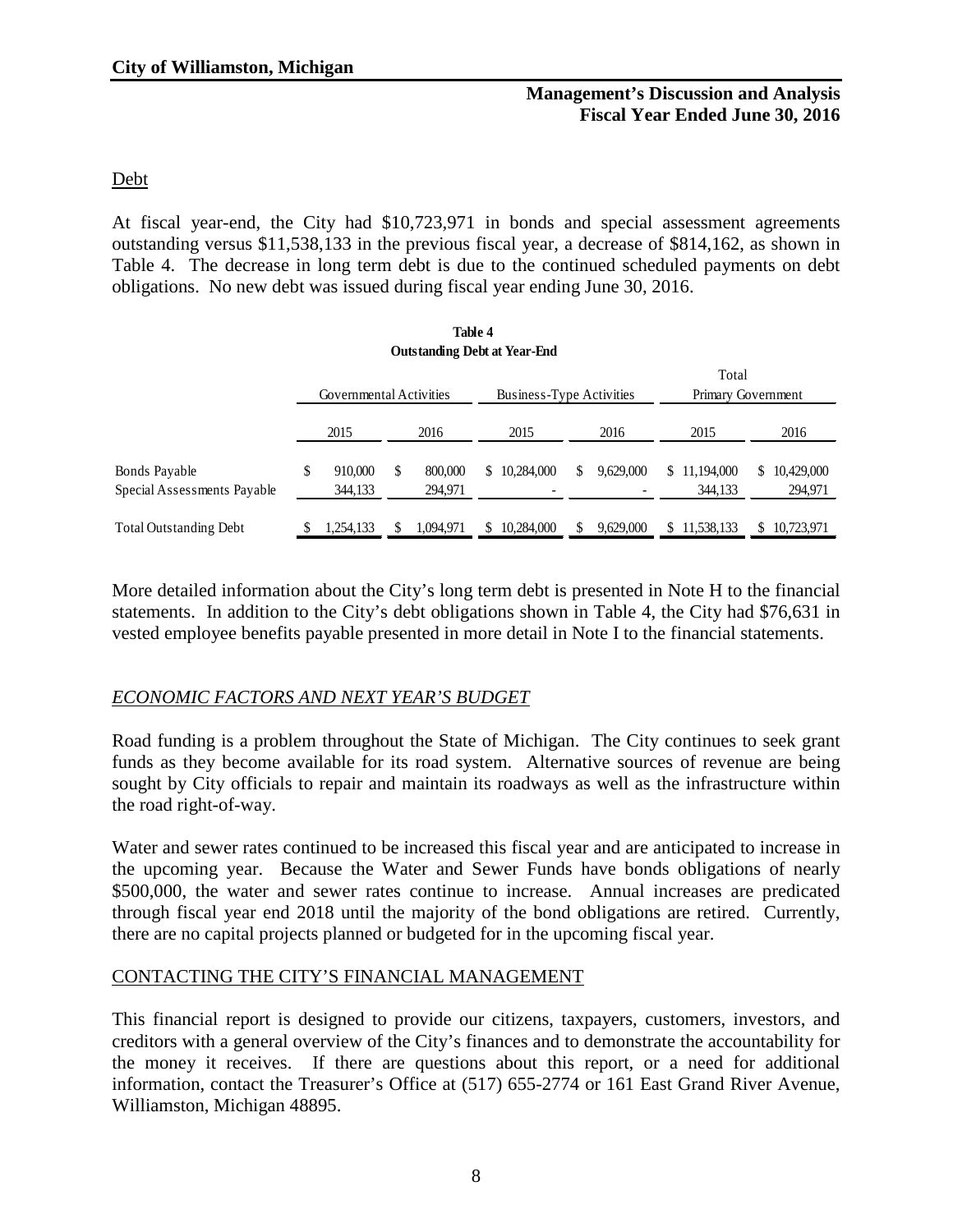# Debt

At fiscal year-end, the City had \$10,723,971 in bonds and special assessment agreements outstanding versus \$11,538,133 in the previous fiscal year, a decrease of \$814,162, as shown in Table 4. The decrease in long term debt is due to the continued scheduled payments on debt obligations. No new debt was issued during fiscal year ending June 30, 2016.

**Table 4**

| 1able 4                                      |                                                     |                    |   |                    |    |                                        |    |           |                            |                             |
|----------------------------------------------|-----------------------------------------------------|--------------------|---|--------------------|----|----------------------------------------|----|-----------|----------------------------|-----------------------------|
| <b>Outstanding Debt at Year-End</b>          |                                                     |                    |   |                    |    |                                        |    |           |                            |                             |
| Total                                        |                                                     |                    |   |                    |    |                                        |    |           |                            |                             |
|                                              | Governmental Activities<br>Business-Type Activities |                    |   |                    |    | Primary Government                     |    |           |                            |                             |
|                                              |                                                     | 2015               |   | 2016               |    | 2015                                   |    | 2016      | 2015                       | 2016                        |
| Bonds Payable<br>Special Assessments Payable | \$                                                  | 910,000<br>344,133 | S | 800,000<br>294,971 | S. | 10.284,000<br>$\overline{\phantom{a}}$ | \$ | 9.629,000 | 11.194.000<br>S<br>344,133 | 10,429,000<br>S.<br>294,971 |
| <b>Total Outstanding Debt</b>                |                                                     | .254,133           |   | 1.094.971          |    | 10,284,000                             |    | 9,629,000 | 11,538,133                 | 10,723,971                  |

More detailed information about the City's long term debt is presented in Note H to the financial statements. In addition to the City's debt obligations shown in Table 4, the City had \$76,631 in vested employee benefits payable presented in more detail in Note I to the financial statements.

# *ECONOMIC FACTORS AND NEXT YEAR'S BUDGET*

Road funding is a problem throughout the State of Michigan. The City continues to seek grant funds as they become available for its road system. Alternative sources of revenue are being sought by City officials to repair and maintain its roadways as well as the infrastructure within the road right-of-way.

Water and sewer rates continued to be increased this fiscal year and are anticipated to increase in the upcoming year. Because the Water and Sewer Funds have bonds obligations of nearly \$500,000, the water and sewer rates continue to increase. Annual increases are predicated through fiscal year end 2018 until the majority of the bond obligations are retired. Currently, there are no capital projects planned or budgeted for in the upcoming fiscal year.

### CONTACTING THE CITY'S FINANCIAL MANAGEMENT

This financial report is designed to provide our citizens, taxpayers, customers, investors, and creditors with a general overview of the City's finances and to demonstrate the accountability for the money it receives. If there are questions about this report, or a need for additional information, contact the Treasurer's Office at (517) 655-2774 or 161 East Grand River Avenue, Williamston, Michigan 48895.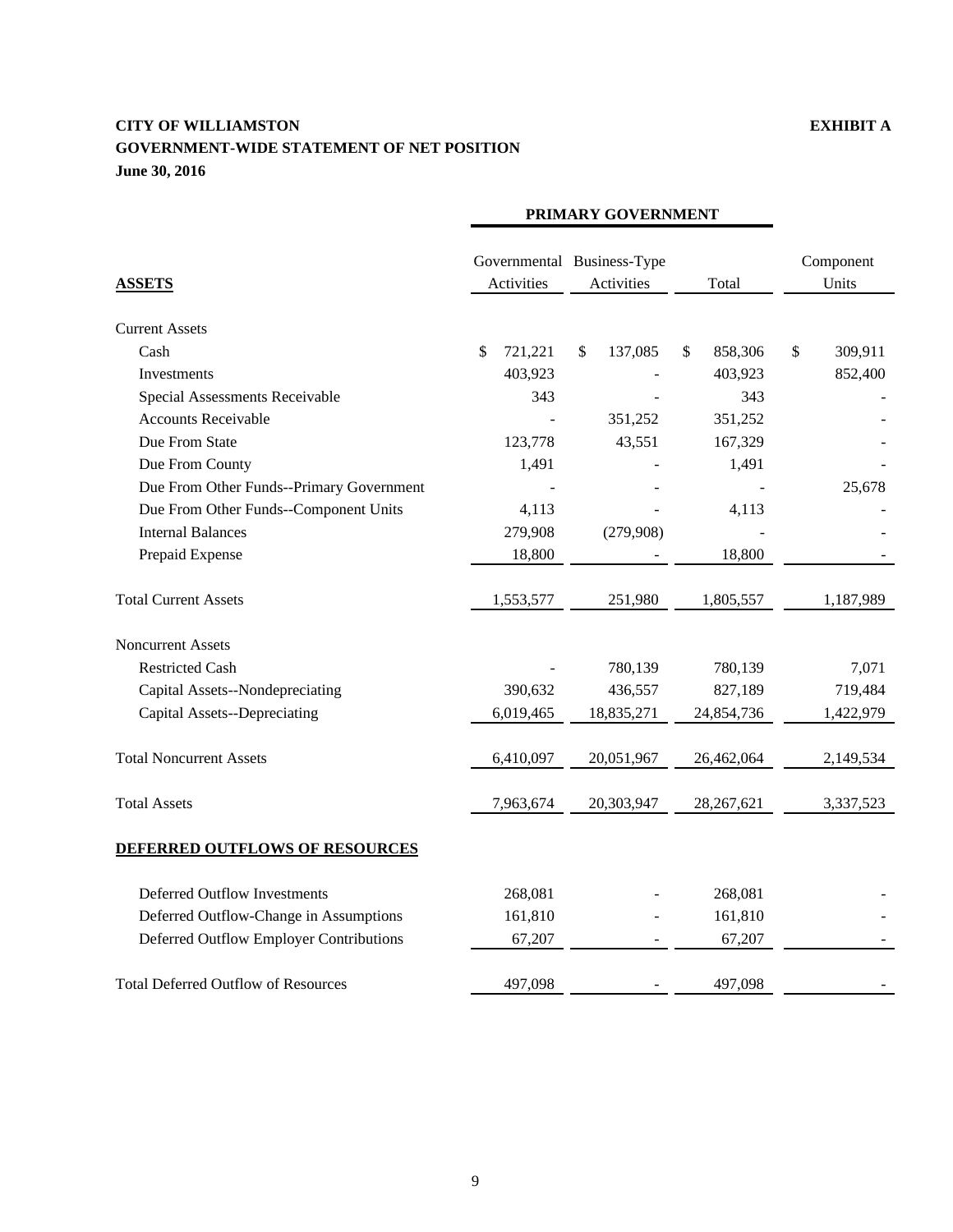# **CITY OF WILLIAMSTON EXHIBIT A GOVERNMENT-WIDE STATEMENT OF NET POSITION June 30, 2016**

|                                            | PRIMARY GOVERNMENT |                                          |               |                    |  |
|--------------------------------------------|--------------------|------------------------------------------|---------------|--------------------|--|
| <b>ASSETS</b>                              | Activities         | Governmental Business-Type<br>Activities | Total         | Component<br>Units |  |
| <b>Current Assets</b>                      |                    |                                          |               |                    |  |
| Cash                                       | 721,221<br>\$      | \$<br>137,085                            | 858,306<br>\$ | $\$\,$<br>309,911  |  |
| Investments                                | 403,923            |                                          | 403,923       | 852,400            |  |
| Special Assessments Receivable             | 343                |                                          | 343           |                    |  |
| <b>Accounts Receivable</b>                 |                    | 351,252                                  | 351,252       |                    |  |
| Due From State                             | 123,778            | 43,551                                   | 167,329       |                    |  |
| Due From County                            | 1,491              |                                          | 1,491         |                    |  |
| Due From Other Funds--Primary Government   |                    |                                          |               | 25,678             |  |
| Due From Other Funds--Component Units      | 4,113              |                                          | 4,113         |                    |  |
| <b>Internal Balances</b>                   | 279,908            | (279,908)                                |               |                    |  |
| Prepaid Expense                            | 18,800             |                                          | 18,800        |                    |  |
| <b>Total Current Assets</b>                | 1,553,577          | 251,980                                  | 1,805,557     | 1,187,989          |  |
| <b>Noncurrent Assets</b>                   |                    |                                          |               |                    |  |
| <b>Restricted Cash</b>                     |                    | 780,139                                  | 780,139       | 7,071              |  |
| Capital Assets--Nondepreciating            | 390,632            | 436,557                                  | 827,189       | 719,484            |  |
| <b>Capital Assets--Depreciating</b>        | 6,019,465          | 18,835,271                               | 24,854,736    | 1,422,979          |  |
| <b>Total Noncurrent Assets</b>             | 6,410,097          | 20,051,967                               | 26,462,064    | 2,149,534          |  |
| <b>Total Assets</b>                        | 7,963,674          | 20,303,947                               | 28, 267, 621  | 3,337,523          |  |
| <b>DEFERRED OUTFLOWS OF RESOURCES</b>      |                    |                                          |               |                    |  |
| Deferred Outflow Investments               | 268,081            |                                          | 268,081       |                    |  |
| Deferred Outflow-Change in Assumptions     | 161,810            |                                          | 161,810       |                    |  |
| Deferred Outflow Employer Contributions    | 67,207             |                                          | 67,207        |                    |  |
| <b>Total Deferred Outflow of Resources</b> | 497,098            |                                          | 497,098       |                    |  |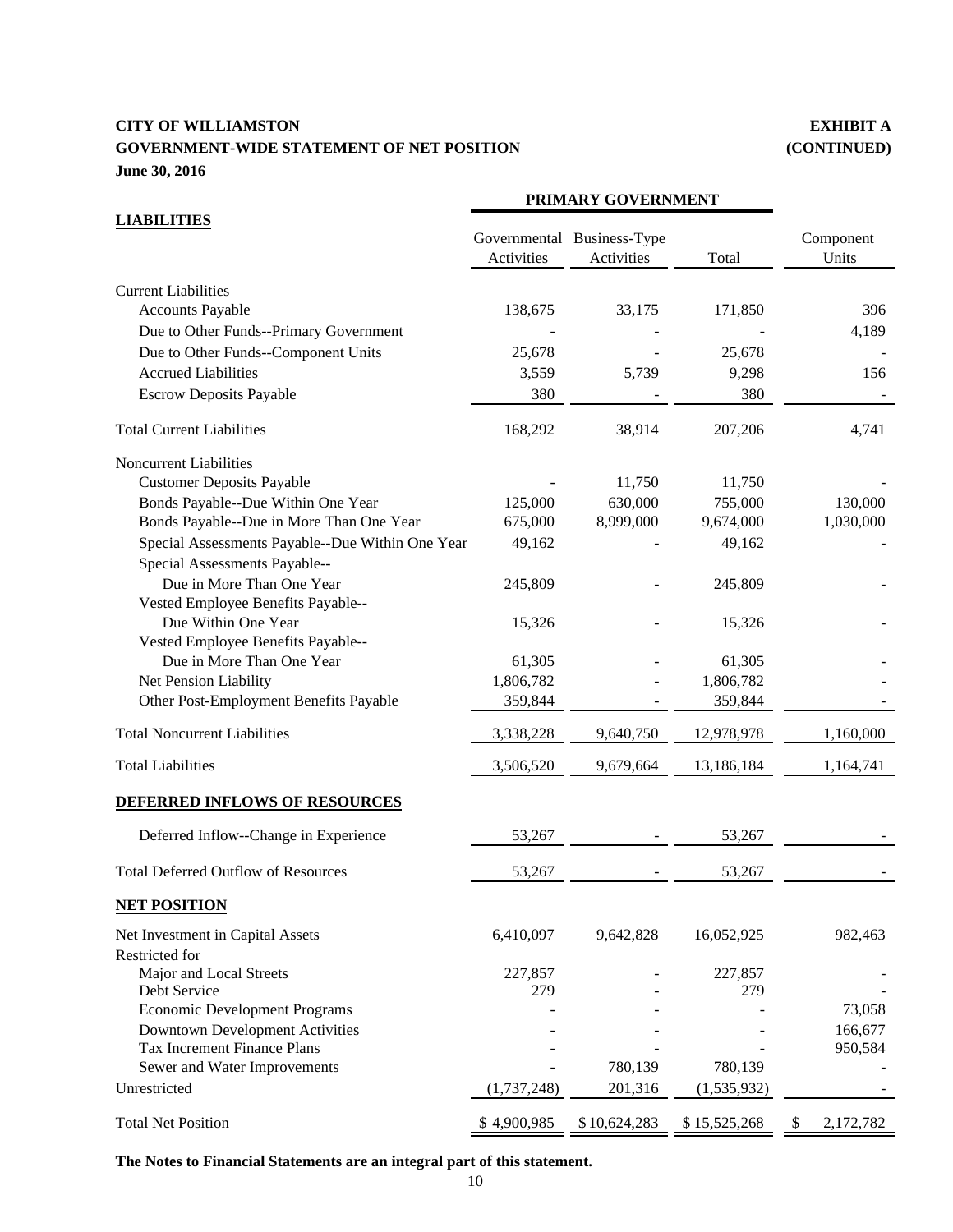# **CITY OF WILLIAMSTON EXHIBIT A GOVERNMENT-WIDE STATEMENT OF NET POSITION (CONTINUED) June 30, 2016**

|                                                                                                                                                                                                                                                                                                                                                                                                                                                                                                                 | PRIMARY GOVERNMENT                                                                               |                                             |                                                                                                               |                                         |
|-----------------------------------------------------------------------------------------------------------------------------------------------------------------------------------------------------------------------------------------------------------------------------------------------------------------------------------------------------------------------------------------------------------------------------------------------------------------------------------------------------------------|--------------------------------------------------------------------------------------------------|---------------------------------------------|---------------------------------------------------------------------------------------------------------------|-----------------------------------------|
| <b>LIABILITIES</b>                                                                                                                                                                                                                                                                                                                                                                                                                                                                                              | Activities                                                                                       | Governmental Business-Type<br>Activities    | Total                                                                                                         | Component<br>Units                      |
| <b>Current Liabilities</b><br>Accounts Payable<br>Due to Other Funds--Primary Government                                                                                                                                                                                                                                                                                                                                                                                                                        | 138,675                                                                                          | 33,175                                      | 171,850                                                                                                       | 396<br>4,189                            |
| Due to Other Funds--Component Units<br><b>Accrued Liabilities</b><br><b>Escrow Deposits Payable</b>                                                                                                                                                                                                                                                                                                                                                                                                             | 25,678<br>3,559<br>380                                                                           | 5,739                                       | 25,678<br>9,298<br>380                                                                                        | 156                                     |
| <b>Total Current Liabilities</b>                                                                                                                                                                                                                                                                                                                                                                                                                                                                                | 168,292                                                                                          | 38,914                                      | 207,206                                                                                                       | 4,741                                   |
| <b>Noncurrent Liabilities</b><br><b>Customer Deposits Payable</b><br>Bonds Payable--Due Within One Year<br>Bonds Payable--Due in More Than One Year<br>Special Assessments Payable--Due Within One Year<br>Special Assessments Payable--<br>Due in More Than One Year<br>Vested Employee Benefits Payable--<br>Due Within One Year<br>Vested Employee Benefits Payable--<br>Due in More Than One Year<br>Net Pension Liability<br>Other Post-Employment Benefits Payable<br><b>Total Noncurrent Liabilities</b> | 125,000<br>675,000<br>49,162<br>245,809<br>15,326<br>61,305<br>1,806,782<br>359,844<br>3,338,228 | 11,750<br>630,000<br>8,999,000<br>9,640,750 | 11,750<br>755,000<br>9,674,000<br>49,162<br>245,809<br>15,326<br>61,305<br>1,806,782<br>359,844<br>12,978,978 | 130,000<br>1,030,000<br>1,160,000       |
| <b>Total Liabilities</b>                                                                                                                                                                                                                                                                                                                                                                                                                                                                                        | 3,506,520                                                                                        | 9,679,664                                   | 13,186,184                                                                                                    | 1,164,741                               |
| DEFERRED INFLOWS OF RESOURCES<br>Deferred Inflow--Change in Experience                                                                                                                                                                                                                                                                                                                                                                                                                                          | 53,267                                                                                           |                                             | 53,267                                                                                                        |                                         |
| <b>Total Deferred Outflow of Resources</b>                                                                                                                                                                                                                                                                                                                                                                                                                                                                      | 53,267                                                                                           |                                             | 53,267                                                                                                        |                                         |
| <b>NET POSITION</b>                                                                                                                                                                                                                                                                                                                                                                                                                                                                                             |                                                                                                  |                                             |                                                                                                               |                                         |
| Net Investment in Capital Assets<br>Restricted for<br>Major and Local Streets<br>Debt Service<br><b>Economic Development Programs</b><br><b>Downtown Development Activities</b><br>Tax Increment Finance Plans<br>Sewer and Water Improvements                                                                                                                                                                                                                                                                  | 6,410,097<br>227,857<br>279                                                                      | 9,642,828<br>780,139                        | 16,052,925<br>227,857<br>279<br>780,139                                                                       | 982,463<br>73,058<br>166,677<br>950,584 |
| Unrestricted                                                                                                                                                                                                                                                                                                                                                                                                                                                                                                    | (1,737,248)                                                                                      | 201,316                                     | (1,535,932)                                                                                                   |                                         |
| <b>Total Net Position</b>                                                                                                                                                                                                                                                                                                                                                                                                                                                                                       | \$4,900,985                                                                                      | \$10,624,283                                | \$15,525,268                                                                                                  | \$<br>2,172,782                         |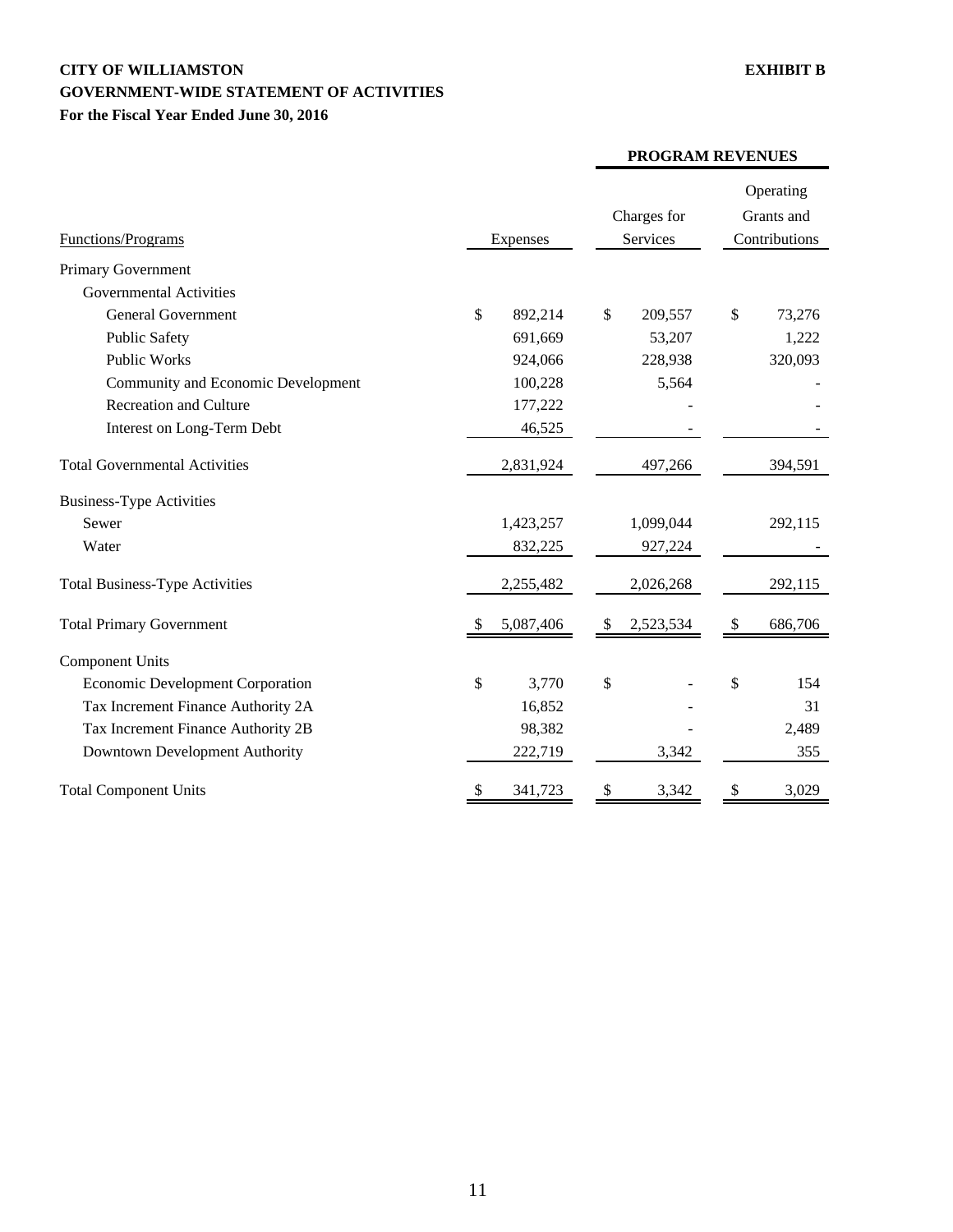# **CITY OF WILLIAMSTON EXHIBIT B GOVERNMENT-WIDE STATEMENT OF ACTIVITIES For the Fiscal Year Ended June 30, 2016**

| Functions/Programs                      | Expenses      | Charges for<br>Services | Operating<br>Grants and<br>Contributions |  |
|-----------------------------------------|---------------|-------------------------|------------------------------------------|--|
| Primary Government                      |               |                         |                                          |  |
| <b>Governmental Activities</b>          |               |                         |                                          |  |
| <b>General Government</b>               | \$<br>892,214 | \$<br>209,557           | \$<br>73,276                             |  |
| <b>Public Safety</b>                    | 691,669       | 53,207                  | 1,222                                    |  |
| <b>Public Works</b>                     | 924,066       | 228,938                 | 320,093                                  |  |
| Community and Economic Development      | 100,228       | 5,564                   |                                          |  |
| Recreation and Culture                  | 177,222       |                         |                                          |  |
| Interest on Long-Term Debt              | 46,525        |                         |                                          |  |
| <b>Total Governmental Activities</b>    | 2,831,924     | 497,266                 | 394,591                                  |  |
| <b>Business-Type Activities</b>         |               |                         |                                          |  |
| Sewer                                   | 1,423,257     | 1,099,044               | 292,115                                  |  |
| Water                                   | 832,225       | 927,224                 |                                          |  |
| <b>Total Business-Type Activities</b>   | 2,255,482     | 2,026,268               | 292,115                                  |  |
| <b>Total Primary Government</b>         | 5,087,406     | 2,523,534<br>-\$        | 686,706<br>\$                            |  |
| <b>Component Units</b>                  |               |                         |                                          |  |
| <b>Economic Development Corporation</b> | \$<br>3,770   | \$                      | \$<br>154                                |  |
| Tax Increment Finance Authority 2A      | 16,852        |                         | 31                                       |  |
| Tax Increment Finance Authority 2B      | 98,382        |                         | 2,489                                    |  |
| Downtown Development Authority          | 222,719       | 3,342                   | 355                                      |  |
| <b>Total Component Units</b>            | \$<br>341,723 | \$<br>3,342             | \$<br>3,029                              |  |

#### **PROGRAM REVENUES**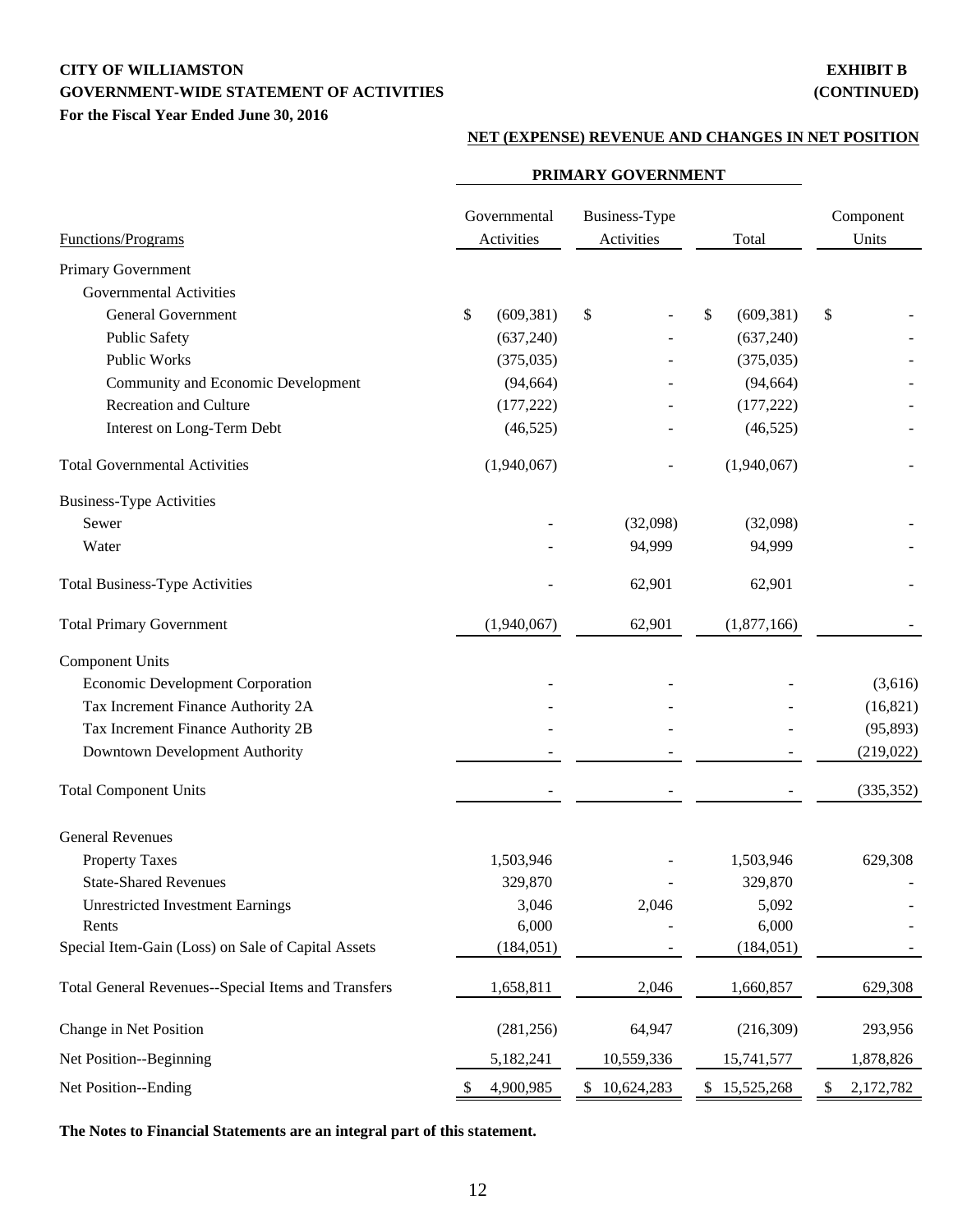# **CITY OF WILLIAMSTON EXHIBIT B GOVERNMENT-WIDE STATEMENT OF ACTIVITIES (CONTINUED) For the Fiscal Year Ended June 30, 2016**

#### **NET (EXPENSE) REVENUE AND CHANGES IN NET POSITION**

|                                                     | PRIMARY GOVERNMENT         |                             |                  |                    |  |
|-----------------------------------------------------|----------------------------|-----------------------------|------------------|--------------------|--|
| Functions/Programs                                  | Governmental<br>Activities | Business-Type<br>Activities | Total            | Component<br>Units |  |
| Primary Government                                  |                            |                             |                  |                    |  |
| <b>Governmental Activities</b>                      |                            |                             |                  |                    |  |
| <b>General Government</b>                           | \$<br>(609, 381)           | \$                          | \$<br>(609, 381) | \$                 |  |
| <b>Public Safety</b>                                | (637, 240)                 |                             | (637,240)        |                    |  |
| <b>Public Works</b>                                 | (375, 035)                 |                             | (375, 035)       |                    |  |
| Community and Economic Development                  | (94, 664)                  |                             | (94, 664)        |                    |  |
| Recreation and Culture                              | (177, 222)                 |                             | (177, 222)       |                    |  |
| Interest on Long-Term Debt                          | (46, 525)                  |                             | (46, 525)        |                    |  |
| <b>Total Governmental Activities</b>                | (1,940,067)                |                             | (1,940,067)      |                    |  |
| <b>Business-Type Activities</b>                     |                            |                             |                  |                    |  |
| Sewer                                               |                            | (32,098)                    | (32,098)         |                    |  |
| Water                                               |                            | 94,999                      | 94,999           |                    |  |
| <b>Total Business-Type Activities</b>               |                            | 62,901                      | 62,901           |                    |  |
| <b>Total Primary Government</b>                     | (1,940,067)                | 62,901                      | (1,877,166)      |                    |  |
| <b>Component Units</b>                              |                            |                             |                  |                    |  |
| <b>Economic Development Corporation</b>             |                            |                             |                  | (3,616)            |  |
| Tax Increment Finance Authority 2A                  |                            |                             |                  | (16, 821)          |  |
| Tax Increment Finance Authority 2B                  |                            |                             |                  | (95, 893)          |  |
| Downtown Development Authority                      |                            |                             |                  | (219, 022)         |  |
| <b>Total Component Units</b>                        |                            |                             |                  | (335, 352)         |  |
| <b>General Revenues</b>                             |                            |                             |                  |                    |  |
| <b>Property Taxes</b>                               | 1,503,946                  |                             | 1,503,946        | 629,308            |  |
| <b>State-Shared Revenues</b>                        | 329,870                    |                             | 329,870          |                    |  |
| <b>Unrestricted Investment Earnings</b>             | 3,046                      | 2,046                       | 5,092            |                    |  |
| Rents                                               | 6,000                      |                             | 6,000            |                    |  |
| Special Item-Gain (Loss) on Sale of Capital Assets  | (184, 051)                 |                             | (184, 051)       |                    |  |
| Total General Revenues--Special Items and Transfers | 1,658,811                  | 2,046                       | 1,660,857        | 629,308            |  |
| Change in Net Position                              | (281, 256)                 | 64,947                      | (216,309)        | 293,956            |  |
| Net Position--Beginning                             | 5,182,241                  | 10,559,336                  | 15,741,577       | 1,878,826          |  |
| Net Position--Ending                                | 4,900,985<br>S.            | 10,624,283<br>\$            | \$15,525,268     | 2,172,782<br>\$    |  |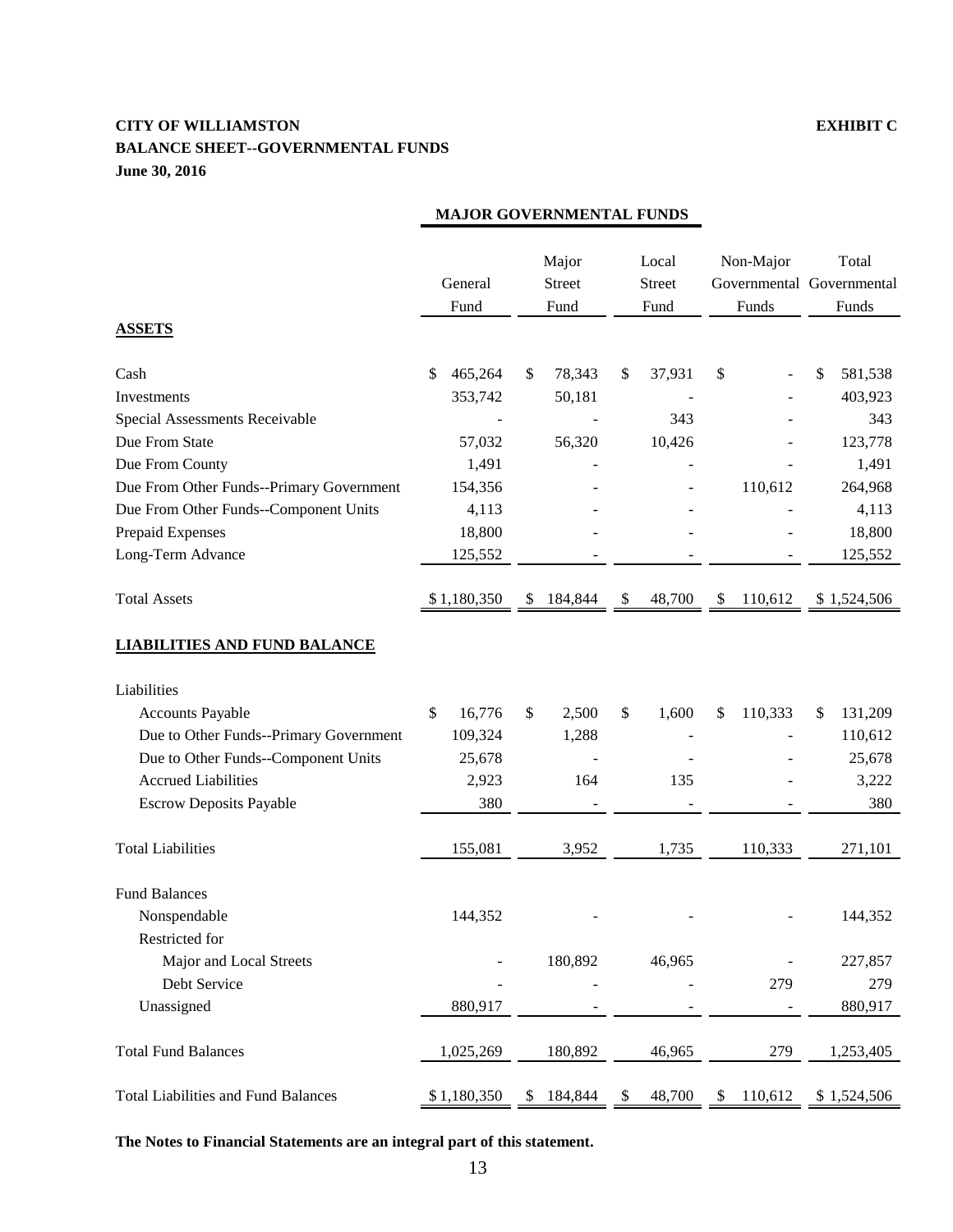# **CITY OF WILLIAMSTON EXHIBIT C BALANCE SHEET--GOVERNMENTAL FUNDS June 30, 2016**

|                                            | General<br>Fund |             | Major<br><b>Street</b><br>Fund |                |    | Local<br><b>Street</b><br>Fund |         | Non-Major<br>Funds | Total<br>Governmental Governmental<br>Funds |             |
|--------------------------------------------|-----------------|-------------|--------------------------------|----------------|----|--------------------------------|---------|--------------------|---------------------------------------------|-------------|
| <b>ASSETS</b>                              |                 |             |                                |                |    |                                |         |                    |                                             |             |
| Cash                                       | \$              | 465,264     | \$                             | 78,343         | \$ | 37,931                         | \$      |                    | \$                                          | 581,538     |
| Investments                                |                 | 353,742     |                                | 50,181         |    |                                |         |                    |                                             | 403,923     |
| Special Assessments Receivable             |                 |             |                                |                |    | 343                            |         |                    |                                             | 343         |
| Due From State                             |                 | 57,032      |                                | 56,320         |    | 10,426                         |         |                    |                                             | 123,778     |
| Due From County                            |                 | 1,491       |                                |                |    |                                |         |                    |                                             | 1,491       |
| Due From Other Funds--Primary Government   |                 | 154,356     |                                |                |    |                                |         | 110,612            |                                             | 264,968     |
| Due From Other Funds--Component Units      |                 | 4,113       |                                |                |    |                                |         |                    |                                             | 4,113       |
| Prepaid Expenses                           |                 | 18,800      |                                |                |    |                                |         |                    |                                             | 18,800      |
| Long-Term Advance                          |                 | 125,552     |                                |                |    |                                |         |                    |                                             | 125,552     |
|                                            |                 |             |                                |                |    |                                |         |                    |                                             |             |
| <b>Total Assets</b>                        |                 | \$1,180,350 | \$                             | 184,844        | \$ | 48,700                         | \$      | 110,612            |                                             | \$1,524,506 |
| <b>LIABILITIES AND FUND BALANCE</b>        |                 |             |                                |                |    |                                |         |                    |                                             |             |
| Liabilities                                |                 |             |                                |                |    |                                |         |                    |                                             |             |
| <b>Accounts Payable</b>                    | \$              | 16,776      | \$                             | 2,500          | \$ | 1,600                          | \$      | 110,333            | \$                                          | 131,209     |
| Due to Other Funds--Primary Government     |                 | 109,324     |                                | 1,288          |    |                                |         |                    |                                             | 110,612     |
| Due to Other Funds--Component Units        |                 | 25,678      |                                |                |    |                                |         |                    |                                             | 25,678      |
| <b>Accrued Liabilities</b>                 |                 | 2,923       |                                | 164            |    | 135                            |         |                    |                                             | 3,222       |
| <b>Escrow Deposits Payable</b>             |                 | 380         |                                |                |    |                                |         |                    |                                             | 380         |
| <b>Total Liabilities</b>                   |                 | 155,081     |                                | 3,952<br>1,735 |    |                                | 110,333 |                    | 271,101                                     |             |
| <b>Fund Balances</b>                       |                 |             |                                |                |    |                                |         |                    |                                             |             |
| Nonspendable                               |                 | 144,352     |                                |                |    |                                |         |                    |                                             | 144,352     |
| Restricted for                             |                 |             |                                |                |    |                                |         |                    |                                             |             |
| Major and Local Streets                    |                 |             |                                | 180,892        |    | 46,965                         |         |                    |                                             | 227,857     |
| Debt Service                               |                 |             |                                |                |    |                                |         | 279                |                                             | 279         |
| Unassigned                                 |                 | 880,917     |                                |                |    |                                |         |                    |                                             | 880,917     |
| <b>Total Fund Balances</b>                 |                 | 1,025,269   |                                | 180,892        |    | 46,965                         |         | 279                |                                             | 1,253,405   |
| <b>Total Liabilities and Fund Balances</b> |                 | \$1,180,350 | \$                             | 184,844        | \$ | 48,700                         | \$      | 110,612            |                                             | \$1,524,506 |

# **MAJOR GOVERNMENTAL FUNDS**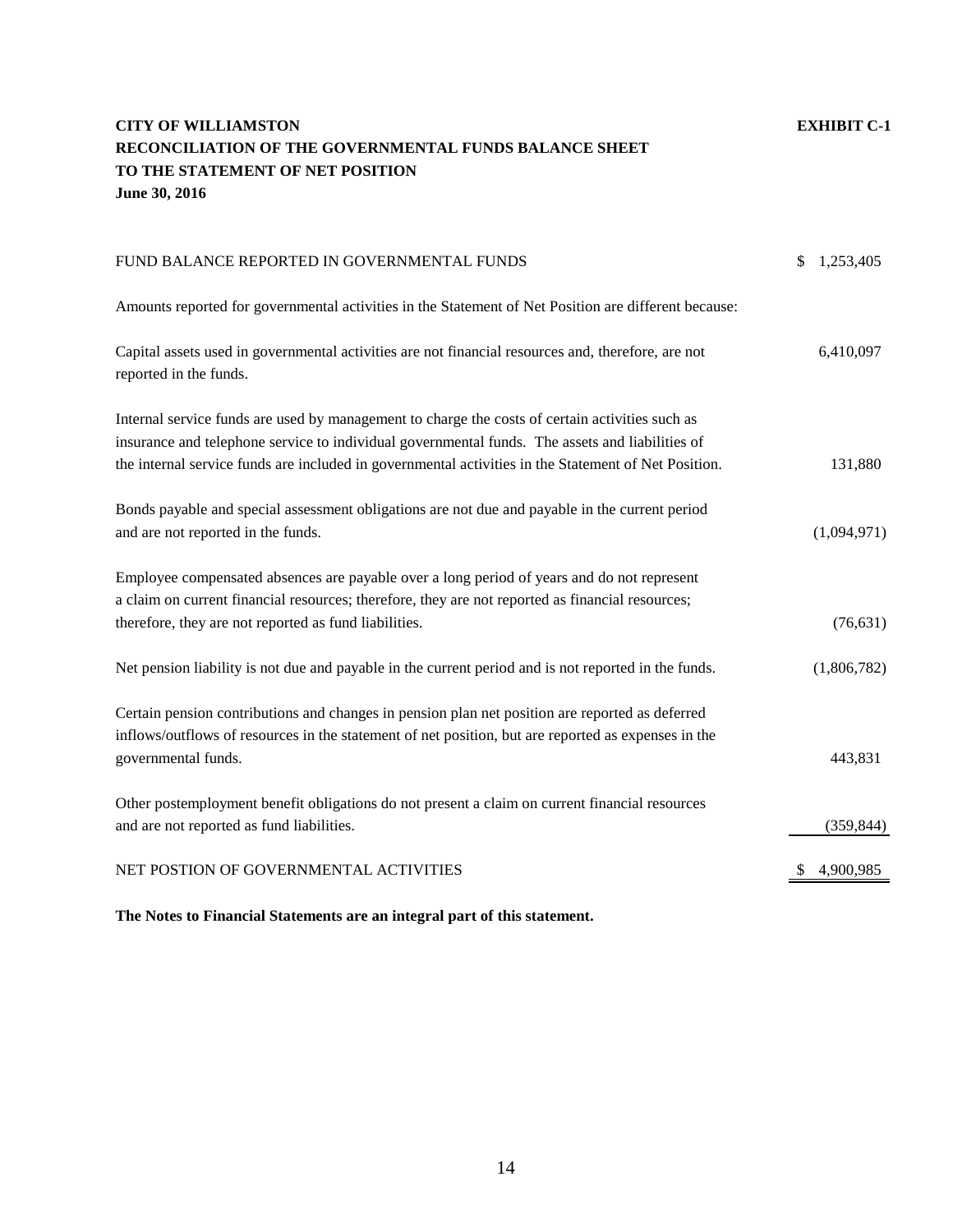# **CITY OF WILLIAMSTON EXHIBIT C-1 RECONCILIATION OF THE GOVERNMENTAL FUNDS BALANCE SHEET TO THE STATEMENT OF NET POSITION June 30, 2016**

| FUND BALANCE REPORTED IN GOVERNMENTAL FUNDS                                                                                                                                                                                                                                                                | 1,253,405<br>\$ |
|------------------------------------------------------------------------------------------------------------------------------------------------------------------------------------------------------------------------------------------------------------------------------------------------------------|-----------------|
| Amounts reported for governmental activities in the Statement of Net Position are different because:                                                                                                                                                                                                       |                 |
| Capital assets used in governmental activities are not financial resources and, therefore, are not<br>reported in the funds.                                                                                                                                                                               | 6,410,097       |
| Internal service funds are used by management to charge the costs of certain activities such as<br>insurance and telephone service to individual governmental funds. The assets and liabilities of<br>the internal service funds are included in governmental activities in the Statement of Net Position. | 131,880         |
| Bonds payable and special assessment obligations are not due and payable in the current period<br>and are not reported in the funds.                                                                                                                                                                       | (1,094,971)     |
| Employee compensated absences are payable over a long period of years and do not represent<br>a claim on current financial resources; therefore, they are not reported as financial resources;<br>therefore, they are not reported as fund liabilities.                                                    | (76, 631)       |
| Net pension liability is not due and payable in the current period and is not reported in the funds.                                                                                                                                                                                                       | (1,806,782)     |
| Certain pension contributions and changes in pension plan net position are reported as deferred<br>inflows/outflows of resources in the statement of net position, but are reported as expenses in the<br>governmental funds.                                                                              | 443,831         |
| Other postemployment benefit obligations do not present a claim on current financial resources<br>and are not reported as fund liabilities.                                                                                                                                                                | (359, 844)      |
| NET POSTION OF GOVERNMENTAL ACTIVITIES                                                                                                                                                                                                                                                                     | 4,900,985       |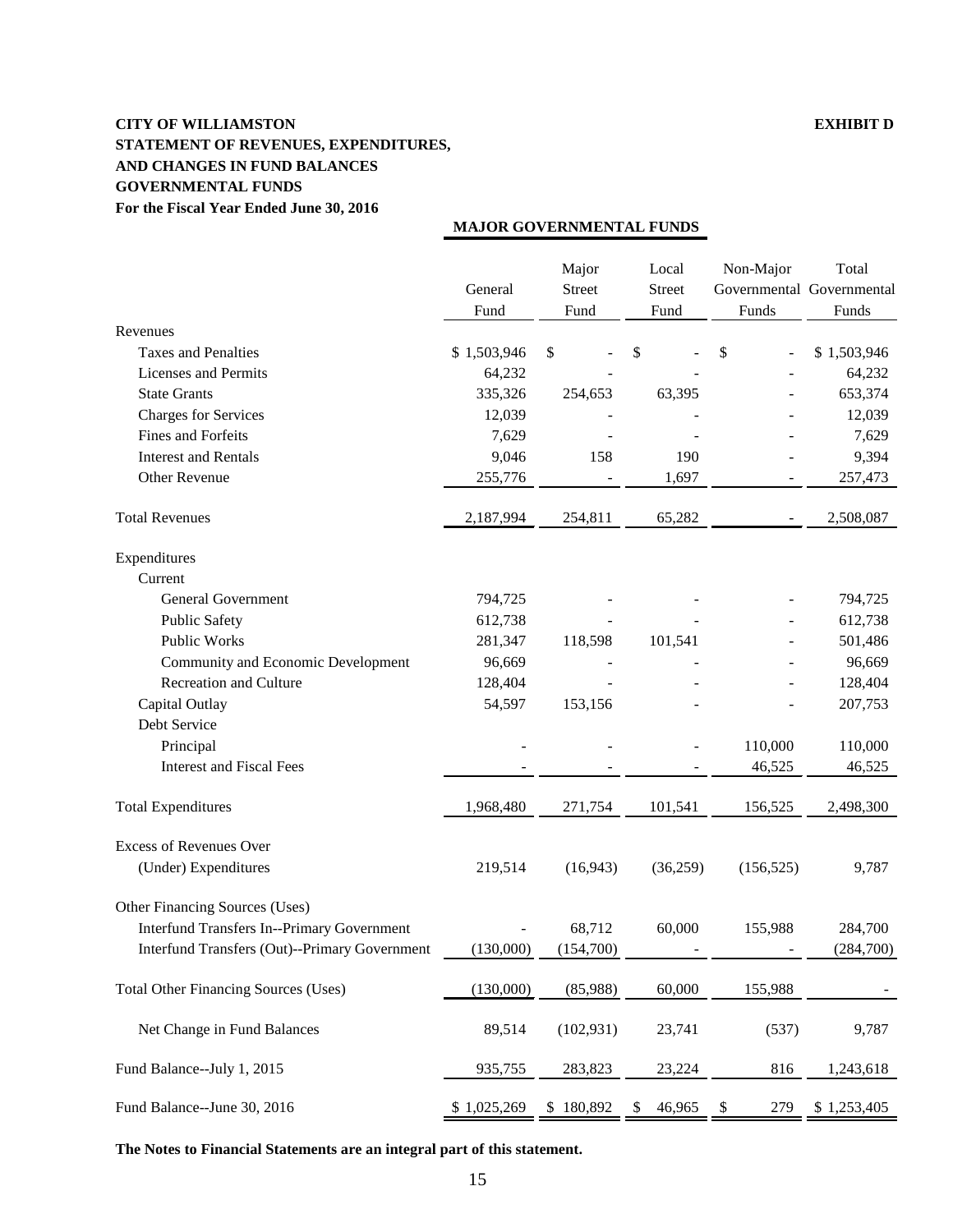### **CITY OF WILLIAMSTON EXHIBIT D STATEMENT OF REVENUES, EXPENDITURES, AND CHANGES IN FUND BALANCES GOVERNMENTAL FUNDS For the Fiscal Year Ended June 30, 2016**

|                                                   | General<br>Fund | Major<br><b>Street</b><br>Fund | Local<br><b>Street</b><br>Fund | Non-Major<br>Funds | Total<br>Governmental Governmental<br>Funds |
|---------------------------------------------------|-----------------|--------------------------------|--------------------------------|--------------------|---------------------------------------------|
| Revenues                                          |                 |                                |                                |                    |                                             |
| <b>Taxes and Penalties</b>                        | \$1,503,946     | \$                             | \$                             | \$                 | \$1,503,946                                 |
| <b>Licenses</b> and Permits                       | 64,232          |                                |                                |                    | 64,232                                      |
| <b>State Grants</b>                               | 335,326         | 254,653                        | 63,395                         |                    | 653,374                                     |
| <b>Charges for Services</b>                       | 12,039          |                                |                                |                    | 12,039                                      |
| Fines and Forfeits                                | 7,629           |                                |                                |                    | 7,629                                       |
| <b>Interest and Rentals</b>                       | 9,046           | 158                            | 190                            |                    | 9,394                                       |
| Other Revenue                                     | 255,776         |                                | 1,697                          |                    | 257,473                                     |
| <b>Total Revenues</b>                             | 2,187,994       | 254,811                        | 65,282                         |                    | 2,508,087                                   |
| Expenditures                                      |                 |                                |                                |                    |                                             |
| Current                                           |                 |                                |                                |                    |                                             |
| <b>General Government</b>                         | 794,725         |                                |                                |                    | 794,725                                     |
| <b>Public Safety</b>                              | 612,738         |                                |                                |                    | 612,738                                     |
| <b>Public Works</b>                               | 281,347         | 118,598                        | 101,541                        |                    | 501,486                                     |
| Community and Economic Development                | 96,669          |                                |                                |                    | 96,669                                      |
| Recreation and Culture                            | 128,404         |                                |                                |                    | 128,404                                     |
| Capital Outlay                                    | 54,597          | 153,156                        |                                |                    | 207,753                                     |
| Debt Service                                      |                 |                                |                                |                    |                                             |
| Principal                                         |                 |                                |                                | 110,000            | 110,000                                     |
| <b>Interest and Fiscal Fees</b>                   |                 |                                |                                | 46,525             | 46,525                                      |
| <b>Total Expenditures</b>                         | 1,968,480       | 271,754                        | 101,541                        | 156,525            | 2,498,300                                   |
| <b>Excess of Revenues Over</b>                    |                 |                                |                                |                    |                                             |
| (Under) Expenditures                              | 219,514         | (16, 943)                      | (36,259)                       | (156, 525)         | 9,787                                       |
| Other Financing Sources (Uses)                    |                 |                                |                                |                    |                                             |
| <b>Interfund Transfers In--Primary Government</b> |                 | 68,712                         | 60,000                         | 155,988            | 284,700                                     |
| Interfund Transfers (Out)--Primary Government     | (130,000)       | (154,700)                      |                                |                    | (284,700)                                   |
| <b>Total Other Financing Sources (Uses)</b>       | (130,000)       | (85,988)                       | 60,000                         | 155,988            |                                             |
| Net Change in Fund Balances                       | 89,514          | (102, 931)                     | 23,741                         | (537)              | 9,787                                       |
| Fund Balance--July 1, 2015                        | 935,755         | 283,823                        | 23,224                         | 816                | 1,243,618                                   |
| Fund Balance--June 30, 2016                       | \$1,025,269     | \$180,892                      | 46,965<br>\$                   | 279<br>\$          | \$1,253,405                                 |

**MAJOR GOVERNMENTAL FUNDS**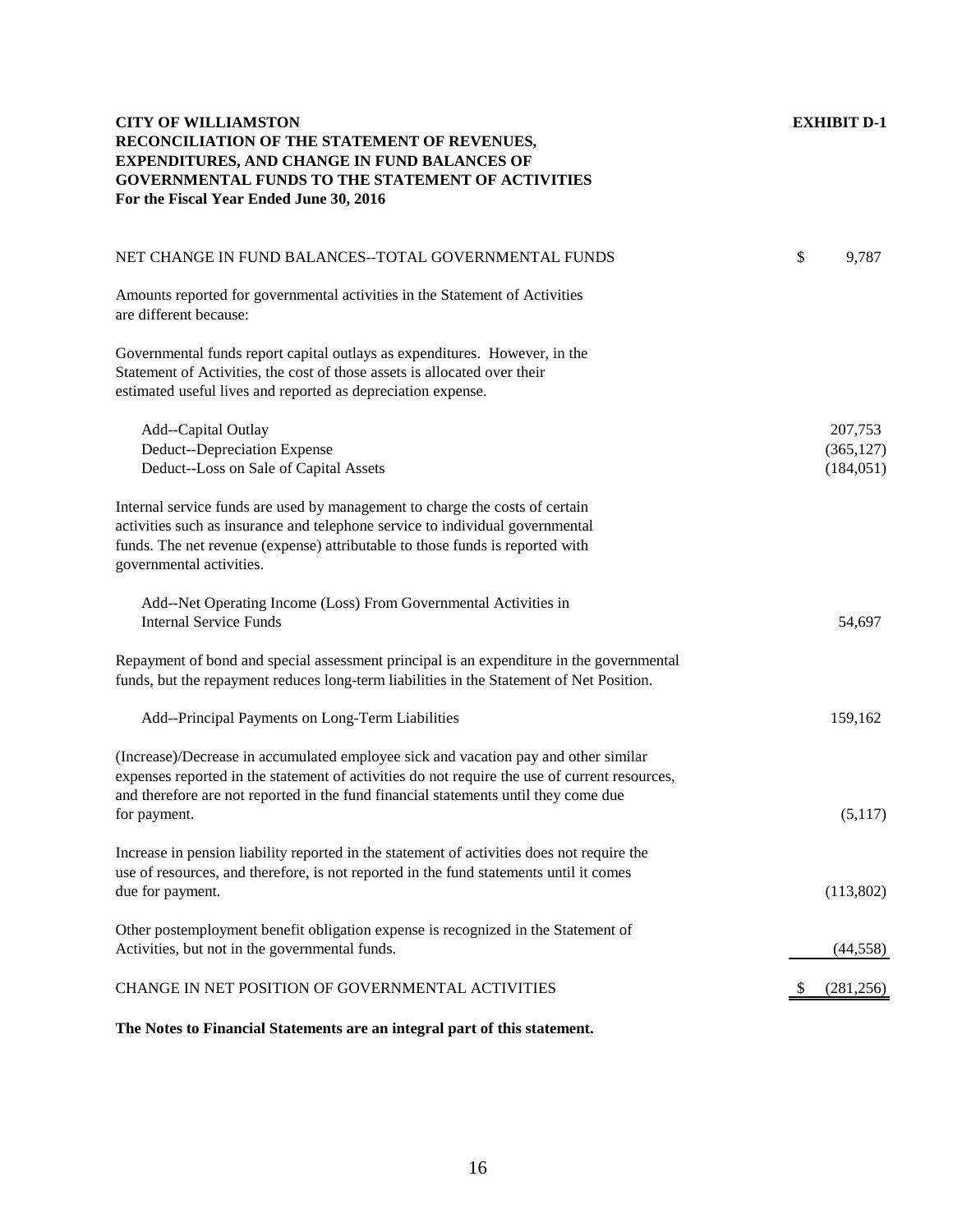| <b>CITY OF WILLIAMSTON</b><br>RECONCILIATION OF THE STATEMENT OF REVENUES,<br><b>EXPENDITURES, AND CHANGE IN FUND BALANCES OF</b><br>GOVERNMENTAL FUNDS TO THE STATEMENT OF ACTIVITIES<br>For the Fiscal Year Ended June 30, 2016                                           | <b>EXHIBIT D-1</b>                  |
|-----------------------------------------------------------------------------------------------------------------------------------------------------------------------------------------------------------------------------------------------------------------------------|-------------------------------------|
| NET CHANGE IN FUND BALANCES--TOTAL GOVERNMENTAL FUNDS                                                                                                                                                                                                                       | \$<br>9,787                         |
| Amounts reported for governmental activities in the Statement of Activities<br>are different because:                                                                                                                                                                       |                                     |
| Governmental funds report capital outlays as expenditures. However, in the<br>Statement of Activities, the cost of those assets is allocated over their<br>estimated useful lives and reported as depreciation expense.                                                     |                                     |
| Add--Capital Outlay<br><b>Deduct--Depreciation Expense</b><br>Deduct--Loss on Sale of Capital Assets                                                                                                                                                                        | 207,753<br>(365, 127)<br>(184, 051) |
| Internal service funds are used by management to charge the costs of certain<br>activities such as insurance and telephone service to individual governmental<br>funds. The net revenue (expense) attributable to those funds is reported with<br>governmental activities.  |                                     |
| Add--Net Operating Income (Loss) From Governmental Activities in<br><b>Internal Service Funds</b>                                                                                                                                                                           | 54,697                              |
| Repayment of bond and special assessment principal is an expenditure in the governmental<br>funds, but the repayment reduces long-term liabilities in the Statement of Net Position.                                                                                        |                                     |
| Add--Principal Payments on Long-Term Liabilities                                                                                                                                                                                                                            | 159,162                             |
| (Increase)/Decrease in accumulated employee sick and vacation pay and other similar<br>expenses reported in the statement of activities do not require the use of current resources,<br>and therefore are not reported in the fund financial statements until they come due |                                     |
| for payment.                                                                                                                                                                                                                                                                | (5,117)                             |
| Increase in pension liability reported in the statement of activities does not require the<br>use of resources, and therefore, is not reported in the fund statements until it comes<br>due for payment.                                                                    | (113,802)                           |
| Other postemployment benefit obligation expense is recognized in the Statement of<br>Activities, but not in the governmental funds.                                                                                                                                         | (44, 558)                           |
| CHANGE IN NET POSITION OF GOVERNMENTAL ACTIVITIES                                                                                                                                                                                                                           | (281, 256)                          |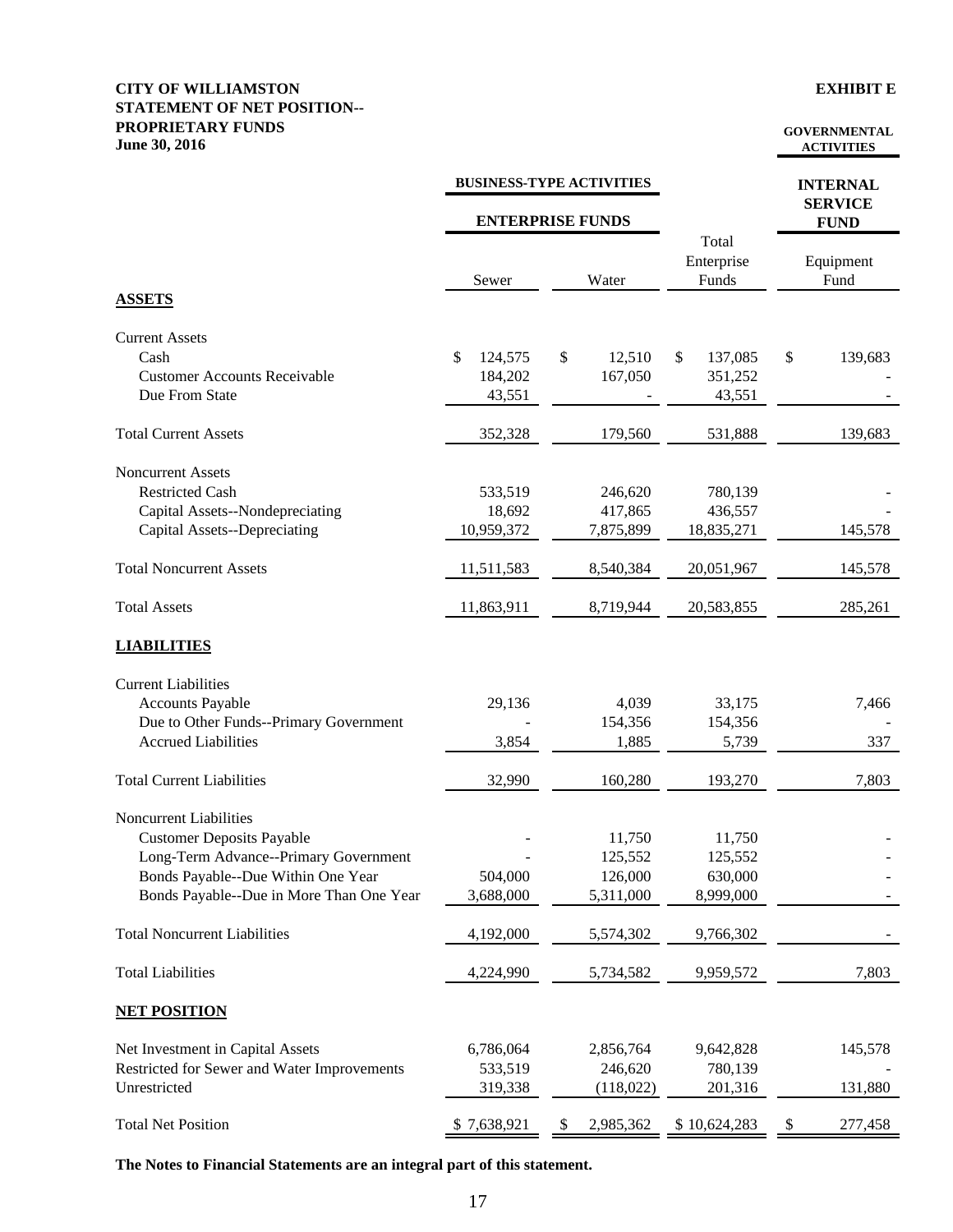#### **CITY OF WILLIAMSTON EXHIBIT E STATEMENT OF NET POSITION-- PROPRIETARY FUNDS June 30, 2016**

#### **GOVERNMENTAL ACTIVITIES**

|                                             |               | <b>BUSINESS-TYPE ACTIVITIES</b> |                              | <b>INTERNAL</b><br><b>SERVICE</b> |  |  |
|---------------------------------------------|---------------|---------------------------------|------------------------------|-----------------------------------|--|--|
|                                             |               | <b>ENTERPRISE FUNDS</b>         |                              | <b>FUND</b>                       |  |  |
|                                             | Sewer         | Water                           | Total<br>Enterprise<br>Funds | Equipment<br>Fund                 |  |  |
| <b>ASSETS</b>                               |               |                                 |                              |                                   |  |  |
| <b>Current Assets</b>                       |               |                                 |                              |                                   |  |  |
| Cash                                        | \$<br>124,575 | \$<br>12,510                    | \$<br>137,085                | \$<br>139,683                     |  |  |
| <b>Customer Accounts Receivable</b>         | 184,202       | 167,050                         | 351,252                      |                                   |  |  |
| Due From State                              | 43,551        |                                 | 43,551                       |                                   |  |  |
| <b>Total Current Assets</b>                 | 352,328       | 179,560                         | 531,888                      | 139,683                           |  |  |
| Noncurrent Assets                           |               |                                 |                              |                                   |  |  |
| <b>Restricted Cash</b>                      | 533,519       | 246,620                         | 780,139                      |                                   |  |  |
| Capital Assets--Nondepreciating             | 18,692        | 417,865                         | 436,557                      |                                   |  |  |
| <b>Capital Assets--Depreciating</b>         | 10,959,372    | 7,875,899                       | 18,835,271                   | 145,578                           |  |  |
| <b>Total Noncurrent Assets</b>              | 11,511,583    | 8,540,384                       | 20,051,967                   | 145,578                           |  |  |
| <b>Total Assets</b>                         | 11,863,911    | 8,719,944                       | 20,583,855                   | 285,261                           |  |  |
| <b>LIABILITIES</b>                          |               |                                 |                              |                                   |  |  |
| <b>Current Liabilities</b>                  |               |                                 |                              |                                   |  |  |
| <b>Accounts Payable</b>                     | 29,136        | 4,039                           | 33,175                       | 7,466                             |  |  |
| Due to Other Funds--Primary Government      |               | 154,356                         | 154,356                      |                                   |  |  |
| <b>Accrued Liabilities</b>                  | 3,854         | 1,885                           | 5,739                        | 337                               |  |  |
| <b>Total Current Liabilities</b>            | 32,990        | 160,280                         | 193,270                      | 7,803                             |  |  |
| Noncurrent Liabilities                      |               |                                 |                              |                                   |  |  |
| <b>Customer Deposits Payable</b>            |               | 11,750                          | 11,750                       |                                   |  |  |
| Long-Term Advance--Primary Government       |               | 125,552                         | 125,552                      |                                   |  |  |
| Bonds Payable--Due Within One Year          | 504,000       | 126,000                         | 630,000                      |                                   |  |  |
| Bonds Payable--Due in More Than One Year    | 3,688,000     | 5,311,000                       | 8,999,000                    |                                   |  |  |
| <b>Total Noncurrent Liabilities</b>         | 4,192,000     | 5,574,302                       | 9,766,302                    |                                   |  |  |
| <b>Total Liabilities</b>                    | 4,224,990     | 5,734,582                       | 9,959,572                    | 7,803                             |  |  |
| <b>NET POSITION</b>                         |               |                                 |                              |                                   |  |  |
| Net Investment in Capital Assets            | 6,786,064     | 2,856,764                       | 9,642,828                    | 145,578                           |  |  |
| Restricted for Sewer and Water Improvements | 533,519       | 246,620                         | 780,139                      |                                   |  |  |
| Unrestricted                                | 319,338       | (118,022)                       | 201,316                      | 131,880                           |  |  |
| <b>Total Net Position</b>                   | \$7,638,921   | \$<br>2,985,362                 | \$10,624,283                 | \$<br>277,458                     |  |  |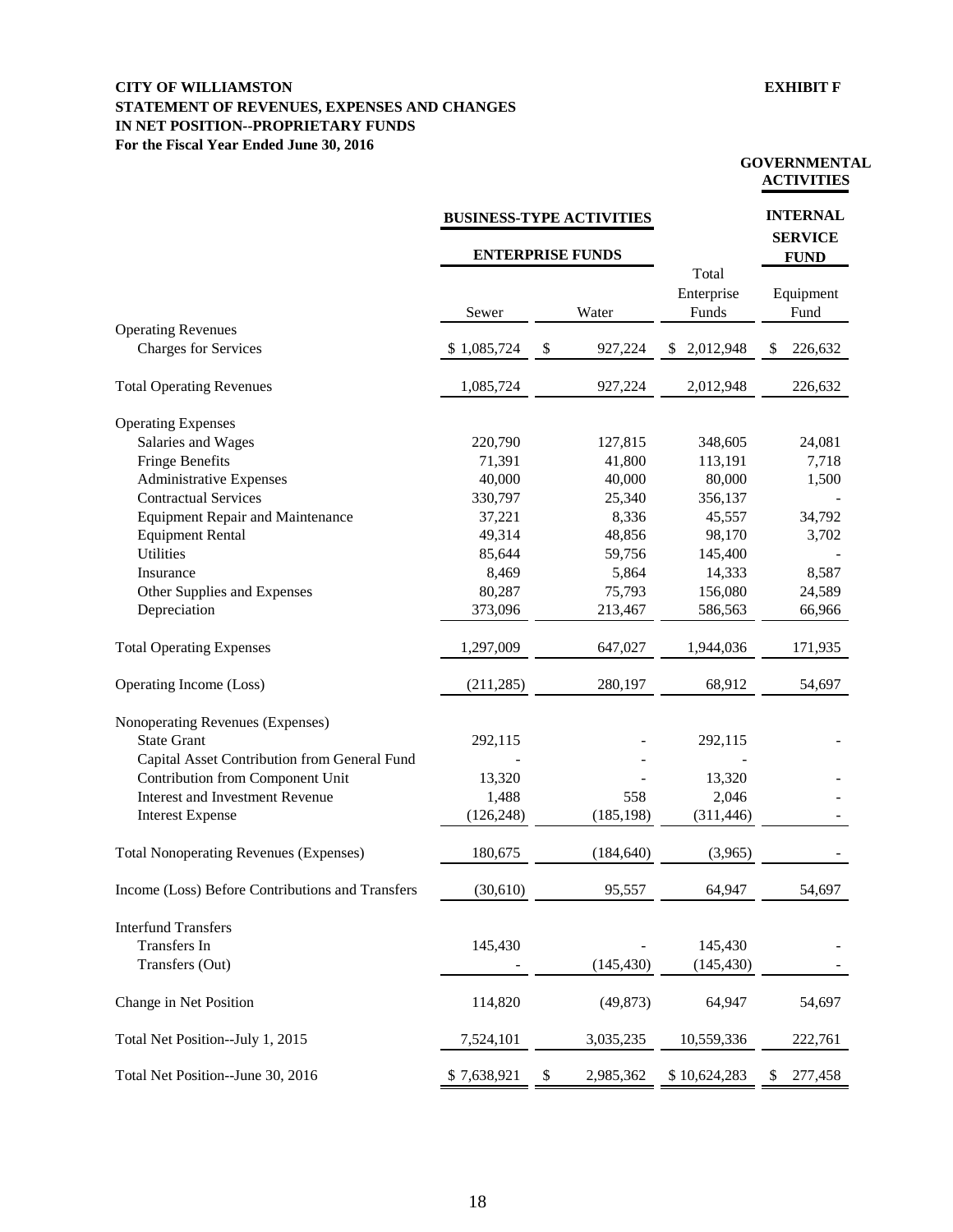#### **CITY OF WILLIAMSTON EXHIBIT F STATEMENT OF REVENUES, EXPENSES AND CHANGES IN NET POSITION--PROPRIETARY FUNDS For the Fiscal Year Ended June 30, 2016**

#### **GOVERNMENTAL ACTIVITIES**

|                                                                                                        |             | <b>BUSINESS-TYPE ACTIVITIES</b> |                              | <b>INTERNAL</b>               |  |  |
|--------------------------------------------------------------------------------------------------------|-------------|---------------------------------|------------------------------|-------------------------------|--|--|
|                                                                                                        |             | <b>ENTERPRISE FUNDS</b>         |                              | <b>SERVICE</b><br><b>FUND</b> |  |  |
|                                                                                                        | Sewer       | Water                           | Total<br>Enterprise<br>Funds | Equipment<br>Fund             |  |  |
| <b>Operating Revenues</b><br><b>Charges for Services</b>                                               | \$1,085,724 | \$<br>927,224                   | 2,012,948<br>S               | 226,632<br>\$                 |  |  |
| <b>Total Operating Revenues</b>                                                                        | 1,085,724   | 927,224                         | 2,012,948                    | 226,632                       |  |  |
| <b>Operating Expenses</b>                                                                              |             |                                 |                              |                               |  |  |
| Salaries and Wages                                                                                     | 220,790     | 127,815                         | 348,605                      | 24,081                        |  |  |
| <b>Fringe Benefits</b>                                                                                 | 71,391      | 41,800                          | 113,191                      | 7,718                         |  |  |
| <b>Administrative Expenses</b>                                                                         | 40,000      | 40,000                          | 80,000                       | 1,500                         |  |  |
| <b>Contractual Services</b>                                                                            | 330,797     | 25,340                          | 356,137                      |                               |  |  |
| <b>Equipment Repair and Maintenance</b>                                                                | 37,221      | 8,336                           | 45,557                       | 34,792                        |  |  |
| <b>Equipment Rental</b>                                                                                | 49,314      | 48,856                          | 98,170                       | 3,702                         |  |  |
| <b>Utilities</b>                                                                                       | 85,644      | 59,756                          | 145,400                      |                               |  |  |
| Insurance                                                                                              | 8,469       | 5,864                           | 14,333                       | 8,587                         |  |  |
| Other Supplies and Expenses                                                                            | 80,287      | 75,793                          | 156,080                      | 24,589                        |  |  |
| Depreciation                                                                                           | 373,096     | 213,467                         | 586,563                      | 66,966                        |  |  |
| <b>Total Operating Expenses</b>                                                                        | 1,297,009   | 647,027                         | 1,944,036                    | 171,935                       |  |  |
| Operating Income (Loss)                                                                                | (211, 285)  | 280,197                         | 68,912                       | 54,697                        |  |  |
| Nonoperating Revenues (Expenses)<br><b>State Grant</b><br>Capital Asset Contribution from General Fund | 292,115     |                                 | 292,115                      |                               |  |  |
| Contribution from Component Unit                                                                       | 13,320      |                                 | 13,320                       |                               |  |  |
| <b>Interest and Investment Revenue</b>                                                                 | 1,488       | 558                             | 2,046                        |                               |  |  |
| <b>Interest Expense</b>                                                                                | (126, 248)  | (185, 198)                      | (311, 446)                   |                               |  |  |
| <b>Total Nonoperating Revenues (Expenses)</b>                                                          | 180,675     | (184, 640)                      | (3,965)                      |                               |  |  |
| Income (Loss) Before Contributions and Transfers                                                       | (30,610)    | 95,557                          | 64,947                       | 54,697                        |  |  |
| <b>Interfund Transfers</b>                                                                             |             |                                 |                              |                               |  |  |
| Transfers In                                                                                           | 145,430     |                                 | 145,430                      |                               |  |  |
| Transfers (Out)                                                                                        |             | (145, 430)                      | (145, 430)                   |                               |  |  |
| Change in Net Position                                                                                 | 114,820     | (49, 873)                       | 64,947                       | 54,697                        |  |  |
| Total Net Position--July 1, 2015                                                                       | 7,524,101   | 3,035,235                       | 10,559,336                   | 222,761                       |  |  |
| Total Net Position--June 30, 2016                                                                      | \$7,638,921 | \$<br>2,985,362                 | \$10,624,283                 | 277,458<br>\$                 |  |  |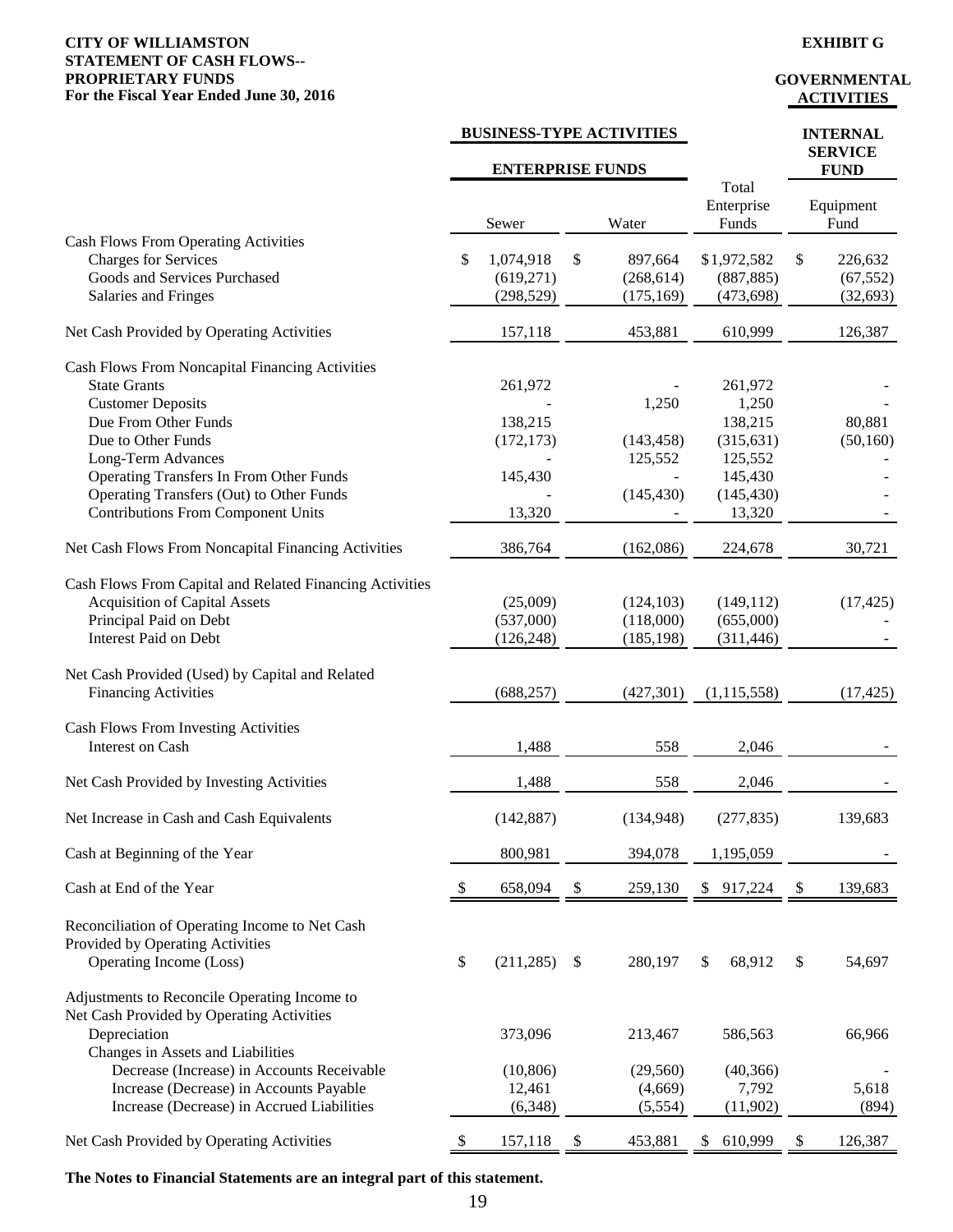#### **CITY OF WILLIAMSTON EXHIBIT G STATEMENT OF CASH FLOWS-- PROPRIETARY FUNDS**<br> **For the Fiscal Year Ended June 30, 2016**<br> **COVERNMENTAL** For the Fiscal Year Ended June 30, 2016

|                                                                                                                                                            |               | <b>BUSINESS-TYPE ACTIVITIES</b>       |               |                                       |                              |                                         |                           | <b>INTERNAL</b><br><b>SERVICE</b> |  |
|------------------------------------------------------------------------------------------------------------------------------------------------------------|---------------|---------------------------------------|---------------|---------------------------------------|------------------------------|-----------------------------------------|---------------------------|-----------------------------------|--|
|                                                                                                                                                            |               | <b>ENTERPRISE FUNDS</b>               |               |                                       |                              |                                         |                           | <b>FUND</b>                       |  |
|                                                                                                                                                            |               | Sewer                                 | Water         |                                       | Total<br>Enterprise<br>Funds |                                         | Equipment<br>Fund         |                                   |  |
| <b>Cash Flows From Operating Activities</b><br><b>Charges for Services</b><br>Goods and Services Purchased<br>Salaries and Fringes                         | \$            | 1,074,918<br>(619, 271)<br>(298, 529) | \$            | 897,664<br>(268, 614)<br>(175, 169)   |                              | \$1,972,582<br>(887, 885)<br>(473, 698) | \$                        | 226,632<br>(67, 552)<br>(32, 693) |  |
| Net Cash Provided by Operating Activities                                                                                                                  |               | 157,118                               |               | 453,881                               |                              | 610,999                                 |                           | 126,387                           |  |
| Cash Flows From Noncapital Financing Activities<br><b>State Grants</b><br><b>Customer Deposits</b><br>Due From Other Funds                                 |               | 261,972<br>138,215                    |               | 1,250                                 |                              | 261,972<br>1,250<br>138,215             |                           | 80,881                            |  |
| Due to Other Funds<br>Long-Term Advances<br><b>Operating Transfers In From Other Funds</b>                                                                 |               | (172, 173)<br>145,430                 |               | (143, 458)<br>125,552                 |                              | (315, 631)<br>125,552<br>145,430        |                           | (50, 160)                         |  |
| Operating Transfers (Out) to Other Funds<br><b>Contributions From Component Units</b>                                                                      |               | 13,320                                |               | (145, 430)                            |                              | (145, 430)<br>13,320                    |                           |                                   |  |
| Net Cash Flows From Noncapital Financing Activities                                                                                                        |               | 386,764                               |               | (162,086)                             |                              | 224,678                                 |                           | 30,721                            |  |
| Cash Flows From Capital and Related Financing Activities<br><b>Acquisition of Capital Assets</b><br>Principal Paid on Debt<br><b>Interest Paid on Debt</b> |               | (25,009)<br>(537,000)<br>(126, 248)   |               | (124, 103)<br>(118,000)<br>(185, 198) |                              | (149, 112)<br>(655,000)<br>(311, 446)   |                           | (17, 425)                         |  |
| Net Cash Provided (Used) by Capital and Related<br><b>Financing Activities</b>                                                                             |               | (688, 257)                            |               | (427,301)                             |                              | (1,115,558)                             |                           | (17, 425)                         |  |
| <b>Cash Flows From Investing Activities</b><br>Interest on Cash                                                                                            |               | 1,488                                 |               | 558                                   |                              | 2,046                                   |                           |                                   |  |
| Net Cash Provided by Investing Activities                                                                                                                  |               | 1,488                                 |               | 558                                   |                              | 2,046                                   |                           |                                   |  |
| Net Increase in Cash and Cash Equivalents                                                                                                                  |               | (142, 887)                            |               | (134, 948)                            |                              | (277, 835)                              |                           | 139,683                           |  |
| Cash at Beginning of the Year                                                                                                                              |               | 800,981                               |               | 394,078                               |                              | 1,195,059                               |                           |                                   |  |
| Cash at End of the Year                                                                                                                                    | <sup>\$</sup> | 658,094                               | \$            | 259,130                               |                              | \$917,224                               | $\boldsymbol{\mathsf{S}}$ | 139,683                           |  |
| Reconciliation of Operating Income to Net Cash<br>Provided by Operating Activities<br>Operating Income (Loss)                                              | \$            | (211, 285)                            | $\mathcal{S}$ | 280,197                               | \$                           | 68,912                                  | \$                        | 54,697                            |  |
| Adjustments to Reconcile Operating Income to<br>Net Cash Provided by Operating Activities<br>Depreciation<br>Changes in Assets and Liabilities             |               | 373,096                               |               | 213,467                               |                              | 586,563                                 |                           | 66,966                            |  |
| Decrease (Increase) in Accounts Receivable<br>Increase (Decrease) in Accounts Payable<br>Increase (Decrease) in Accrued Liabilities                        |               | (10, 806)<br>12,461<br>(6,348)        |               | (29, 560)<br>(4,669)<br>(5,554)       |                              | (40, 366)<br>7,792<br>(11,902)          |                           | 5,618<br>(894)                    |  |
| Net Cash Provided by Operating Activities                                                                                                                  | \$            | 157,118                               | \$            | 453,881                               | \$                           | 610,999                                 | \$                        | 126,387                           |  |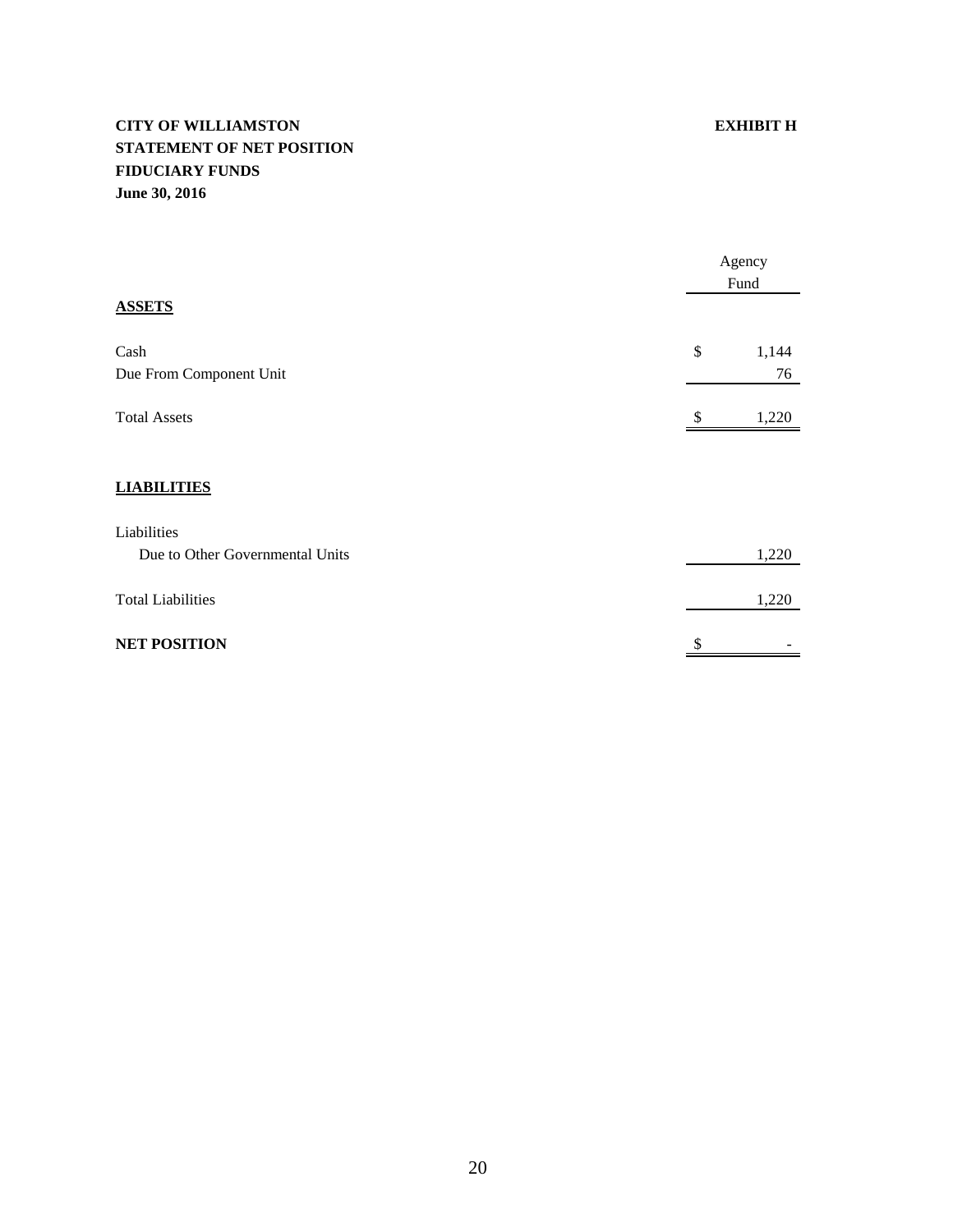# **CITY OF WILLIAMSTON EXHIBIT H STATEMENT OF NET POSITION FIDUCIARY FUNDS June 30, 2016**

|                                 |     | Agency<br>Fund |  |  |
|---------------------------------|-----|----------------|--|--|
| <b>ASSETS</b>                   |     |                |  |  |
| Cash                            | \$  | 1,144          |  |  |
| Due From Component Unit         |     | 76             |  |  |
| <b>Total Assets</b>             | \$. | 1,220          |  |  |
|                                 |     |                |  |  |
| <b>LIABILITIES</b>              |     |                |  |  |
| Liabilities                     |     |                |  |  |
| Due to Other Governmental Units |     | 1,220          |  |  |
| <b>Total Liabilities</b>        |     | 1,220          |  |  |
| <b>NET POSITION</b>             | \$  |                |  |  |

# 20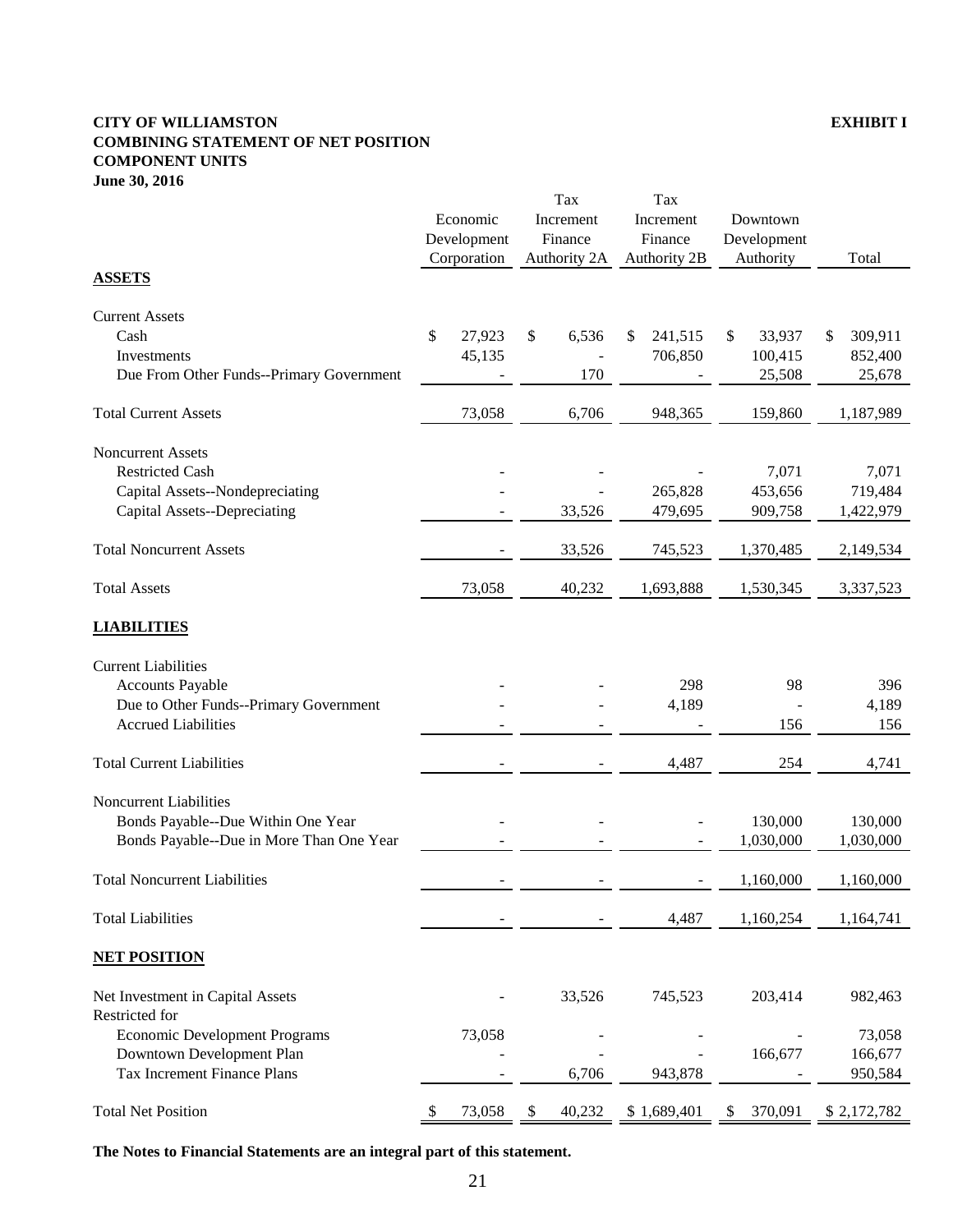#### **CITY OF WILLIAMSTON EXHIBIT I COMBINING STATEMENT OF NET POSITION COMPONENT UNITS June 30, 2016**

|                                          |             |             | Tax          |        | Tax           |             |           |               |  |
|------------------------------------------|-------------|-------------|--------------|--------|---------------|-------------|-----------|---------------|--|
|                                          |             | Economic    | Increment    |        | Increment     |             | Downtown  |               |  |
|                                          | Development |             | Finance      |        | Finance       | Development |           |               |  |
|                                          |             | Corporation | Authority 2A |        | Authority 2B  | Authority   |           | Total         |  |
| <b>ASSETS</b>                            |             |             |              |        |               |             |           |               |  |
| <b>Current Assets</b>                    |             |             |              |        |               |             |           |               |  |
| Cash                                     | \$          | 27,923      | \$           | 6,536  | 241,515<br>\$ | \$          | 33,937    | \$<br>309,911 |  |
| Investments                              |             | 45,135      |              |        | 706,850       |             | 100,415   | 852,400       |  |
| Due From Other Funds--Primary Government |             |             |              | 170    |               |             | 25,508    | 25,678        |  |
| <b>Total Current Assets</b>              |             | 73,058      |              | 6,706  | 948,365       |             | 159,860   | 1,187,989     |  |
| <b>Noncurrent Assets</b>                 |             |             |              |        |               |             |           |               |  |
| <b>Restricted Cash</b>                   |             |             |              |        |               |             | 7,071     | 7,071         |  |
| Capital Assets--Nondepreciating          |             |             |              |        | 265,828       |             | 453,656   | 719,484       |  |
| Capital Assets--Depreciating             |             |             |              | 33,526 | 479,695       |             | 909,758   | 1,422,979     |  |
| <b>Total Noncurrent Assets</b>           |             |             |              | 33,526 | 745,523       |             | 1,370,485 | 2,149,534     |  |
| <b>Total Assets</b>                      |             | 73,058      |              | 40,232 | 1,693,888     |             | 1,530,345 | 3,337,523     |  |
| <b>LIABILITIES</b>                       |             |             |              |        |               |             |           |               |  |
| <b>Current Liabilities</b>               |             |             |              |        |               |             |           |               |  |
| <b>Accounts Payable</b>                  |             |             |              |        | 298           |             | 98        | 396           |  |
| Due to Other Funds--Primary Government   |             |             |              |        | 4,189         |             |           | 4,189         |  |
| <b>Accrued Liabilities</b>               |             |             |              |        |               |             | 156       | 156           |  |
| <b>Total Current Liabilities</b>         |             |             |              |        | 4,487         |             | 254       | 4,741         |  |
| <b>Noncurrent Liabilities</b>            |             |             |              |        |               |             |           |               |  |
| Bonds Payable--Due Within One Year       |             |             |              |        |               |             | 130,000   | 130,000       |  |
| Bonds Payable--Due in More Than One Year |             |             |              |        |               |             | 1,030,000 | 1,030,000     |  |
|                                          |             |             |              |        |               |             |           |               |  |
| <b>Total Noncurrent Liabilities</b>      |             |             |              |        |               |             | 1,160,000 | 1,160,000     |  |
| <b>Total Liabilities</b>                 |             |             |              |        | 4,487         |             | 1,160,254 | 1,164,741     |  |
| <b>NET POSITION</b>                      |             |             |              |        |               |             |           |               |  |
| Net Investment in Capital Assets         |             |             |              | 33,526 | 745,523       |             | 203,414   | 982,463       |  |
| Restricted for                           |             |             |              |        |               |             |           |               |  |
| <b>Economic Development Programs</b>     |             | 73,058      |              |        |               |             |           | 73,058        |  |
| Downtown Development Plan                |             |             |              |        |               |             | 166,677   | 166,677       |  |
| Tax Increment Finance Plans              |             |             |              | 6,706  | 943,878       |             |           | 950,584       |  |
| <b>Total Net Position</b>                | \$          | 73,058      | \$           | 40,232 | \$1,689,401   | \$          | 370,091   | \$2,172,782   |  |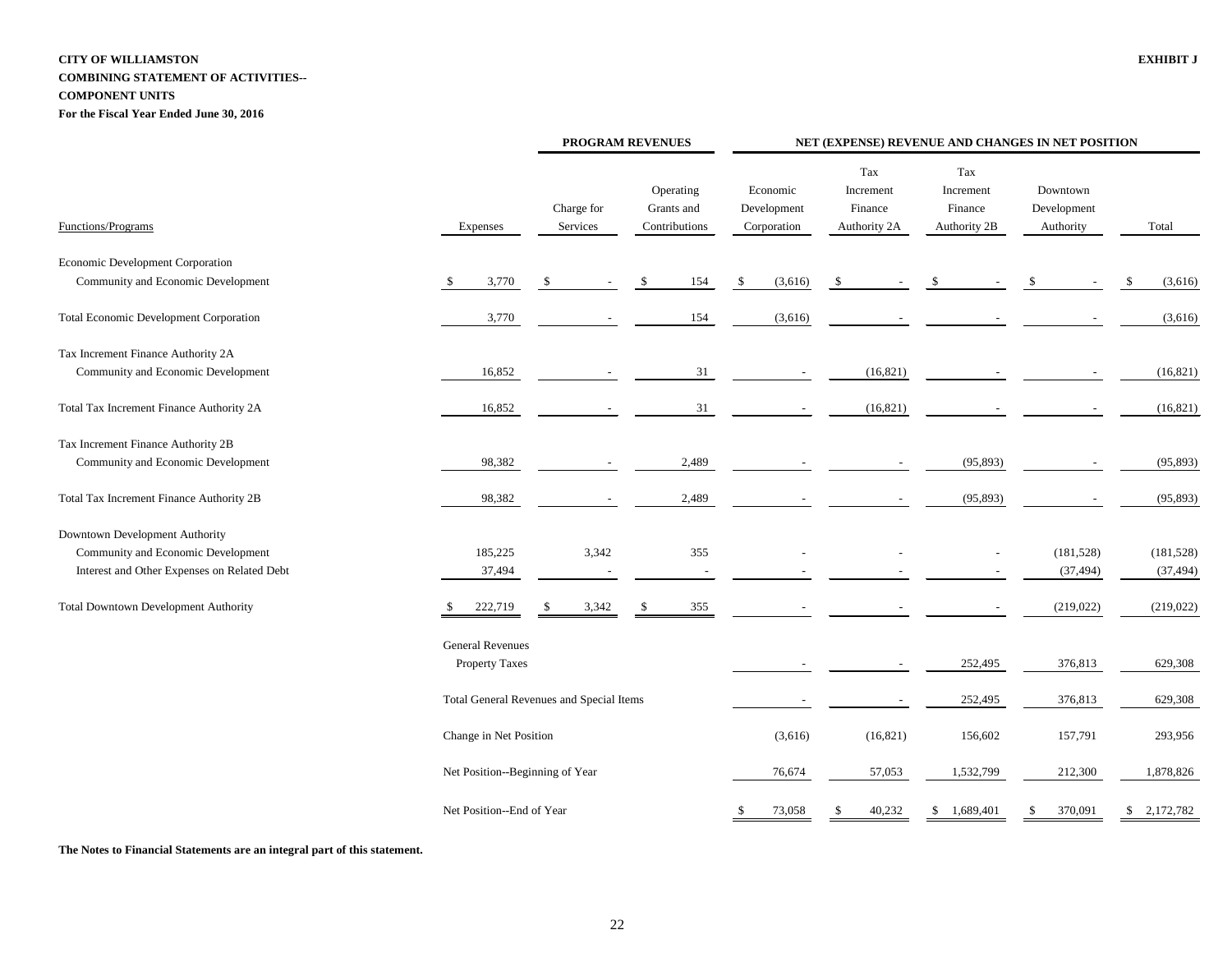# **CITY OF WILLIAMSTON EXHIBIT J COMBINING STATEMENT OF ACTIVITIES-- COMPONENT UNITS**

**For the Fiscal Year Ended June 30, 2016**

|                                               |                                                  | PROGRAM REVENUES |                        |  | NET (EXPENSE) REVENUE AND CHANGES IN NET POSITION |    |                                        |                                             |                                             |                                      |     |             |  |  |
|-----------------------------------------------|--------------------------------------------------|------------------|------------------------|--|---------------------------------------------------|----|----------------------------------------|---------------------------------------------|---------------------------------------------|--------------------------------------|-----|-------------|--|--|
| Functions/Programs                            | Expenses                                         |                  | Charge for<br>Services |  | Operating<br>Grants and<br>Contributions          |    | Economic<br>Development<br>Corporation | Tax<br>Increment<br>Finance<br>Authority 2A | Tax<br>Increment<br>Finance<br>Authority 2B | Downtown<br>Development<br>Authority |     | Total       |  |  |
| Economic Development Corporation              |                                                  |                  |                        |  |                                                   |    |                                        |                                             |                                             |                                      |     |             |  |  |
| Community and Economic Development            | 3,770<br><sup>\$</sup>                           | $\frac{1}{2}$    |                        |  | 154                                               | -S | (3,616)                                | -S                                          |                                             |                                      | \$. | (3,616)     |  |  |
| <b>Total Economic Development Corporation</b> | 3,770                                            |                  |                        |  | 154                                               |    | (3,616)                                |                                             |                                             |                                      |     | (3,616)     |  |  |
| Tax Increment Finance Authority 2A            |                                                  |                  |                        |  |                                                   |    |                                        |                                             |                                             |                                      |     |             |  |  |
| Community and Economic Development            | 16,852                                           |                  |                        |  | 31                                                |    |                                        | (16, 821)                                   |                                             |                                      |     | (16, 821)   |  |  |
| Total Tax Increment Finance Authority 2A      | 16,852                                           |                  |                        |  | 31                                                |    |                                        | (16, 821)                                   |                                             |                                      |     | (16, 821)   |  |  |
| Tax Increment Finance Authority 2B            |                                                  |                  |                        |  |                                                   |    |                                        |                                             |                                             |                                      |     |             |  |  |
| Community and Economic Development            | 98,382                                           |                  |                        |  | 2,489                                             |    |                                        |                                             | (95, 893)                                   |                                      |     | (95, 893)   |  |  |
| Total Tax Increment Finance Authority 2B      | 98,382                                           |                  |                        |  | 2,489                                             |    |                                        |                                             | (95, 893)                                   |                                      |     | (95, 893)   |  |  |
| Downtown Development Authority                |                                                  |                  |                        |  |                                                   |    |                                        |                                             |                                             |                                      |     |             |  |  |
| Community and Economic Development            | 185,225                                          |                  | 3,342                  |  | 355                                               |    |                                        |                                             |                                             | (181, 528)                           |     | (181, 528)  |  |  |
| Interest and Other Expenses on Related Debt   | 37,494                                           |                  |                        |  |                                                   |    |                                        |                                             |                                             | (37, 494)                            |     | (37, 494)   |  |  |
| <b>Total Downtown Development Authority</b>   | 222,719                                          |                  | 3,342                  |  | 355                                               |    |                                        |                                             |                                             | (219, 022)                           |     | (219, 022)  |  |  |
|                                               | <b>General Revenues</b><br><b>Property Taxes</b> |                  |                        |  |                                                   |    |                                        |                                             | 252,495                                     | 376,813                              |     | 629,308     |  |  |
|                                               | Total General Revenues and Special Items         |                  |                        |  |                                                   |    | $\overline{\phantom{a}}$               | $\sim$                                      | 252,495                                     | 376,813                              |     | 629,308     |  |  |
|                                               | Change in Net Position                           |                  |                        |  |                                                   |    | (3,616)                                | (16, 821)                                   | 156,602                                     | 157,791                              |     | 293,956     |  |  |
|                                               | Net Position--Beginning of Year                  |                  |                        |  |                                                   |    | 76,674                                 | 57,053                                      | 1,532,799                                   | 212,300                              |     | 1,878,826   |  |  |
|                                               | Net Position--End of Year                        |                  |                        |  |                                                   |    | 73,058                                 | 40,232<br>\$                                | 1,689,401<br>$\mathcal{S}$                  | 370,091<br>\$                        |     | \$2,172,782 |  |  |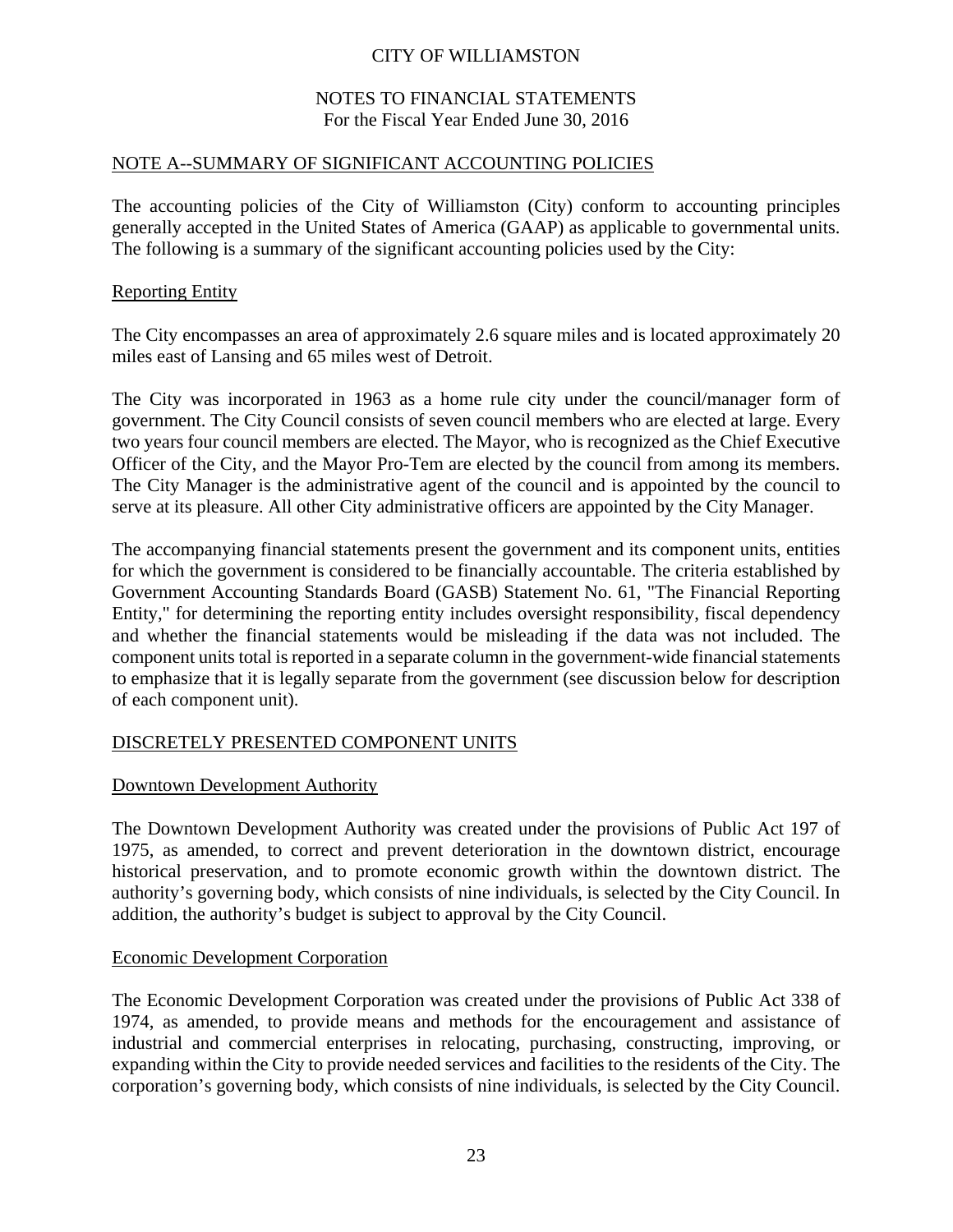### NOTES TO FINANCIAL STATEMENTS For the Fiscal Year Ended June 30, 2016

#### NOTE A--SUMMARY OF SIGNIFICANT ACCOUNTING POLICIES

The accounting policies of the City of Williamston (City) conform to accounting principles generally accepted in the United States of America (GAAP) as applicable to governmental units. The following is a summary of the significant accounting policies used by the City:

#### Reporting Entity

The City encompasses an area of approximately 2.6 square miles and is located approximately 20 miles east of Lansing and 65 miles west of Detroit.

The City was incorporated in 1963 as a home rule city under the council/manager form of government. The City Council consists of seven council members who are elected at large. Every two years four council members are elected. The Mayor, who is recognized as the Chief Executive Officer of the City, and the Mayor Pro-Tem are elected by the council from among its members. The City Manager is the administrative agent of the council and is appointed by the council to serve at its pleasure. All other City administrative officers are appointed by the City Manager.

The accompanying financial statements present the government and its component units, entities for which the government is considered to be financially accountable. The criteria established by Government Accounting Standards Board (GASB) Statement No. 61, "The Financial Reporting Entity," for determining the reporting entity includes oversight responsibility, fiscal dependency and whether the financial statements would be misleading if the data was not included. The component units total is reported in a separate column in the government-wide financial statements to emphasize that it is legally separate from the government (see discussion below for description of each component unit).

### DISCRETELY PRESENTED COMPONENT UNITS

### Downtown Development Authority

The Downtown Development Authority was created under the provisions of Public Act 197 of 1975, as amended, to correct and prevent deterioration in the downtown district, encourage historical preservation, and to promote economic growth within the downtown district. The authority's governing body, which consists of nine individuals, is selected by the City Council. In addition, the authority's budget is subject to approval by the City Council.

#### Economic Development Corporation

The Economic Development Corporation was created under the provisions of Public Act 338 of 1974, as amended, to provide means and methods for the encouragement and assistance of industrial and commercial enterprises in relocating, purchasing, constructing, improving, or expanding within the City to provide needed services and facilities to the residents of the City. The corporation's governing body, which consists of nine individuals, is selected by the City Council.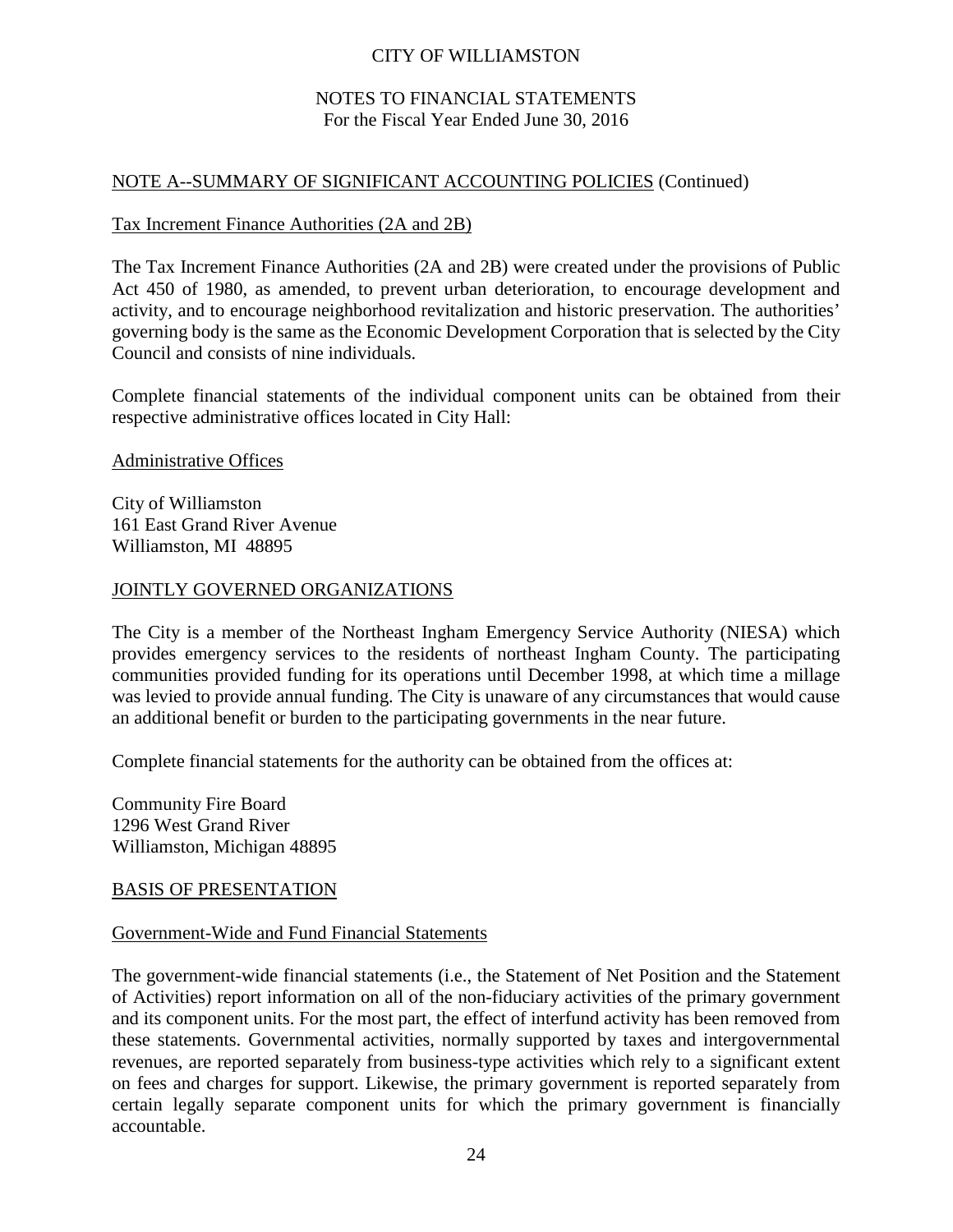# NOTES TO FINANCIAL STATEMENTS For the Fiscal Year Ended June 30, 2016

# NOTE A--SUMMARY OF SIGNIFICANT ACCOUNTING POLICIES (Continued)

#### Tax Increment Finance Authorities (2A and 2B)

The Tax Increment Finance Authorities (2A and 2B) were created under the provisions of Public Act 450 of 1980, as amended, to prevent urban deterioration, to encourage development and activity, and to encourage neighborhood revitalization and historic preservation. The authorities' governing body is the same as the Economic Development Corporation that is selected by the City Council and consists of nine individuals.

Complete financial statements of the individual component units can be obtained from their respective administrative offices located in City Hall:

Administrative Offices

City of Williamston 161 East Grand River Avenue Williamston, MI 48895

#### JOINTLY GOVERNED ORGANIZATIONS

The City is a member of the Northeast Ingham Emergency Service Authority (NIESA) which provides emergency services to the residents of northeast Ingham County. The participating communities provided funding for its operations until December 1998, at which time a millage was levied to provide annual funding. The City is unaware of any circumstances that would cause an additional benefit or burden to the participating governments in the near future.

Complete financial statements for the authority can be obtained from the offices at:

Community Fire Board 1296 West Grand River Williamston, Michigan 48895

### BASIS OF PRESENTATION

#### Government-Wide and Fund Financial Statements

The government-wide financial statements (i.e., the Statement of Net Position and the Statement of Activities) report information on all of the non-fiduciary activities of the primary government and its component units. For the most part, the effect of interfund activity has been removed from these statements. Governmental activities, normally supported by taxes and intergovernmental revenues, are reported separately from business-type activities which rely to a significant extent on fees and charges for support. Likewise, the primary government is reported separately from certain legally separate component units for which the primary government is financially accountable.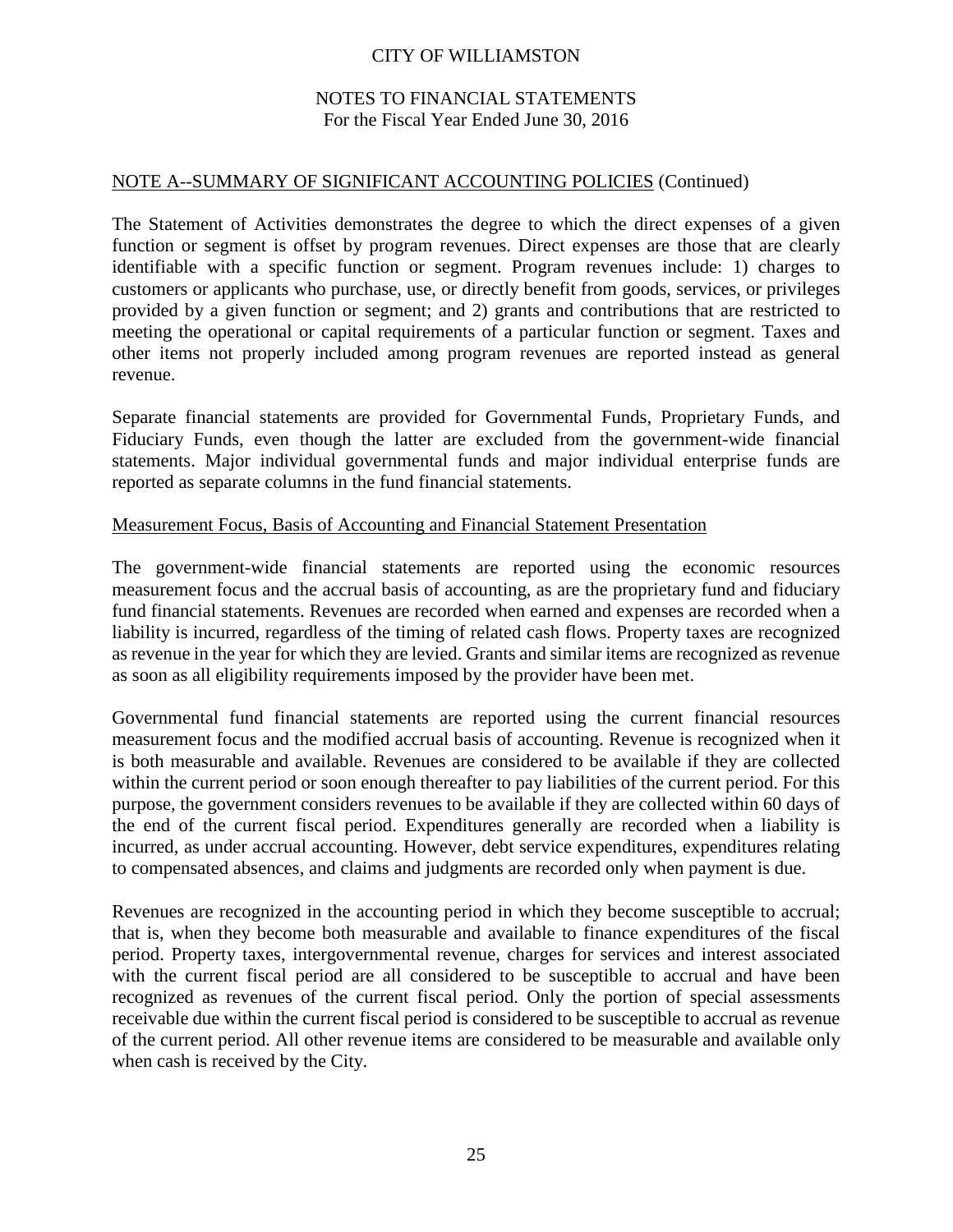# NOTES TO FINANCIAL STATEMENTS For the Fiscal Year Ended June 30, 2016

# NOTE A--SUMMARY OF SIGNIFICANT ACCOUNTING POLICIES (Continued)

The Statement of Activities demonstrates the degree to which the direct expenses of a given function or segment is offset by program revenues. Direct expenses are those that are clearly identifiable with a specific function or segment. Program revenues include: 1) charges to customers or applicants who purchase, use, or directly benefit from goods, services, or privileges provided by a given function or segment; and 2) grants and contributions that are restricted to meeting the operational or capital requirements of a particular function or segment. Taxes and other items not properly included among program revenues are reported instead as general revenue.

Separate financial statements are provided for Governmental Funds, Proprietary Funds, and Fiduciary Funds, even though the latter are excluded from the government-wide financial statements. Major individual governmental funds and major individual enterprise funds are reported as separate columns in the fund financial statements.

#### Measurement Focus, Basis of Accounting and Financial Statement Presentation

The government-wide financial statements are reported using the economic resources measurement focus and the accrual basis of accounting, as are the proprietary fund and fiduciary fund financial statements. Revenues are recorded when earned and expenses are recorded when a liability is incurred, regardless of the timing of related cash flows. Property taxes are recognized as revenue in the year for which they are levied. Grants and similar items are recognized as revenue as soon as all eligibility requirements imposed by the provider have been met.

Governmental fund financial statements are reported using the current financial resources measurement focus and the modified accrual basis of accounting. Revenue is recognized when it is both measurable and available. Revenues are considered to be available if they are collected within the current period or soon enough thereafter to pay liabilities of the current period. For this purpose, the government considers revenues to be available if they are collected within 60 days of the end of the current fiscal period. Expenditures generally are recorded when a liability is incurred, as under accrual accounting. However, debt service expenditures, expenditures relating to compensated absences, and claims and judgments are recorded only when payment is due.

Revenues are recognized in the accounting period in which they become susceptible to accrual; that is, when they become both measurable and available to finance expenditures of the fiscal period. Property taxes, intergovernmental revenue, charges for services and interest associated with the current fiscal period are all considered to be susceptible to accrual and have been recognized as revenues of the current fiscal period. Only the portion of special assessments receivable due within the current fiscal period is considered to be susceptible to accrual as revenue of the current period. All other revenue items are considered to be measurable and available only when cash is received by the City.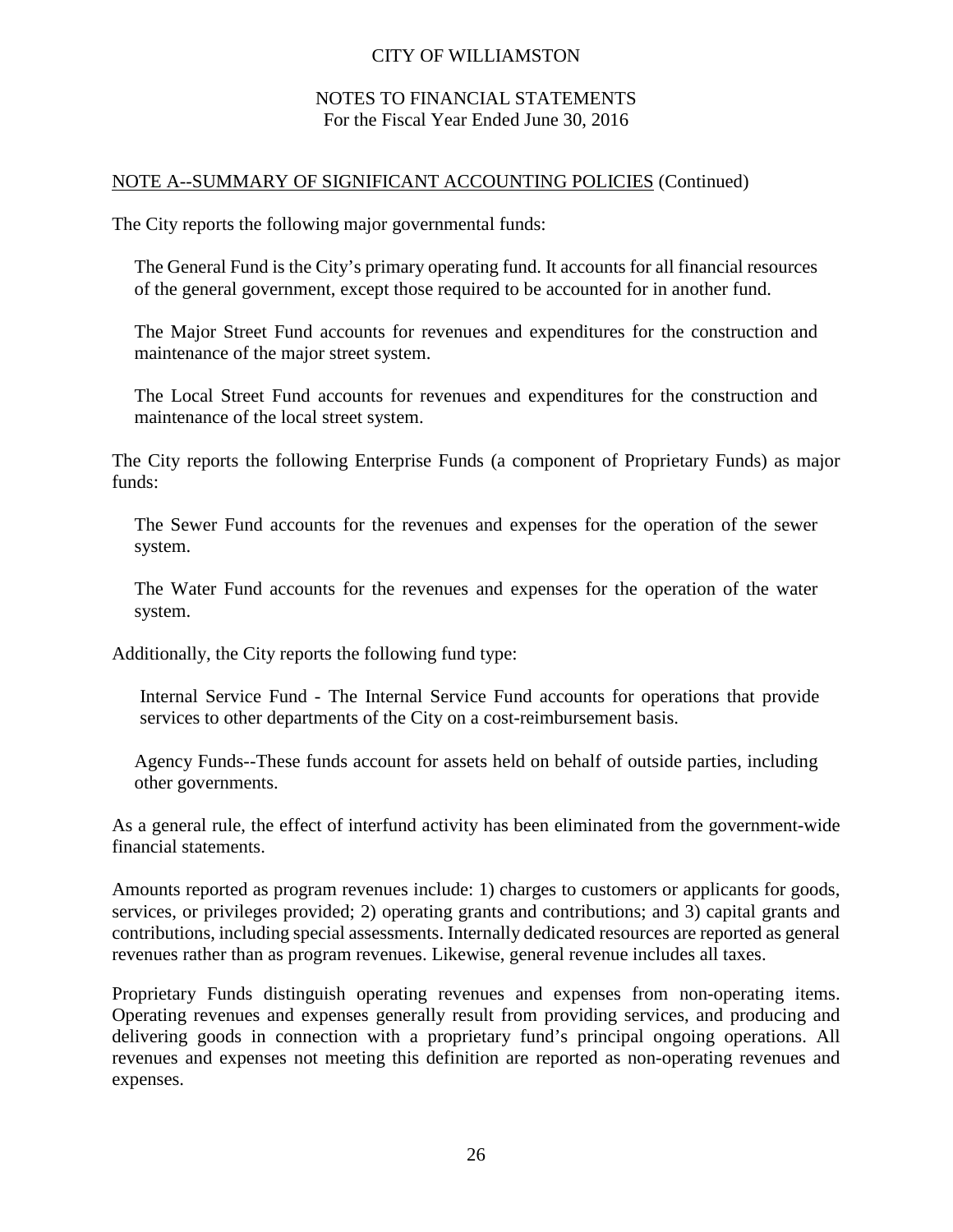### NOTES TO FINANCIAL STATEMENTS For the Fiscal Year Ended June 30, 2016

### NOTE A--SUMMARY OF SIGNIFICANT ACCOUNTING POLICIES (Continued)

The City reports the following major governmental funds:

The General Fund is the City's primary operating fund. It accounts for all financial resources of the general government, except those required to be accounted for in another fund.

The Major Street Fund accounts for revenues and expenditures for the construction and maintenance of the major street system.

The Local Street Fund accounts for revenues and expenditures for the construction and maintenance of the local street system.

The City reports the following Enterprise Funds (a component of Proprietary Funds) as major funds:

The Sewer Fund accounts for the revenues and expenses for the operation of the sewer system.

The Water Fund accounts for the revenues and expenses for the operation of the water system.

Additionally, the City reports the following fund type:

Internal Service Fund - The Internal Service Fund accounts for operations that provide services to other departments of the City on a cost-reimbursement basis.

Agency Funds--These funds account for assets held on behalf of outside parties, including other governments.

As a general rule, the effect of interfund activity has been eliminated from the government-wide financial statements.

Amounts reported as program revenues include: 1) charges to customers or applicants for goods, services, or privileges provided; 2) operating grants and contributions; and 3) capital grants and contributions, including special assessments. Internally dedicated resources are reported as general revenues rather than as program revenues. Likewise, general revenue includes all taxes.

Proprietary Funds distinguish operating revenues and expenses from non-operating items. Operating revenues and expenses generally result from providing services, and producing and delivering goods in connection with a proprietary fund's principal ongoing operations. All revenues and expenses not meeting this definition are reported as non-operating revenues and expenses.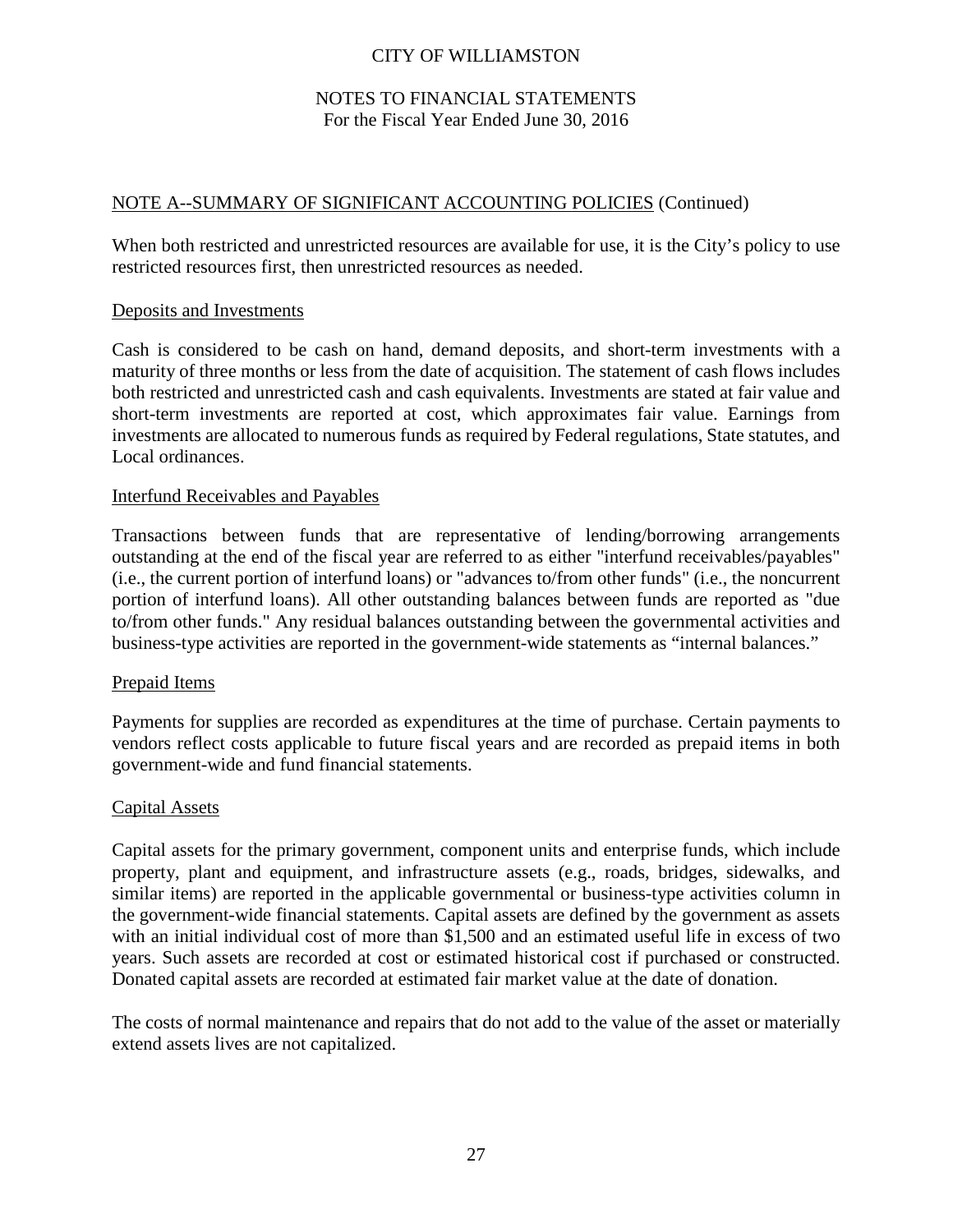# NOTES TO FINANCIAL STATEMENTS For the Fiscal Year Ended June 30, 2016

### NOTE A--SUMMARY OF SIGNIFICANT ACCOUNTING POLICIES (Continued)

When both restricted and unrestricted resources are available for use, it is the City's policy to use restricted resources first, then unrestricted resources as needed.

#### Deposits and Investments

Cash is considered to be cash on hand, demand deposits, and short-term investments with a maturity of three months or less from the date of acquisition. The statement of cash flows includes both restricted and unrestricted cash and cash equivalents. Investments are stated at fair value and short-term investments are reported at cost, which approximates fair value. Earnings from investments are allocated to numerous funds as required by Federal regulations, State statutes, and Local ordinances.

#### Interfund Receivables and Payables

Transactions between funds that are representative of lending/borrowing arrangements outstanding at the end of the fiscal year are referred to as either "interfund receivables/payables" (i.e., the current portion of interfund loans) or "advances to/from other funds" (i.e., the noncurrent portion of interfund loans). All other outstanding balances between funds are reported as "due to/from other funds." Any residual balances outstanding between the governmental activities and business-type activities are reported in the government-wide statements as "internal balances."

#### Prepaid Items

Payments for supplies are recorded as expenditures at the time of purchase. Certain payments to vendors reflect costs applicable to future fiscal years and are recorded as prepaid items in both government-wide and fund financial statements.

#### Capital Assets

Capital assets for the primary government, component units and enterprise funds, which include property, plant and equipment, and infrastructure assets (e.g., roads, bridges, sidewalks, and similar items) are reported in the applicable governmental or business-type activities column in the government-wide financial statements. Capital assets are defined by the government as assets with an initial individual cost of more than \$1,500 and an estimated useful life in excess of two years. Such assets are recorded at cost or estimated historical cost if purchased or constructed. Donated capital assets are recorded at estimated fair market value at the date of donation.

The costs of normal maintenance and repairs that do not add to the value of the asset or materially extend assets lives are not capitalized.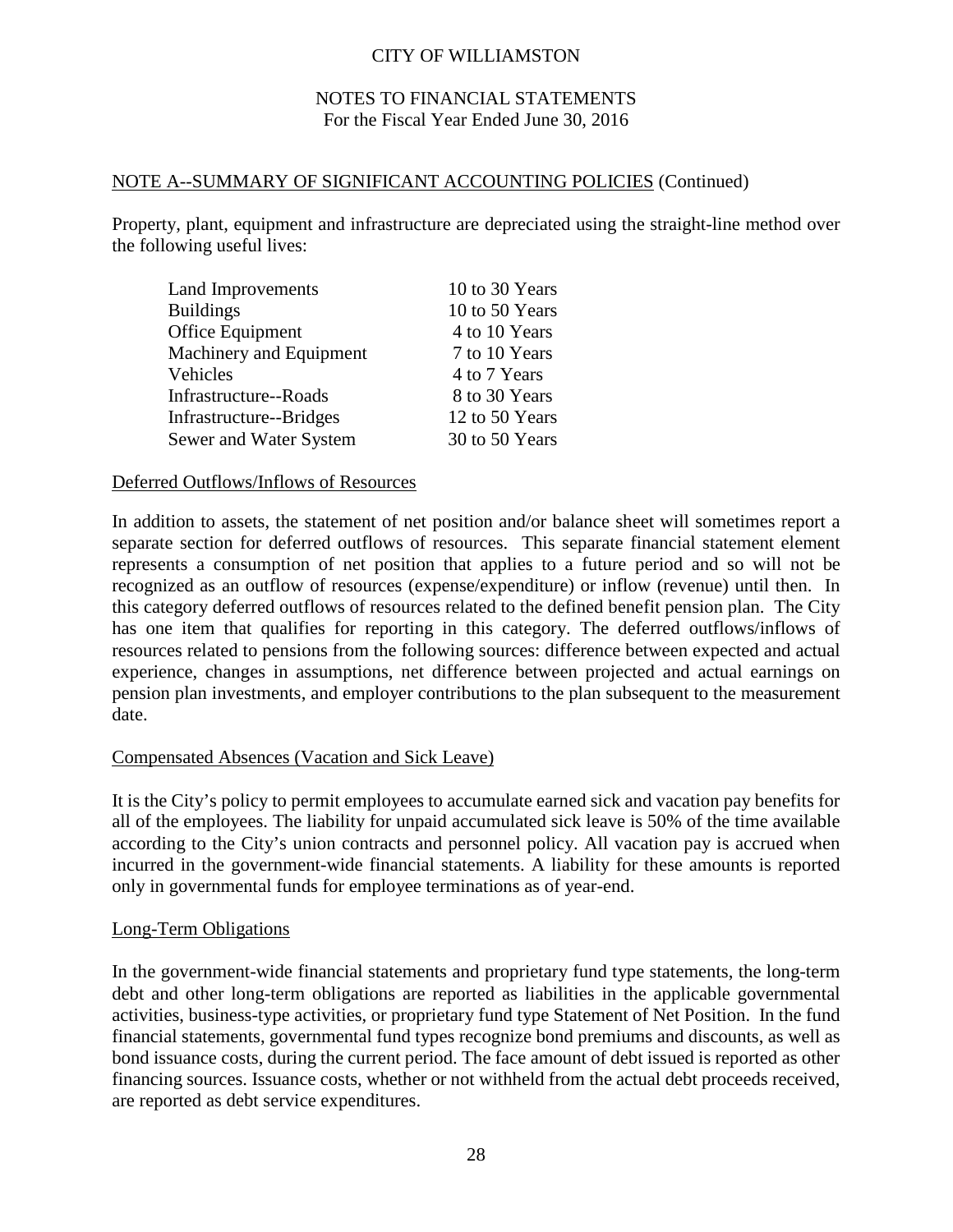# NOTES TO FINANCIAL STATEMENTS For the Fiscal Year Ended June 30, 2016

### NOTE A--SUMMARY OF SIGNIFICANT ACCOUNTING POLICIES (Continued)

Property, plant, equipment and infrastructure are depreciated using the straight-line method over the following useful lives:

| Land Improvements       | 10 to 30 Years |
|-------------------------|----------------|
| <b>Buildings</b>        | 10 to 50 Years |
| Office Equipment        | 4 to 10 Years  |
| Machinery and Equipment | 7 to 10 Years  |
| Vehicles                | 4 to 7 Years   |
| Infrastructure--Roads   | 8 to 30 Years  |
| Infrastructure--Bridges | 12 to 50 Years |
| Sewer and Water System  | 30 to 50 Years |

#### Deferred Outflows/Inflows of Resources

In addition to assets, the statement of net position and/or balance sheet will sometimes report a separate section for deferred outflows of resources. This separate financial statement element represents a consumption of net position that applies to a future period and so will not be recognized as an outflow of resources (expense/expenditure) or inflow (revenue) until then. In this category deferred outflows of resources related to the defined benefit pension plan. The City has one item that qualifies for reporting in this category. The deferred outflows/inflows of resources related to pensions from the following sources: difference between expected and actual experience, changes in assumptions, net difference between projected and actual earnings on pension plan investments, and employer contributions to the plan subsequent to the measurement date.

### Compensated Absences (Vacation and Sick Leave)

It is the City's policy to permit employees to accumulate earned sick and vacation pay benefits for all of the employees. The liability for unpaid accumulated sick leave is 50% of the time available according to the City's union contracts and personnel policy. All vacation pay is accrued when incurred in the government-wide financial statements. A liability for these amounts is reported only in governmental funds for employee terminations as of year-end.

#### Long-Term Obligations

In the government-wide financial statements and proprietary fund type statements, the long-term debt and other long-term obligations are reported as liabilities in the applicable governmental activities, business-type activities, or proprietary fund type Statement of Net Position. In the fund financial statements, governmental fund types recognize bond premiums and discounts, as well as bond issuance costs, during the current period. The face amount of debt issued is reported as other financing sources. Issuance costs, whether or not withheld from the actual debt proceeds received, are reported as debt service expenditures.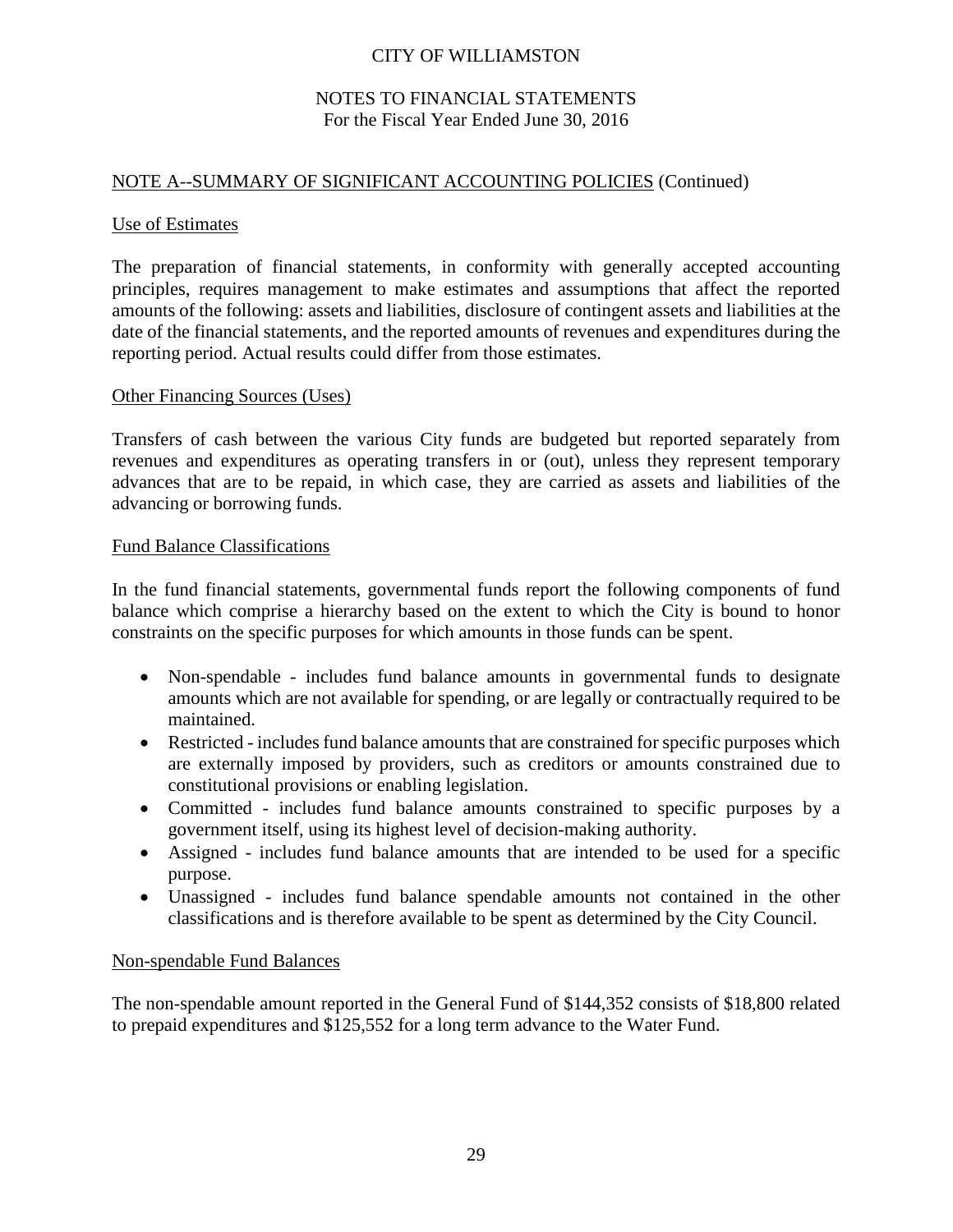### NOTES TO FINANCIAL STATEMENTS For the Fiscal Year Ended June 30, 2016

# NOTE A--SUMMARY OF SIGNIFICANT ACCOUNTING POLICIES (Continued)

#### Use of Estimates

The preparation of financial statements, in conformity with generally accepted accounting principles, requires management to make estimates and assumptions that affect the reported amounts of the following: assets and liabilities, disclosure of contingent assets and liabilities at the date of the financial statements, and the reported amounts of revenues and expenditures during the reporting period. Actual results could differ from those estimates.

#### Other Financing Sources (Uses)

Transfers of cash between the various City funds are budgeted but reported separately from revenues and expenditures as operating transfers in or (out), unless they represent temporary advances that are to be repaid, in which case, they are carried as assets and liabilities of the advancing or borrowing funds.

#### Fund Balance Classifications

In the fund financial statements, governmental funds report the following components of fund balance which comprise a hierarchy based on the extent to which the City is bound to honor constraints on the specific purposes for which amounts in those funds can be spent.

- Non-spendable includes fund balance amounts in governmental funds to designate amounts which are not available for spending, or are legally or contractually required to be maintained.
- Restricted includes fund balance amounts that are constrained for specific purposes which are externally imposed by providers, such as creditors or amounts constrained due to constitutional provisions or enabling legislation.
- Committed includes fund balance amounts constrained to specific purposes by a government itself, using its highest level of decision-making authority.
- Assigned includes fund balance amounts that are intended to be used for a specific purpose.
- Unassigned includes fund balance spendable amounts not contained in the other classifications and is therefore available to be spent as determined by the City Council.

#### Non-spendable Fund Balances

The non-spendable amount reported in the General Fund of \$144,352 consists of \$18,800 related to prepaid expenditures and \$125,552 for a long term advance to the Water Fund.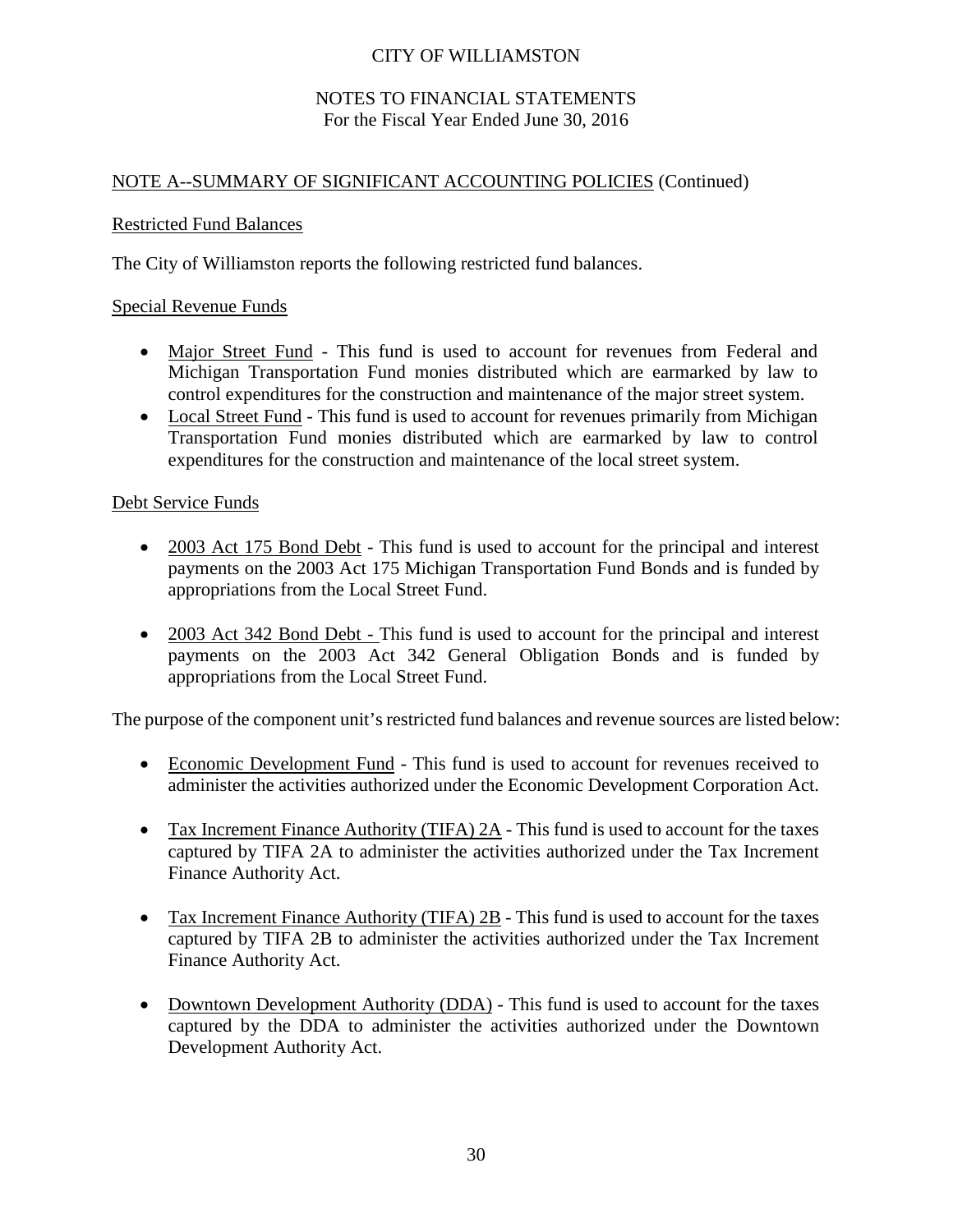### NOTES TO FINANCIAL STATEMENTS For the Fiscal Year Ended June 30, 2016

# NOTE A--SUMMARY OF SIGNIFICANT ACCOUNTING POLICIES (Continued)

### Restricted Fund Balances

The City of Williamston reports the following restricted fund balances.

### Special Revenue Funds

- Major Street Fund This fund is used to account for revenues from Federal and Michigan Transportation Fund monies distributed which are earmarked by law to control expenditures for the construction and maintenance of the major street system.
- Local Street Fund This fund is used to account for revenues primarily from Michigan Transportation Fund monies distributed which are earmarked by law to control expenditures for the construction and maintenance of the local street system.

### Debt Service Funds

- 2003 Act 175 Bond Debt This fund is used to account for the principal and interest payments on the 2003 Act 175 Michigan Transportation Fund Bonds and is funded by appropriations from the Local Street Fund.
- 2003 Act 342 Bond Debt This fund is used to account for the principal and interest payments on the 2003 Act 342 General Obligation Bonds and is funded by appropriations from the Local Street Fund.

The purpose of the component unit's restricted fund balances and revenue sources are listed below:

- Economic Development Fund This fund is used to account for revenues received to administer the activities authorized under the Economic Development Corporation Act.
- Tax Increment Finance Authority (TIFA) 2A This fund is used to account for the taxes captured by TIFA 2A to administer the activities authorized under the Tax Increment Finance Authority Act.
- Tax Increment Finance Authority (TIFA) 2B This fund is used to account for the taxes captured by TIFA 2B to administer the activities authorized under the Tax Increment Finance Authority Act.
- Downtown Development Authority (DDA) This fund is used to account for the taxes captured by the DDA to administer the activities authorized under the Downtown Development Authority Act.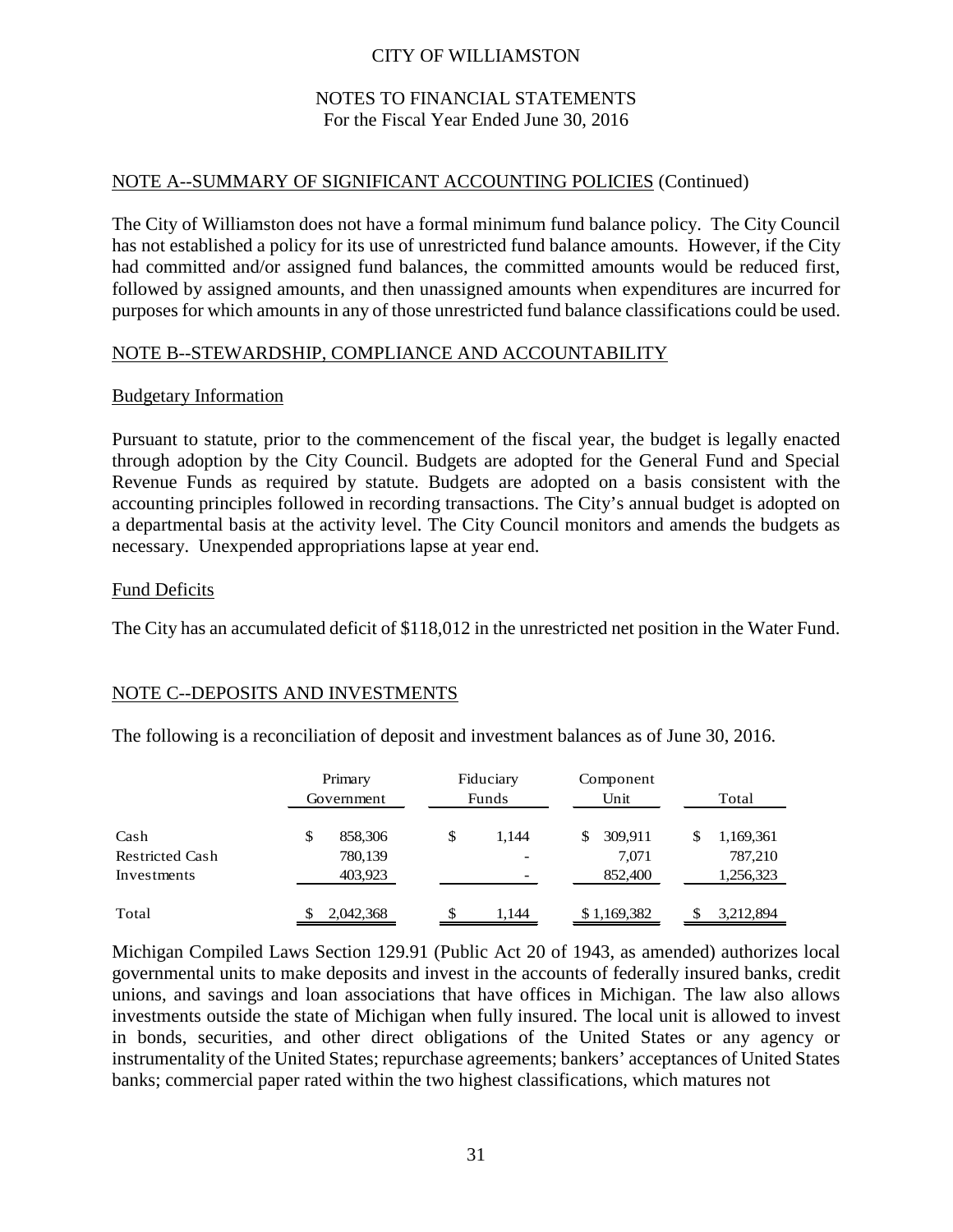### NOTES TO FINANCIAL STATEMENTS For the Fiscal Year Ended June 30, 2016

### NOTE A--SUMMARY OF SIGNIFICANT ACCOUNTING POLICIES (Continued)

The City of Williamston does not have a formal minimum fund balance policy. The City Council has not established a policy for its use of unrestricted fund balance amounts. However, if the City had committed and/or assigned fund balances, the committed amounts would be reduced first, followed by assigned amounts, and then unassigned amounts when expenditures are incurred for purposes for which amounts in any of those unrestricted fund balance classifications could be used.

### NOTE B--STEWARDSHIP, COMPLIANCE AND ACCOUNTABILITY

### Budgetary Information

Pursuant to statute, prior to the commencement of the fiscal year, the budget is legally enacted through adoption by the City Council. Budgets are adopted for the General Fund and Special Revenue Funds as required by statute. Budgets are adopted on a basis consistent with the accounting principles followed in recording transactions. The City's annual budget is adopted on a departmental basis at the activity level. The City Council monitors and amends the budgets as necessary. Unexpended appropriations lapse at year end.

### Fund Deficits

The City has an accumulated deficit of \$118,012 in the unrestricted net position in the Water Fund.

### NOTE C--DEPOSITS AND INVESTMENTS

The following is a reconciliation of deposit and investment balances as of June 30, 2016.

|                                               | Primary<br>Government               | Fiduciary<br>Funds | Component<br>Unit                 | Total                             |
|-----------------------------------------------|-------------------------------------|--------------------|-----------------------------------|-----------------------------------|
| Cash<br><b>Restricted Cash</b><br>Investments | 858,306<br>\$<br>780,139<br>403,923 | \$<br>1.144        | \$<br>309,911<br>7,071<br>852,400 | 1,169,361<br>787,210<br>1,256,323 |
| Total                                         | 2,042,368                           | 1.144              | \$1,169,382                       | 3,212,894                         |

Michigan Compiled Laws Section 129.91 (Public Act 20 of 1943, as amended) authorizes local governmental units to make deposits and invest in the accounts of federally insured banks, credit unions, and savings and loan associations that have offices in Michigan. The law also allows investments outside the state of Michigan when fully insured. The local unit is allowed to invest in bonds, securities, and other direct obligations of the United States or any agency or instrumentality of the United States; repurchase agreements; bankers' acceptances of United States banks; commercial paper rated within the two highest classifications, which matures not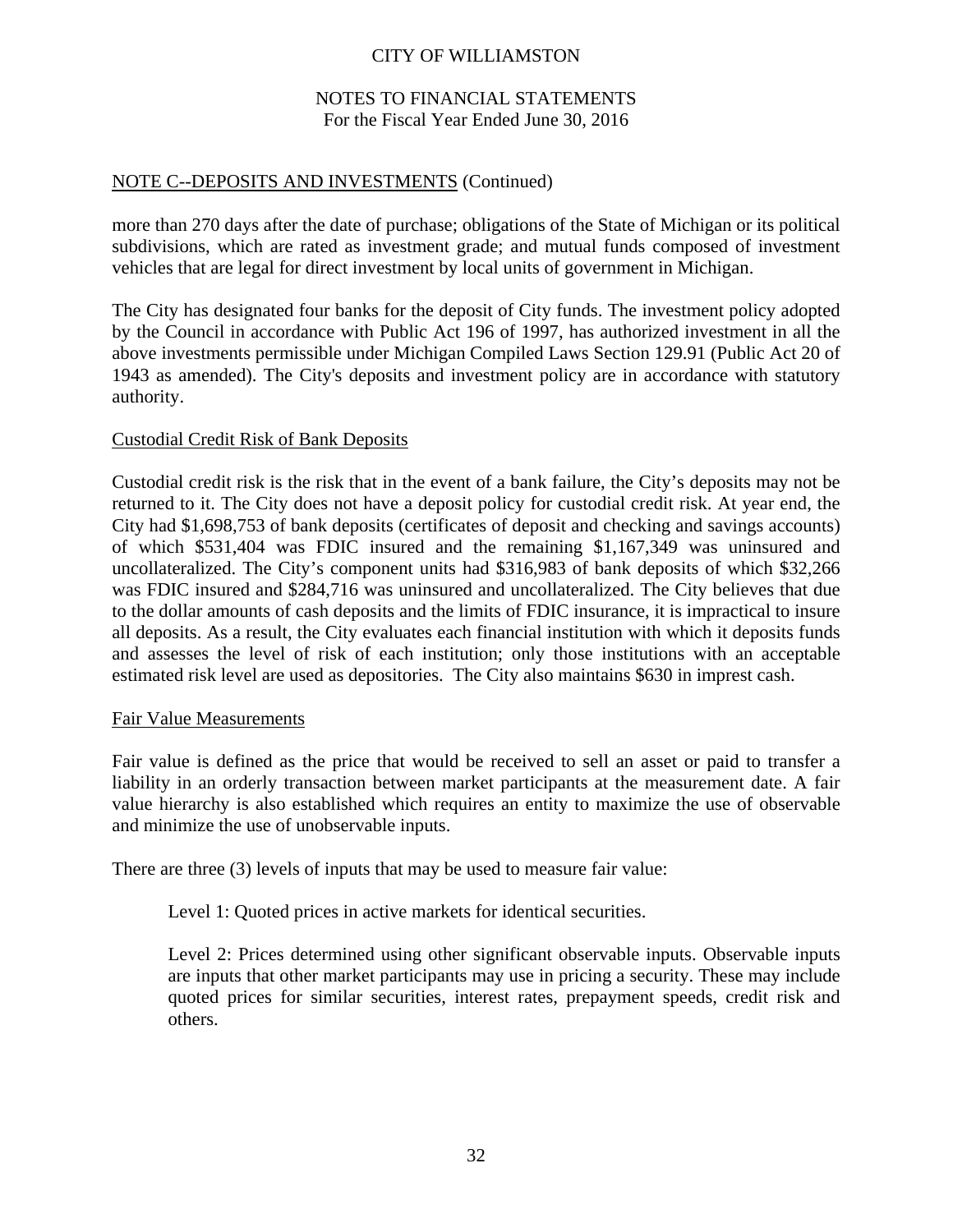### NOTES TO FINANCIAL STATEMENTS For the Fiscal Year Ended June 30, 2016

### NOTE C--DEPOSITS AND INVESTMENTS (Continued)

more than 270 days after the date of purchase; obligations of the State of Michigan or its political subdivisions, which are rated as investment grade; and mutual funds composed of investment vehicles that are legal for direct investment by local units of government in Michigan.

The City has designated four banks for the deposit of City funds. The investment policy adopted by the Council in accordance with Public Act 196 of 1997, has authorized investment in all the above investments permissible under Michigan Compiled Laws Section 129.91 (Public Act 20 of 1943 as amended). The City's deposits and investment policy are in accordance with statutory authority.

### Custodial Credit Risk of Bank Deposits

Custodial credit risk is the risk that in the event of a bank failure, the City's deposits may not be returned to it. The City does not have a deposit policy for custodial credit risk. At year end, the City had \$1,698,753 of bank deposits (certificates of deposit and checking and savings accounts) of which \$531,404 was FDIC insured and the remaining \$1,167,349 was uninsured and uncollateralized. The City's component units had \$316,983 of bank deposits of which \$32,266 was FDIC insured and \$284,716 was uninsured and uncollateralized. The City believes that due to the dollar amounts of cash deposits and the limits of FDIC insurance, it is impractical to insure all deposits. As a result, the City evaluates each financial institution with which it deposits funds and assesses the level of risk of each institution; only those institutions with an acceptable estimated risk level are used as depositories. The City also maintains \$630 in imprest cash.

### Fair Value Measurements

Fair value is defined as the price that would be received to sell an asset or paid to transfer a liability in an orderly transaction between market participants at the measurement date. A fair value hierarchy is also established which requires an entity to maximize the use of observable and minimize the use of unobservable inputs.

There are three (3) levels of inputs that may be used to measure fair value:

Level 1: Quoted prices in active markets for identical securities.

Level 2: Prices determined using other significant observable inputs. Observable inputs are inputs that other market participants may use in pricing a security. These may include quoted prices for similar securities, interest rates, prepayment speeds, credit risk and others.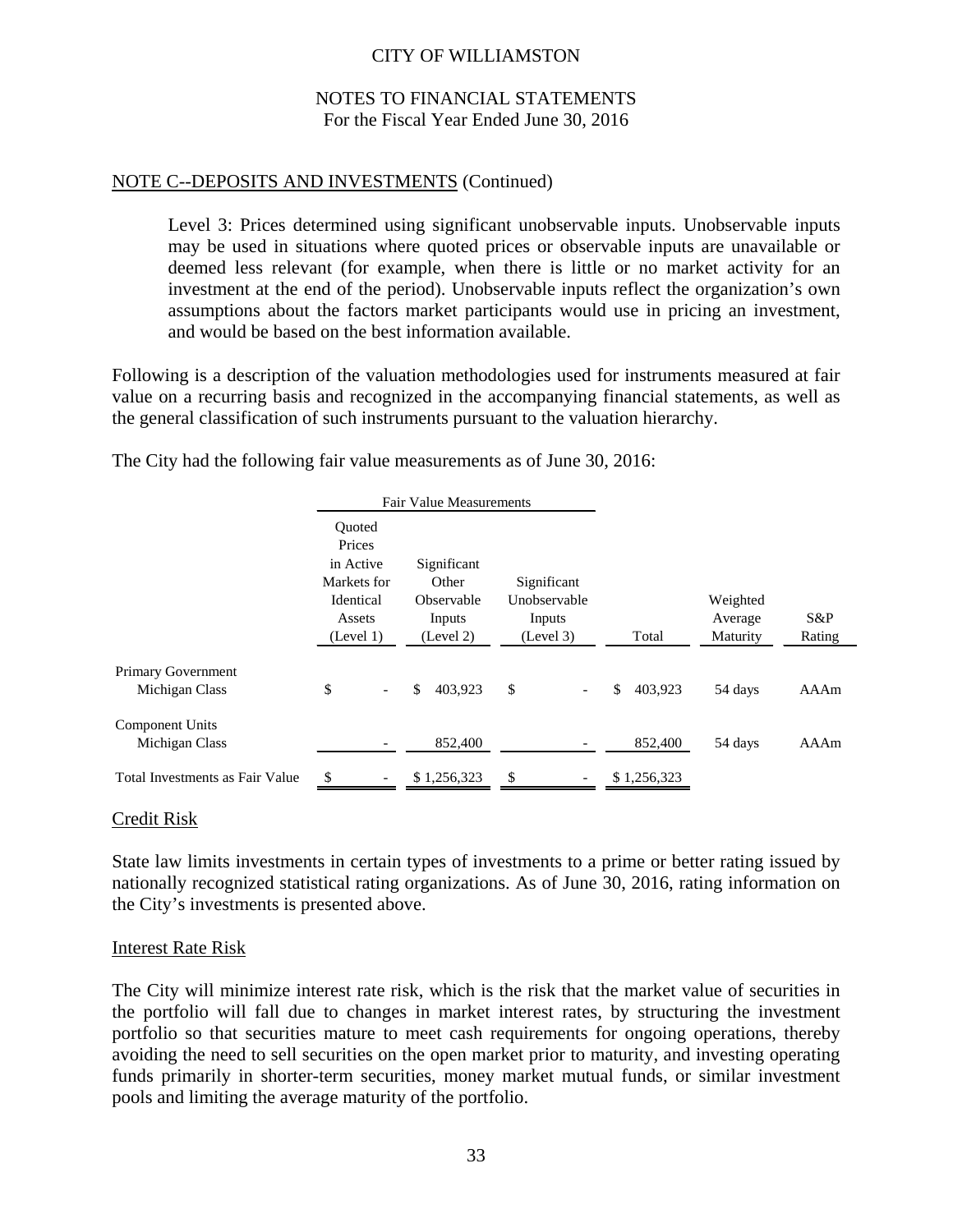### NOTES TO FINANCIAL STATEMENTS For the Fiscal Year Ended June 30, 2016

### NOTE C--DEPOSITS AND INVESTMENTS (Continued)

Level 3: Prices determined using significant unobservable inputs. Unobservable inputs may be used in situations where quoted prices or observable inputs are unavailable or deemed less relevant (for example, when there is little or no market activity for an investment at the end of the period). Unobservable inputs reflect the organization's own assumptions about the factors market participants would use in pricing an investment, and would be based on the best information available.

Following is a description of the valuation methodologies used for instruments measured at fair value on a recurring basis and recognized in the accompanying financial statements, as well as the general classification of such instruments pursuant to the valuation hierarchy.

The City had the following fair value measurements as of June 30, 2016:

|                                             |                                                                                  | <b>Fair Value Measurements</b>                            |                                                    |               |                                 |               |
|---------------------------------------------|----------------------------------------------------------------------------------|-----------------------------------------------------------|----------------------------------------------------|---------------|---------------------------------|---------------|
|                                             | Ouoted<br>Prices<br>in Active<br>Markets for<br>Identical<br>Assets<br>(Level 1) | Significant<br>Other<br>Observable<br>Inputs<br>(Level 2) | Significant<br>Unobservable<br>Inputs<br>(Level 3) | Total         | Weighted<br>Average<br>Maturity | S&P<br>Rating |
| <b>Primary Government</b><br>Michigan Class | \$<br>$\overline{\phantom{a}}$                                                   | 403.923<br>\$                                             | \$<br>$\overline{\phantom{a}}$                     | 403.923<br>\$ | 54 days                         | AAAm          |
| <b>Component Units</b><br>Michigan Class    |                                                                                  | 852,400                                                   |                                                    | 852,400       | 54 days                         | AAAm          |
| Total Investments as Fair Value             | \$                                                                               | \$1,256,323                                               | \$                                                 | \$1,256,323   |                                 |               |

#### Credit Risk

State law limits investments in certain types of investments to a prime or better rating issued by nationally recognized statistical rating organizations. As of June 30, 2016, rating information on the City's investments is presented above.

#### Interest Rate Risk

The City will minimize interest rate risk, which is the risk that the market value of securities in the portfolio will fall due to changes in market interest rates, by structuring the investment portfolio so that securities mature to meet cash requirements for ongoing operations, thereby avoiding the need to sell securities on the open market prior to maturity, and investing operating funds primarily in shorter-term securities, money market mutual funds, or similar investment pools and limiting the average maturity of the portfolio.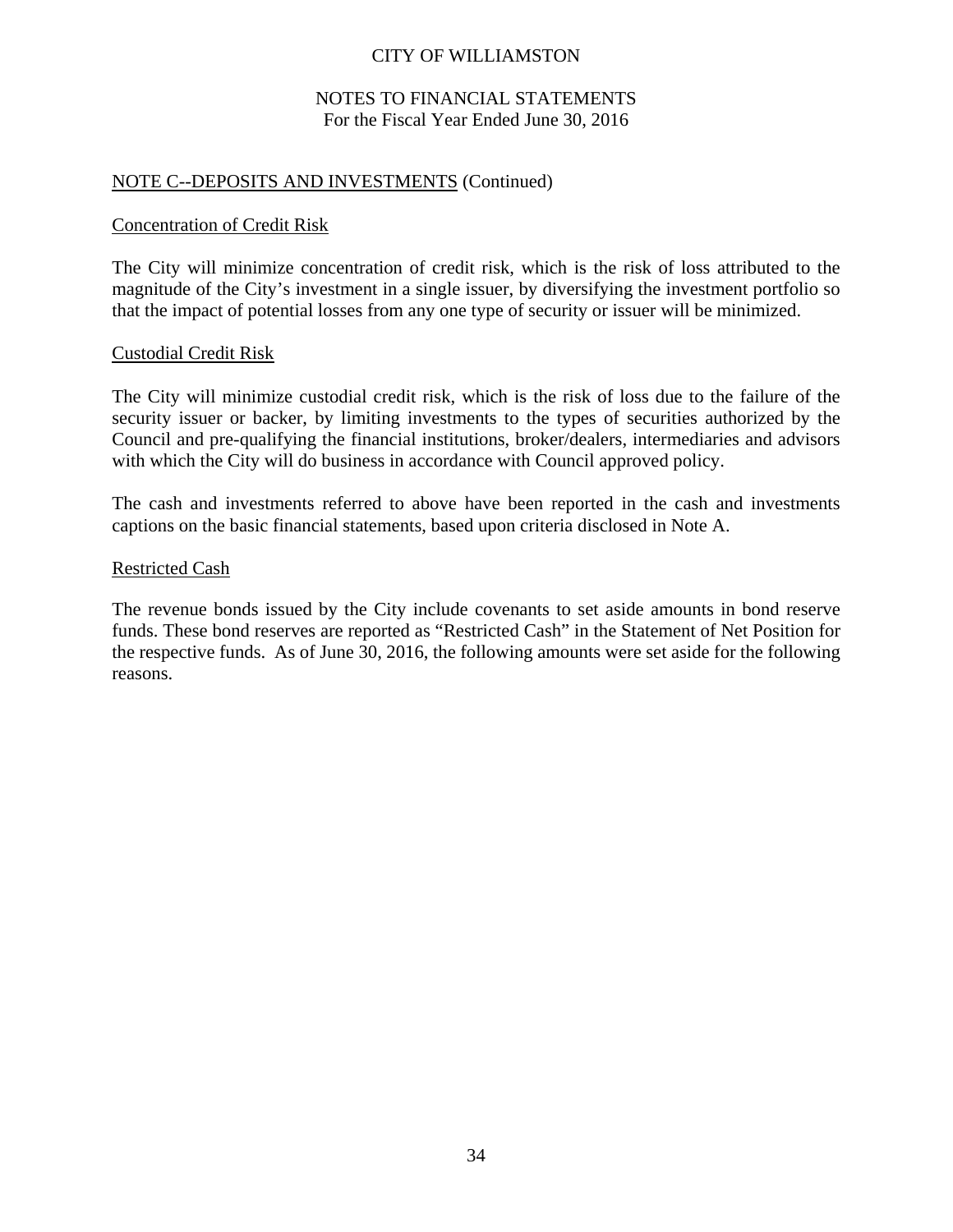### NOTES TO FINANCIAL STATEMENTS For the Fiscal Year Ended June 30, 2016

### NOTE C--DEPOSITS AND INVESTMENTS (Continued)

#### Concentration of Credit Risk

The City will minimize concentration of credit risk, which is the risk of loss attributed to the magnitude of the City's investment in a single issuer, by diversifying the investment portfolio so that the impact of potential losses from any one type of security or issuer will be minimized.

### Custodial Credit Risk

The City will minimize custodial credit risk, which is the risk of loss due to the failure of the security issuer or backer, by limiting investments to the types of securities authorized by the Council and pre-qualifying the financial institutions, broker/dealers, intermediaries and advisors with which the City will do business in accordance with Council approved policy.

The cash and investments referred to above have been reported in the cash and investments captions on the basic financial statements, based upon criteria disclosed in Note A.

#### Restricted Cash

The revenue bonds issued by the City include covenants to set aside amounts in bond reserve funds. These bond reserves are reported as "Restricted Cash" in the Statement of Net Position for the respective funds. As of June 30, 2016, the following amounts were set aside for the following reasons.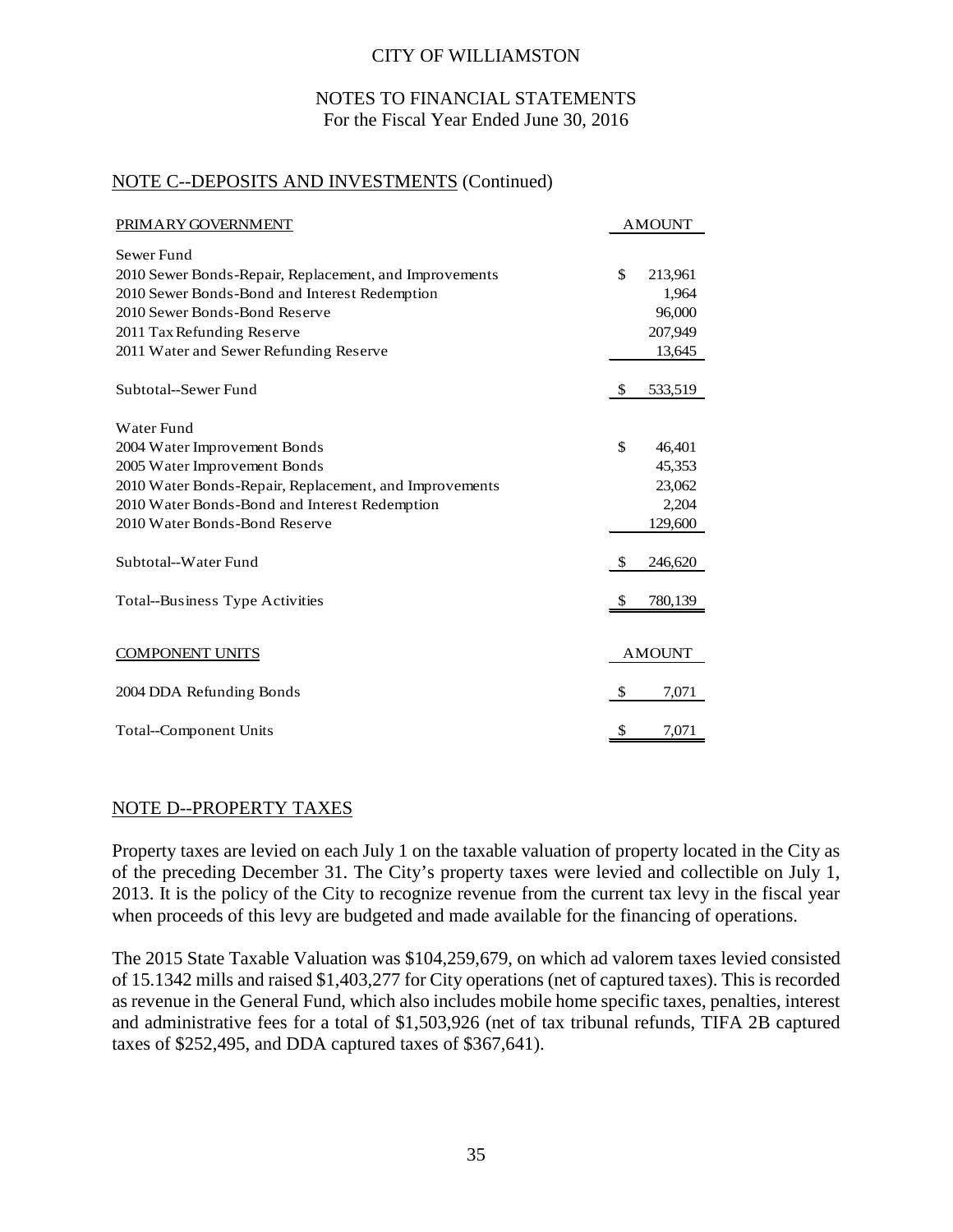### NOTES TO FINANCIAL STATEMENTS For the Fiscal Year Ended June 30, 2016

### NOTE C--DEPOSITS AND INVESTMENTS (Continued)

| PRIMARY GOVERNMENT                                     |              | <b>AMOUNT</b> |
|--------------------------------------------------------|--------------|---------------|
| Sewer Fund                                             |              |               |
| 2010 Sewer Bonds-Repair, Replacement, and Improvements | \$           | 213,961       |
| 2010 Sewer Bonds-Bond and Interest Redemption          |              | 1,964         |
| 2010 Sewer Bonds-Bond Reserve                          |              | 96,000        |
| 2011 Tax Refunding Reserve                             |              | 207,949       |
| 2011 Water and Sewer Refunding Reserve                 |              | 13,645        |
| Subtotal--Sewer Fund                                   | $\mathbb{S}$ | 533,519       |
| Water Fund                                             |              |               |
| 2004 Water Improvement Bonds                           | \$           | 46,401        |
| 2005 Water Improvement Bonds                           |              | 45,353        |
| 2010 Water Bonds-Repair, Replacement, and Improvements |              | 23,062        |
| 2010 Water Bonds-Bond and Interest Redemption          |              | 2,204         |
| 2010 Water Bonds-Bond Reserve                          |              | 129,600       |
| Subtotal--Water Fund                                   | \$           | 246,620       |
| <b>Total--Business Type Activities</b>                 | \$           | 780,139       |
| <b>COMPONENT UNITS</b>                                 |              | <b>AMOUNT</b> |
| 2004 DDA Refunding Bonds                               | - \$         | 7,071         |
| Total--Component Units                                 | \$           | 7,071         |

### NOTE D--PROPERTY TAXES

Property taxes are levied on each July 1 on the taxable valuation of property located in the City as of the preceding December 31. The City's property taxes were levied and collectible on July 1, 2013. It is the policy of the City to recognize revenue from the current tax levy in the fiscal year when proceeds of this levy are budgeted and made available for the financing of operations.

The 2015 State Taxable Valuation was \$104,259,679, on which ad valorem taxes levied consisted of 15.1342 mills and raised \$1,403,277 for City operations (net of captured taxes). This is recorded as revenue in the General Fund, which also includes mobile home specific taxes, penalties, interest and administrative fees for a total of \$1,503,926 (net of tax tribunal refunds, TIFA 2B captured taxes of \$252,495, and DDA captured taxes of \$367,641).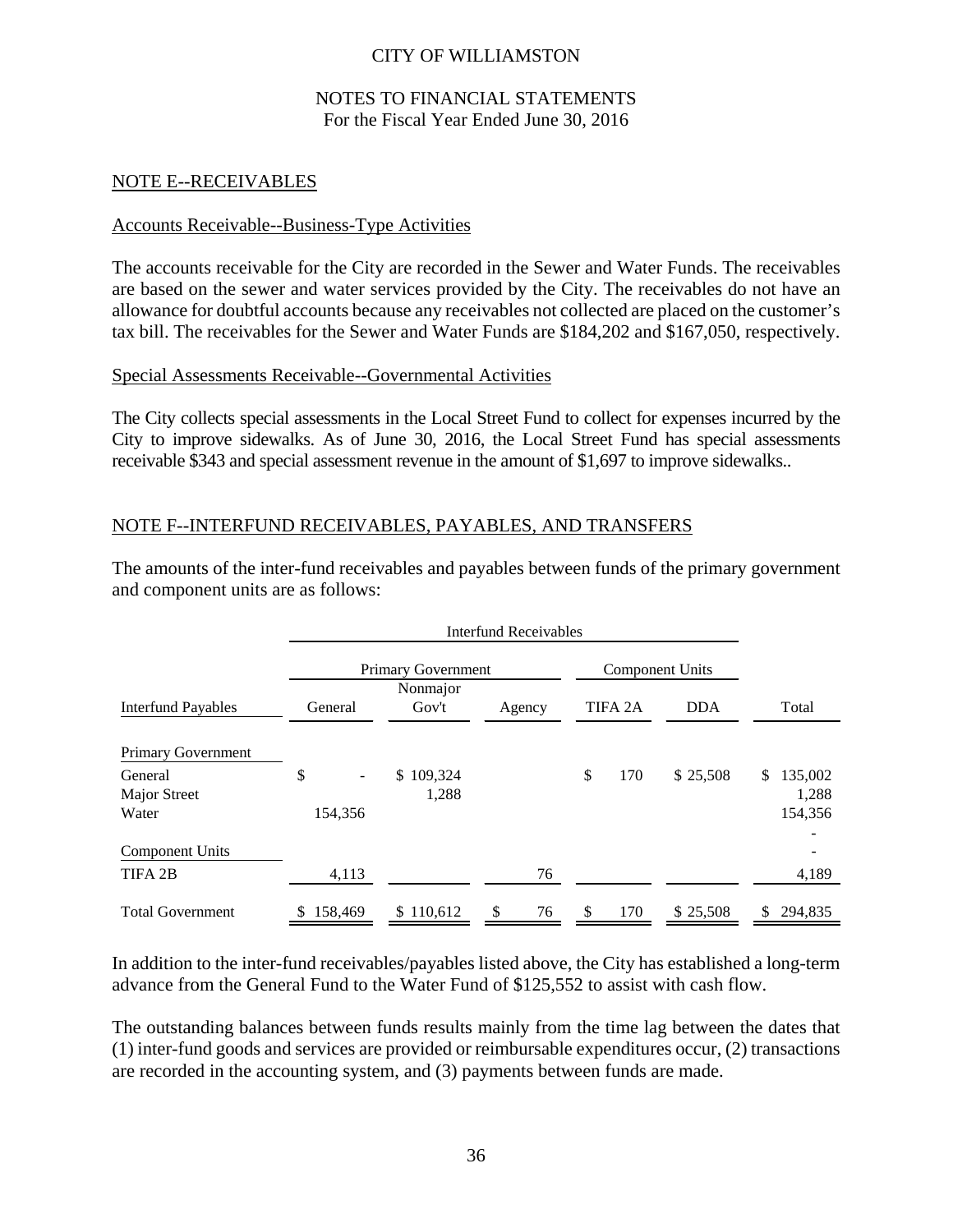### NOTES TO FINANCIAL STATEMENTS For the Fiscal Year Ended June 30, 2016

### NOTE E--RECEIVABLES

### Accounts Receivable--Business-Type Activities

The accounts receivable for the City are recorded in the Sewer and Water Funds. The receivables are based on the sewer and water services provided by the City. The receivables do not have an allowance for doubtful accounts because any receivables not collected are placed on the customer's tax bill. The receivables for the Sewer and Water Funds are \$184,202 and \$167,050, respectively.

### Special Assessments Receivable--Governmental Activities

The City collects special assessments in the Local Street Fund to collect for expenses incurred by the City to improve sidewalks. As of June 30, 2016, the Local Street Fund has special assessments receivable \$343 and special assessment revenue in the amount of \$1,697 to improve sidewalks..

### NOTE F--INTERFUND RECEIVABLES, PAYABLES, AND TRANSFERS

The amounts of the inter-fund receivables and payables between funds of the primary government and component units are as follows:

|                           | <b>Interfund Receivables</b> |                           |               |    |    |                        |            |                |
|---------------------------|------------------------------|---------------------------|---------------|----|----|------------------------|------------|----------------|
|                           |                              | <b>Primary Government</b> |               |    |    | <b>Component Units</b> |            |                |
|                           |                              | Nonmajor                  |               |    |    |                        |            |                |
| <b>Interfund Payables</b> | General                      | Gov't                     | Agency        |    |    | TIFA <sub>2</sub> A    | <b>DDA</b> | Total          |
| Primary Government        |                              |                           |               |    |    |                        |            |                |
| General                   | \$<br>۰                      | \$109,324                 |               |    | \$ | 170                    | \$25,508   | 135,002<br>\$  |
| <b>Major Street</b>       |                              | 1,288                     |               |    |    |                        |            | 1,288          |
| Water                     | 154,356                      |                           |               |    |    |                        |            | 154,356        |
| <b>Component Units</b>    |                              |                           |               |    |    |                        |            |                |
| TIFA 2B                   | 4,113                        |                           |               | 76 |    |                        |            | 4,189          |
| <b>Total Government</b>   | 158,469<br>S.                | \$110,612                 | <sup>\$</sup> | 76 | \$ | 170                    | \$25,508   | 294,835<br>\$. |

In addition to the inter-fund receivables/payables listed above, the City has established a long-term advance from the General Fund to the Water Fund of \$125,552 to assist with cash flow.

The outstanding balances between funds results mainly from the time lag between the dates that (1) inter-fund goods and services are provided or reimbursable expenditures occur, (2) transactions are recorded in the accounting system, and (3) payments between funds are made.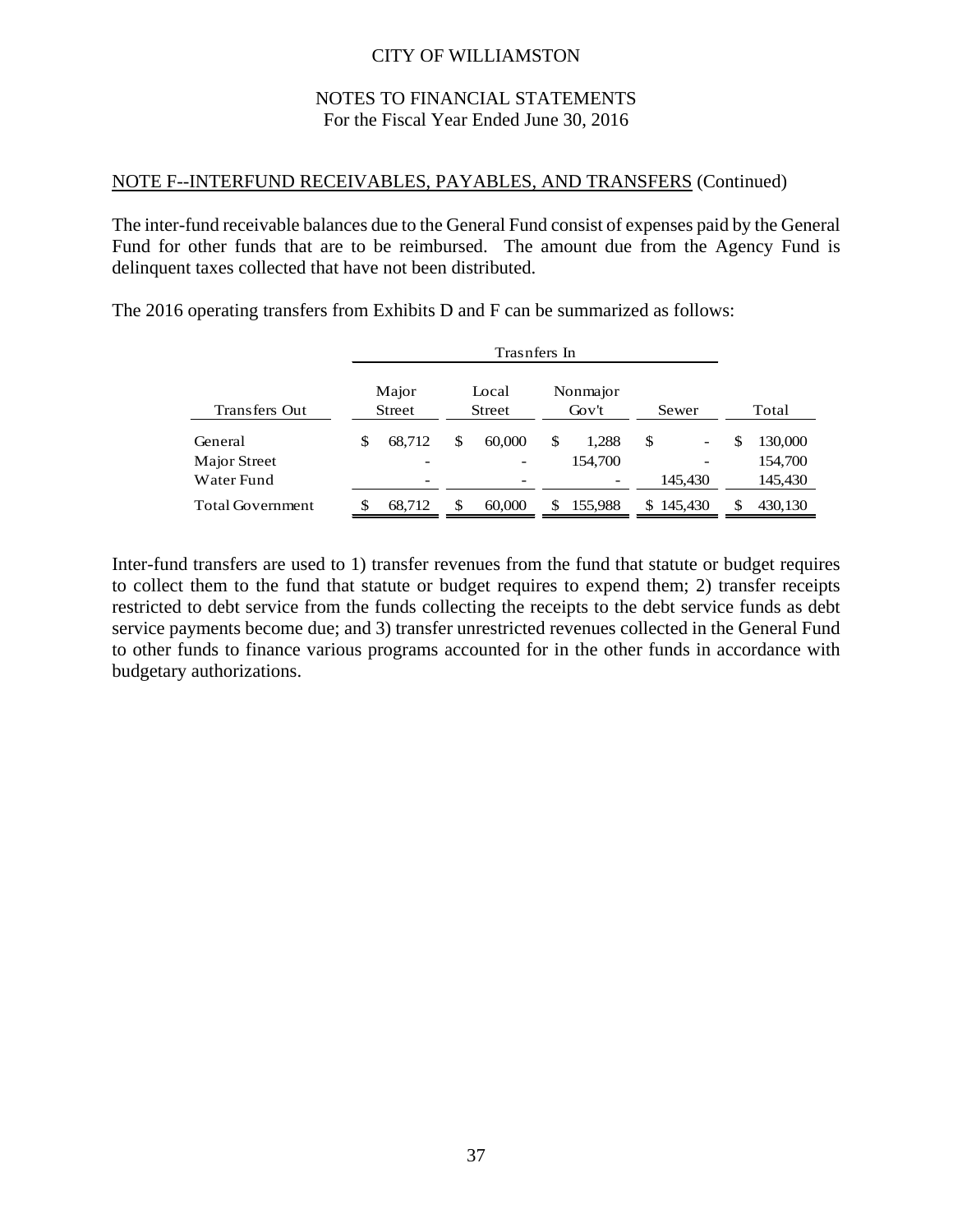### NOTES TO FINANCIAL STATEMENTS For the Fiscal Year Ended June 30, 2016

### NOTE F--INTERFUND RECEIVABLES, PAYABLES, AND TRANSFERS (Continued)

The inter-fund receivable balances due to the General Fund consist of expenses paid by the General Fund for other funds that are to be reimbursed. The amount due from the Agency Fund is delinquent taxes collected that have not been distributed.

|                         | Trasnfers In             |    |                        |    |                   |    |                          |               |
|-------------------------|--------------------------|----|------------------------|----|-------------------|----|--------------------------|---------------|
| <b>Transfers Out</b>    | Major<br><b>Street</b>   |    | Local<br><b>Street</b> |    | Nonmajor<br>Gov't |    | Sewer                    | Total         |
| General                 | \$<br>68.712             | \$ | 60,000                 | \$ | 1,288             | \$ |                          | \$<br>130,000 |
| Major Street            | $\overline{\phantom{a}}$ |    |                        |    | 154,700           |    | $\overline{\phantom{0}}$ | 154,700       |
| Water Fund              | -                        |    |                        |    |                   |    | 145.430                  | 145,430       |
| <b>Total Government</b> | 68,712                   | \$ | 60,000                 | S  | 155,988           |    | \$145,430                | 430,130       |

The 2016 operating transfers from Exhibits D and F can be summarized as follows:

Inter-fund transfers are used to 1) transfer revenues from the fund that statute or budget requires to collect them to the fund that statute or budget requires to expend them; 2) transfer receipts restricted to debt service from the funds collecting the receipts to the debt service funds as debt service payments become due; and 3) transfer unrestricted revenues collected in the General Fund to other funds to finance various programs accounted for in the other funds in accordance with budgetary authorizations.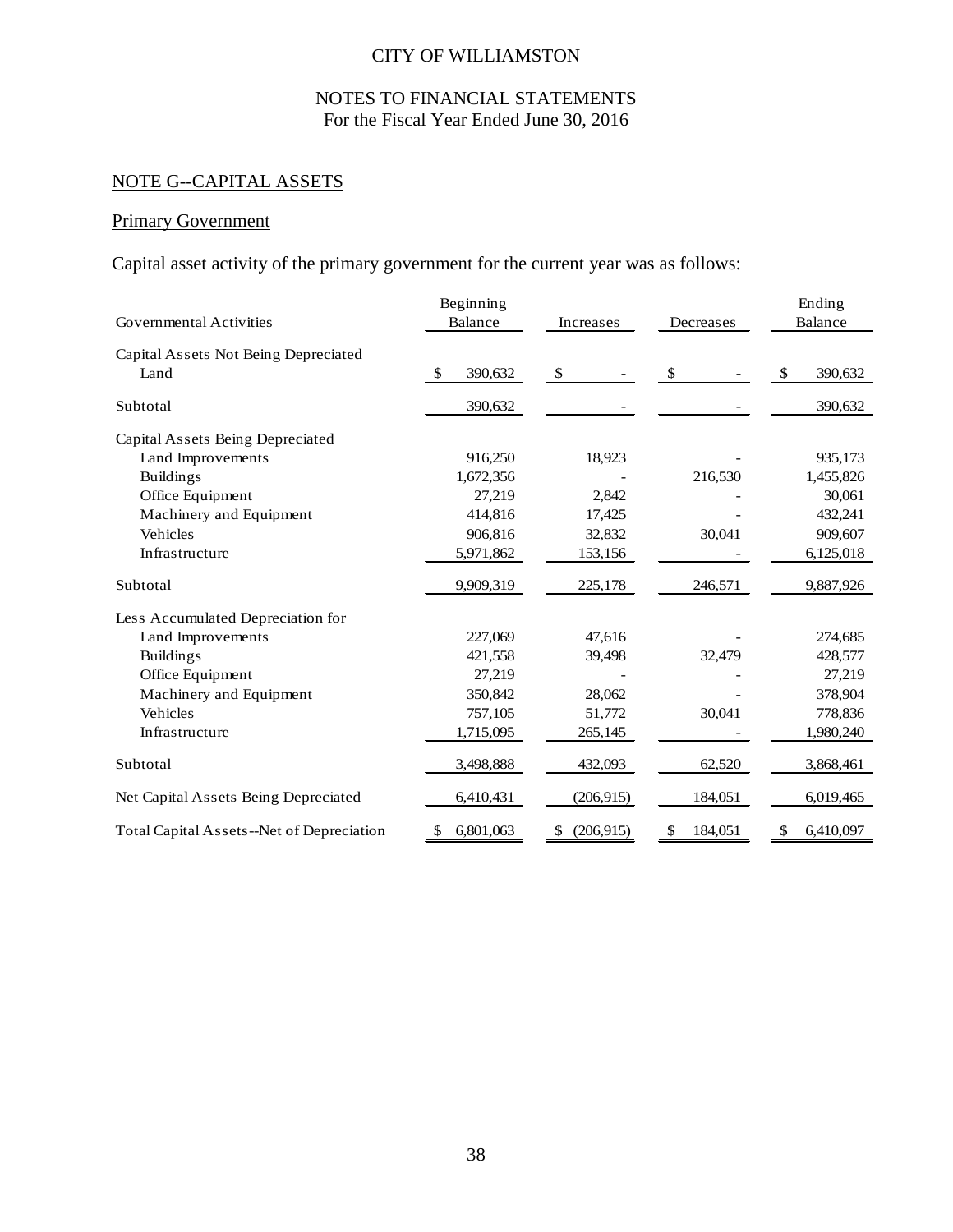# NOTES TO FINANCIAL STATEMENTS For the Fiscal Year Ended June 30, 2016

# NOTE G--CAPITAL ASSETS

# Primary Government

Capital asset activity of the primary government for the current year was as follows:

|                                                  | Beginning       |                |               | Ending                   |
|--------------------------------------------------|-----------------|----------------|---------------|--------------------------|
| <b>Governmental Activities</b>                   | Balance         | Increases      | Decreases     | Balance                  |
| Capital Assets Not Being Depreciated             |                 |                |               |                          |
| Land                                             | 390,632<br>-S   | $\mathbb{S}$   | S.            | <sup>\$</sup><br>390,632 |
| Subtotal                                         | 390,632         |                |               | 390,632                  |
| Capital Assets Being Depreciated                 |                 |                |               |                          |
| Land Improvements                                | 916,250         | 18,923         |               | 935,173                  |
| <b>Buildings</b>                                 | 1,672,356       |                | 216,530       | 1,455,826                |
| Office Equipment                                 | 27,219          | 2,842          |               | 30,061                   |
| Machinery and Equipment                          | 414,816         | 17,425         |               | 432,241                  |
| Vehicles                                         | 906,816         | 32,832         | 30,041        | 909,607                  |
| Infrastructure                                   | 5,971,862       | 153,156        |               | 6,125,018                |
| Subtotal                                         | 9,909,319       | 225,178        | 246,571       | 9,887,926                |
| Less Accumulated Depreciation for                |                 |                |               |                          |
| Land Improvements                                | 227,069         | 47,616         |               | 274,685                  |
| <b>Buildings</b>                                 | 421,558         | 39,498         | 32,479        | 428,577                  |
| Office Equipment                                 | 27,219          |                |               | 27,219                   |
| Machinery and Equipment                          | 350,842         | 28,062         |               | 378,904                  |
| Vehicles                                         | 757,105         | 51,772         | 30,041        | 778,836                  |
| Infrastructure                                   | 1,715,095       | 265,145        |               | 1,980,240                |
| Subtotal                                         | 3,498,888       | 432,093        | 62,520        | 3,868,461                |
| Net Capital Assets Being Depreciated             | 6,410,431       | (206, 915)     | 184,051       | 6,019,465                |
| <b>Total Capital Assets--Net of Depreciation</b> | 6,801,063<br>\$ | (206,915)<br>S | \$<br>184,051 | 6,410,097<br>\$          |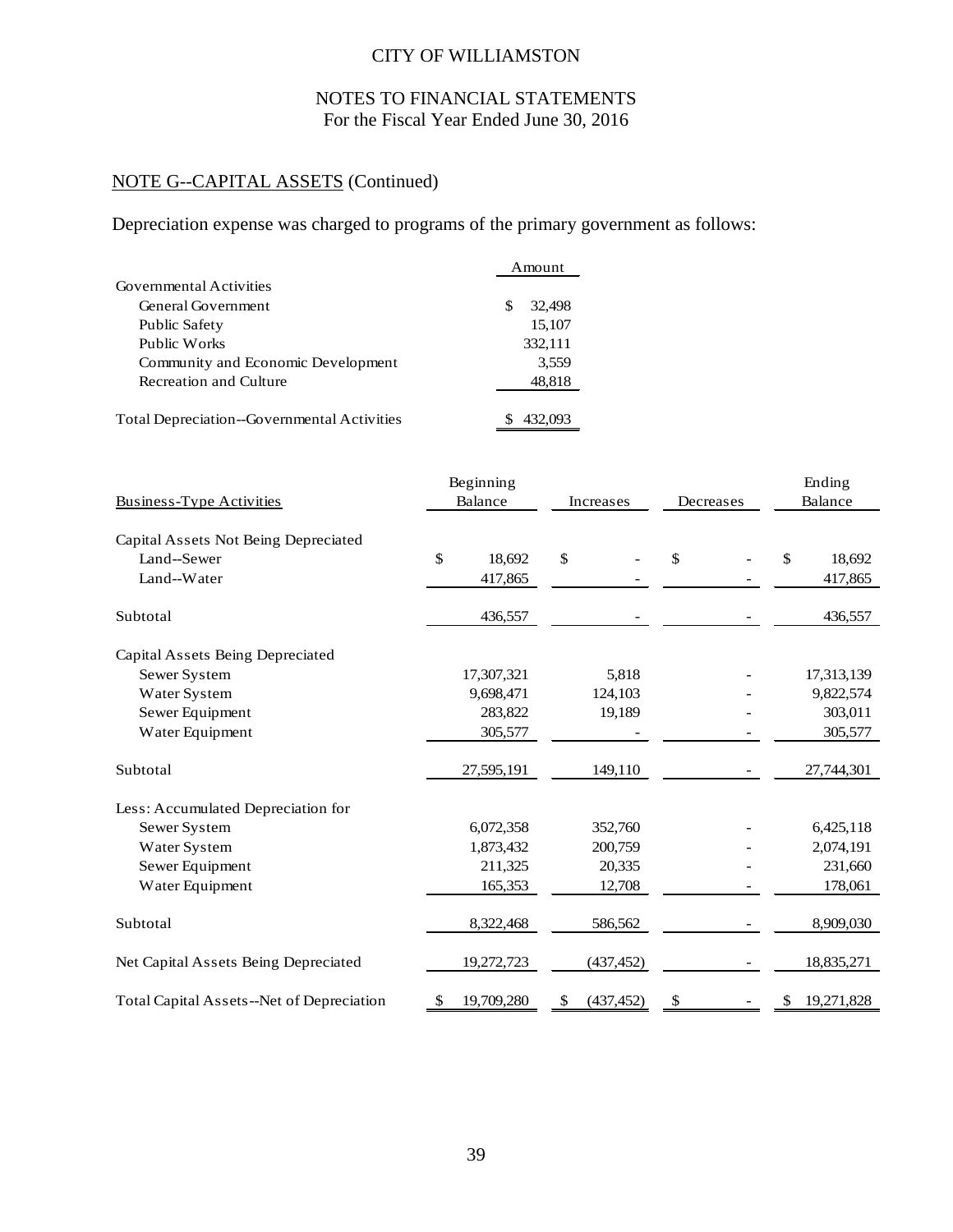# NOTES TO FINANCIAL STATEMENTS For the Fiscal Year Ended June 30, 2016

# NOTE G--CAPITAL ASSETS (Continued)

Depreciation expense was charged to programs of the primary government as follows:

|                                             | Amount        |
|---------------------------------------------|---------------|
| Governmental Activities                     |               |
| General Government                          | 32,498<br>\$. |
| Public Safety                               | 15,107        |
| Public Works                                | 332,111       |
| Community and Economic Development          | 3,559         |
| Recreation and Culture                      | 48,818        |
| Total Depreciation--Governmental Activities | 432,093       |

|                                           |         | Beginning  |            |    |           |    | Ending     |  |
|-------------------------------------------|---------|------------|------------|----|-----------|----|------------|--|
| <b>Business-Type Activities</b>           | Balance |            | Increases  |    | Decreases |    | Balance    |  |
| Capital Assets Not Being Depreciated      |         |            |            |    |           |    |            |  |
| Land--Sewer                               | \$      | 18,692     | \$         | \$ |           | \$ | 18,692     |  |
| Land--Water                               |         | 417,865    |            |    |           |    | 417,865    |  |
| Subtotal                                  |         | 436,557    |            |    |           |    | 436,557    |  |
| Capital Assets Being Depreciated          |         |            |            |    |           |    |            |  |
| Sewer System                              |         | 17,307,321 | 5,818      |    |           |    | 17,313,139 |  |
| Water System                              |         | 9,698,471  | 124,103    |    |           |    | 9,822,574  |  |
| Sewer Equipment                           |         | 283,822    | 19,189     |    |           |    | 303,011    |  |
| Water Equipment                           |         | 305,577    |            |    |           |    | 305,577    |  |
| Subtotal                                  |         | 27,595,191 | 149,110    |    |           |    | 27,744,301 |  |
| Less: Accumulated Depreciation for        |         |            |            |    |           |    |            |  |
| Sewer System                              |         | 6,072,358  | 352,760    |    |           |    | 6,425,118  |  |
| Water System                              |         | 1,873,432  | 200,759    |    |           |    | 2,074,191  |  |
| Sewer Equipment                           |         | 211,325    | 20,335     |    |           |    | 231,660    |  |
| Water Equipment                           |         | 165,353    | 12,708     |    |           |    | 178,061    |  |
| Subtotal                                  |         | 8,322,468  | 586,562    |    |           |    | 8,909,030  |  |
| Net Capital Assets Being Depreciated      |         | 19,272,723 | (437, 452) |    |           |    | 18,835,271 |  |
| Total Capital Assets--Net of Depreciation |         | 19,709,280 | (437, 452) | \$ |           |    | 19,271,828 |  |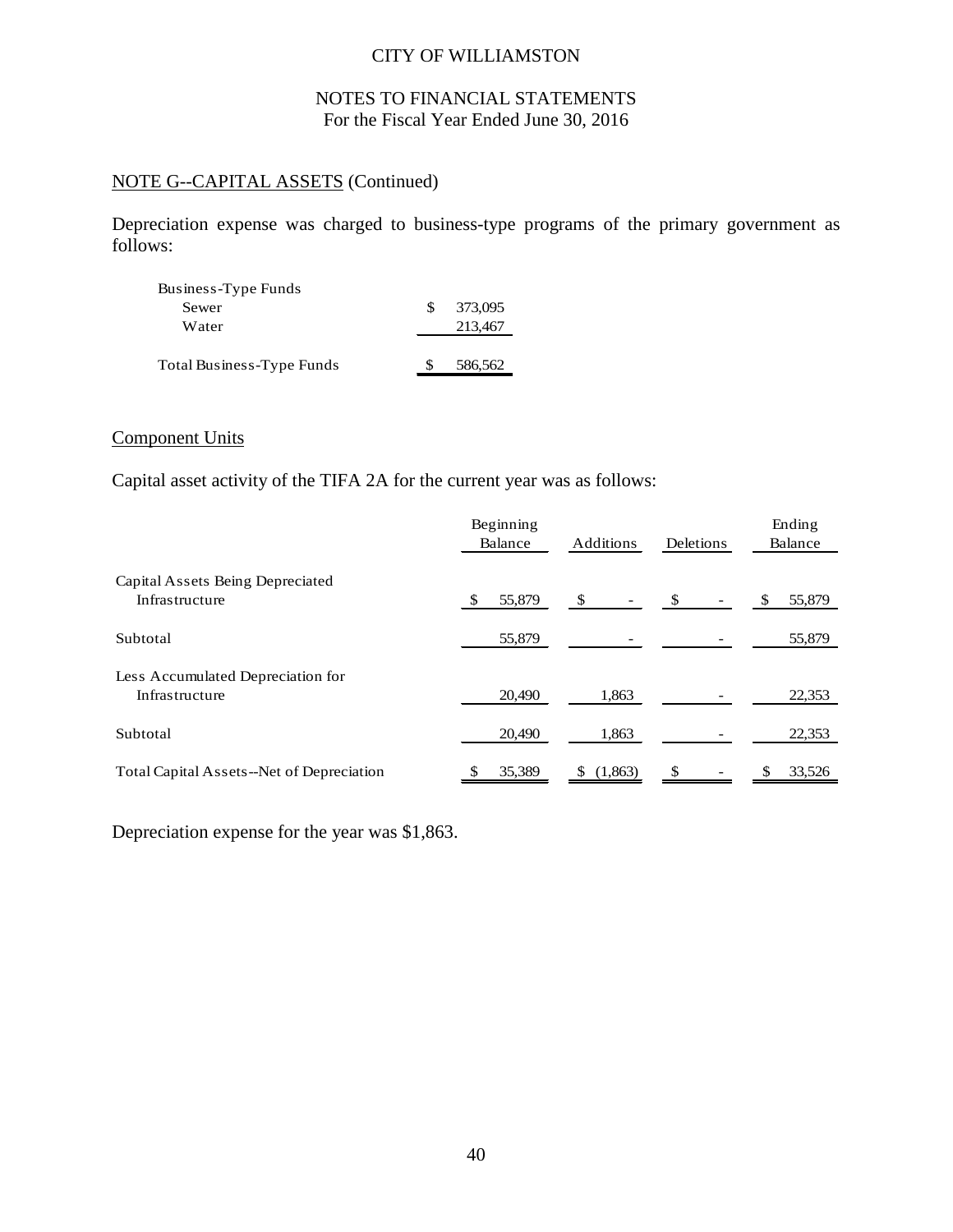# NOTES TO FINANCIAL STATEMENTS For the Fiscal Year Ended June 30, 2016

# NOTE G--CAPITAL ASSETS (Continued)

Depreciation expense was charged to business-type programs of the primary government as follows:

| Business-Type Funds       |    |         |
|---------------------------|----|---------|
| Sewer                     | S. | 373,095 |
| Water                     |    | 213,467 |
|                           |    |         |
| Total Business-Type Funds |    | 586,562 |

# Component Units

Capital asset activity of the TIFA 2A for the current year was as follows:

|                                                     | Beginning<br>Balance | Additions | Deletions     | Ending<br>Balance |
|-----------------------------------------------------|----------------------|-----------|---------------|-------------------|
| Capital Assets Being Depreciated<br>Infrastructure  | 55,879               | - \$      | <sup>\$</sup> | 55,879            |
| Subtotal                                            | 55,879               |           |               | 55,879            |
| Less Accumulated Depreciation for<br>Infrastructure | 20,490               | 1,863     |               | 22,353            |
| Subtotal                                            | 20,490               | 1,863     |               | 22,353            |
| Total Capital Assets--Net of Depreciation           | 35,389               | (1,863)   |               | 33,526            |

Depreciation expense for the year was \$1,863.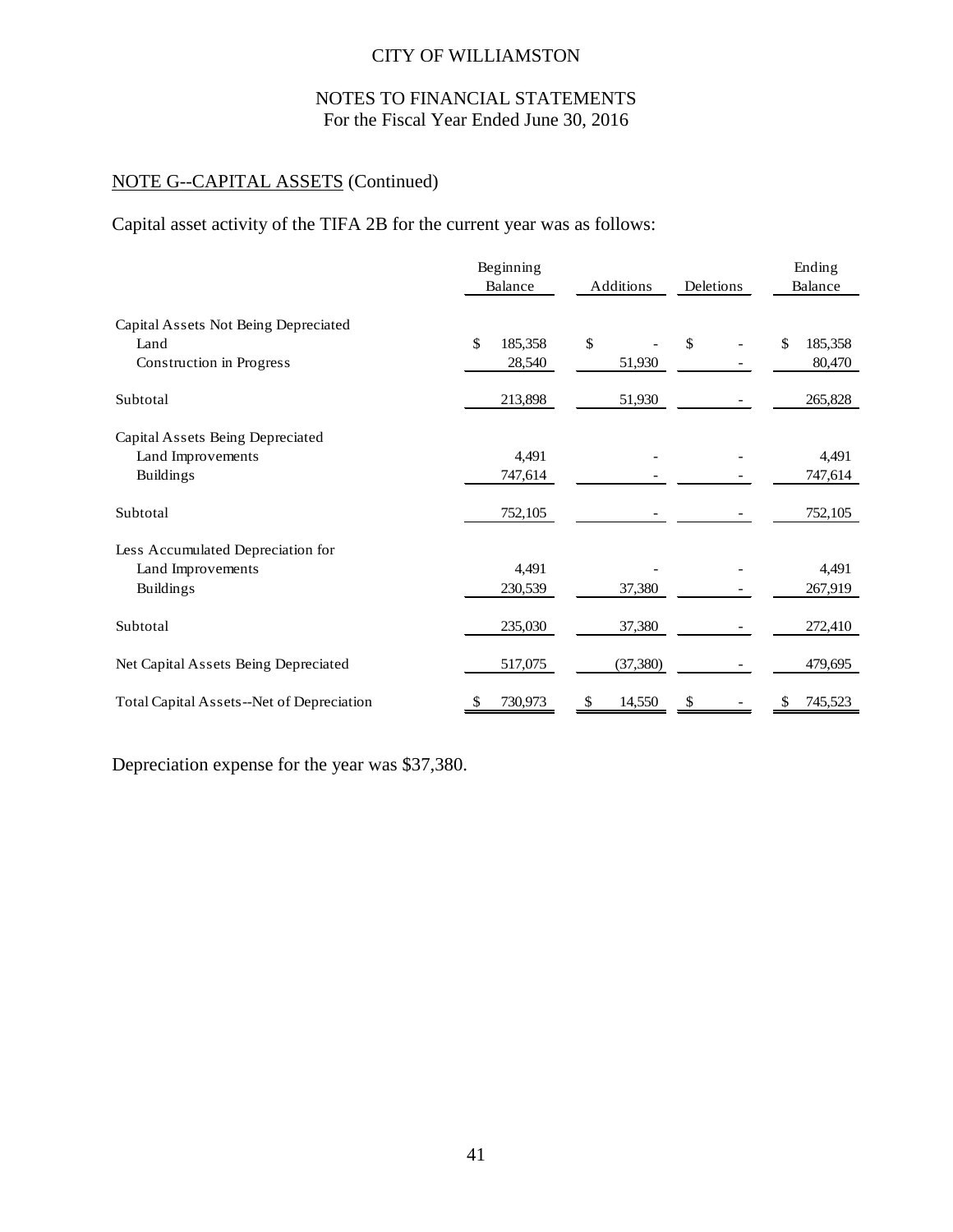# NOTES TO FINANCIAL STATEMENTS For the Fiscal Year Ended June 30, 2016

# NOTE G--CAPITAL ASSETS (Continued)

Capital asset activity of the TIFA 2B for the current year was as follows:

|                                              | Beginning<br>Balance | Additions    | Deletions | Ending<br>Balance |  |
|----------------------------------------------|----------------------|--------------|-----------|-------------------|--|
| Capital Assets Not Being Depreciated<br>Land | \$<br>185,358        | \$           | \$        | \$<br>185,358     |  |
| Construction in Progress                     | 28,540               | 51,930       |           | 80,470            |  |
| Subtotal                                     | 213,898              | 51,930       |           | 265,828           |  |
| Capital Assets Being Depreciated             |                      |              |           |                   |  |
| Land Improvements                            | 4,491                |              |           | 4,491             |  |
| <b>Buildings</b>                             | 747,614              |              |           | 747,614           |  |
| Subtotal                                     | 752,105              |              |           | 752,105           |  |
| Less Accumulated Depreciation for            |                      |              |           |                   |  |
| Land Improvements                            | 4,491                |              |           | 4,491             |  |
| <b>Buildings</b>                             | 230,539              | 37,380       |           | 267,919           |  |
| Subtotal                                     | 235,030              | 37,380       |           | 272,410           |  |
| Net Capital Assets Being Depreciated         | 517,075              | (37, 380)    |           | 479,695           |  |
| Total Capital Assets--Net of Depreciation    | 730,973<br>\$        | 14,550<br>\$ | \$        | 745,523           |  |

Depreciation expense for the year was \$37,380.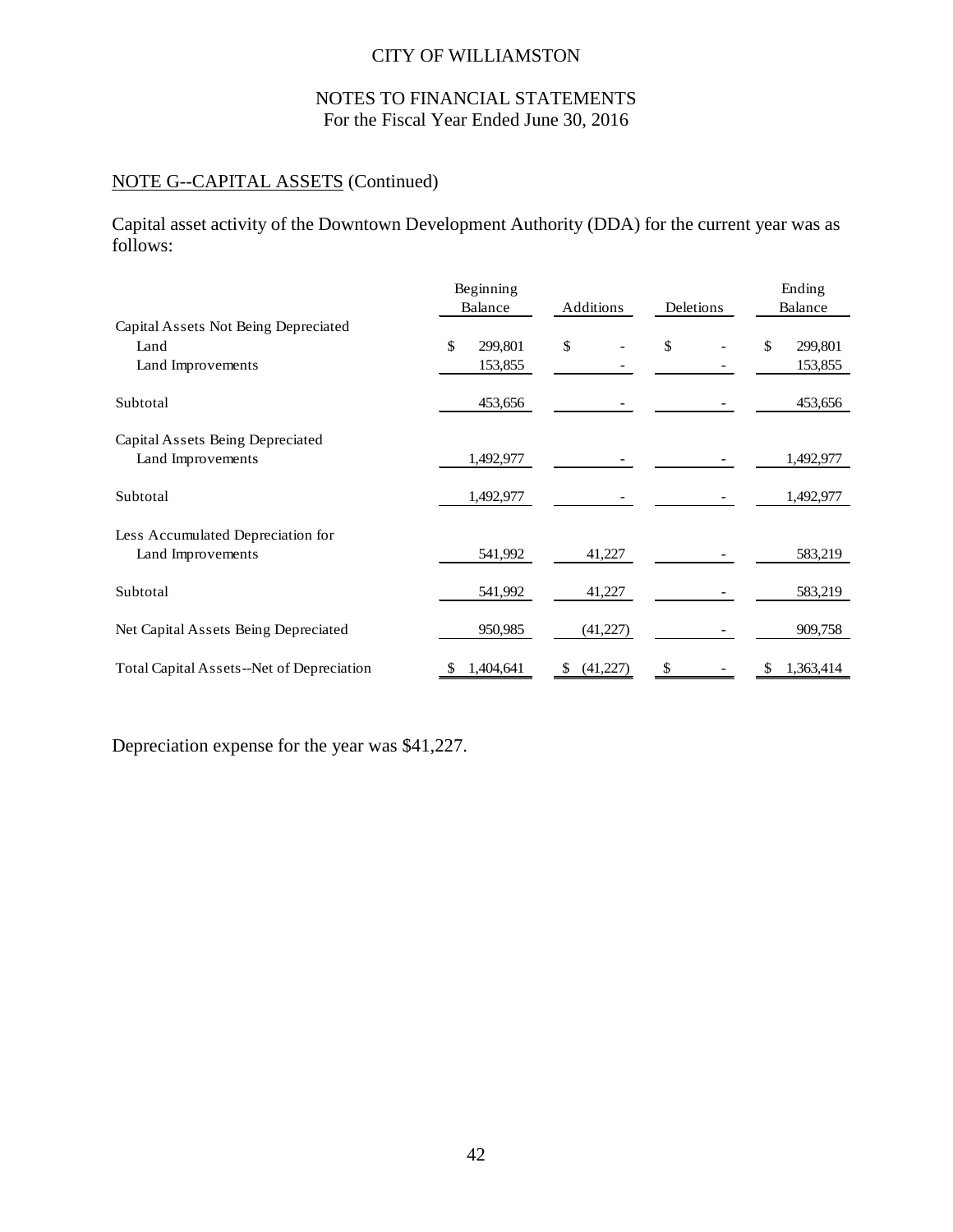# NOTES TO FINANCIAL STATEMENTS For the Fiscal Year Ended June 30, 2016

# NOTE G--CAPITAL ASSETS (Continued)

Capital asset activity of the Downtown Development Authority (DDA) for the current year was as follows:

|                                           | Beginning<br>Balance | Additions | Deletions | Ending<br>Balance |  |
|-------------------------------------------|----------------------|-----------|-----------|-------------------|--|
| Capital Assets Not Being Depreciated      |                      |           |           |                   |  |
| Land                                      | \$<br>299,801        | \$        | \$        | \$<br>299,801     |  |
| Land Improvements                         | 153,855              |           |           | 153,855           |  |
| Subtotal                                  | 453,656              |           |           | 453,656           |  |
| Capital Assets Being Depreciated          |                      |           |           |                   |  |
| Land Improvements                         | 1,492,977            |           |           | 1,492,977         |  |
| Subtotal                                  | 1,492,977            |           |           | 1,492,977         |  |
| Less Accumulated Depreciation for         |                      |           |           |                   |  |
| Land Improvements                         | 541,992              | 41,227    |           | 583,219           |  |
| Subtotal                                  | 541,992              | 41,227    |           | 583,219           |  |
| Net Capital Assets Being Depreciated      | 950,985              | (41, 227) |           | 909,758           |  |
| Total Capital Assets--Net of Depreciation | 1,404,641            | (41,227)  | \$        | 1,363,414         |  |

Depreciation expense for the year was \$41,227.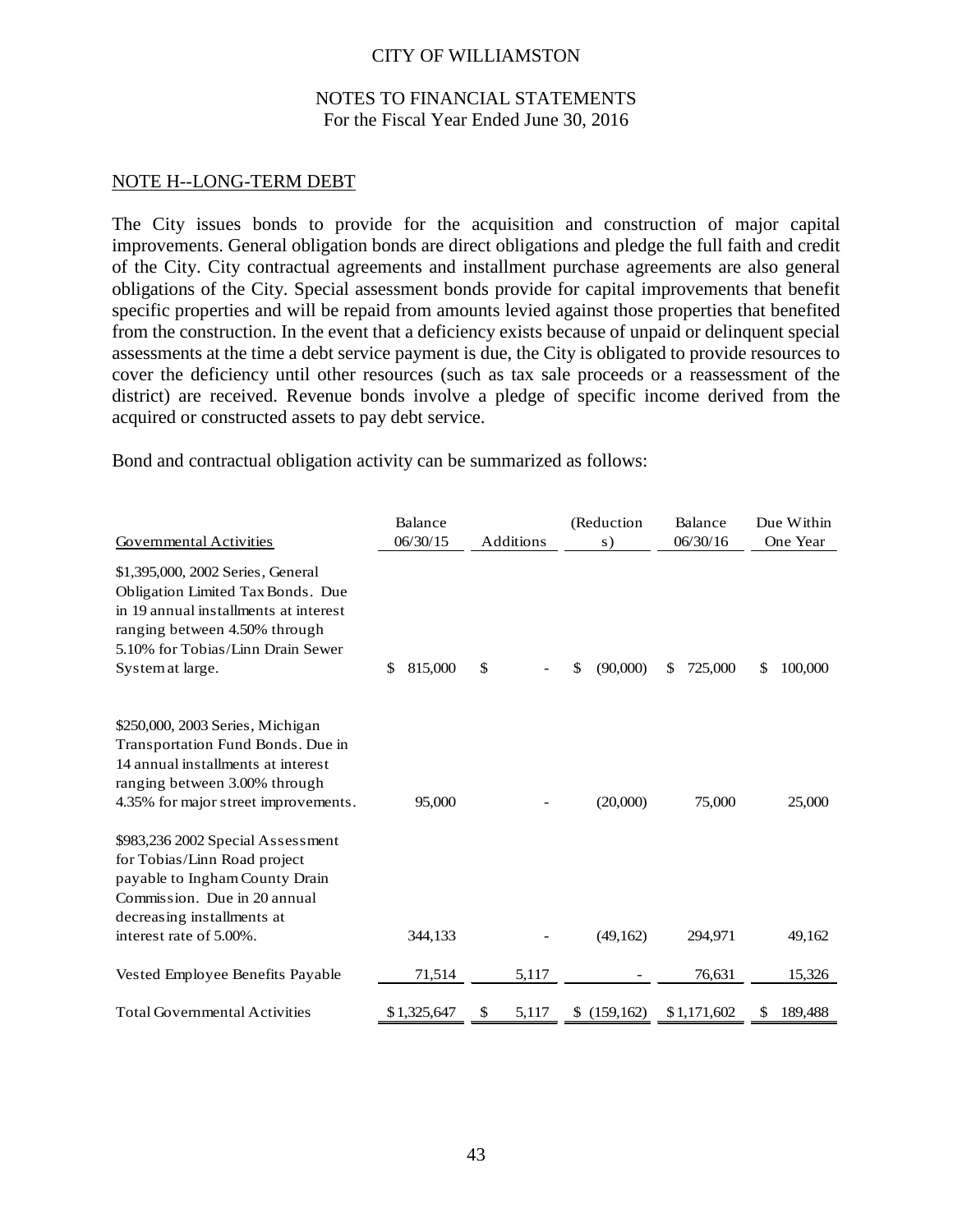### NOTES TO FINANCIAL STATEMENTS For the Fiscal Year Ended June 30, 2016

#### NOTE H--LONG-TERM DEBT

The City issues bonds to provide for the acquisition and construction of major capital improvements. General obligation bonds are direct obligations and pledge the full faith and credit of the City. City contractual agreements and installment purchase agreements are also general obligations of the City. Special assessment bonds provide for capital improvements that benefit specific properties and will be repaid from amounts levied against those properties that benefited from the construction. In the event that a deficiency exists because of unpaid or delinquent special assessments at the time a debt service payment is due, the City is obligated to provide resources to cover the deficiency until other resources (such as tax sale proceeds or a reassessment of the district) are received. Revenue bonds involve a pledge of specific income derived from the acquired or constructed assets to pay debt service.

Bond and contractual obligation activity can be summarized as follows:

|                                                                                                                                                                                                           | Balance       |             | (Reduction     | Balance                 | Due Within    |
|-----------------------------------------------------------------------------------------------------------------------------------------------------------------------------------------------------------|---------------|-------------|----------------|-------------------------|---------------|
| Governmental Activities                                                                                                                                                                                   | 06/30/15      | Additions   | s)             | 06/30/16                | One Year      |
| \$1,395,000, 2002 Series, General<br>Obligation Limited Tax Bonds. Due<br>in 19 annual installments at interest<br>ranging between 4.50% through<br>5.10% for Tobias/Linn Drain Sewer<br>System at large. | 815,000<br>\$ | \$          | (90,000)<br>\$ | $\mathbb{S}$<br>725,000 | 100,000<br>S  |
| \$250,000, 2003 Series, Michigan<br>Transportation Fund Bonds. Due in<br>14 annual installments at interest<br>ranging between 3.00% through<br>4.35% for major street improvements.                      | 95,000        |             | (20,000)       | 75,000                  | 25,000        |
| \$983,236 2002 Special Assessment<br>for Tobias/Linn Road project<br>payable to Ingham County Drain<br>Commission. Due in 20 annual<br>decreasing installments at                                         |               |             |                |                         |               |
| interest rate of 5.00%.                                                                                                                                                                                   | 344,133       |             | (49,162)       | 294,971                 | 49,162        |
| Vested Employee Benefits Payable                                                                                                                                                                          | 71,514        | 5,117       |                | 76,631                  | 15,326        |
| <b>Total Governmental Activities</b>                                                                                                                                                                      | \$1,325,647   | 5,117<br>\$ | \$(159, 162)   | \$1,171,602             | 189,488<br>\$ |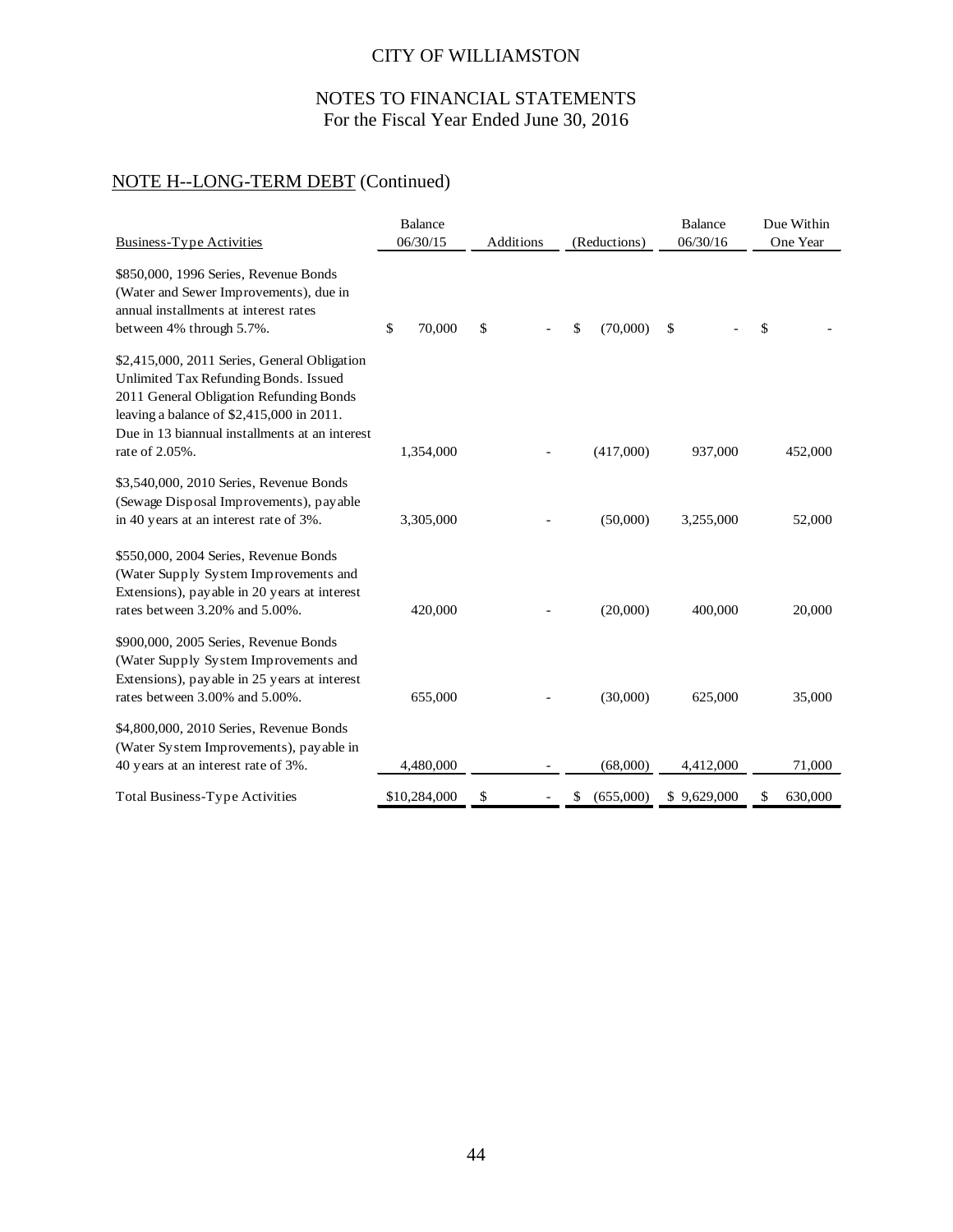# NOTES TO FINANCIAL STATEMENTS For the Fiscal Year Ended June 30, 2016

# NOTE H--LONG-TERM DEBT (Continued)

| <b>Business-Type Activities</b>                                                                                                                                                                                                 | <b>Balance</b><br>06/30/15 | Additions | (Reductions)    | <b>Balance</b><br>06/30/16 | Due Within<br>One Year |  |
|---------------------------------------------------------------------------------------------------------------------------------------------------------------------------------------------------------------------------------|----------------------------|-----------|-----------------|----------------------------|------------------------|--|
| \$850,000, 1996 Series, Revenue Bonds<br>(Water and Sewer Improvements), due in<br>annual installments at interest rates<br>between 4% through 5.7%.                                                                            | \$<br>70,000               | \$        | (70,000)<br>\$  | \$                         | \$                     |  |
| \$2,415,000, 2011 Series, General Obligation<br>Unlimited Tax Refunding Bonds. Issued<br>2011 General Obligation Refunding Bonds<br>leaving a balance of \$2,415,000 in 2011.<br>Due in 13 biannual installments at an interest |                            |           |                 |                            |                        |  |
| rate of 2.05%.                                                                                                                                                                                                                  | 1,354,000                  |           | (417,000)       | 937,000                    | 452,000                |  |
| \$3,540,000, 2010 Series, Revenue Bonds<br>(Sewage Disposal Improvements), payable<br>in 40 years at an interest rate of 3%.                                                                                                    | 3,305,000                  |           | (50,000)        | 3,255,000                  | 52,000                 |  |
| \$550,000, 2004 Series, Revenue Bonds<br>(Water Supply System Improvements and<br>Extensions), payable in 20 years at interest<br>rates between 3.20% and 5.00%.                                                                | 420,000                    |           | (20,000)        | 400,000                    | 20,000                 |  |
| \$900,000, 2005 Series, Revenue Bonds<br>(Water Supply System Improvements and<br>Extensions), payable in 25 years at interest<br>rates between 3.00% and 5.00%.                                                                | 655,000                    |           | (30,000)        | 625,000                    | 35,000                 |  |
| \$4,800,000, 2010 Series, Revenue Bonds<br>(Water System Improvements), payable in<br>40 years at an interest rate of 3%.                                                                                                       | 4,480,000                  |           | (68,000)        | 4,412,000                  | 71,000                 |  |
| <b>Total Business-Type Activities</b>                                                                                                                                                                                           | \$10,284,000               | \$        | (655,000)<br>\$ | \$9,629,000                | 630,000<br>\$          |  |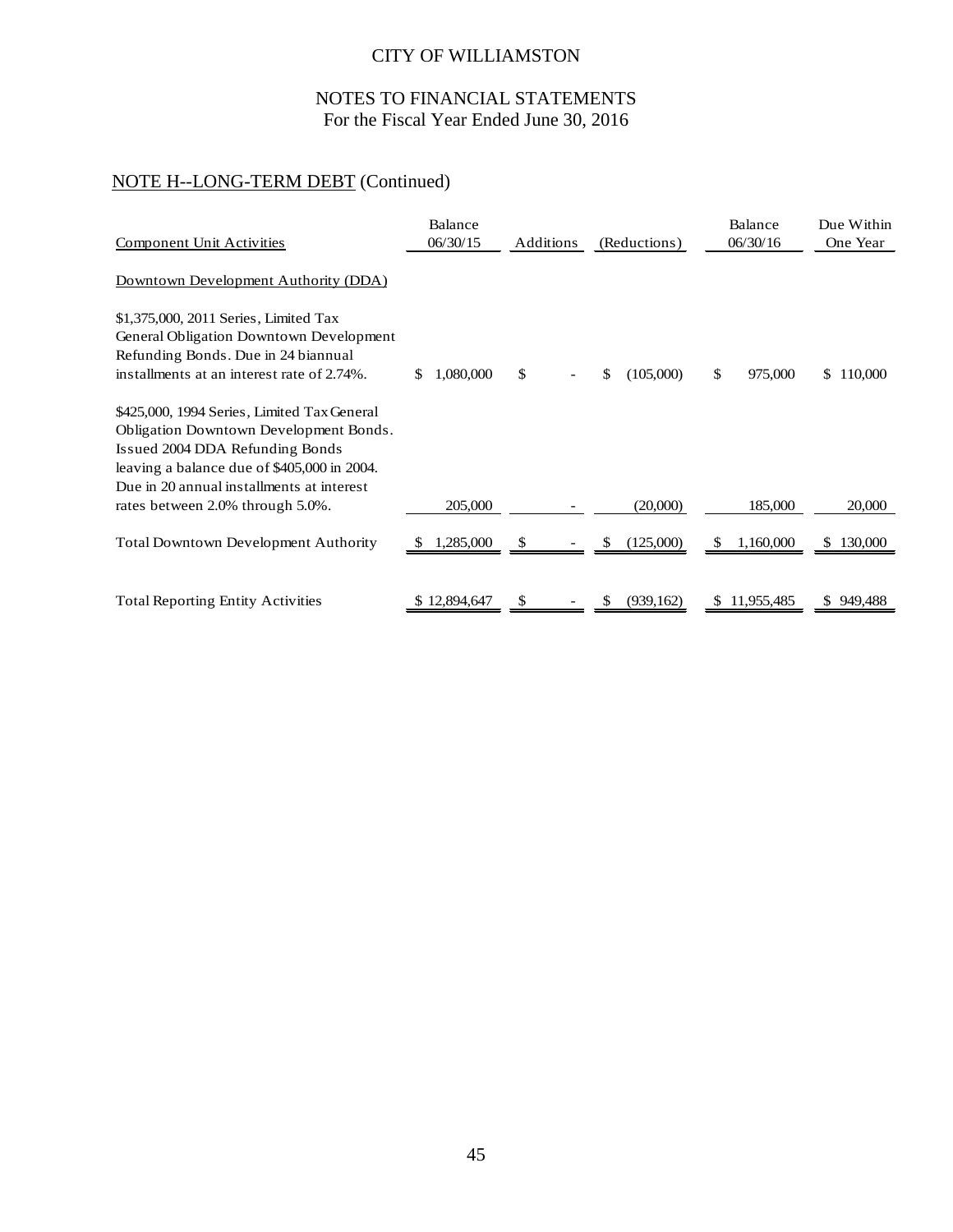# NOTES TO FINANCIAL STATEMENTS For the Fiscal Year Ended June 30, 2016

# NOTE H--LONG-TERM DEBT (Continued)

| <b>Component Unit Activities</b>                                                                                                                                                                                     | Balance<br>06/30/15 | Additions | (Reductions)     | Balance<br>06/30/16     | Due Within<br>One Year |
|----------------------------------------------------------------------------------------------------------------------------------------------------------------------------------------------------------------------|---------------------|-----------|------------------|-------------------------|------------------------|
| Downtown Development Authority (DDA)                                                                                                                                                                                 |                     |           |                  |                         |                        |
| \$1,375,000, 2011 Series, Limited Tax<br>General Obligation Downtown Development<br>Refunding Bonds. Due in 24 biannual<br>installments at an interest rate of 2.74%.                                                | 1,080,000<br>S.     | \$        | (105,000)<br>\$  | $\mathbb{S}$<br>975,000 | 110,000<br>S.          |
| \$425,000, 1994 Series, Limited Tax General<br>Obligation Downtown Development Bonds.<br>Issued 2004 DDA Refunding Bonds<br>leaving a balance due of \$405,000 in 2004.<br>Due in 20 annual installments at interest |                     |           |                  |                         |                        |
| rates between 2.0% through 5.0%.                                                                                                                                                                                     | 205,000             |           | (20,000)         | 185,000                 | 20,000                 |
| <b>Total Downtown Development Authority</b>                                                                                                                                                                          | 1,285,000           | S         | (125,000)<br>S   | 1,160,000<br>S          | 130,000                |
| <b>Total Reporting Entity Activities</b>                                                                                                                                                                             | \$12,894,647        | \$        | (939, 162)<br>S. | \$11,955,485            | \$949,488              |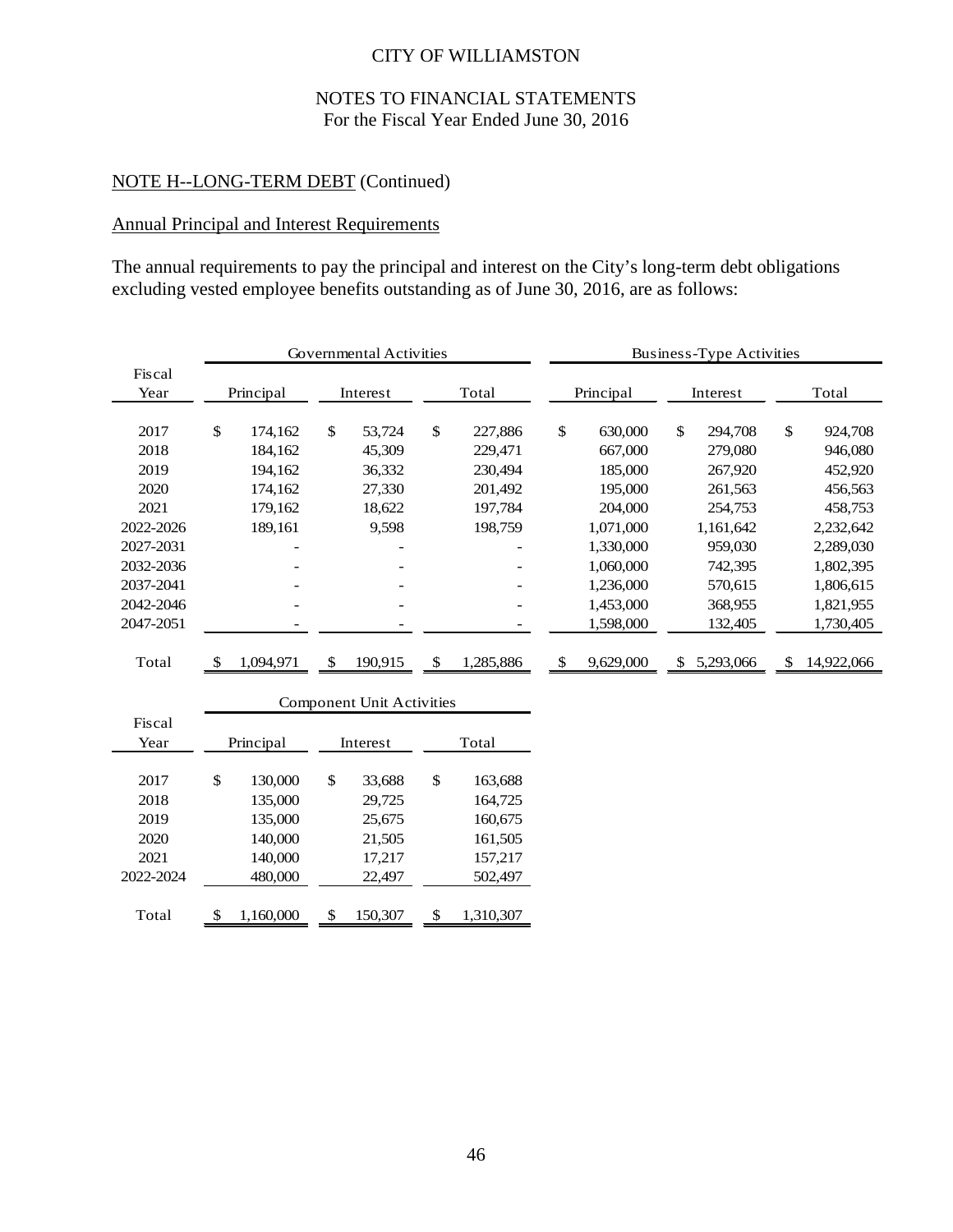# NOTES TO FINANCIAL STATEMENTS For the Fiscal Year Ended June 30, 2016

# NOTE H--LONG-TERM DEBT (Continued)

# Annual Principal and Interest Requirements

The annual requirements to pay the principal and interest on the City's long-term debt obligations excluding vested employee benefits outstanding as of June 30, 2016, are as follows:

|                | Governmental Activities |           |              |          |     |           |     | Business-Type Activities |              |           |    |            |  |  |
|----------------|-------------------------|-----------|--------------|----------|-----|-----------|-----|--------------------------|--------------|-----------|----|------------|--|--|
| Fiscal<br>Year |                         | Principal |              | Interest |     | Total     |     | Principal                |              | Interest  |    | Total      |  |  |
| 2017           | \$                      | 174,162   | $\mathbb{S}$ | 53,724   | \$  | 227,886   | \$  | 630,000                  | $\mathbb{S}$ | 294,708   | \$ | 924,708    |  |  |
| 2018           |                         | 184,162   |              | 45,309   |     | 229,471   |     | 667,000                  |              | 279,080   |    | 946,080    |  |  |
| 2019           |                         | 194,162   |              | 36,332   |     | 230,494   |     | 185,000                  |              | 267,920   |    | 452,920    |  |  |
| 2020           |                         | 174,162   |              | 27,330   |     | 201,492   |     | 195,000                  |              | 261,563   |    | 456,563    |  |  |
| 2021           |                         | 179,162   |              | 18,622   |     | 197,784   |     | 204,000                  |              | 254,753   |    | 458,753    |  |  |
| 2022-2026      |                         | 189,161   |              | 9,598    |     | 198,759   |     | 1,071,000                |              | 1,161,642 |    | 2,232,642  |  |  |
| 2027-2031      |                         |           |              |          |     |           |     | 1,330,000                |              | 959,030   |    | 2,289,030  |  |  |
| 2032-2036      |                         |           |              |          |     |           |     | 1,060,000                |              | 742,395   |    | 1,802,395  |  |  |
| 2037-2041      |                         |           |              |          |     |           |     | 1,236,000                |              | 570,615   |    | 1,806,615  |  |  |
| 2042-2046      |                         |           |              |          |     |           |     | 1,453,000                |              | 368,955   |    | 1,821,955  |  |  |
| 2047-2051      |                         |           |              |          |     |           |     | 1,598,000                |              | 132,405   |    | 1,730,405  |  |  |
|                |                         |           |              |          |     |           |     |                          |              |           |    |            |  |  |
| Total          | -S                      | 1,094,971 | \$.          | 190,915  | \$. | 1,285,886 | \$. | 9,629,000                | S            | 5,293,066 | S  | 14,922,066 |  |  |
|                |                         |           |              |          |     |           |     |                          |              |           |    |            |  |  |

|                | <b>Component Unit Activities</b> |    |          |    |           |  |  |  |  |  |  |
|----------------|----------------------------------|----|----------|----|-----------|--|--|--|--|--|--|
| Fiscal<br>Year | Principal                        |    | Interest |    | Total     |  |  |  |  |  |  |
|                |                                  |    |          |    |           |  |  |  |  |  |  |
| 2017           | \$<br>130,000                    | \$ | 33,688   | \$ | 163,688   |  |  |  |  |  |  |
| 2018           | 135,000                          |    | 29,725   |    | 164,725   |  |  |  |  |  |  |
| 2019           | 135,000                          |    | 25,675   |    | 160,675   |  |  |  |  |  |  |
| 2020           | 140,000                          |    | 21,505   |    | 161,505   |  |  |  |  |  |  |
| 2021           | 140,000                          |    | 17,217   |    | 157,217   |  |  |  |  |  |  |
| 2022-2024      | 480,000                          |    | 22,497   |    | 502,497   |  |  |  |  |  |  |
|                |                                  |    |          |    |           |  |  |  |  |  |  |
| Total          | \$<br>1.160.000                  | \$ | 150.307  | \$ | 1.310.307 |  |  |  |  |  |  |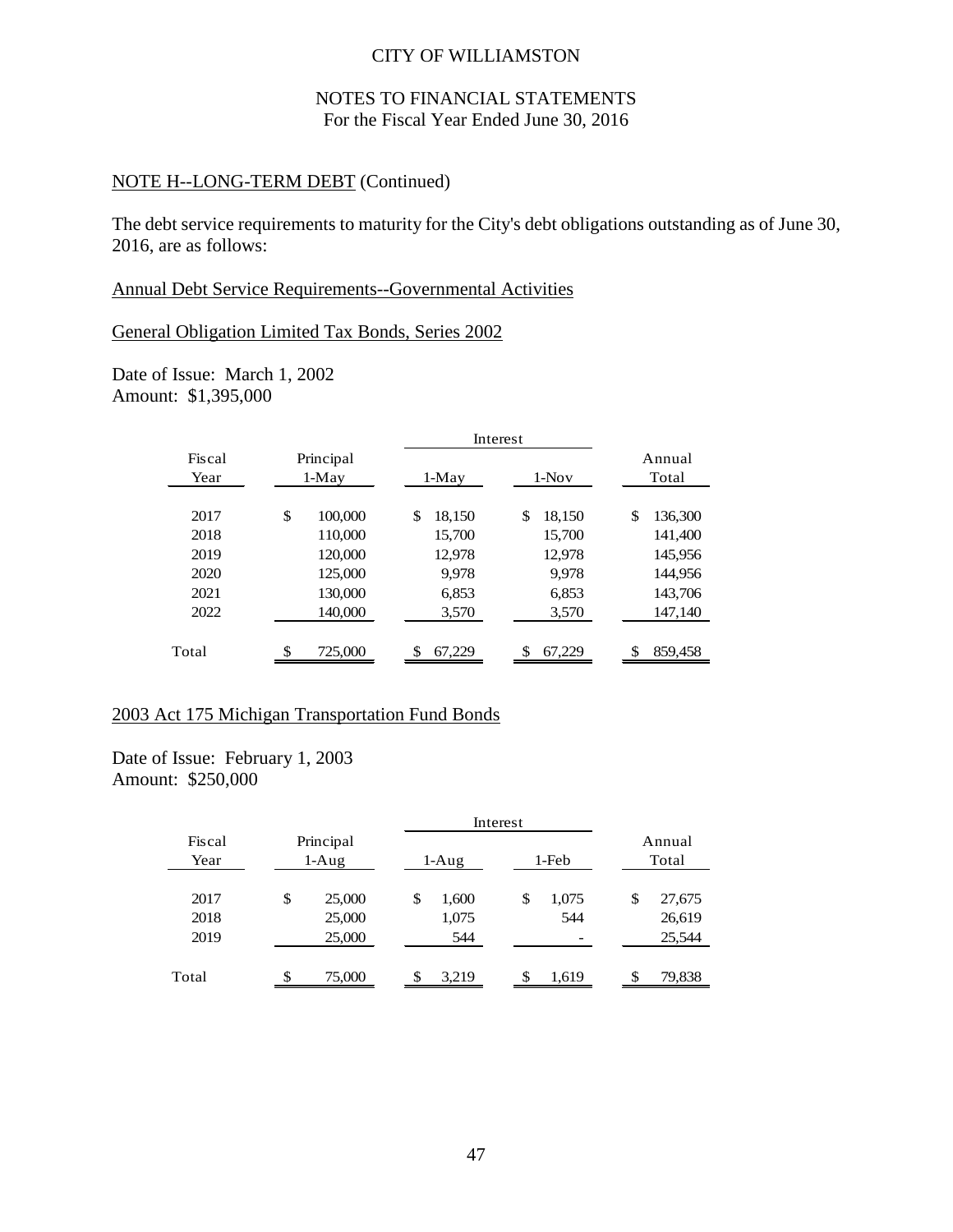### NOTES TO FINANCIAL STATEMENTS For the Fiscal Year Ended June 30, 2016

### NOTE H--LONG-TERM DEBT (Continued)

The debt service requirements to maturity for the City's debt obligations outstanding as of June 30, 2016, are as follows:

#### Annual Debt Service Requirements--Governmental Activities

### General Obligation Limited Tax Bonds, Series 2002

Date of Issue: March 1, 2002 Amount: \$1,395,000

|                |    |                      |    |        | Interest |        |    |         |  |         |  |                 |
|----------------|----|----------------------|----|--------|----------|--------|----|---------|--|---------|--|-----------------|
| Fiscal<br>Year |    | Principal<br>$1-Mav$ |    |        |          |        |    | $1-Mav$ |  | $1-Nov$ |  | Annual<br>Total |
| 2017           | \$ | 100,000              | \$ | 18,150 | \$       | 18,150 | \$ | 136,300 |  |         |  |                 |
| 2018           |    | 110,000              |    | 15,700 |          | 15,700 |    | 141,400 |  |         |  |                 |
| 2019           |    | 120,000              |    | 12,978 |          | 12,978 |    | 145,956 |  |         |  |                 |
| 2020           |    | 125,000              |    | 9.978  |          | 9,978  |    | 144.956 |  |         |  |                 |
| 2021           |    | 130,000              |    | 6,853  |          | 6,853  |    | 143,706 |  |         |  |                 |
| 2022           |    | 140,000              |    | 3,570  |          | 3,570  |    | 147,140 |  |         |  |                 |
| Total          | \$ | 725,000              |    | 67.229 |          | 67.229 |    | 859,458 |  |         |  |                 |

### 2003 Act 175 Michigan Transportation Fund Bonds

Date of Issue: February 1, 2003 Amount: \$250,000

|                |                      |        |             | Interest |       |                 |  |  |
|----------------|----------------------|--------|-------------|----------|-------|-----------------|--|--|
| Fiscal<br>Year | Principal<br>$1-Aug$ |        | $1-Aug$     |          | 1-Feb | Annual<br>Total |  |  |
| 2017           | \$                   | 25,000 | \$<br>1,600 | \$       | 1,075 | \$<br>27,675    |  |  |
| 2018           |                      | 25,000 | 1,075       |          | 544   | 26,619          |  |  |
| 2019           |                      | 25,000 | 544         |          |       | 25,544          |  |  |
| Total          | S.                   | 75,000 | 3,219       |          | 1,619 | 79,838          |  |  |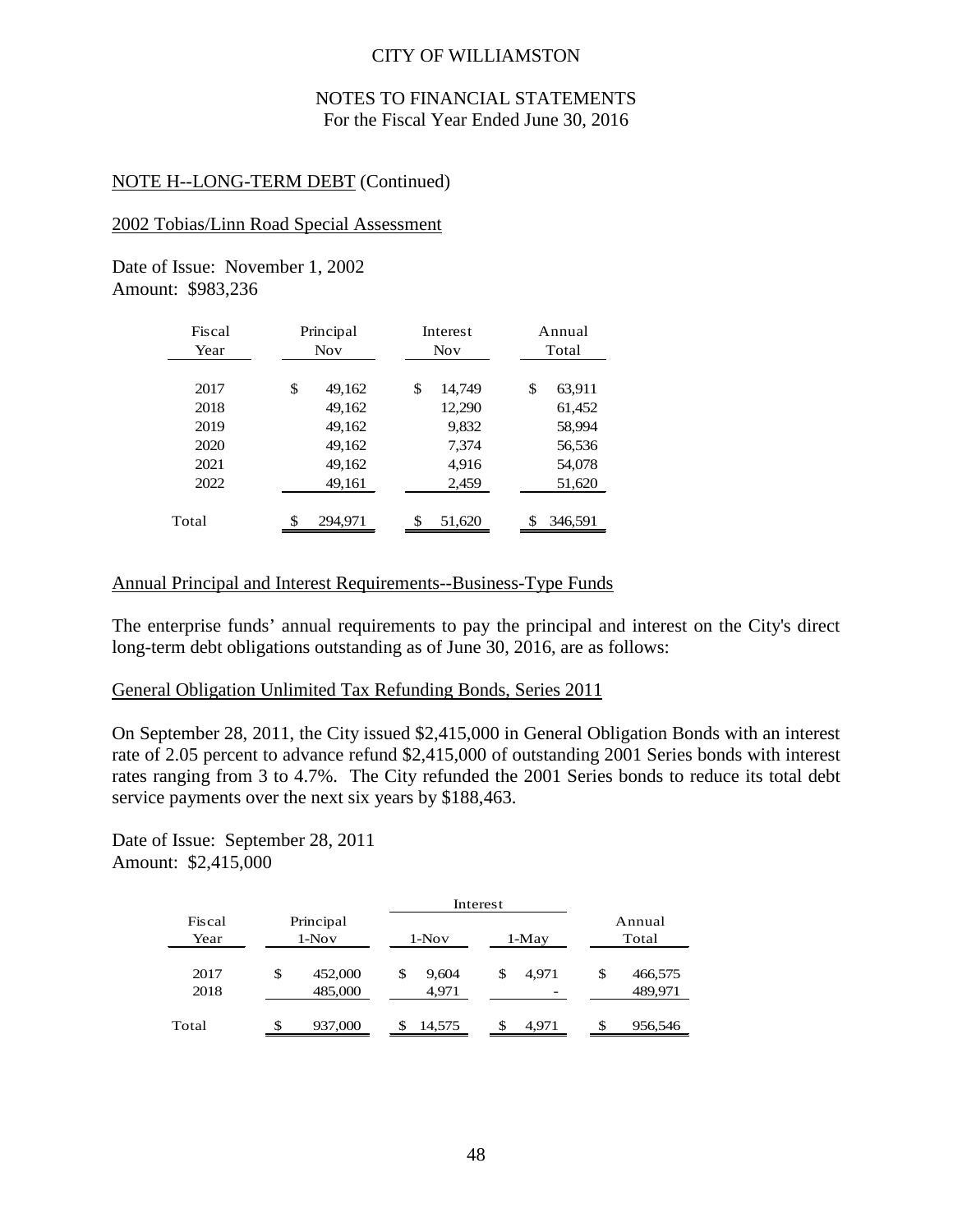### NOTES TO FINANCIAL STATEMENTS For the Fiscal Year Ended June 30, 2016

### NOTE H--LONG-TERM DEBT (Continued)

#### 2002 Tobias/Linn Road Special Assessment

Date of Issue: November 1, 2002 Amount: \$983,236

| Fiscal | Principal     | Interest     | Annual       |  |  |  |
|--------|---------------|--------------|--------------|--|--|--|
| Year   | <b>Nov</b>    | <b>Nov</b>   | Total        |  |  |  |
| 2017   | \$<br>49,162  | \$<br>14,749 | \$<br>63,911 |  |  |  |
| 2018   | 49,162        | 12,290       | 61,452       |  |  |  |
| 2019   | 49,162        | 9,832        | 58,994       |  |  |  |
| 2020   | 49,162        | 7,374        | 56,536       |  |  |  |
| 2021   | 49,162        | 4,916        | 54,078       |  |  |  |
| 2022   | 49,161        | 2,459        | 51,620       |  |  |  |
|        |               |              |              |  |  |  |
| Total  | \$<br>294,971 | \$<br>51,620 | 346,591      |  |  |  |

### Annual Principal and Interest Requirements--Business-Type Funds

The enterprise funds' annual requirements to pay the principal and interest on the City's direct long-term debt obligations outstanding as of June 30, 2016, are as follows:

#### General Obligation Unlimited Tax Refunding Bonds, Series 2011

On September 28, 2011, the City issued \$2,415,000 in General Obligation Bonds with an interest rate of 2.05 percent to advance refund \$2,415,000 of outstanding 2001 Series bonds with interest rates ranging from 3 to 4.7%. The City refunded the 2001 Series bonds to reduce its total debt service payments over the next six years by \$188,463.

Date of Issue: September 28, 2011 Amount: \$2,415,000

|                |                      |                    | Interest             |    |         |    |                    |
|----------------|----------------------|--------------------|----------------------|----|---------|----|--------------------|
| Fiscal<br>Year | Principal<br>$1-Nov$ |                    | $1-Nov$              |    | $1-May$ |    | Annual<br>Total    |
| 2017<br>2018   | \$                   | 452,000<br>485,000 | \$<br>9.604<br>4,971 | \$ | 4.971   | \$ | 466,575<br>489,971 |
| Total          | \$                   | 937,000            | 14,575               | \$ | 4,971   | \$ | 956,546            |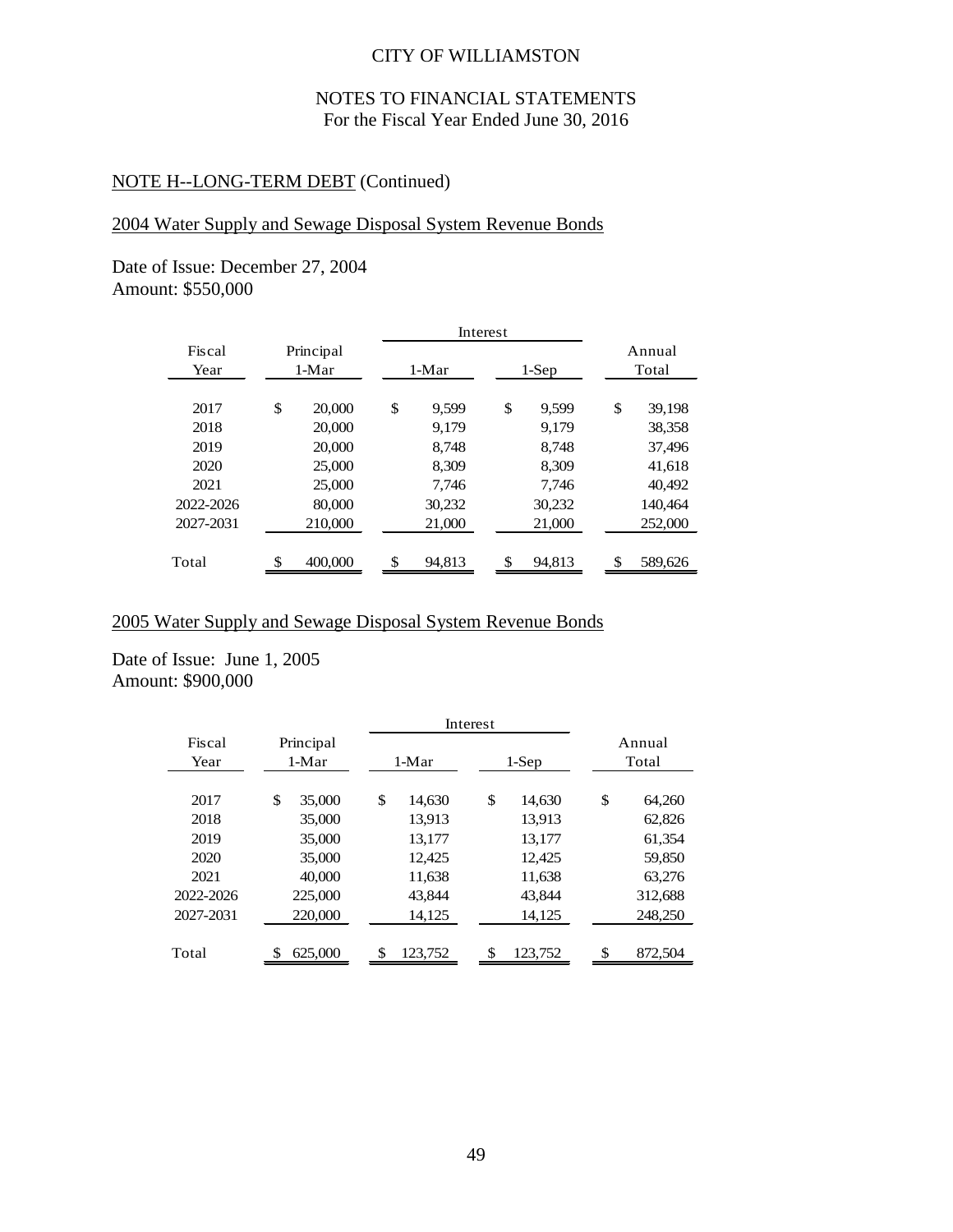# NOTES TO FINANCIAL STATEMENTS For the Fiscal Year Ended June 30, 2016

# NOTE H--LONG-TERM DEBT (Continued)

# 2004 Water Supply and Sewage Disposal System Revenue Bonds

Date of Issue: December 27, 2004 Amount: \$550,000

|           |               |         |        | Interest |        |              |
|-----------|---------------|---------|--------|----------|--------|--------------|
| Fiscal    | Principal     |         |        |          |        | Annual       |
| Year      | $1-Mar$       | $1-Mar$ |        | 1-Sep    | Total  |              |
|           |               |         |        |          |        |              |
| 2017      | \$<br>20,000  | \$      | 9.599  | \$       | 9.599  | \$<br>39.198 |
| 2018      | 20,000        |         | 9.179  |          | 9.179  | 38,358       |
| 2019      | 20,000        |         | 8,748  |          | 8,748  | 37,496       |
| 2020      | 25,000        |         | 8.309  |          | 8.309  | 41.618       |
| 2021      | 25,000        |         | 7.746  |          | 7.746  | 40.492       |
| 2022-2026 | 80,000        |         | 30,232 |          | 30,232 | 140,464      |
| 2027-2031 | 210,000       |         | 21,000 |          | 21,000 | 252,000      |
|           |               |         |        |          |        |              |
| Total     | \$<br>400,000 | \$      | 94,813 | \$       | 94,813 | 589,626      |

#### 2005 Water Supply and Sewage Disposal System Revenue Bonds

Date of Issue: June 1, 2005 Amount: \$900,000

|                     |              | Interest      |               |               |
|---------------------|--------------|---------------|---------------|---------------|
| Fiscal<br>Principal |              |               |               | Annual        |
| Year                | 1-Mar        | $1-Mar$       | $1-Sep$       | Total         |
| 2017                | \$<br>35,000 | \$<br>14,630  | \$<br>14,630  | \$<br>64,260  |
| 2018                | 35,000       | 13.913        | 13.913        | 62,826        |
| 2019                | 35,000       | 13,177        | 13,177        | 61,354        |
| 2020                | 35,000       | 12,425        | 12,425        | 59,850        |
| 2021                | 40,000       | 11,638        | 11,638        | 63,276        |
| 2022-2026           | 225,000      | 43.844        | 43.844        | 312,688       |
| 2027-2031           | 220,000      | 14,125        | 14,125        | 248,250       |
|                     |              |               |               |               |
| Total               | 625,000      | \$<br>123,752 | \$<br>123,752 | \$<br>872,504 |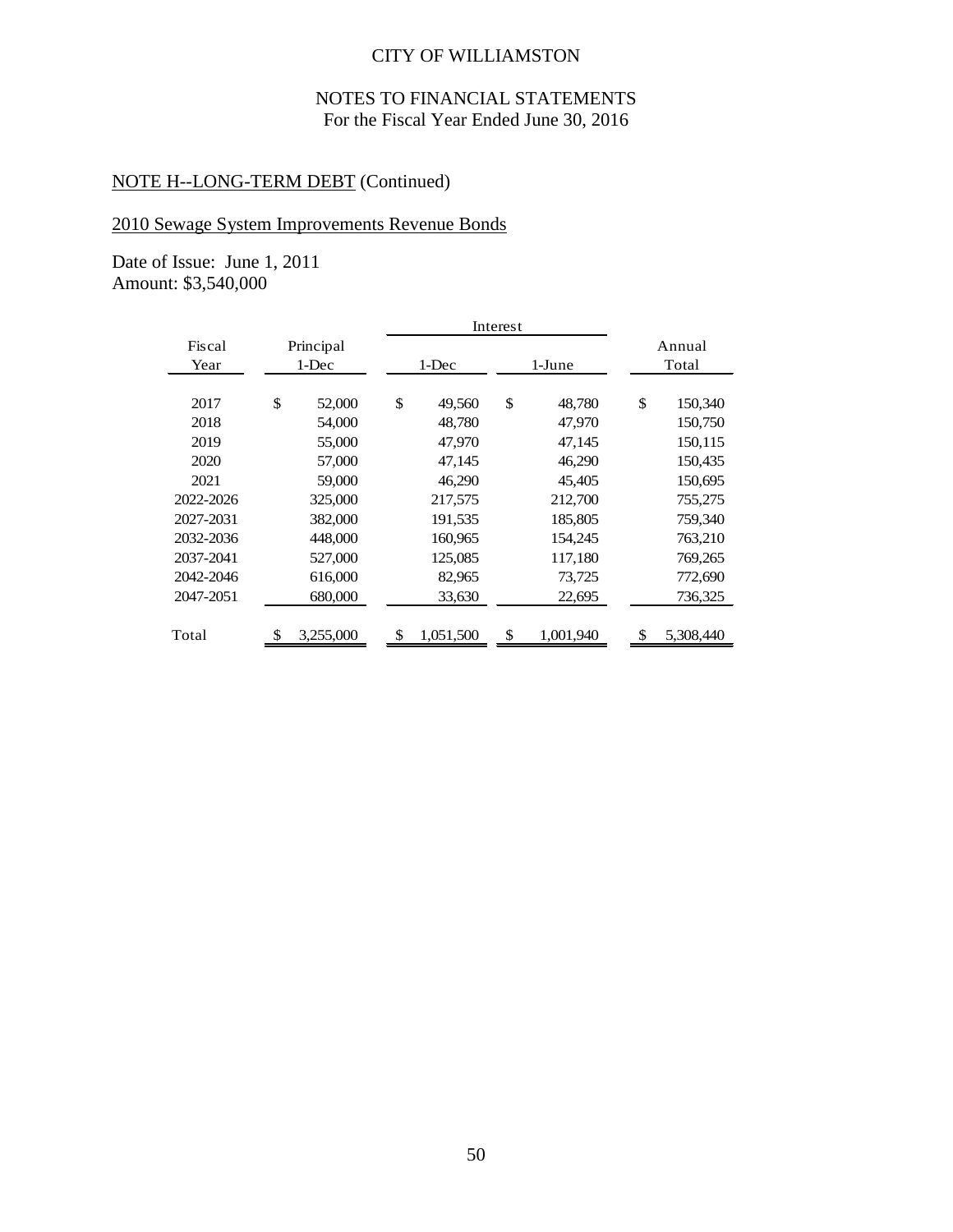# NOTES TO FINANCIAL STATEMENTS For the Fiscal Year Ended June 30, 2016

# NOTE H--LONG-TERM DEBT (Continued)

# 2010 Sewage System Improvements Revenue Bonds

Date of Issue: June 1, 2011 Amount: \$3,540,000

|           |                 | Interest        |                 |  |                 |
|-----------|-----------------|-----------------|-----------------|--|-----------------|
| Fiscal    | Principal       |                 |                 |  | Annual          |
| Year      | $1-Dec$         | 1-Dec           | 1-June          |  | Total           |
|           |                 |                 |                 |  |                 |
| 2017      | \$<br>52,000    | \$<br>49,560    | \$<br>48,780    |  | \$<br>150,340   |
| 2018      | 54,000          | 48,780          | 47,970          |  | 150,750         |
| 2019      | 55,000          | 47,970          | 47,145          |  | 150,115         |
| 2020      | 57,000          | 47,145          | 46,290          |  | 150,435         |
| 2021      | 59,000          | 46,290          | 45,405          |  | 150,695         |
| 2022-2026 | 325,000         | 217,575         | 212,700         |  | 755,275         |
| 2027-2031 | 382,000         | 191,535         | 185,805         |  | 759,340         |
| 2032-2036 | 448,000         | 160,965         | 154,245         |  | 763,210         |
| 2037-2041 | 527,000         | 125,085         | 117,180         |  | 769,265         |
| 2042-2046 | 616,000         | 82,965          | 73,725          |  | 772,690         |
| 2047-2051 | 680,000         | 33,630          | 22,695          |  | 736,325         |
|           |                 |                 |                 |  |                 |
| Total     | \$<br>3,255,000 | \$<br>1,051,500 | \$<br>1,001,940 |  | \$<br>5,308,440 |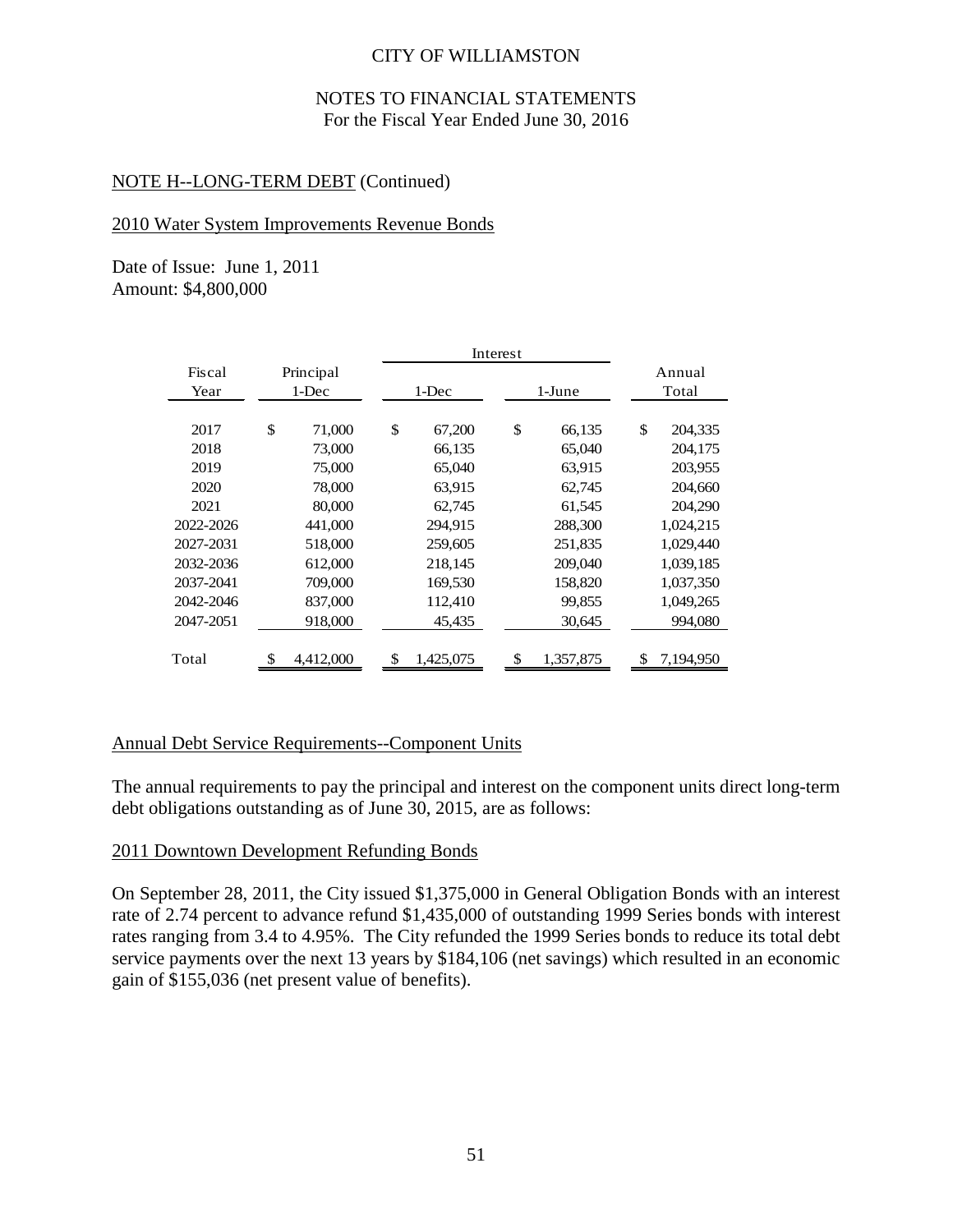### NOTES TO FINANCIAL STATEMENTS For the Fiscal Year Ended June 30, 2016

### NOTE H--LONG-TERM DEBT (Continued)

#### 2010 Water System Improvements Revenue Bonds

Date of Issue: June 1, 2011 Amount: \$4,800,000

|           |              | Interest     |  |               |           |  |               |
|-----------|--------------|--------------|--|---------------|-----------|--|---------------|
| Fiscal    | Principal    |              |  |               |           |  | Annual        |
| Year      | 1-Dec        | 1-Dec        |  | 1-June        |           |  | Total         |
|           |              |              |  |               |           |  |               |
| 2017      | \$<br>71,000 | \$<br>67,200 |  | $\mathcal{S}$ | 66,135    |  | \$<br>204,335 |
| 2018      | 73,000       | 66,135       |  |               | 65,040    |  | 204,175       |
| 2019      | 75,000       | 65,040       |  |               | 63,915    |  | 203,955       |
| 2020      | 78,000       | 63,915       |  |               | 62,745    |  | 204,660       |
| 2021      | 80,000       | 62,745       |  |               | 61,545    |  | 204,290       |
| 2022-2026 | 441,000      | 294,915      |  |               | 288,300   |  | 1,024,215     |
| 2027-2031 | 518,000      | 259,605      |  |               | 251.835   |  | 1,029,440     |
| 2032-2036 | 612,000      | 218,145      |  |               | 209,040   |  | 1,039,185     |
| 2037-2041 | 709,000      | 169,530      |  |               | 158,820   |  | 1,037,350     |
| 2042-2046 | 837,000      | 112,410      |  |               | 99,855    |  | 1,049,265     |
| 2047-2051 | 918,000      | 45,435       |  |               | 30,645    |  | 994,080       |
|           |              |              |  |               |           |  |               |
| Total     | 4,412,000    | 1,425,075    |  |               | 1,357,875 |  | 7,194,950     |

### Annual Debt Service Requirements--Component Units

The annual requirements to pay the principal and interest on the component units direct long-term debt obligations outstanding as of June 30, 2015, are as follows:

### 2011 Downtown Development Refunding Bonds

On September 28, 2011, the City issued \$1,375,000 in General Obligation Bonds with an interest rate of 2.74 percent to advance refund \$1,435,000 of outstanding 1999 Series bonds with interest rates ranging from 3.4 to 4.95%. The City refunded the 1999 Series bonds to reduce its total debt service payments over the next 13 years by \$184,106 (net savings) which resulted in an economic gain of \$155,036 (net present value of benefits).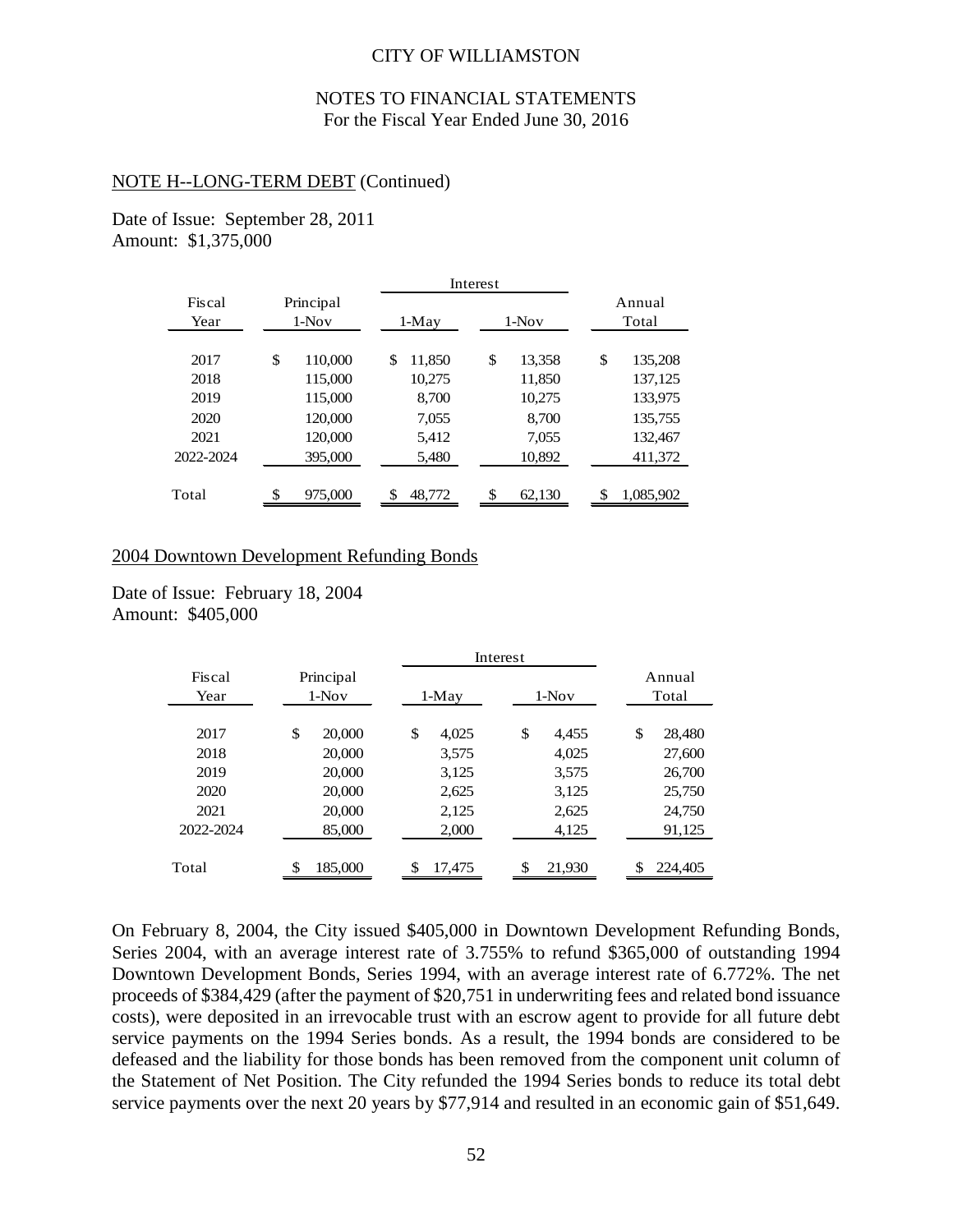### NOTES TO FINANCIAL STATEMENTS For the Fiscal Year Ended June 30, 2016

#### NOTE H--LONG-TERM DEBT (Continued)

Date of Issue: September 28, 2011 Amount: \$1,375,000

|           |               | Interest |        |    |         |    |           |
|-----------|---------------|----------|--------|----|---------|----|-----------|
| Fiscal    | Principal     |          |        |    |         |    | Annual    |
| Year      | $1-Nov$       |          | 1-May  |    | $1-Nov$ |    | Total     |
|           |               |          |        |    |         |    |           |
| 2017      | \$<br>110,000 | \$       | 11.850 | \$ | 13.358  | \$ | 135,208   |
| 2018      | 115,000       |          | 10,275 |    | 11,850  |    | 137,125   |
| 2019      | 115,000       |          | 8,700  |    | 10,275  |    | 133,975   |
| 2020      | 120,000       |          | 7,055  |    | 8,700   |    | 135,755   |
| 2021      | 120,000       |          | 5,412  |    | 7,055   |    | 132,467   |
| 2022-2024 | 395,000       |          | 5,480  |    | 10,892  |    | 411,372   |
|           |               |          |        |    |         |    |           |
| Total     | 975,000       | \$       | 48.772 | \$ | 62,130  |    | 1,085,902 |

#### 2004 Downtown Development Refunding Bonds

Date of Issue: February 18, 2004 Amount: \$405,000

|                |                      |             | Interest    |                 |  |  |  |
|----------------|----------------------|-------------|-------------|-----------------|--|--|--|
| Fiscal<br>Year | Principal<br>$1-Nov$ | $1-May$     | $1-Nov$     | Annual<br>Total |  |  |  |
|                |                      |             |             |                 |  |  |  |
| 2017           | \$<br>20,000         | \$<br>4,025 | \$<br>4.455 | \$<br>28,480    |  |  |  |
| 2018           | 20,000               | 3,575       | 4,025       | 27,600          |  |  |  |
| 2019           | 20,000               | 3,125       | 3.575       | 26,700          |  |  |  |
| 2020           | 20,000               | 2,625       | 3,125       | 25,750          |  |  |  |
| 2021           | 20,000               | 2,125       | 2,625       | 24,750          |  |  |  |
| 2022-2024      | 85,000               | 2,000       | 4,125       | 91,125          |  |  |  |
|                |                      |             |             |                 |  |  |  |
| Total          | 185,000              | 17.475      | 21.930      | 224,405<br>\$   |  |  |  |
|                |                      |             |             |                 |  |  |  |

On February 8, 2004, the City issued \$405,000 in Downtown Development Refunding Bonds, Series 2004, with an average interest rate of 3.755% to refund \$365,000 of outstanding 1994 Downtown Development Bonds, Series 1994, with an average interest rate of 6.772%. The net proceeds of \$384,429 (after the payment of \$20,751 in underwriting fees and related bond issuance costs), were deposited in an irrevocable trust with an escrow agent to provide for all future debt service payments on the 1994 Series bonds. As a result, the 1994 bonds are considered to be defeased and the liability for those bonds has been removed from the component unit column of the Statement of Net Position. The City refunded the 1994 Series bonds to reduce its total debt service payments over the next 20 years by \$77,914 and resulted in an economic gain of \$51,649.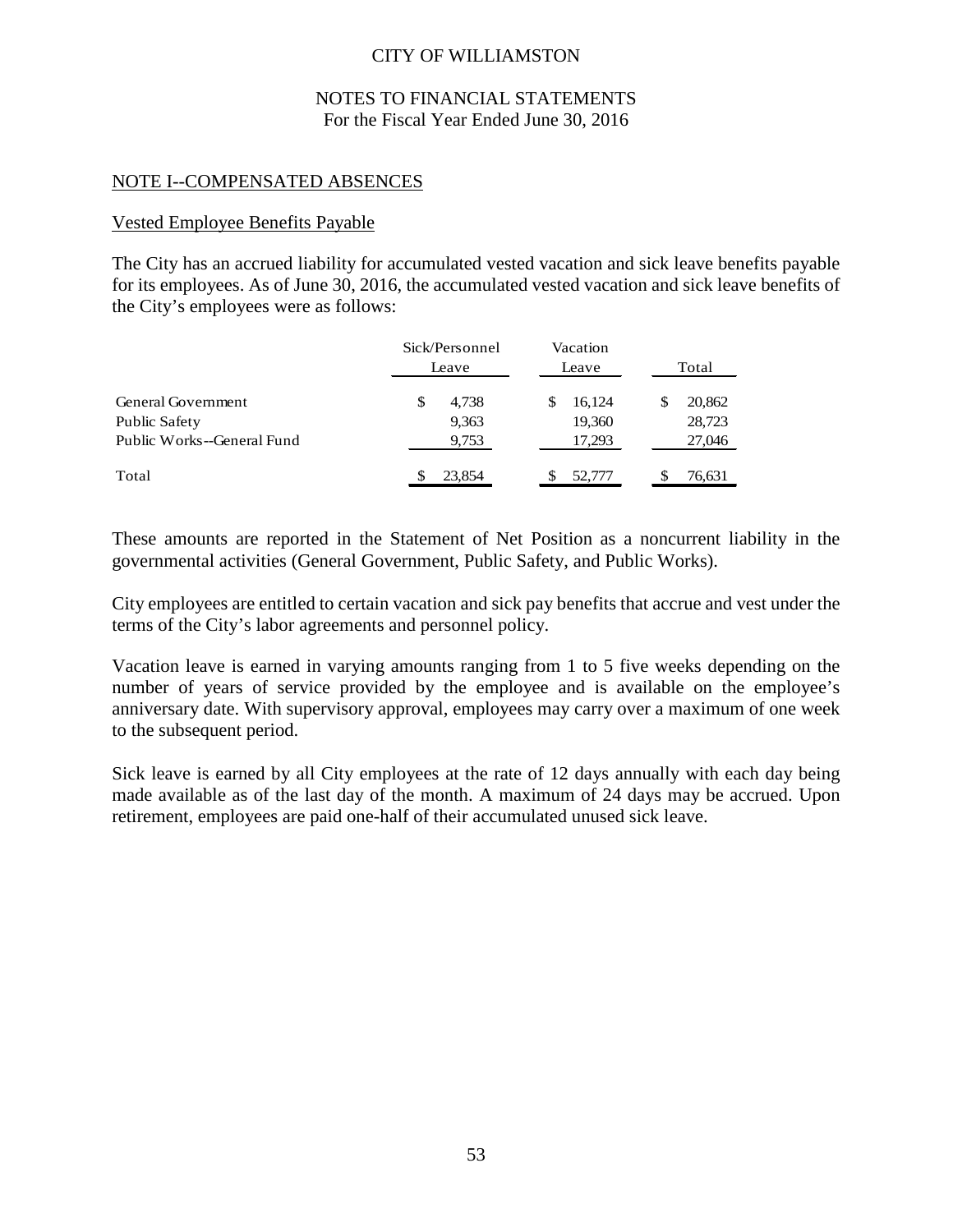### NOTES TO FINANCIAL STATEMENTS For the Fiscal Year Ended June 30, 2016

### NOTE I--COMPENSATED ABSENCES

### Vested Employee Benefits Payable

The City has an accrued liability for accumulated vested vacation and sick leave benefits payable for its employees. As of June 30, 2016, the accumulated vested vacation and sick leave benefits of the City's employees were as follows:

|                            | Sick/Personnel<br>Leave | Vacation<br>Leave | Total  |
|----------------------------|-------------------------|-------------------|--------|
| <b>General Government</b>  | 4.738<br>S              | 16,124<br>S       | 20,862 |
| Public Safety              | 9,363                   | 19,360            | 28,723 |
| Public Works--General Fund | 9,753                   | 17,293            | 27,046 |
| Total                      | 23,854                  | 52,777            | 76,631 |

These amounts are reported in the Statement of Net Position as a noncurrent liability in the governmental activities (General Government, Public Safety, and Public Works).

City employees are entitled to certain vacation and sick pay benefits that accrue and vest under the terms of the City's labor agreements and personnel policy.

Vacation leave is earned in varying amounts ranging from 1 to 5 five weeks depending on the number of years of service provided by the employee and is available on the employee's anniversary date. With supervisory approval, employees may carry over a maximum of one week to the subsequent period.

Sick leave is earned by all City employees at the rate of 12 days annually with each day being made available as of the last day of the month. A maximum of 24 days may be accrued. Upon retirement, employees are paid one-half of their accumulated unused sick leave.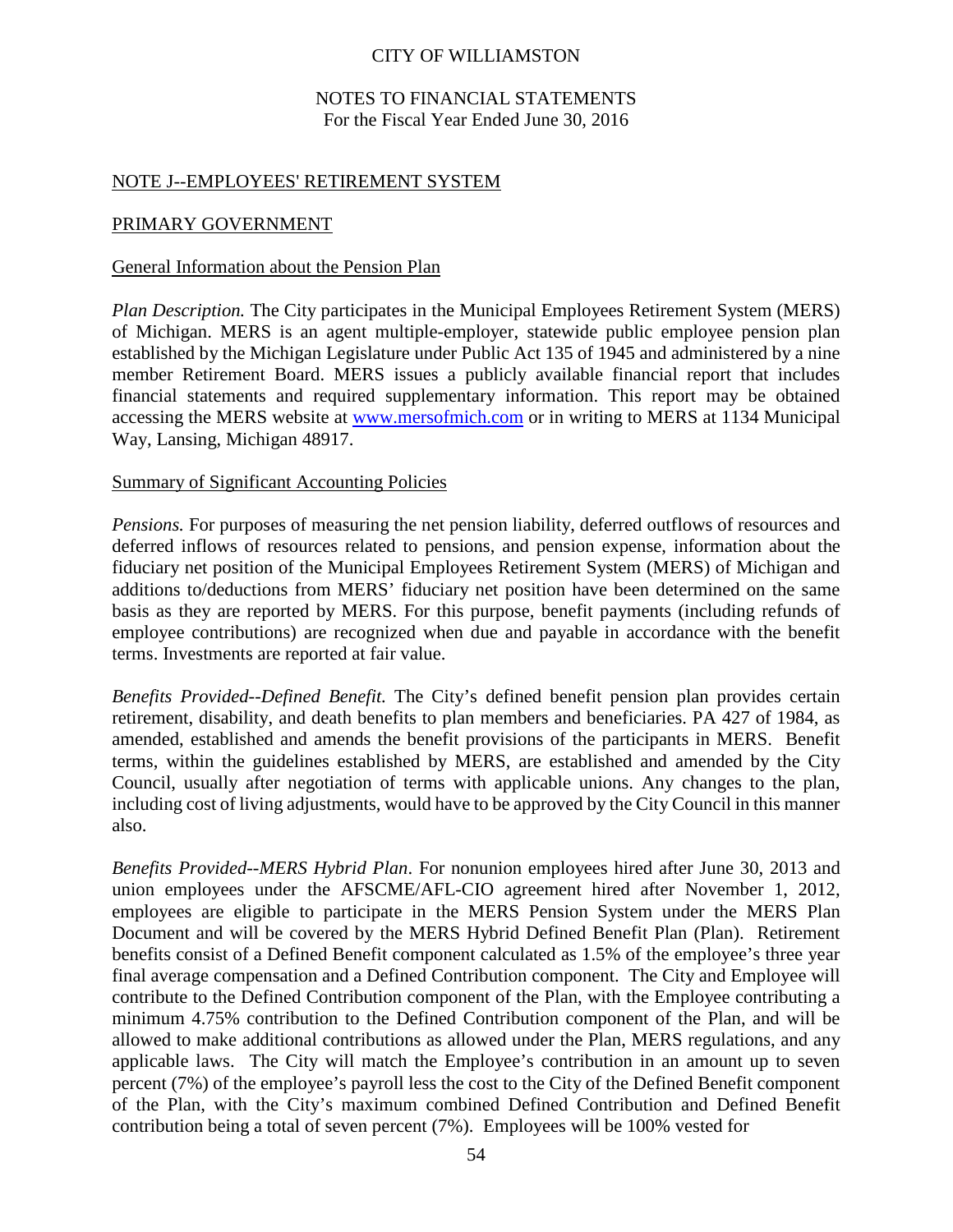### NOTES TO FINANCIAL STATEMENTS For the Fiscal Year Ended June 30, 2016

### NOTE J--EMPLOYEES' RETIREMENT SYSTEM

#### PRIMARY GOVERNMENT

#### General Information about the Pension Plan

*Plan Description.* The City participates in the Municipal Employees Retirement System (MERS) of Michigan. MERS is an agent multiple-employer, statewide public employee pension plan established by the Michigan Legislature under Public Act 135 of 1945 and administered by a nine member Retirement Board. MERS issues a publicly available financial report that includes financial statements and required supplementary information. This report may be obtained accessing the MERS website at [www.mersofmich.com](http://www.mersofmich.com/) or in writing to MERS at 1134 Municipal Way, Lansing, Michigan 48917.

#### Summary of Significant Accounting Policies

*Pensions.* For purposes of measuring the net pension liability, deferred outflows of resources and deferred inflows of resources related to pensions, and pension expense, information about the fiduciary net position of the Municipal Employees Retirement System (MERS) of Michigan and additions to/deductions from MERS' fiduciary net position have been determined on the same basis as they are reported by MERS. For this purpose, benefit payments (including refunds of employee contributions) are recognized when due and payable in accordance with the benefit terms. Investments are reported at fair value.

*Benefits Provided--Defined Benefit.* The City's defined benefit pension plan provides certain retirement, disability, and death benefits to plan members and beneficiaries. PA 427 of 1984, as amended, established and amends the benefit provisions of the participants in MERS. Benefit terms, within the guidelines established by MERS, are established and amended by the City Council, usually after negotiation of terms with applicable unions. Any changes to the plan, including cost of living adjustments, would have to be approved by the City Council in this manner also.

*Benefits Provided--MERS Hybrid Plan*. For nonunion employees hired after June 30, 2013 and union employees under the AFSCME/AFL-CIO agreement hired after November 1, 2012, employees are eligible to participate in the MERS Pension System under the MERS Plan Document and will be covered by the MERS Hybrid Defined Benefit Plan (Plan). Retirement benefits consist of a Defined Benefit component calculated as 1.5% of the employee's three year final average compensation and a Defined Contribution component. The City and Employee will contribute to the Defined Contribution component of the Plan, with the Employee contributing a minimum 4.75% contribution to the Defined Contribution component of the Plan, and will be allowed to make additional contributions as allowed under the Plan, MERS regulations, and any applicable laws. The City will match the Employee's contribution in an amount up to seven percent (7%) of the employee's payroll less the cost to the City of the Defined Benefit component of the Plan, with the City's maximum combined Defined Contribution and Defined Benefit contribution being a total of seven percent (7%). Employees will be 100% vested for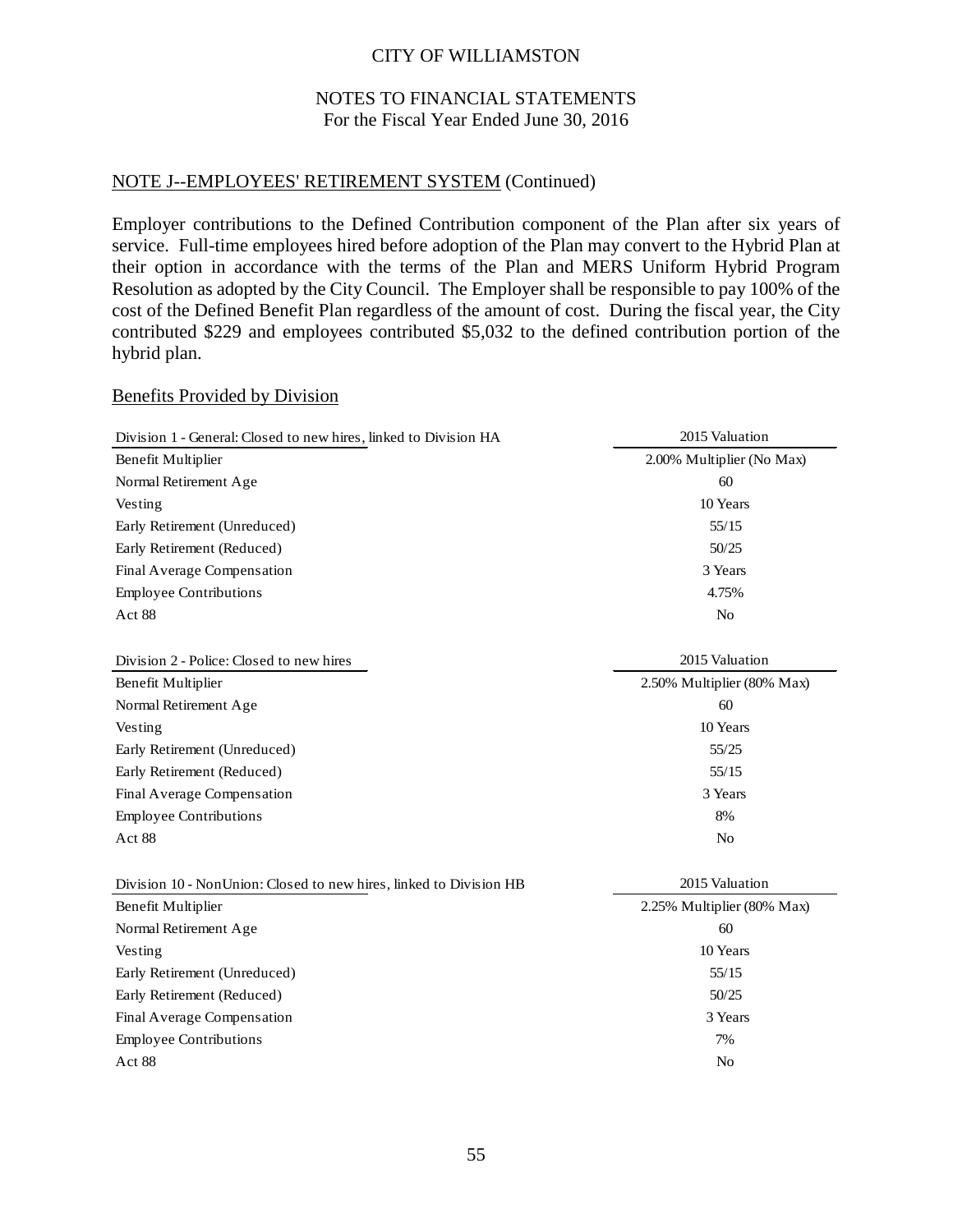### NOTES TO FINANCIAL STATEMENTS For the Fiscal Year Ended June 30, 2016

### NOTE J--EMPLOYEES' RETIREMENT SYSTEM (Continued)

Employer contributions to the Defined Contribution component of the Plan after six years of service. Full-time employees hired before adoption of the Plan may convert to the Hybrid Plan at their option in accordance with the terms of the Plan and MERS Uniform Hybrid Program Resolution as adopted by the City Council. The Employer shall be responsible to pay 100% of the cost of the Defined Benefit Plan regardless of the amount of cost. During the fiscal year, the City contributed \$229 and employees contributed \$5,032 to the defined contribution portion of the hybrid plan.

#### Benefits Provided by Division

| Division 1 - General: Closed to new hires, linked to Division HA   | 2015 Valuation             |
|--------------------------------------------------------------------|----------------------------|
| Benefit Multiplier                                                 | 2.00% Multiplier (No Max)  |
| Normal Retirement Age                                              | 60                         |
| Vesting                                                            | 10 Years                   |
| Early Retirement (Unreduced)                                       | 55/15                      |
| Early Retirement (Reduced)                                         | 50/25                      |
| Final Average Compensation                                         | 3 Years                    |
| <b>Employee Contributions</b>                                      | 4.75%                      |
| Act 88                                                             | No                         |
| Division 2 - Police: Closed to new hires                           | 2015 Valuation             |
| <b>Benefit Multiplier</b>                                          | 2.50% Multiplier (80% Max) |
| Normal Retirement Age                                              | 60                         |
| Vesting                                                            | 10 Years                   |
| Early Retirement (Unreduced)                                       | 55/25                      |
| Early Retirement (Reduced)                                         | 55/15                      |
| Final Average Compensation                                         | 3 Years                    |
| <b>Employee Contributions</b>                                      | 8%                         |
| Act 88                                                             | N <sub>o</sub>             |
| Division 10 - NonUnion: Closed to new hires, linked to Division HB | 2015 Valuation             |
| Benefit Multiplier                                                 | 2.25% Multiplier (80% Max) |
| Normal Retirement Age                                              | 60                         |
| Vesting                                                            | 10 Years                   |
| Early Retirement (Unreduced)                                       | 55/15                      |
| Early Retirement (Reduced)                                         | 50/25                      |
| Final Average Compensation                                         | 3 Years                    |
| <b>Employee Contributions</b>                                      | 7%                         |
| Act 88                                                             | N <sub>o</sub>             |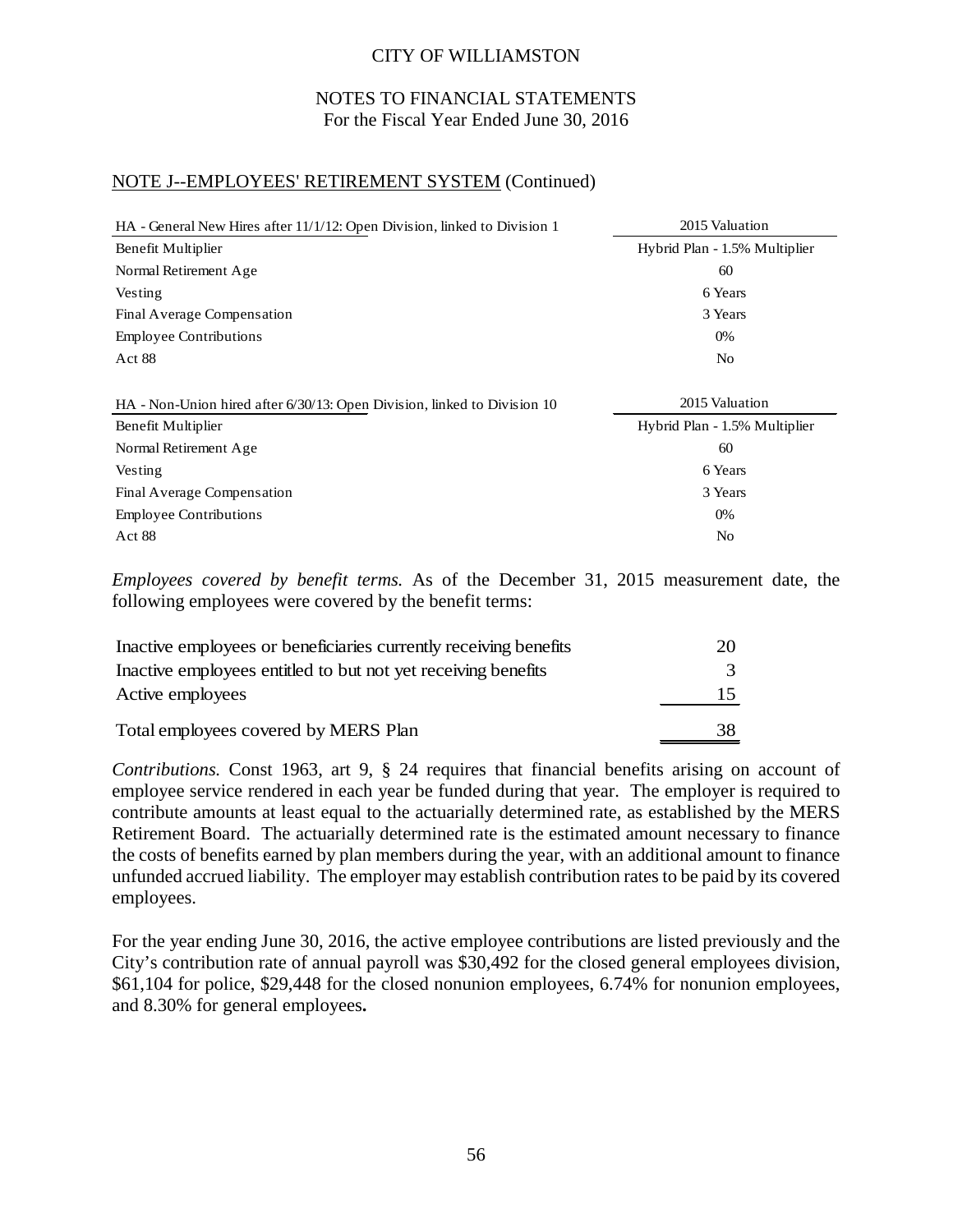### NOTES TO FINANCIAL STATEMENTS For the Fiscal Year Ended June 30, 2016

# NOTE J--EMPLOYEES' RETIREMENT SYSTEM (Continued)

| HA - General New Hires after 11/1/12: Open Division, linked to Division 1 | 2015 Valuation                |
|---------------------------------------------------------------------------|-------------------------------|
| Benefit Multiplier                                                        | Hybrid Plan - 1.5% Multiplier |
| Normal Retirement Age                                                     | 60                            |
| Vesting                                                                   | 6 Years                       |
| Final Average Compensation                                                | 3 Years                       |
| <b>Employee Contributions</b>                                             | 0%                            |
| Act 88                                                                    | N <sub>0</sub>                |
|                                                                           |                               |
| HA - Non-Union hired after 6/30/13: Open Division, linked to Division 10  | 2015 Valuation                |
| Benefit Multiplier                                                        | Hybrid Plan - 1.5% Multiplier |
| Normal Retirement Age                                                     | 60                            |
| Vesting                                                                   | 6 Years                       |
| Final Average Compensation                                                | 3 Years                       |
| <b>Employee Contributions</b>                                             | 0%                            |
| Act 88                                                                    | No                            |

*Employees covered by benefit terms.* As of the December 31, 2015 measurement date, the following employees were covered by the benefit terms:

| Inactive employees or beneficiaries currently receiving benefits | 20 |
|------------------------------------------------------------------|----|
| Inactive employees entitled to but not yet receiving benefits    |    |
| Active employees                                                 |    |
| Total employees covered by MERS Plan                             | 38 |

*Contributions.* Const 1963, art 9, § 24 requires that financial benefits arising on account of employee service rendered in each year be funded during that year. The employer is required to contribute amounts at least equal to the actuarially determined rate, as established by the MERS Retirement Board. The actuarially determined rate is the estimated amount necessary to finance the costs of benefits earned by plan members during the year, with an additional amount to finance unfunded accrued liability. The employer may establish contribution rates to be paid by its covered employees.

For the year ending June 30, 2016, the active employee contributions are listed previously and the City's contribution rate of annual payroll was \$30,492 for the closed general employees division, \$61,104 for police, \$29,448 for the closed nonunion employees, 6.74% for nonunion employees, and 8.30% for general employees**.**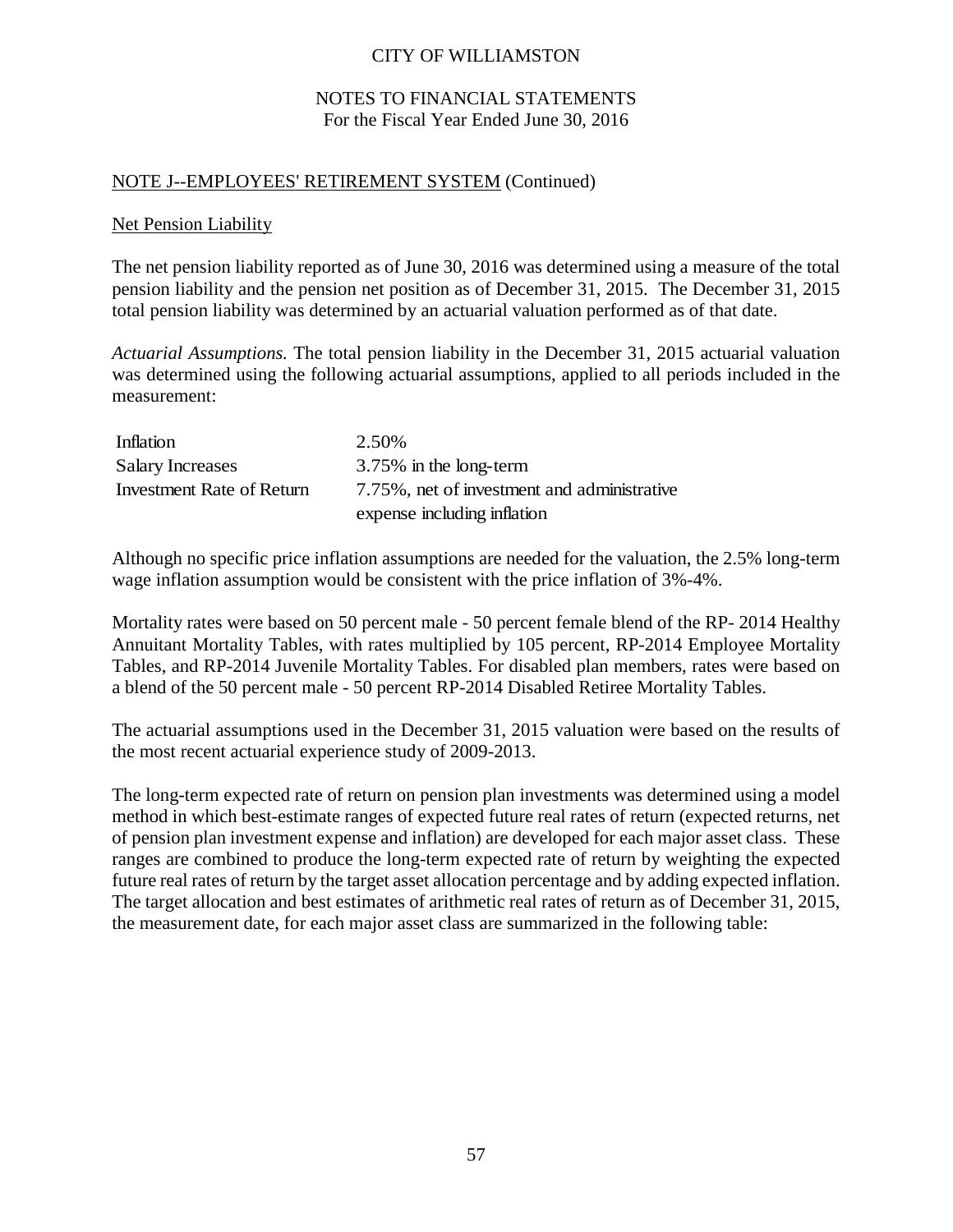### NOTES TO FINANCIAL STATEMENTS For the Fiscal Year Ended June 30, 2016

### NOTE J--EMPLOYEES' RETIREMENT SYSTEM (Continued)

#### Net Pension Liability

The net pension liability reported as of June 30, 2016 was determined using a measure of the total pension liability and the pension net position as of December 31, 2015. The December 31, 2015 total pension liability was determined by an actuarial valuation performed as of that date.

*Actuarial Assumptions.* The total pension liability in the December 31, 2015 actuarial valuation was determined using the following actuarial assumptions, applied to all periods included in the measurement:

| Inflation                 | 2.50%                                       |
|---------------------------|---------------------------------------------|
| <b>Salary Increases</b>   | 3.75% in the long-term                      |
| Investment Rate of Return | 7.75%, net of investment and administrative |
|                           | expense including inflation                 |

Although no specific price inflation assumptions are needed for the valuation, the 2.5% long-term wage inflation assumption would be consistent with the price inflation of 3%-4%.

Mortality rates were based on 50 percent male - 50 percent female blend of the RP- 2014 Healthy Annuitant Mortality Tables, with rates multiplied by 105 percent, RP-2014 Employee Mortality Tables, and RP-2014 Juvenile Mortality Tables. For disabled plan members, rates were based on a blend of the 50 percent male - 50 percent RP-2014 Disabled Retiree Mortality Tables.

The actuarial assumptions used in the December 31, 2015 valuation were based on the results of the most recent actuarial experience study of 2009-2013.

The long-term expected rate of return on pension plan investments was determined using a model method in which best-estimate ranges of expected future real rates of return (expected returns, net of pension plan investment expense and inflation) are developed for each major asset class. These ranges are combined to produce the long-term expected rate of return by weighting the expected future real rates of return by the target asset allocation percentage and by adding expected inflation. The target allocation and best estimates of arithmetic real rates of return as of December 31, 2015, the measurement date, for each major asset class are summarized in the following table: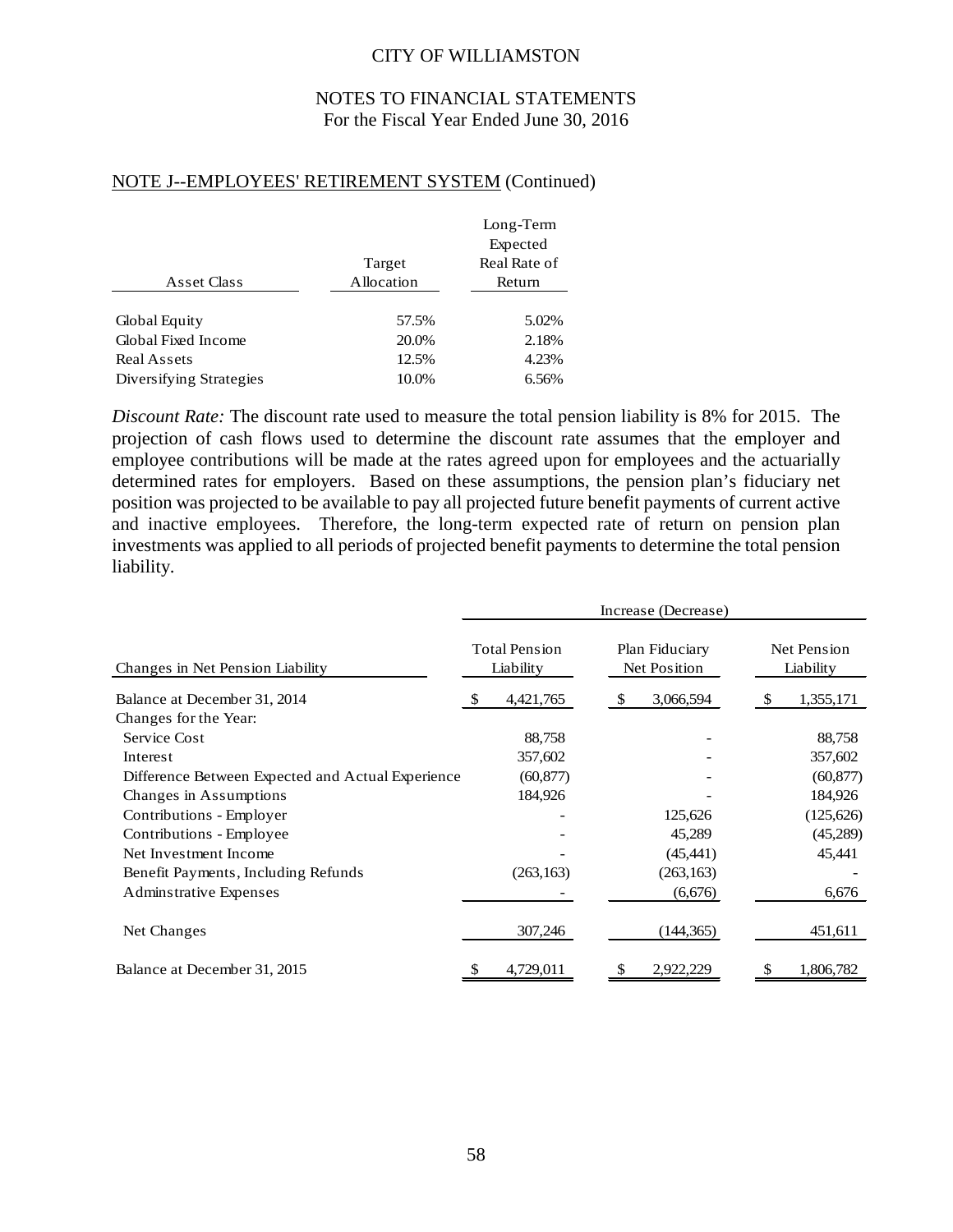### NOTES TO FINANCIAL STATEMENTS For the Fiscal Year Ended June 30, 2016

### NOTE J--EMPLOYEES' RETIREMENT SYSTEM (Continued)

|                         |            | Long-Term    |
|-------------------------|------------|--------------|
|                         |            | Expected     |
|                         | Target     | Real Rate of |
| Asset Class             | Allocation | Return       |
|                         |            |              |
| Global Equity           | 57.5%      | 5.02%        |
| Global Fixed Income     | 20.0%      | 2.18%        |
| Real Assets             | 12.5%      | 4.23%        |
| Diversifying Strategies | 10.0%      | 6.56%        |

*Discount Rate:* The discount rate used to measure the total pension liability is 8% for 2015. The projection of cash flows used to determine the discount rate assumes that the employer and employee contributions will be made at the rates agreed upon for employees and the actuarially determined rates for employers. Based on these assumptions, the pension plan's fiduciary net position was projected to be available to pay all projected future benefit payments of current active and inactive employees. Therefore, the long-term expected rate of return on pension plan investments was applied to all periods of projected benefit payments to determine the total pension liability.

|                                                   | Increase (Decrease)               |                                |                          |  |  |
|---------------------------------------------------|-----------------------------------|--------------------------------|--------------------------|--|--|
| Changes in Net Pension Liability                  | <b>Total Pension</b><br>Liability | Plan Fiduciary<br>Net Position | Net Pension<br>Liability |  |  |
| Balance at December 31, 2014                      | 4,421,765                         | 3,066,594<br><sup>\$</sup>     | 1,355,171                |  |  |
| Changes for the Year:                             |                                   |                                |                          |  |  |
| Service Cost                                      | 88,758                            |                                | 88,758                   |  |  |
| Interest                                          | 357,602                           |                                | 357,602                  |  |  |
| Difference Between Expected and Actual Experience | (60, 877)                         |                                | (60, 877)                |  |  |
| Changes in Assumptions                            | 184,926                           |                                | 184,926                  |  |  |
| Contributions - Employer                          |                                   | 125,626                        | (125, 626)               |  |  |
| Contributions - Employee                          |                                   | 45,289                         | (45,289)                 |  |  |
| Net Investment Income                             |                                   | (45, 441)                      | 45,441                   |  |  |
| Benefit Payments, Including Refunds               | (263, 163)                        | (263, 163)                     |                          |  |  |
| <b>Adminstrative Expenses</b>                     |                                   | (6,676)                        | 6,676                    |  |  |
| Net Changes                                       | 307,246                           | (144, 365)                     | 451,611                  |  |  |
| Balance at December 31, 2015                      | 4,729,011                         | 2,922,229<br>S                 | 1,806,782                |  |  |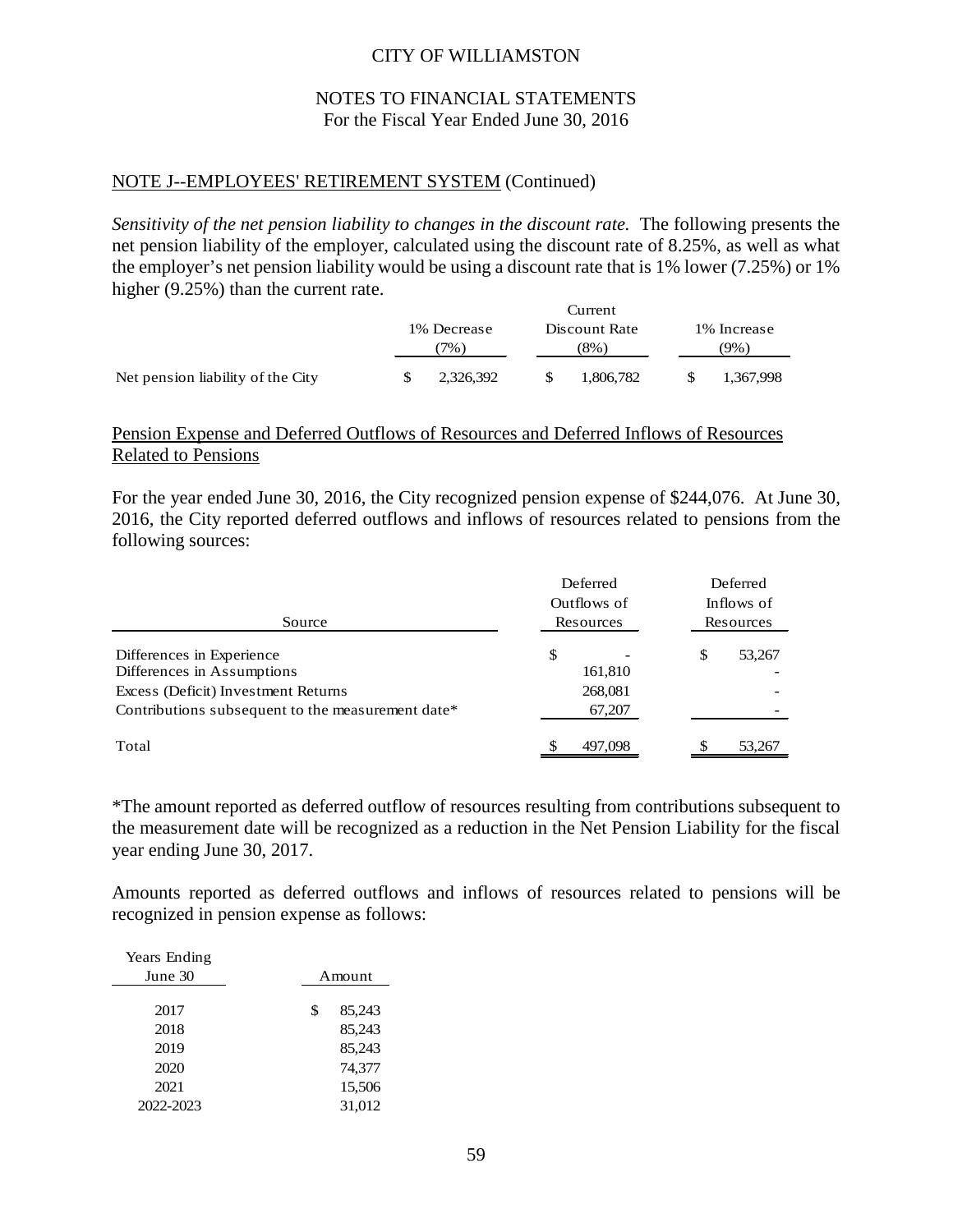### NOTES TO FINANCIAL STATEMENTS For the Fiscal Year Ended June 30, 2016

### NOTE J--EMPLOYEES' RETIREMENT SYSTEM (Continued)

*Sensitivity of the net pension liability to changes in the discount rate.* The following presents the net pension liability of the employer, calculated using the discount rate of 8.25%, as well as what the employer's net pension liability would be using a discount rate that is 1% lower (7.25%) or 1% higher (9.25%) than the current rate.

|                                   | Current             |     |                       |                     |           |  |
|-----------------------------------|---------------------|-----|-----------------------|---------------------|-----------|--|
|                                   | 1% Decrease<br>7% . |     | Discount Rate<br>(8%) | 1% Increase<br>(9%) |           |  |
| Net pension liability of the City | 2.326.392           | -SS | 1,806,782             |                     | 1,367,998 |  |

### Pension Expense and Deferred Outflows of Resources and Deferred Inflows of Resources Related to Pensions

For the year ended June 30, 2016, the City recognized pension expense of \$244,076. At June 30, 2016, the City reported deferred outflows and inflows of resources related to pensions from the following sources:

| Source                                                                                                                                              | Deferred<br>Outflows of<br>Resources | Deferred<br>Inflows of<br>Resources |
|-----------------------------------------------------------------------------------------------------------------------------------------------------|--------------------------------------|-------------------------------------|
| Differences in Experience<br>Differences in Assumptions<br>Excess (Deficit) Investment Returns<br>Contributions subsequent to the measurement date* | \$<br>161,810<br>268,081<br>67,207   | \$<br>53,267                        |
| Total                                                                                                                                               | 497.098                              | 53,267                              |

\*The amount reported as deferred outflow of resources resulting from contributions subsequent to the measurement date will be recognized as a reduction in the Net Pension Liability for the fiscal year ending June 30, 2017.

Amounts reported as deferred outflows and inflows of resources related to pensions will be recognized in pension expense as follows:

| Years Ending |              |  |  |
|--------------|--------------|--|--|
| June 30      | Amount       |  |  |
|              |              |  |  |
| 2017         | \$<br>85,243 |  |  |
| 2018         | 85,243       |  |  |
| 2019         | 85,243       |  |  |
| 2020         | 74,377       |  |  |
| 2021         | 15,506       |  |  |
| 2022-2023    | 31,012       |  |  |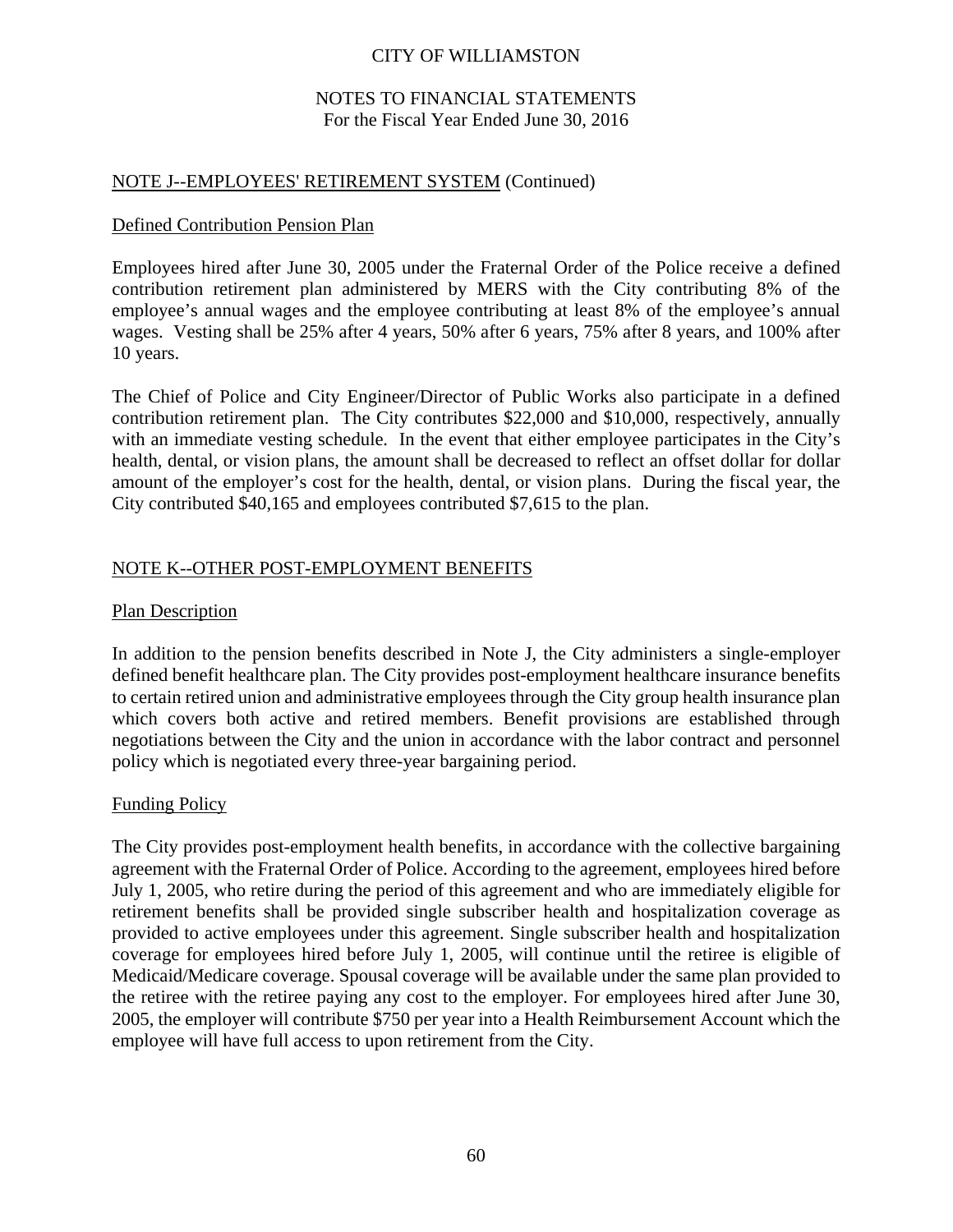### NOTES TO FINANCIAL STATEMENTS For the Fiscal Year Ended June 30, 2016

### NOTE J--EMPLOYEES' RETIREMENT SYSTEM (Continued)

### Defined Contribution Pension Plan

Employees hired after June 30, 2005 under the Fraternal Order of the Police receive a defined contribution retirement plan administered by MERS with the City contributing 8% of the employee's annual wages and the employee contributing at least 8% of the employee's annual wages. Vesting shall be 25% after 4 years, 50% after 6 years, 75% after 8 years, and 100% after 10 years.

The Chief of Police and City Engineer/Director of Public Works also participate in a defined contribution retirement plan. The City contributes \$22,000 and \$10,000, respectively, annually with an immediate vesting schedule. In the event that either employee participates in the City's health, dental, or vision plans, the amount shall be decreased to reflect an offset dollar for dollar amount of the employer's cost for the health, dental, or vision plans. During the fiscal year, the City contributed \$40,165 and employees contributed \$7,615 to the plan.

### NOTE K--OTHER POST-EMPLOYMENT BENEFITS

### Plan Description

In addition to the pension benefits described in Note J, the City administers a single-employer defined benefit healthcare plan. The City provides post-employment healthcare insurance benefits to certain retired union and administrative employees through the City group health insurance plan which covers both active and retired members. Benefit provisions are established through negotiations between the City and the union in accordance with the labor contract and personnel policy which is negotiated every three-year bargaining period.

### Funding Policy

The City provides post-employment health benefits, in accordance with the collective bargaining agreement with the Fraternal Order of Police. According to the agreement, employees hired before July 1, 2005, who retire during the period of this agreement and who are immediately eligible for retirement benefits shall be provided single subscriber health and hospitalization coverage as provided to active employees under this agreement. Single subscriber health and hospitalization coverage for employees hired before July 1, 2005, will continue until the retiree is eligible of Medicaid/Medicare coverage. Spousal coverage will be available under the same plan provided to the retiree with the retiree paying any cost to the employer. For employees hired after June 30, 2005, the employer will contribute \$750 per year into a Health Reimbursement Account which the employee will have full access to upon retirement from the City.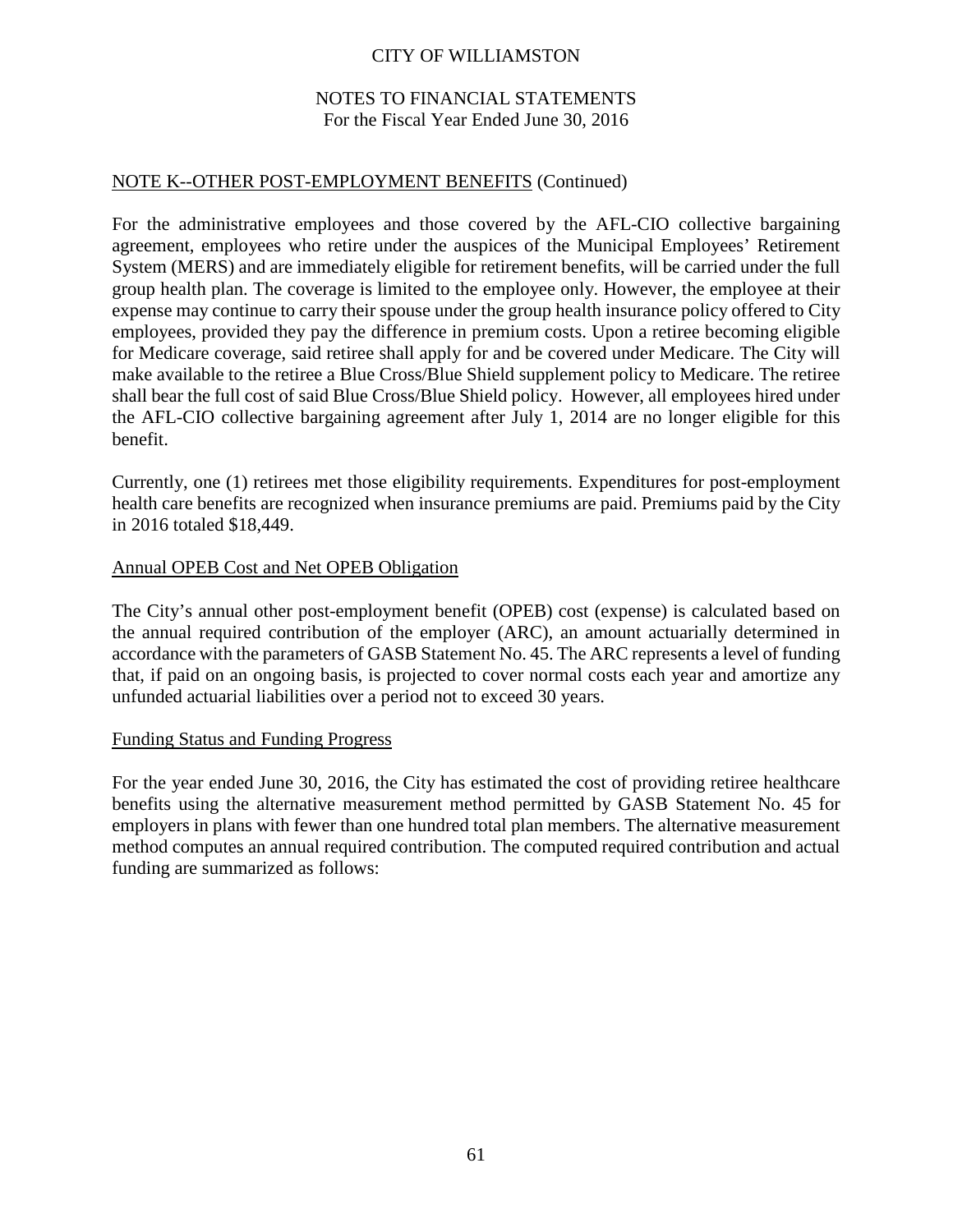### NOTES TO FINANCIAL STATEMENTS For the Fiscal Year Ended June 30, 2016

### NOTE K--OTHER POST-EMPLOYMENT BENEFITS (Continued)

For the administrative employees and those covered by the AFL-CIO collective bargaining agreement, employees who retire under the auspices of the Municipal Employees' Retirement System (MERS) and are immediately eligible for retirement benefits, will be carried under the full group health plan. The coverage is limited to the employee only. However, the employee at their expense may continue to carry their spouse under the group health insurance policy offered to City employees, provided they pay the difference in premium costs. Upon a retiree becoming eligible for Medicare coverage, said retiree shall apply for and be covered under Medicare. The City will make available to the retiree a Blue Cross/Blue Shield supplement policy to Medicare. The retiree shall bear the full cost of said Blue Cross/Blue Shield policy. However, all employees hired under the AFL-CIO collective bargaining agreement after July 1, 2014 are no longer eligible for this benefit.

Currently, one (1) retirees met those eligibility requirements. Expenditures for post-employment health care benefits are recognized when insurance premiums are paid. Premiums paid by the City in 2016 totaled \$18,449.

#### Annual OPEB Cost and Net OPEB Obligation

The City's annual other post-employment benefit (OPEB) cost (expense) is calculated based on the annual required contribution of the employer (ARC), an amount actuarially determined in accordance with the parameters of GASB Statement No. 45. The ARC represents a level of funding that, if paid on an ongoing basis, is projected to cover normal costs each year and amortize any unfunded actuarial liabilities over a period not to exceed 30 years.

#### Funding Status and Funding Progress

For the year ended June 30, 2016, the City has estimated the cost of providing retiree healthcare benefits using the alternative measurement method permitted by GASB Statement No. 45 for employers in plans with fewer than one hundred total plan members. The alternative measurement method computes an annual required contribution. The computed required contribution and actual funding are summarized as follows: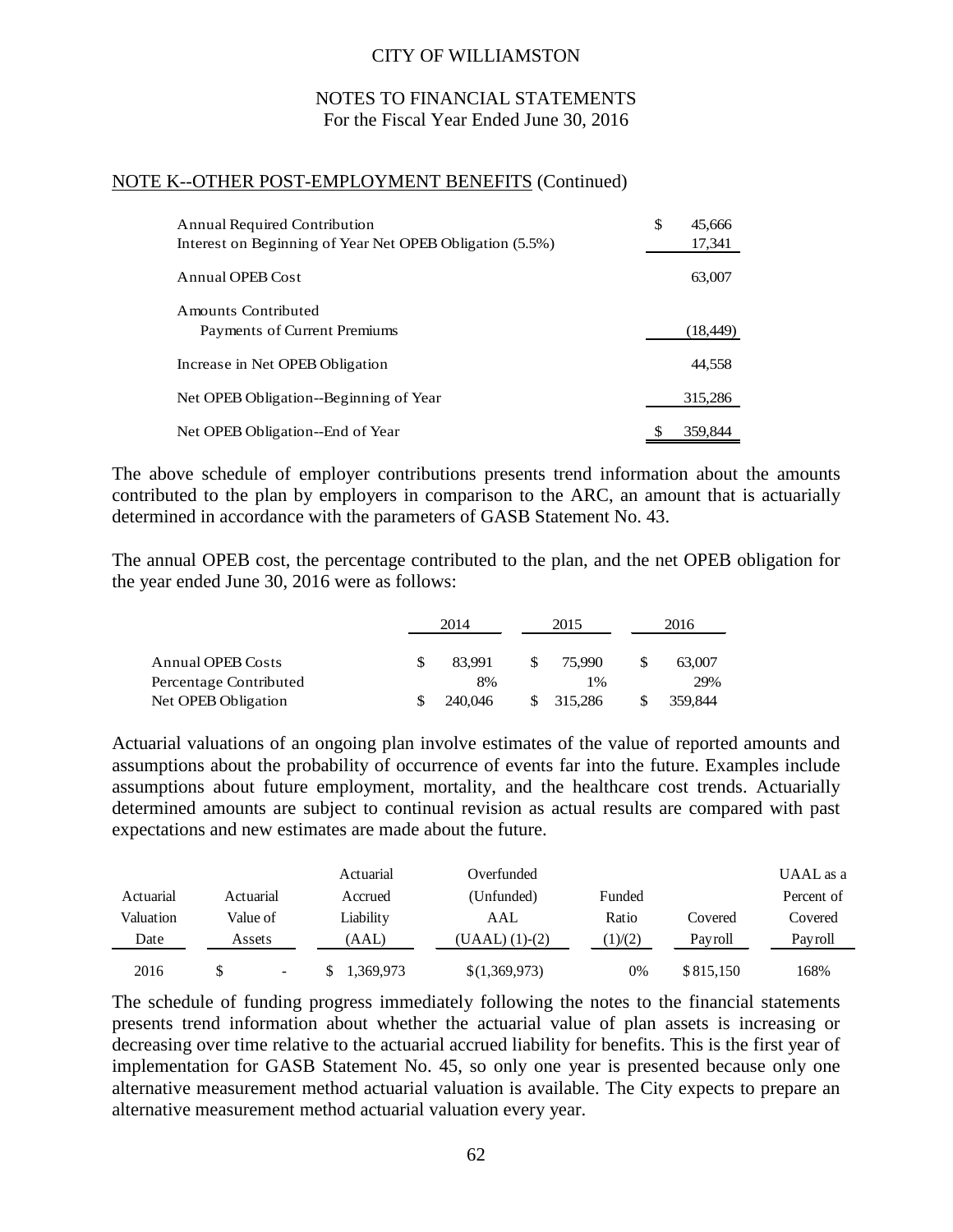### NOTES TO FINANCIAL STATEMENTS For the Fiscal Year Ended June 30, 2016

### NOTE K--OTHER POST-EMPLOYMENT BENEFITS (Continued)

| <b>Annual Required Contribution</b>                      | \$ | 45,666    |
|----------------------------------------------------------|----|-----------|
| Interest on Beginning of Year Net OPEB Obligation (5.5%) |    | 17,341    |
| Annual OPEB Cost                                         |    | 63,007    |
| Amounts Contributed                                      |    |           |
| Payments of Current Premiums                             |    | (18, 449) |
| Increase in Net OPEB Obligation                          |    | 44,558    |
| Net OPEB Obligation-Beginning of Year                    |    | 315,286   |
| Net OPEB Obligation--End of Year                         | S  | 359,844   |

The above schedule of employer contributions presents trend information about the amounts contributed to the plan by employers in comparison to the ARC, an amount that is actuarially determined in accordance with the parameters of GASB Statement No. 43.

The annual OPEB cost, the percentage contributed to the plan, and the net OPEB obligation for the year ended June 30, 2016 were as follows:

|                          | 2014    |  | 2015    | 2016 |         |
|--------------------------|---------|--|---------|------|---------|
|                          |         |  |         |      |         |
| <b>Annual OPEB Costs</b> | 83.991  |  | 75,990  |      | 63,007  |
| Percentage Contributed   | 8%      |  | $1\%$   |      | 29%     |
| Net OPEB Obligation      | 240,046 |  | 315,286 |      | 359,844 |

Actuarial valuations of an ongoing plan involve estimates of the value of reported amounts and assumptions about the probability of occurrence of events far into the future. Examples include assumptions about future employment, mortality, and the healthcare cost trends. Actuarially determined amounts are subject to continual revision as actual results are compared with past expectations and new estimates are made about the future.

|           |                          | Actuarial | Overfunded     |        |           | UAAL as a  |
|-----------|--------------------------|-----------|----------------|--------|-----------|------------|
| Actuarial | Actuarial                | Accrued   | (Unfunded)     | Funded |           | Percent of |
| Valuation | Value of                 | Liability | AAL            | Ratio  | Covered   | Covered    |
| Date      | Assets                   | (AAL)     | (UAAL) (1)-(2) | 1)/(2) | Pavroll   | Pavroll    |
| 2016      | $\overline{\phantom{a}}$ | 1,369,973 | \$(1,369,973)  | 0%     | \$815,150 | 168%       |

The schedule of funding progress immediately following the notes to the financial statements presents trend information about whether the actuarial value of plan assets is increasing or decreasing over time relative to the actuarial accrued liability for benefits. This is the first year of implementation for GASB Statement No. 45, so only one year is presented because only one alternative measurement method actuarial valuation is available. The City expects to prepare an alternative measurement method actuarial valuation every year.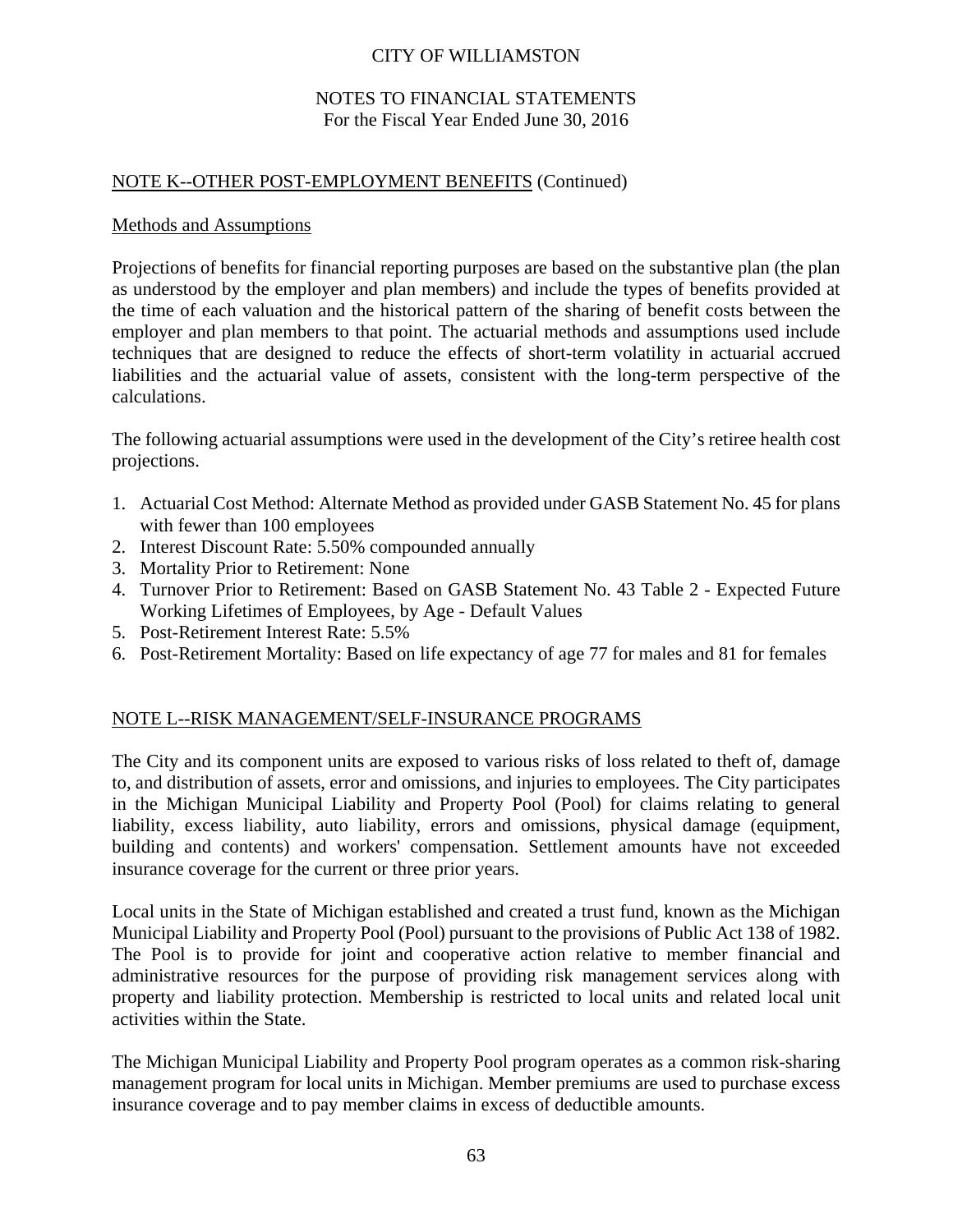### NOTES TO FINANCIAL STATEMENTS For the Fiscal Year Ended June 30, 2016

### NOTE K--OTHER POST-EMPLOYMENT BENEFITS (Continued)

### Methods and Assumptions

Projections of benefits for financial reporting purposes are based on the substantive plan (the plan as understood by the employer and plan members) and include the types of benefits provided at the time of each valuation and the historical pattern of the sharing of benefit costs between the employer and plan members to that point. The actuarial methods and assumptions used include techniques that are designed to reduce the effects of short-term volatility in actuarial accrued liabilities and the actuarial value of assets, consistent with the long-term perspective of the calculations.

The following actuarial assumptions were used in the development of the City's retiree health cost projections.

- 1. Actuarial Cost Method: Alternate Method as provided under GASB Statement No. 45 for plans with fewer than 100 employees
- 2. Interest Discount Rate: 5.50% compounded annually
- 3. Mortality Prior to Retirement: None
- 4. Turnover Prior to Retirement: Based on GASB Statement No. 43 Table 2 Expected Future Working Lifetimes of Employees, by Age - Default Values
- 5. Post-Retirement Interest Rate: 5.5%
- 6. Post-Retirement Mortality: Based on life expectancy of age 77 for males and 81 for females

# NOTE L--RISK MANAGEMENT/SELF-INSURANCE PROGRAMS

The City and its component units are exposed to various risks of loss related to theft of, damage to, and distribution of assets, error and omissions, and injuries to employees. The City participates in the Michigan Municipal Liability and Property Pool (Pool) for claims relating to general liability, excess liability, auto liability, errors and omissions, physical damage (equipment, building and contents) and workers' compensation. Settlement amounts have not exceeded insurance coverage for the current or three prior years.

Local units in the State of Michigan established and created a trust fund, known as the Michigan Municipal Liability and Property Pool (Pool) pursuant to the provisions of Public Act 138 of 1982. The Pool is to provide for joint and cooperative action relative to member financial and administrative resources for the purpose of providing risk management services along with property and liability protection. Membership is restricted to local units and related local unit activities within the State.

The Michigan Municipal Liability and Property Pool program operates as a common risk-sharing management program for local units in Michigan. Member premiums are used to purchase excess insurance coverage and to pay member claims in excess of deductible amounts.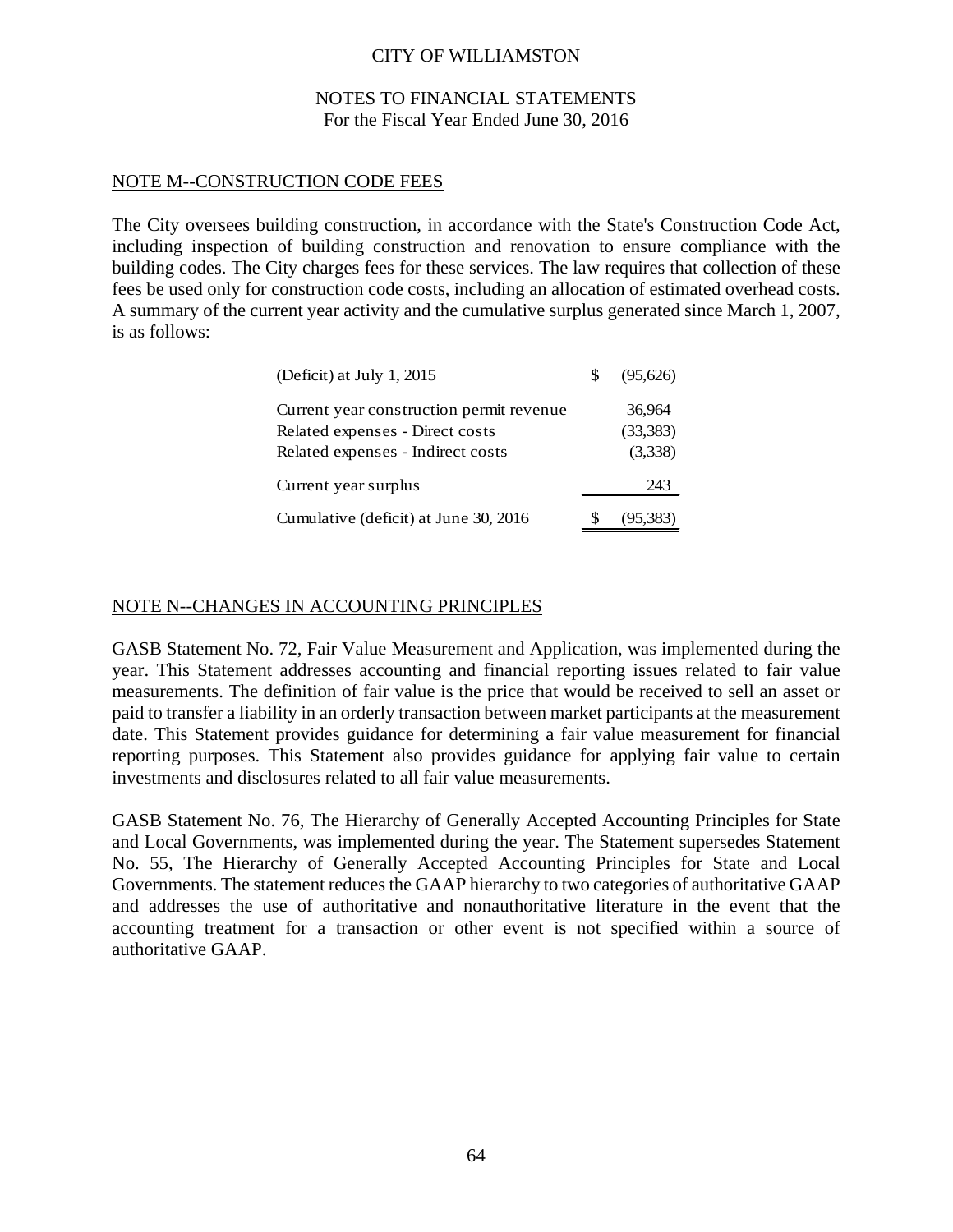### NOTES TO FINANCIAL STATEMENTS For the Fiscal Year Ended June 30, 2016

### NOTE M--CONSTRUCTION CODE FEES

The City oversees building construction, in accordance with the State's Construction Code Act, including inspection of building construction and renovation to ensure compliance with the building codes. The City charges fees for these services. The law requires that collection of these fees be used only for construction code costs, including an allocation of estimated overhead costs. A summary of the current year activity and the cumulative surplus generated since March 1, 2007, is as follows:

| (Deficit) at July 1, 2015                | (95.626)  |
|------------------------------------------|-----------|
| Current year construction permit revenue | 36,964    |
| Related expenses - Direct costs          | (33,383)  |
| Related expenses - Indirect costs        | (3,338)   |
| Current year surplus                     | 243       |
| Cumulative (deficit) at June 30, 2016    | (95, 383) |

### NOTE N--CHANGES IN ACCOUNTING PRINCIPLES

GASB Statement No. 72, Fair Value Measurement and Application, was implemented during the year. This Statement addresses accounting and financial reporting issues related to fair value measurements. The definition of fair value is the price that would be received to sell an asset or paid to transfer a liability in an orderly transaction between market participants at the measurement date. This Statement provides guidance for determining a fair value measurement for financial reporting purposes. This Statement also provides guidance for applying fair value to certain investments and disclosures related to all fair value measurements.

GASB Statement No. 76, The Hierarchy of Generally Accepted Accounting Principles for State and Local Governments, was implemented during the year. The Statement supersedes Statement No. 55, The Hierarchy of Generally Accepted Accounting Principles for State and Local Governments. The statement reduces the GAAP hierarchy to two categories of authoritative GAAP and addresses the use of authoritative and nonauthoritative literature in the event that the accounting treatment for a transaction or other event is not specified within a source of authoritative GAAP.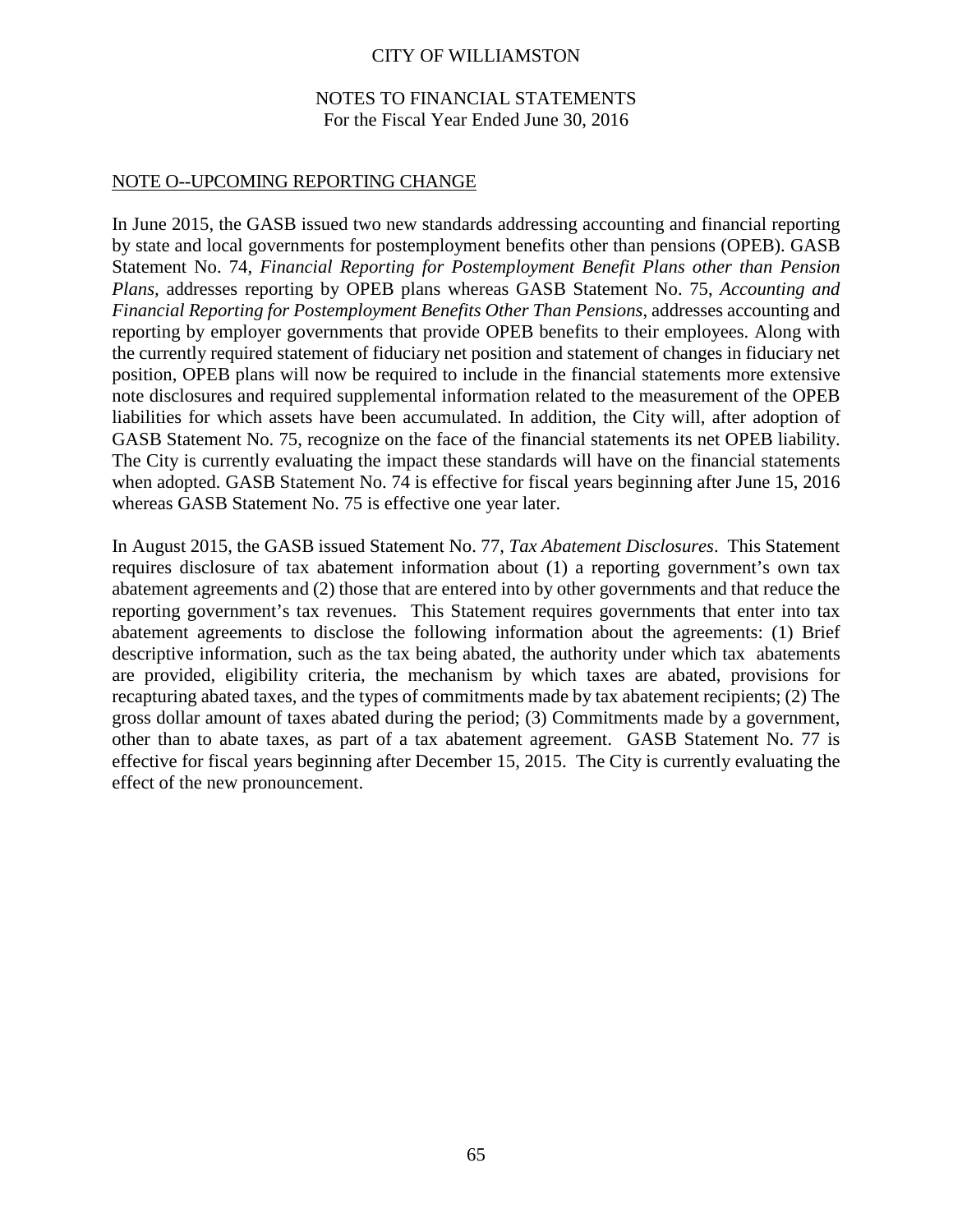## CITY OF WILLIAMSTON

## NOTES TO FINANCIAL STATEMENTS For the Fiscal Year Ended June 30, 2016

## NOTE O--UPCOMING REPORTING CHANGE

In June 2015, the GASB issued two new standards addressing accounting and financial reporting by state and local governments for postemployment benefits other than pensions (OPEB). GASB Statement No. 74, *Financial Reporting for Postemployment Benefit Plans other than Pension Plans,* addresses reporting by OPEB plans whereas GASB Statement No. 75, *Accounting and Financial Reporting for Postemployment Benefits Other Than Pensions*, addresses accounting and reporting by employer governments that provide OPEB benefits to their employees. Along with the currently required statement of fiduciary net position and statement of changes in fiduciary net position, OPEB plans will now be required to include in the financial statements more extensive note disclosures and required supplemental information related to the measurement of the OPEB liabilities for which assets have been accumulated. In addition, the City will, after adoption of GASB Statement No. 75, recognize on the face of the financial statements its net OPEB liability. The City is currently evaluating the impact these standards will have on the financial statements when adopted. GASB Statement No. 74 is effective for fiscal years beginning after June 15, 2016 whereas GASB Statement No. 75 is effective one year later.

In August 2015, the GASB issued Statement No. 77, *Tax Abatement Disclosures*. This Statement requires disclosure of tax abatement information about (1) a reporting government's own tax abatement agreements and (2) those that are entered into by other governments and that reduce the reporting government's tax revenues. This Statement requires governments that enter into tax abatement agreements to disclose the following information about the agreements: (1) Brief descriptive information, such as the tax being abated, the authority under which tax abatements are provided, eligibility criteria, the mechanism by which taxes are abated, provisions for recapturing abated taxes, and the types of commitments made by tax abatement recipients; (2) The gross dollar amount of taxes abated during the period; (3) Commitments made by a government, other than to abate taxes, as part of a tax abatement agreement. GASB Statement No. 77 is effective for fiscal years beginning after December 15, 2015. The City is currently evaluating the effect of the new pronouncement.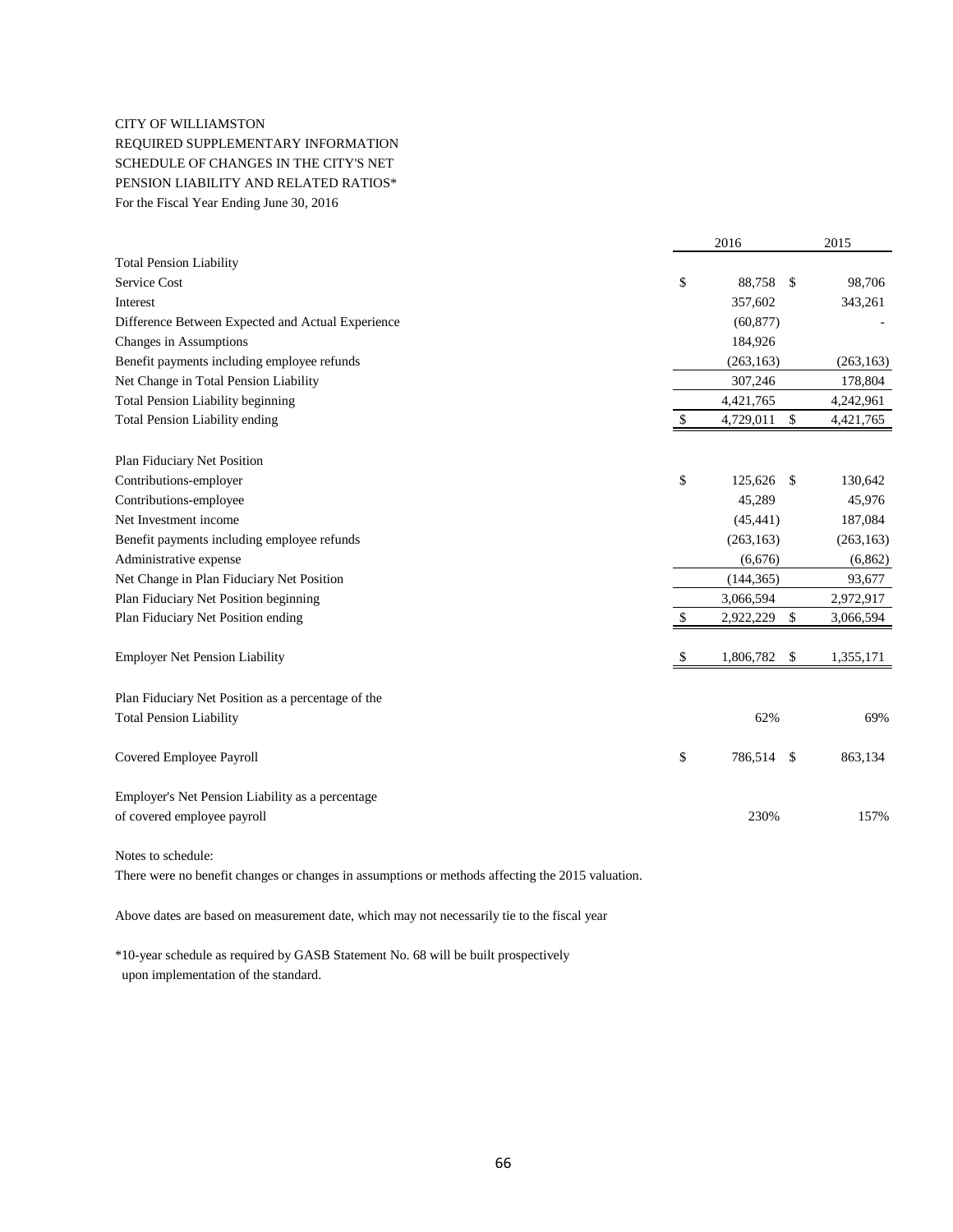#### CITY OF WILLIAMSTON

REQUIRED SUPPLEMENTARY INFORMATION SCHEDULE OF CHANGES IN THE CITY'S NET PENSION LIABILITY AND RELATED RATIOS\* For the Fiscal Year Ending June 30, 2016

|                                                    |    | 2016       |              | 2015       |
|----------------------------------------------------|----|------------|--------------|------------|
| <b>Total Pension Liability</b>                     |    |            |              |            |
| Service Cost                                       | \$ | 88,758     | -\$          | 98,706     |
| Interest                                           |    | 357,602    |              | 343,261    |
| Difference Between Expected and Actual Experience  |    | (60, 877)  |              |            |
| Changes in Assumptions                             |    | 184,926    |              |            |
| Benefit payments including employee refunds        |    | (263, 163) |              | (263, 163) |
| Net Change in Total Pension Liability              |    | 307,246    |              | 178,804    |
| <b>Total Pension Liability beginning</b>           |    | 4,421,765  |              | 4,242,961  |
| <b>Total Pension Liability ending</b>              | \$ | 4,729,011  | \$           | 4,421,765  |
| Plan Fiduciary Net Position                        |    |            |              |            |
| Contributions-employer                             | \$ | 125,626    | $\mathbf{s}$ | 130,642    |
| Contributions-employee                             |    | 45,289     |              | 45,976     |
| Net Investment income                              |    | (45, 441)  |              | 187,084    |
| Benefit payments including employee refunds        |    | (263, 163) |              | (263, 163) |
| Administrative expense                             |    | (6,676)    |              | (6, 862)   |
| Net Change in Plan Fiduciary Net Position          |    | (144, 365) |              | 93,677     |
| Plan Fiduciary Net Position beginning              |    | 3,066,594  |              | 2,972,917  |
| Plan Fiduciary Net Position ending                 | S  | 2,922,229  | \$           | 3,066,594  |
| <b>Employer Net Pension Liability</b>              | \$ | 1,806,782  | $\sqrt{3}$   | 1,355,171  |
| Plan Fiduciary Net Position as a percentage of the |    |            |              |            |
| <b>Total Pension Liability</b>                     |    | 62%        |              | 69%        |
| Covered Employee Payroll                           | \$ | 786,514    | - \$         | 863,134    |
| Employer's Net Pension Liability as a percentage   |    |            |              |            |
| of covered employee payroll                        |    | 230%       |              | 157%       |
| Notes to schedule:                                 |    |            |              |            |

There were no benefit changes or changes in assumptions or methods affecting the 2015 valuation.

Above dates are based on measurement date, which may not necessarily tie to the fiscal year

\*10-year schedule as required by GASB Statement No. 68 will be built prospectively upon implementation of the standard.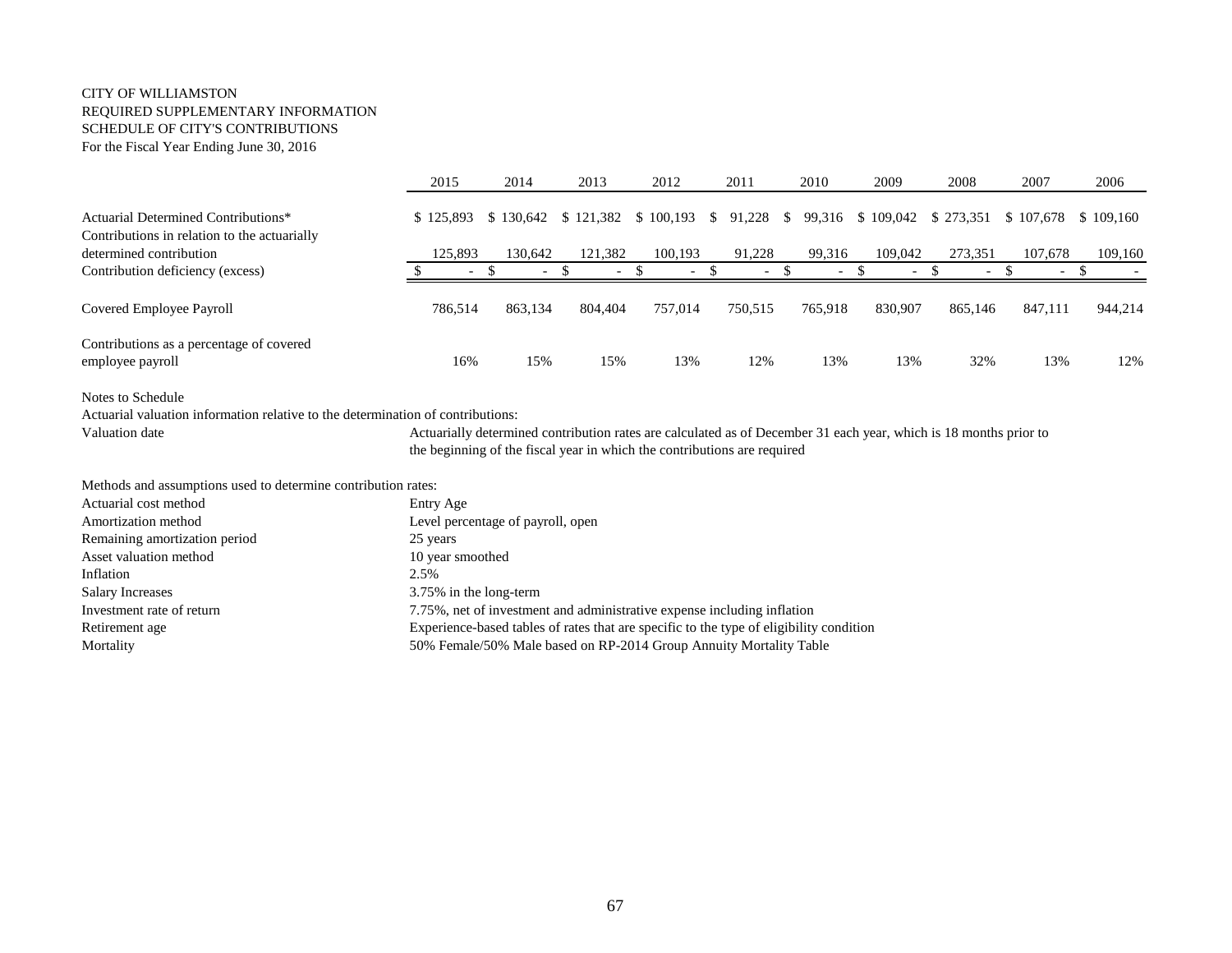#### CITY OF WILLIAMSTON REQUIRED SUPPLEMENTARY INFORMATION SCHEDULE OF CITY'S CONTRIBUTIONS For the Fiscal Year Ending June 30, 2016

|                                                                                     | 2015                     | 2014                     | 2013    | 2012                                      | 2011                     | 2010                     | 2009                     | 2008                     | 2007                                           | 2006    |
|-------------------------------------------------------------------------------------|--------------------------|--------------------------|---------|-------------------------------------------|--------------------------|--------------------------|--------------------------|--------------------------|------------------------------------------------|---------|
| Actuarial Determined Contributions*<br>Contributions in relation to the actuarially | \$125,893                |                          |         | \$130,642 \$121,382 \$100,193 \$91,228 \$ |                          |                          |                          |                          | 99,316 \$109,042 \$273,351 \$107,678 \$109,160 |         |
| determined contribution                                                             | 125,893                  | 130.642                  | 121,382 | 100.193                                   | 91.228                   | 99,316                   | 109,042                  | 273.351                  | 107.678                                        | 109,160 |
| Contribution deficiency (excess)                                                    | $\overline{\phantom{a}}$ | $\overline{\phantom{0}}$ |         | $\overline{\phantom{0}}$                  | $\overline{\phantom{0}}$ | $\overline{\phantom{0}}$ | $\overline{\phantom{0}}$ | $\overline{\phantom{a}}$ | $\overline{\phantom{0}}$                       |         |
| Covered Employee Payroll                                                            | 786,514                  | 863,134                  | 804,404 | 757,014                                   | 750,515                  | 765,918                  | 830,907                  | 865.146                  | 847,111                                        | 944,214 |
| Contributions as a percentage of covered<br>employee payroll                        | 16%                      | 15%                      | 15%     | 13%                                       | 12%                      | 13%                      | 13%                      | 32%                      | 13%                                            | 12%     |

Notes to Schedule

Actuarial valuation information relative to the determination of contributions:

Valuation date Actuarially determined contribution rates are calculated as of December 31 each year, which is 18 months prior to the beginning of the fiscal year in which the contributions are required

Methods and assumptions used to determine contribution rates:

| Actuarial cost method         | Entry Age                                                                               |
|-------------------------------|-----------------------------------------------------------------------------------------|
| Amortization method           | Level percentage of payroll, open                                                       |
| Remaining amortization period | 25 years                                                                                |
| Asset valuation method        | 10 year smoothed                                                                        |
| Inflation                     | 2.5%                                                                                    |
| <b>Salary Increases</b>       | 3.75% in the long-term                                                                  |
| Investment rate of return     | 7.75%, net of investment and administrative expense including inflation                 |
| Retirement age                | Experience-based tables of rates that are specific to the type of eligibility condition |
| Mortality                     | 50% Female/50% Male based on RP-2014 Group Annuity Mortality Table                      |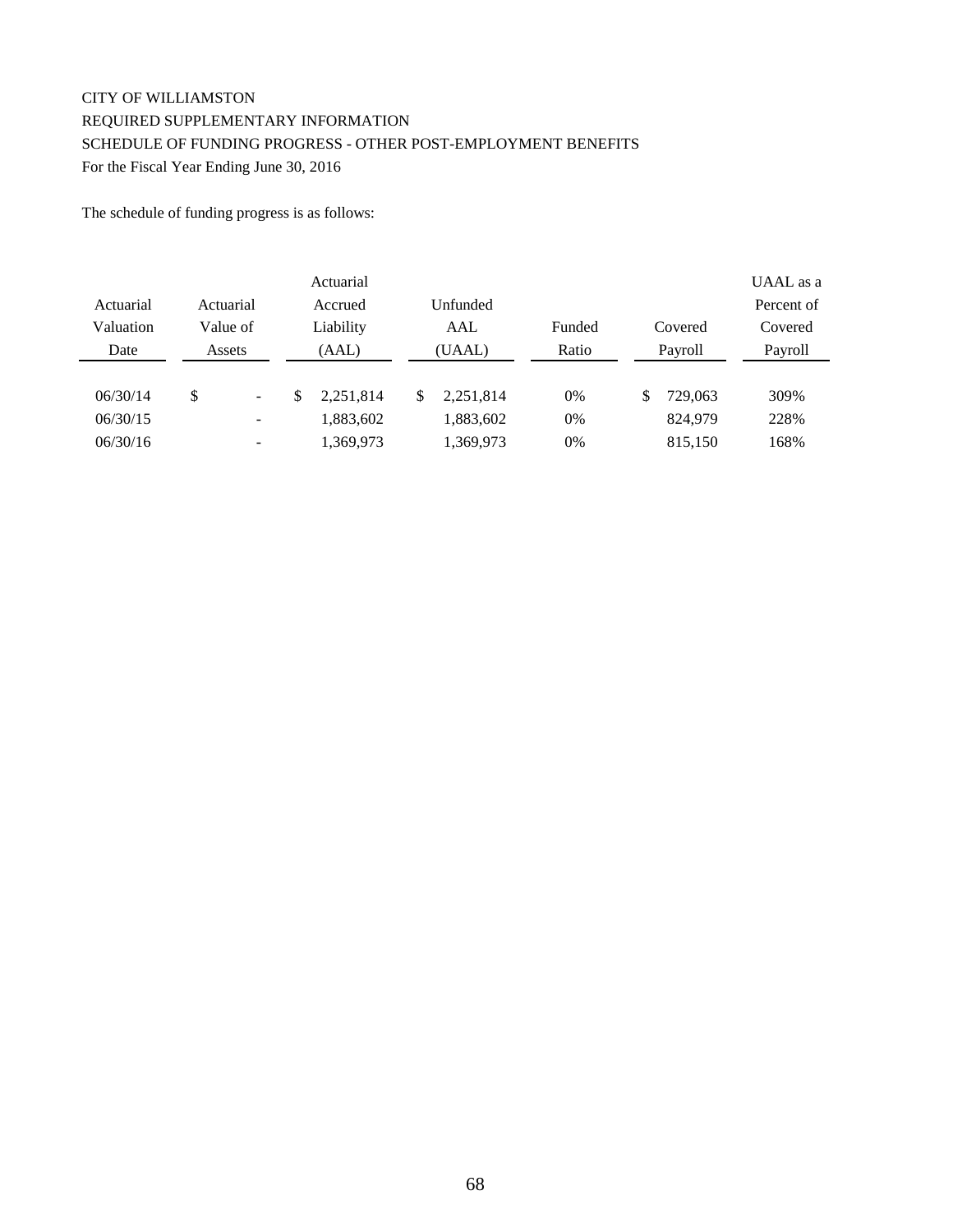# CITY OF WILLIAMSTON REQUIRED SUPPLEMENTARY INFORMATION SCHEDULE OF FUNDING PROGRESS - OTHER POST-EMPLOYMENT BENEFITS For the Fiscal Year Ending June 30, 2016

The schedule of funding progress is as follows:

|           |                                | Actuarial |     |           |        |               | UAAL as a  |
|-----------|--------------------------------|-----------|-----|-----------|--------|---------------|------------|
| Actuarial | Actuarial                      | Accrued   |     | Unfunded  |        |               | Percent of |
| Valuation | Value of                       | Liability |     | AAL       | Funded | Covered       | Covered    |
| Date      | Assets                         | (AAL)     |     | (UAAL)    | Ratio  | Payroll       | Payroll    |
|           |                                |           |     |           |        |               |            |
| 06/30/14  | \$<br>$\overline{\phantom{a}}$ | 2,251,814 | \$. | 2.251.814 | 0%     | \$<br>729,063 | 309%       |
| 06/30/15  | $\qquad \qquad \blacksquare$   | 1,883,602 |     | 1,883,602 | 0%     | 824,979       | 228%       |
| 06/30/16  | $\overline{\phantom{0}}$       | 1,369,973 |     | 1,369,973 | 0%     | 815,150       | 168%       |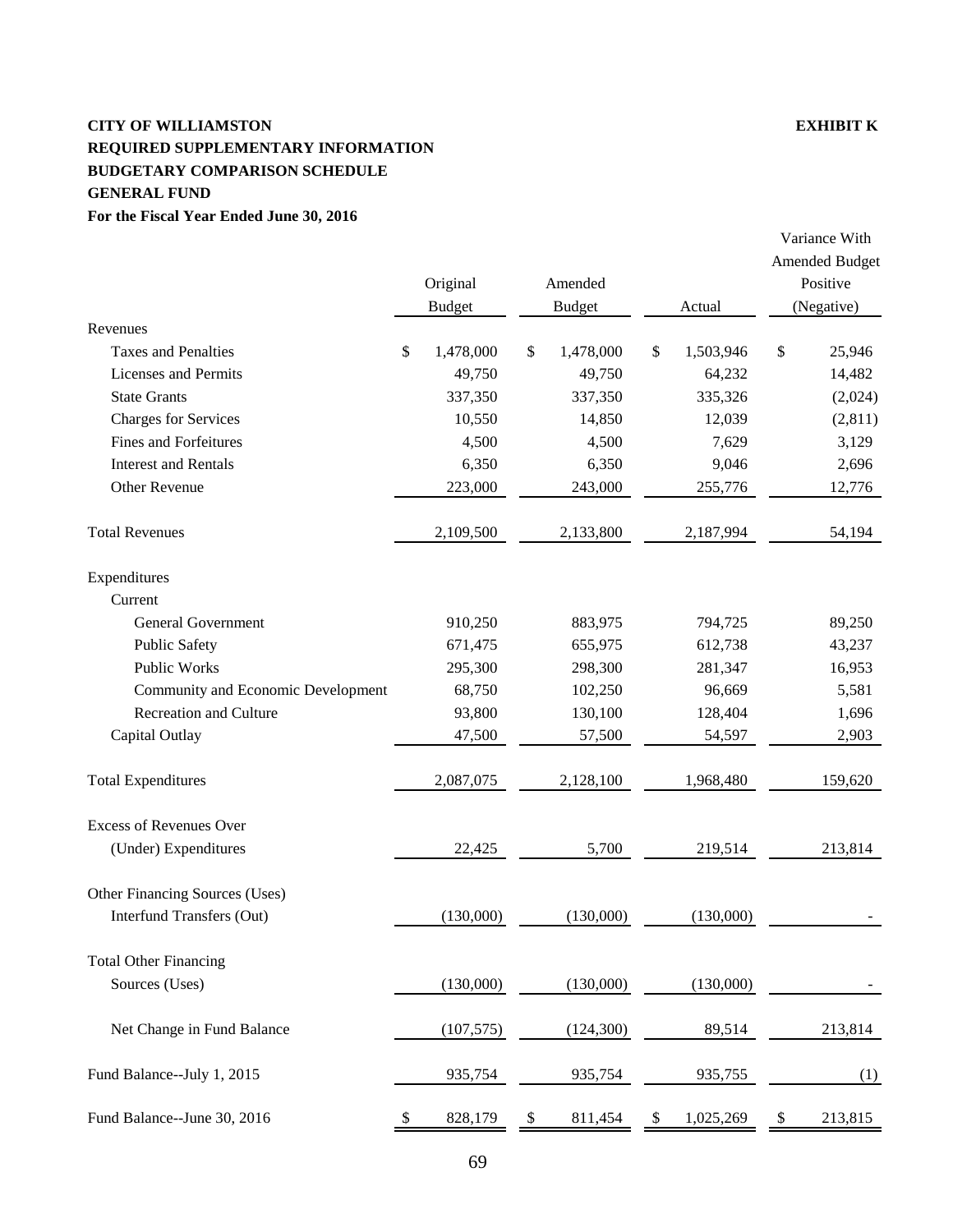# **CITY OF WILLIAMSTON EXHIBIT K REQUIRED SUPPLEMENTARY INFORMATION BUDGETARY COMPARISON SCHEDULE GENERAL FUND**

# **For the Fiscal Year Ended June 30, 2016**

|                                        | Original        | Amended         |                 | <b>Amended Budget</b><br>Positive |
|----------------------------------------|-----------------|-----------------|-----------------|-----------------------------------|
|                                        | <b>Budget</b>   | <b>Budget</b>   | Actual          | (Negative)                        |
| Revenues<br><b>Taxes and Penalties</b> | \$<br>1,478,000 | \$<br>1,478,000 | \$<br>1,503,946 | \$<br>25,946                      |
| Licenses and Permits                   | 49,750          | 49,750          | 64,232          | 14,482                            |
| <b>State Grants</b>                    | 337,350         | 337,350         | 335,326         | (2,024)                           |
| <b>Charges for Services</b>            | 10,550          | 14,850          | 12,039          | (2,811)                           |
| <b>Fines and Forfeitures</b>           | 4,500           | 4,500           | 7,629           | 3,129                             |
| <b>Interest and Rentals</b>            | 6,350           | 6,350           | 9,046           | 2,696                             |
| Other Revenue                          | 223,000         | 243,000         | 255,776         | 12,776                            |
| <b>Total Revenues</b>                  | 2,109,500       | 2,133,800       | 2,187,994       | 54,194                            |
| Expenditures                           |                 |                 |                 |                                   |
| Current                                |                 |                 |                 |                                   |
| <b>General Government</b>              | 910,250         | 883,975         | 794,725         | 89,250                            |
| <b>Public Safety</b>                   | 671,475         | 655,975         | 612,738         | 43,237                            |
| <b>Public Works</b>                    | 295,300         | 298,300         | 281,347         | 16,953                            |
| Community and Economic Development     | 68,750          | 102,250         | 96,669          | 5,581                             |
| <b>Recreation and Culture</b>          | 93,800          | 130,100         | 128,404         | 1,696                             |
| Capital Outlay                         | 47,500          | 57,500          | 54,597          | 2,903                             |
| <b>Total Expenditures</b>              | 2,087,075       | 2,128,100       | 1,968,480       | 159,620                           |
| <b>Excess of Revenues Over</b>         |                 |                 |                 |                                   |
| (Under) Expenditures                   | 22,425          | 5,700           | 219,514         | 213,814                           |
| Other Financing Sources (Uses)         |                 |                 |                 |                                   |
| Interfund Transfers (Out)              | (130,000)       | (130,000)       | (130,000)       |                                   |
| <b>Total Other Financing</b>           |                 |                 |                 |                                   |
| Sources (Uses)                         | (130,000)       | (130,000)       | (130,000)       |                                   |
| Net Change in Fund Balance             | (107, 575)      | (124,300)       | 89,514          | 213,814                           |
| Fund Balance--July 1, 2015             | 935,754         | 935,754         | 935,755         | (1)                               |
| Fund Balance--June 30, 2016            | \$<br>828,179   | \$<br>811,454   | \$<br>1,025,269 | \$<br>213,815                     |

Variance With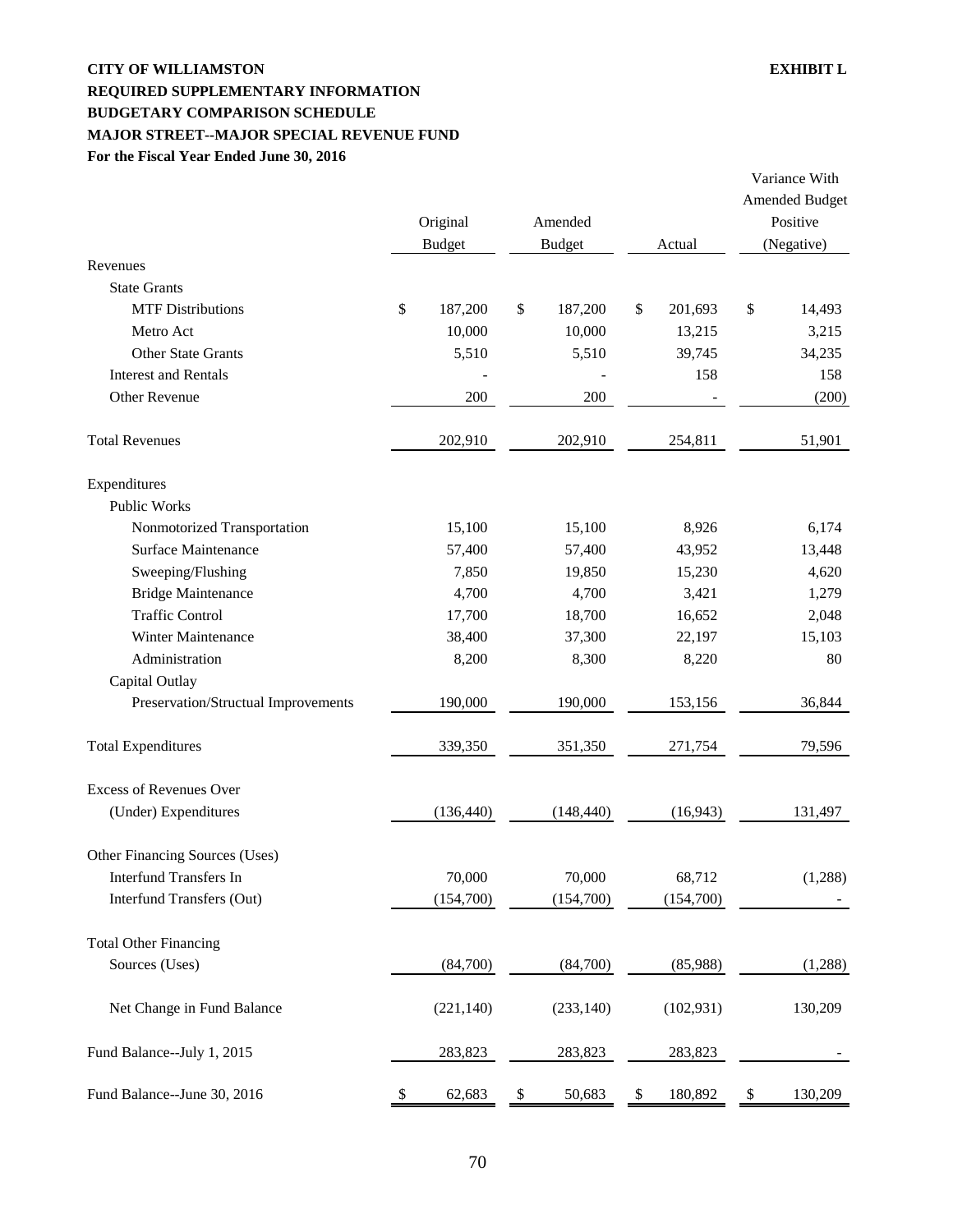# **CITY OF WILLIAMSTON EXHIBIT L REQUIRED SUPPLEMENTARY INFORMATION BUDGETARY COMPARISON SCHEDULE MAJOR STREET--MAJOR SPECIAL REVENUE FUND For the Fiscal Year Ended June 30, 2016**

|                                     |    | Original<br><b>Budget</b> |                           | Amended<br><b>Budget</b> |    | Actual     |        | Variance With<br><b>Amended Budget</b><br>Positive<br>(Negative) |
|-------------------------------------|----|---------------------------|---------------------------|--------------------------|----|------------|--------|------------------------------------------------------------------|
| Revenues                            |    |                           |                           |                          |    |            |        |                                                                  |
| <b>State Grants</b>                 |    |                           |                           |                          |    |            |        |                                                                  |
| <b>MTF Distributions</b>            | \$ | 187,200                   | \$                        | 187,200                  | \$ | 201,693    | $\$\,$ | 14,493                                                           |
| Metro Act                           |    | 10,000                    |                           | 10,000                   |    | 13,215     |        | 3,215                                                            |
| <b>Other State Grants</b>           |    | 5,510                     |                           | 5,510                    |    | 39,745     |        | 34,235                                                           |
| <b>Interest and Rentals</b>         |    |                           |                           |                          |    | 158        |        | 158                                                              |
| Other Revenue                       |    | 200                       |                           | 200                      |    |            |        | (200)                                                            |
| <b>Total Revenues</b>               |    | 202,910                   |                           | 202,910                  |    | 254,811    |        | 51,901                                                           |
| Expenditures                        |    |                           |                           |                          |    |            |        |                                                                  |
| <b>Public Works</b>                 |    |                           |                           |                          |    |            |        |                                                                  |
| Nonmotorized Transportation         |    | 15,100                    |                           | 15,100                   |    | 8,926      |        | 6,174                                                            |
| <b>Surface Maintenance</b>          |    | 57,400                    |                           | 57,400                   |    | 43,952     |        | 13,448                                                           |
| Sweeping/Flushing                   |    | 7,850                     |                           | 19,850                   |    | 15,230     |        | 4,620                                                            |
| <b>Bridge Maintenance</b>           |    | 4,700                     |                           | 4,700                    |    | 3,421      |        | 1,279                                                            |
| <b>Traffic Control</b>              |    | 17,700                    |                           | 18,700                   |    | 16,652     |        | 2,048                                                            |
| Winter Maintenance                  |    | 38,400                    |                           | 37,300                   |    | 22,197     |        | 15,103                                                           |
| Administration                      |    | 8,200                     |                           | 8,300                    |    | 8,220      |        | 80                                                               |
| Capital Outlay                      |    |                           |                           |                          |    |            |        |                                                                  |
| Preservation/Structual Improvements |    | 190,000                   |                           | 190,000                  |    | 153,156    |        | 36,844                                                           |
| <b>Total Expenditures</b>           |    | 339,350                   |                           | 351,350                  |    | 271,754    |        | 79,596                                                           |
| <b>Excess of Revenues Over</b>      |    |                           |                           |                          |    |            |        |                                                                  |
| (Under) Expenditures                |    | (136, 440)                |                           | (148, 440)               |    | (16, 943)  |        | 131,497                                                          |
| Other Financing Sources (Uses)      |    |                           |                           |                          |    |            |        |                                                                  |
| <b>Interfund Transfers In</b>       |    | 70,000                    |                           | 70,000                   |    | 68,712     |        | (1,288)                                                          |
| Interfund Transfers (Out)           |    | (154,700)                 |                           | (154,700)                |    | (154,700)  |        |                                                                  |
| <b>Total Other Financing</b>        |    |                           |                           |                          |    |            |        |                                                                  |
| Sources (Uses)                      |    | (84,700)                  |                           | (84,700)                 |    | (85,988)   |        | (1,288)                                                          |
| Net Change in Fund Balance          |    | (221, 140)                |                           | (233, 140)               |    | (102, 931) |        | 130,209                                                          |
| Fund Balance--July 1, 2015          |    | 283,823                   |                           | 283,823                  |    | 283,823    |        |                                                                  |
| Fund Balance--June 30, 2016         | \$ | 62,683                    | $\boldsymbol{\mathsf{S}}$ | 50,683                   | \$ | 180,892    | \$     | 130,209                                                          |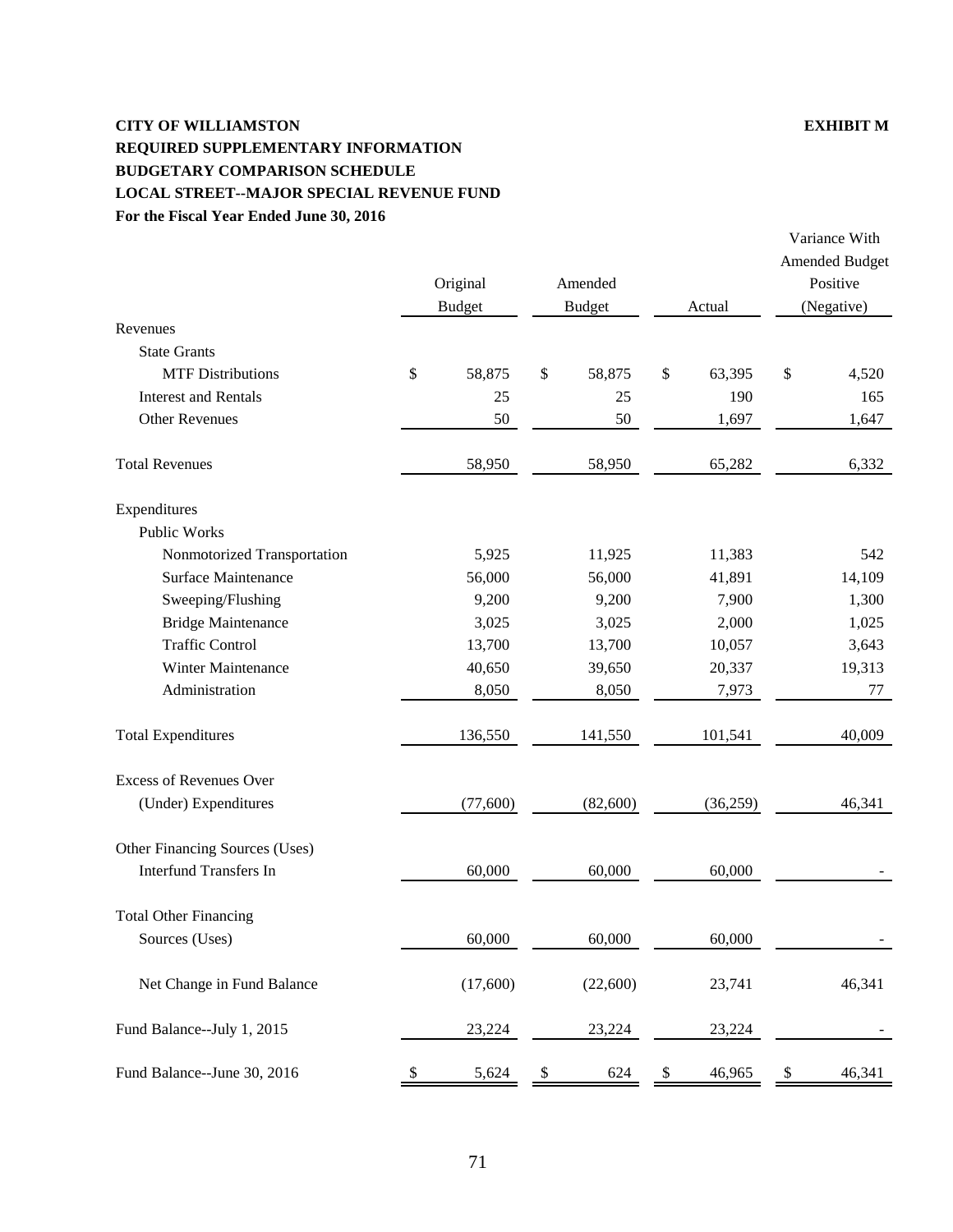# **CITY OF WILLIAMSTON EXHIBIT M REQUIRED SUPPLEMENTARY INFORMATION BUDGETARY COMPARISON SCHEDULE LOCAL STREET--MAJOR SPECIAL REVENUE FUND For the Fiscal Year Ended June 30, 2016**

|                                |    | Original<br><b>Budget</b> |      | Amended<br><b>Budget</b> | Actual       | <b>Amended Budget</b><br>Positive<br>(Negative) |        |  |
|--------------------------------|----|---------------------------|------|--------------------------|--------------|-------------------------------------------------|--------|--|
| Revenues                       |    |                           |      |                          |              |                                                 |        |  |
| <b>State Grants</b>            |    |                           |      |                          |              |                                                 |        |  |
| <b>MTF Distributions</b>       | \$ | 58,875                    | $\$$ | 58,875                   | \$<br>63,395 | \$                                              | 4,520  |  |
| <b>Interest and Rentals</b>    |    | 25                        |      | 25                       | 190          |                                                 | 165    |  |
| <b>Other Revenues</b>          |    | $50\,$                    |      | 50                       | 1,697        |                                                 | 1,647  |  |
| <b>Total Revenues</b>          |    | 58,950                    |      | 58,950                   | 65,282       |                                                 | 6,332  |  |
| Expenditures                   |    |                           |      |                          |              |                                                 |        |  |
| Public Works                   |    |                           |      |                          |              |                                                 |        |  |
| Nonmotorized Transportation    |    | 5,925                     |      | 11,925                   | 11,383       |                                                 | 542    |  |
| <b>Surface Maintenance</b>     |    | 56,000                    |      | 56,000                   | 41,891       |                                                 | 14,109 |  |
| Sweeping/Flushing              |    | 9,200                     |      | 9,200                    | 7,900        |                                                 | 1,300  |  |
| <b>Bridge Maintenance</b>      |    | 3,025                     |      | 3,025                    | 2,000        |                                                 | 1,025  |  |
| <b>Traffic Control</b>         |    | 13,700                    |      | 13,700                   | 10,057       |                                                 | 3,643  |  |
| Winter Maintenance             |    | 40,650                    |      | 39,650                   | 20,337       |                                                 | 19,313 |  |
| Administration                 |    | 8,050                     |      | 8,050                    | 7,973        |                                                 | 77     |  |
| <b>Total Expenditures</b>      |    | 136,550                   |      | 141,550                  | 101,541      |                                                 | 40,009 |  |
| <b>Excess of Revenues Over</b> |    |                           |      |                          |              |                                                 |        |  |
| (Under) Expenditures           |    | (77,600)                  |      | (82,600)                 | (36,259)     |                                                 | 46,341 |  |
| Other Financing Sources (Uses) |    |                           |      |                          |              |                                                 |        |  |
| <b>Interfund Transfers In</b>  |    | 60,000                    |      | 60,000                   | 60,000       |                                                 |        |  |
| <b>Total Other Financing</b>   |    |                           |      |                          |              |                                                 |        |  |
| Sources (Uses)                 |    | 60,000                    |      | 60,000                   | 60,000       |                                                 |        |  |
| Net Change in Fund Balance     |    | (17,600)                  |      | (22,600)                 | 23,741       |                                                 | 46,341 |  |
| Fund Balance--July 1, 2015     |    | 23,224                    |      | 23,224                   | 23,224       |                                                 |        |  |
| Fund Balance--June 30, 2016    | \$ | 5,624                     | \$   | 624                      | \$<br>46,965 | \$                                              | 46,341 |  |

Variance With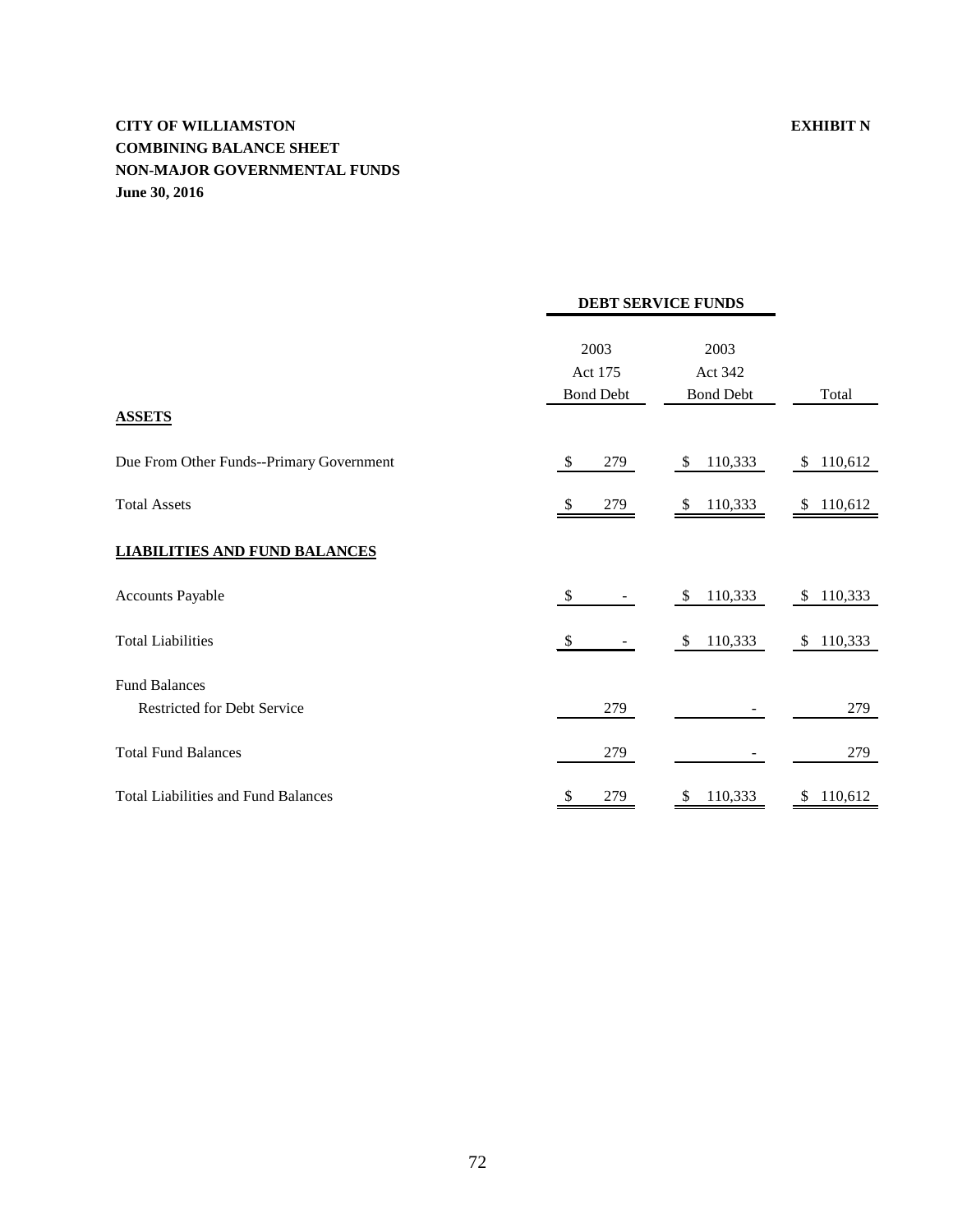# **CITY OF WILLIAMSTON EXHIBIT N COMBINING BALANCE SHEET NON-MAJOR GOVERNMENTAL FUNDS June 30, 2016**

|                                            |                                     | <b>DEBT SERVICE FUNDS</b>           |               |
|--------------------------------------------|-------------------------------------|-------------------------------------|---------------|
|                                            | 2003<br>Act 175<br><b>Bond Debt</b> | 2003<br>Act 342<br><b>Bond Debt</b> | Total         |
| <b>ASSETS</b>                              |                                     |                                     |               |
| Due From Other Funds--Primary Government   | $\$\$<br>279                        | 110,333<br>\$                       | \$ 110,612    |
| <b>Total Assets</b>                        | 279<br>\$                           | 110,333<br>\$                       | 110,612<br>\$ |
| <b>LIABILITIES AND FUND BALANCES</b>       |                                     |                                     |               |
| <b>Accounts Payable</b>                    | \$                                  | 110,333<br>\$.                      | 110,333<br>S  |
| <b>Total Liabilities</b>                   | $\mathcal{S}$                       | 110,333<br><sup>\$</sup>            | 110,333<br>S  |
| <b>Fund Balances</b>                       |                                     |                                     |               |
| <b>Restricted for Debt Service</b>         | 279                                 |                                     | 279           |
| <b>Total Fund Balances</b>                 | 279                                 |                                     | 279           |
| <b>Total Liabilities and Fund Balances</b> | 279<br>S                            | 110,333                             | 110,612<br>S  |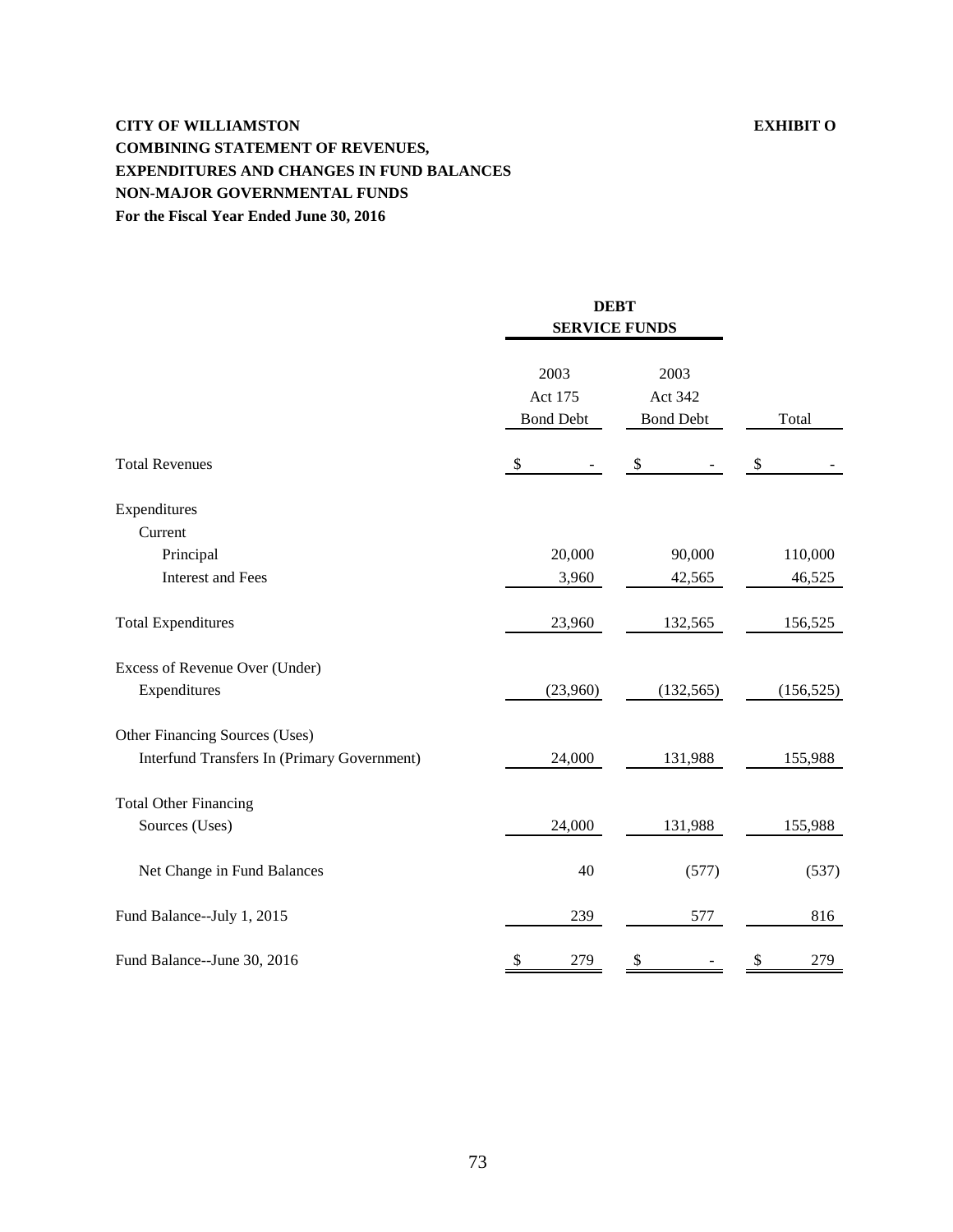# **CITY OF WILLIAMSTON EXHIBIT O COMBINING STATEMENT OF REVENUES, EXPENDITURES AND CHANGES IN FUND BALANCES NON-MAJOR GOVERNMENTAL FUNDS For the Fiscal Year Ended June 30, 2016**

|                                                                               |                                     | <b>DEBT</b><br><b>SERVICE FUNDS</b> |                           |
|-------------------------------------------------------------------------------|-------------------------------------|-------------------------------------|---------------------------|
|                                                                               | 2003<br>Act 175<br><b>Bond Debt</b> | 2003<br>Act 342<br><b>Bond Debt</b> | Total                     |
| <b>Total Revenues</b>                                                         | \$                                  | \$                                  | $\boldsymbol{\mathsf{S}}$ |
| Expenditures<br>Current<br>Principal<br><b>Interest and Fees</b>              | 20,000<br>3,960                     | 90,000<br>42,565                    | 110,000<br>46,525         |
| <b>Total Expenditures</b>                                                     | 23,960                              | 132,565                             | 156,525                   |
| Excess of Revenue Over (Under)<br>Expenditures                                | (23,960)                            | (132, 565)                          | (156, 525)                |
| Other Financing Sources (Uses)<br>Interfund Transfers In (Primary Government) | 24,000                              | 131,988                             | 155,988                   |
| <b>Total Other Financing</b><br>Sources (Uses)                                | 24,000                              | 131,988                             | 155,988                   |
| Net Change in Fund Balances                                                   | 40                                  | (577)                               | (537)                     |
| Fund Balance--July 1, 2015                                                    | 239                                 | 577                                 | 816                       |
| Fund Balance--June 30, 2016                                                   | \$<br>279                           | \$                                  | 279<br>\$                 |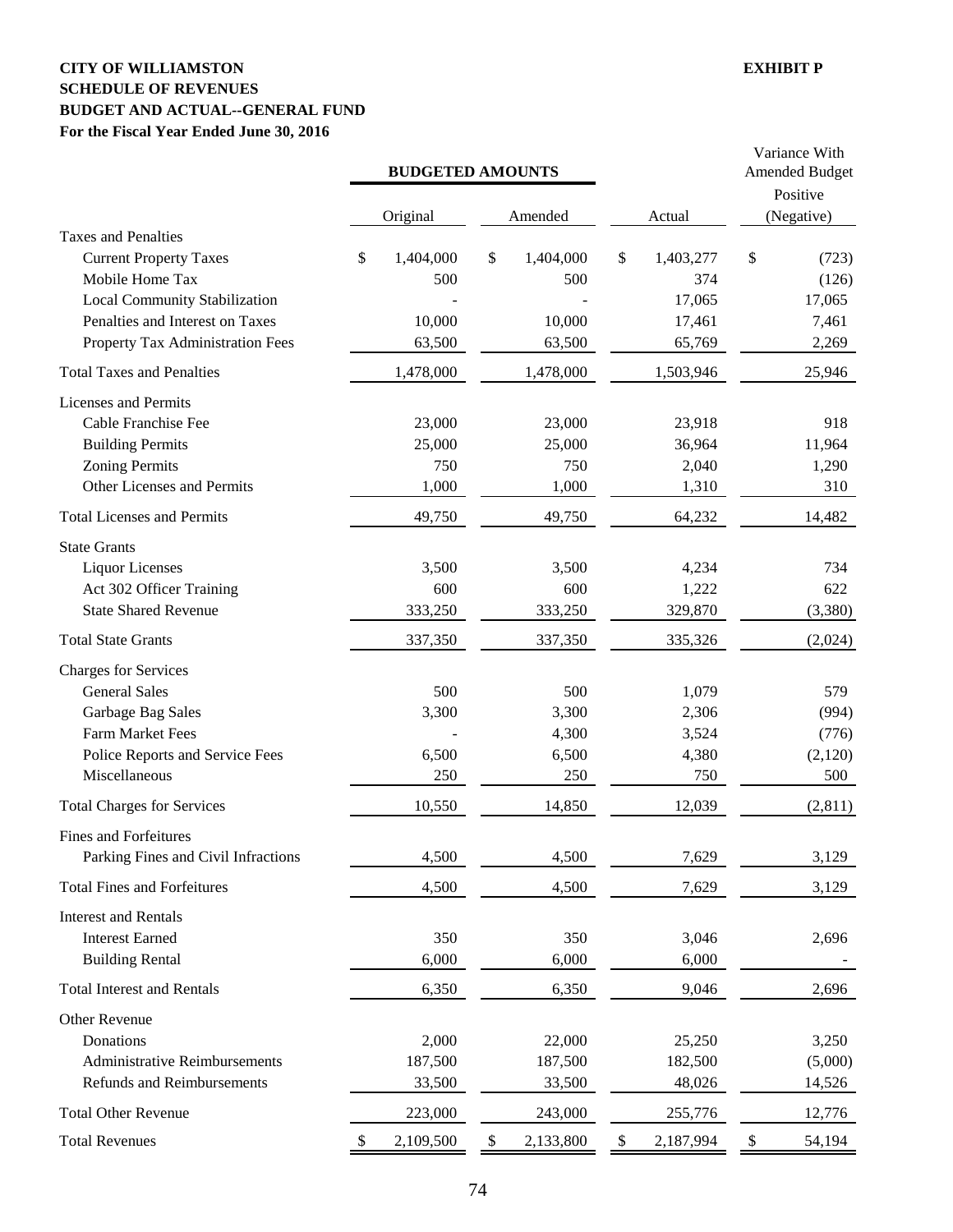## **CITY OF WILLIAMSTON EXHIBIT P SCHEDULE OF REVENUES BUDGET AND ACTUAL--GENERAL FUND For the Fiscal Year Ended June 30, 2016**

|                                                                                                                                                  |                                  | <b>BUDGETED AMOUNTS</b>               |                                         | Variance With<br><b>Amended Budget</b><br>Positive |
|--------------------------------------------------------------------------------------------------------------------------------------------------|----------------------------------|---------------------------------------|-----------------------------------------|----------------------------------------------------|
|                                                                                                                                                  | Original                         | Amended                               | Actual                                  | (Negative)                                         |
| <b>Taxes and Penalties</b><br><b>Current Property Taxes</b><br>Mobile Home Tax<br><b>Local Community Stabilization</b>                           | \$<br>1,404,000<br>500           | \$<br>1,404,000<br>500                | \$<br>1,403,277<br>374<br>17,065        | \$<br>(723)<br>(126)<br>17,065                     |
| Penalties and Interest on Taxes<br>Property Tax Administration Fees                                                                              | 10,000<br>63,500                 | 10,000<br>63,500                      | 17,461<br>65,769                        | 7,461<br>2,269                                     |
| <b>Total Taxes and Penalties</b>                                                                                                                 | 1,478,000                        | 1,478,000                             | 1,503,946                               | 25,946                                             |
| <b>Licenses and Permits</b><br>Cable Franchise Fee<br><b>Building Permits</b><br><b>Zoning Permits</b><br>Other Licenses and Permits             | 23,000<br>25,000<br>750<br>1,000 | 23,000<br>25,000<br>750<br>1,000      | 23,918<br>36,964<br>2,040<br>1,310      | 918<br>11,964<br>1,290<br>310                      |
| <b>Total Licenses and Permits</b>                                                                                                                | 49,750                           | 49,750                                | 64,232                                  | 14,482                                             |
| <b>State Grants</b><br><b>Liquor Licenses</b><br>Act 302 Officer Training<br><b>State Shared Revenue</b>                                         | 3,500<br>600<br>333,250          | 3,500<br>600<br>333,250               | 4,234<br>1,222<br>329,870               | 734<br>622<br>(3,380)                              |
| <b>Total State Grants</b>                                                                                                                        | 337,350                          | 337,350                               | 335,326                                 | (2,024)                                            |
| <b>Charges for Services</b><br><b>General Sales</b><br>Garbage Bag Sales<br>Farm Market Fees<br>Police Reports and Service Fees<br>Miscellaneous | 500<br>3,300<br>6,500<br>250     | 500<br>3,300<br>4,300<br>6,500<br>250 | 1,079<br>2,306<br>3,524<br>4,380<br>750 | 579<br>(994)<br>(776)<br>(2,120)<br>500            |
| <b>Total Charges for Services</b>                                                                                                                | 10,550                           | 14,850                                | 12,039                                  | (2,811)                                            |
| Fines and Forfeitures<br>Parking Fines and Civil Infractions<br><b>Total Fines and Forfeitures</b>                                               | 4,500<br>4,500                   | 4,500<br>4,500                        | 7,629<br>7,629                          | 3,129<br>3,129                                     |
| <b>Interest and Rentals</b><br><b>Interest Earned</b><br><b>Building Rental</b>                                                                  | 350<br>6,000                     | 350<br>6,000                          | 3,046<br>6,000                          | 2,696                                              |
| <b>Total Interest and Rentals</b>                                                                                                                | 6,350                            | 6,350                                 | 9,046                                   | 2,696                                              |
| Other Revenue<br>Donations<br><b>Administrative Reimbursements</b><br><b>Refunds and Reimbursements</b>                                          | 2,000<br>187,500<br>33,500       | 22,000<br>187,500<br>33,500           | 25,250<br>182,500<br>48,026             | 3,250<br>(5,000)<br>14,526                         |
| <b>Total Other Revenue</b>                                                                                                                       | 223,000                          | 243,000                               | 255,776                                 | 12,776                                             |
| <b>Total Revenues</b>                                                                                                                            | 2,109,500<br>\$                  | 2,133,800<br>\$                       | 2,187,994<br>\$                         | 54,194<br>\$                                       |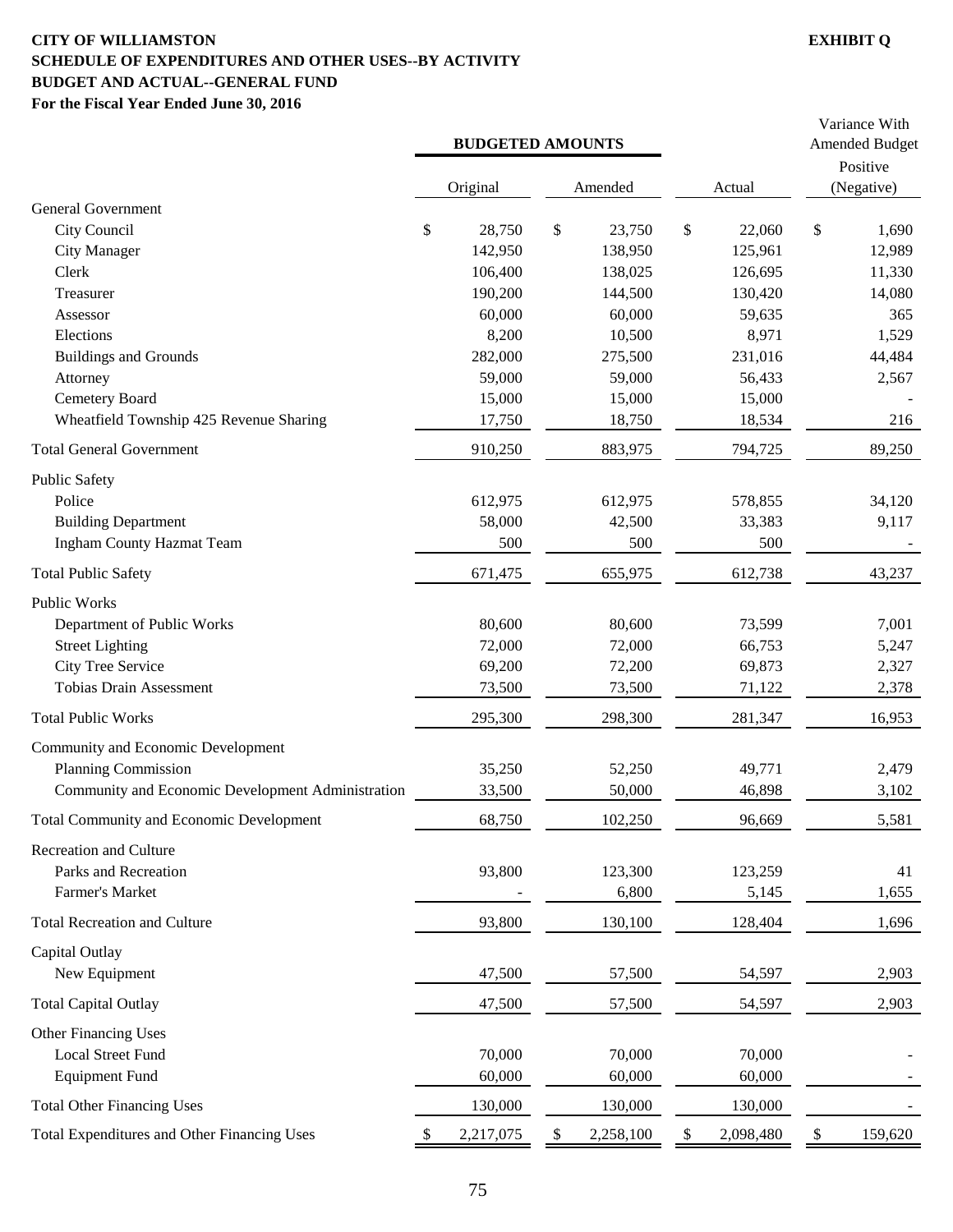## **CITY OF WILLIAMSTON EXHIBIT Q SCHEDULE OF EXPENDITURES AND OTHER USES--BY ACTIVITY BUDGET AND ACTUAL--GENERAL FUND For the Fiscal Year Ended June 30, 2016**

|                                                                | <b>BUDGETED AMOUNTS</b> |                 |                 | Variance With<br><b>Amended Budget</b><br>Positive |
|----------------------------------------------------------------|-------------------------|-----------------|-----------------|----------------------------------------------------|
| <b>General Government</b>                                      | Original                | Amended         | Actual          | (Negative)                                         |
| City Council                                                   | \$<br>28,750            | \$<br>23,750    | \$<br>22,060    | \$<br>1,690                                        |
| <b>City Manager</b>                                            | 142,950                 | 138,950         | 125,961         | 12,989                                             |
| Clerk                                                          | 106,400                 | 138,025         | 126,695         | 11,330                                             |
| Treasurer                                                      | 190,200                 | 144,500         | 130,420         | 14,080                                             |
| Assessor                                                       | 60,000                  | 60,000          | 59,635          | 365                                                |
| Elections                                                      | 8,200                   | 10,500          | 8,971           | 1,529                                              |
| <b>Buildings and Grounds</b>                                   | 282,000                 | 275,500         | 231,016         | 44,484                                             |
| Attorney                                                       | 59,000                  | 59,000          | 56,433          | 2,567                                              |
| Cemetery Board                                                 | 15,000                  | 15,000          | 15,000          |                                                    |
| Wheatfield Township 425 Revenue Sharing                        | 17,750                  | 18,750          | 18,534          | 216                                                |
| <b>Total General Government</b>                                | 910,250                 | 883,975         | 794,725         | 89,250                                             |
| <b>Public Safety</b>                                           |                         |                 |                 |                                                    |
| Police                                                         | 612,975                 | 612,975         | 578,855         | 34,120                                             |
| <b>Building Department</b>                                     | 58,000<br>500           | 42,500          | 33,383<br>500   | 9,117                                              |
| <b>Ingham County Hazmat Team</b><br><b>Total Public Safety</b> | 671,475                 | 500<br>655,975  | 612,738         | 43,237                                             |
|                                                                |                         |                 |                 |                                                    |
| Public Works                                                   |                         |                 |                 |                                                    |
| Department of Public Works                                     | 80,600                  | 80,600          | 73,599          | 7,001                                              |
| <b>Street Lighting</b>                                         | 72,000                  | 72,000          | 66,753          | 5,247                                              |
| <b>City Tree Service</b><br><b>Tobias Drain Assessment</b>     | 69,200<br>73,500        | 72,200          | 69,873          | 2,327<br>2,378                                     |
|                                                                |                         | 73,500          | 71,122          |                                                    |
| <b>Total Public Works</b>                                      | 295,300                 | 298,300         | 281,347         | 16,953                                             |
| Community and Economic Development                             |                         |                 |                 |                                                    |
| Planning Commission                                            | 35,250                  | 52,250          | 49,771          | 2,479                                              |
| Community and Economic Development Administration              | 33,500                  | 50,000          | 46,898          | 3,102                                              |
| <b>Total Community and Economic Development</b>                | 68,750                  | 102,250         | 96,669          | 5,581                                              |
| <b>Recreation and Culture</b><br>Parks and Recreation          | 93,800                  | 123,300         | 123,259         | 41                                                 |
| Farmer's Market                                                |                         | 6,800           | 5,145           | 1,655                                              |
| <b>Total Recreation and Culture</b>                            | 93,800                  | 130,100         | 128,404         | 1,696                                              |
|                                                                |                         |                 |                 |                                                    |
| Capital Outlay                                                 |                         |                 |                 |                                                    |
| New Equipment                                                  | 47,500                  | 57,500          | 54,597          | 2,903                                              |
| <b>Total Capital Outlay</b>                                    | 47,500                  | 57,500          | 54,597          | 2,903                                              |
| Other Financing Uses                                           |                         |                 |                 |                                                    |
| <b>Local Street Fund</b>                                       | 70,000                  | 70,000          | 70,000          |                                                    |
| <b>Equipment Fund</b>                                          | 60,000                  | 60,000          | 60,000          |                                                    |
| <b>Total Other Financing Uses</b>                              | 130,000                 | 130,000         | 130,000         |                                                    |
| Total Expenditures and Other Financing Uses                    | \$<br>2,217,075         | \$<br>2,258,100 | \$<br>2,098,480 | \$<br>159,620                                      |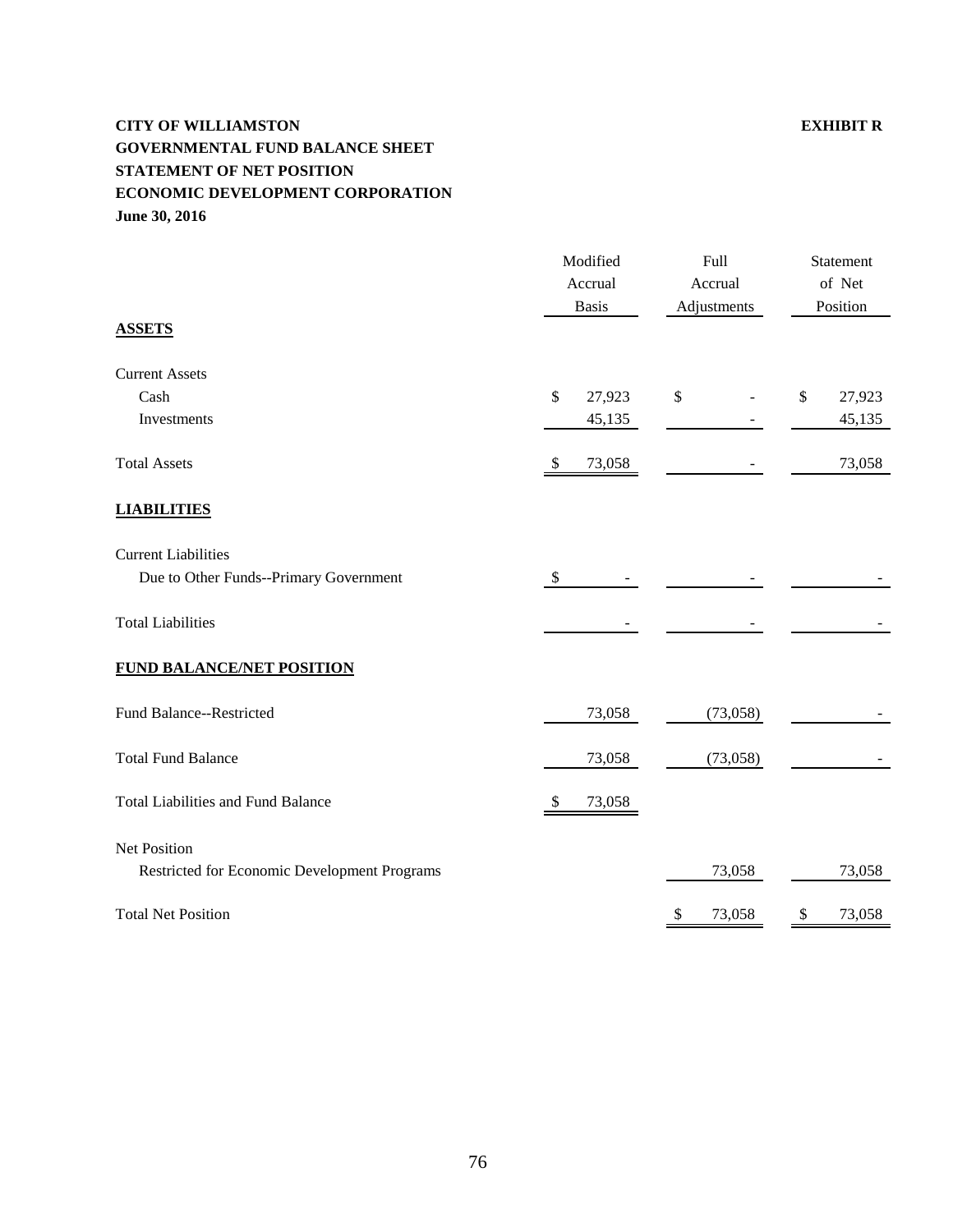# **CITY OF WILLIAMSTON EXHIBIT R GOVERNMENTAL FUND BALANCE SHEET STATEMENT OF NET POSITION ECONOMIC DEVELOPMENT CORPORATION June 30, 2016**

|                                                                      | Modified<br>Accrual    | Full<br>Accrual |                          | Statement<br>of Net |                  |
|----------------------------------------------------------------------|------------------------|-----------------|--------------------------|---------------------|------------------|
| <b>ASSETS</b>                                                        | <b>Basis</b>           |                 | Adjustments              |                     | Position         |
| <b>Current Assets</b>                                                |                        |                 |                          |                     |                  |
| Cash<br>Investments                                                  | \$<br>27,923<br>45,135 | \$              | $\overline{\phantom{a}}$ | $\$$                | 27,923<br>45,135 |
| <b>Total Assets</b>                                                  | \$<br>73,058           |                 |                          |                     | 73,058           |
| <b>LIABILITIES</b>                                                   |                        |                 |                          |                     |                  |
| <b>Current Liabilities</b><br>Due to Other Funds--Primary Government | \$                     |                 |                          |                     |                  |
| <b>Total Liabilities</b>                                             |                        |                 |                          |                     |                  |
| <b>FUND BALANCE/NET POSITION</b>                                     |                        |                 |                          |                     |                  |
| Fund Balance--Restricted                                             | 73,058                 |                 | (73,058)                 |                     |                  |
| <b>Total Fund Balance</b>                                            | 73,058                 |                 | (73,058)                 |                     |                  |
| <b>Total Liabilities and Fund Balance</b>                            | \$<br>73,058           |                 |                          |                     |                  |
| Net Position<br>Restricted for Economic Development Programs         |                        |                 | 73,058                   |                     | 73,058           |
| <b>Total Net Position</b>                                            |                        | \$              | 73,058                   | \$                  | 73,058           |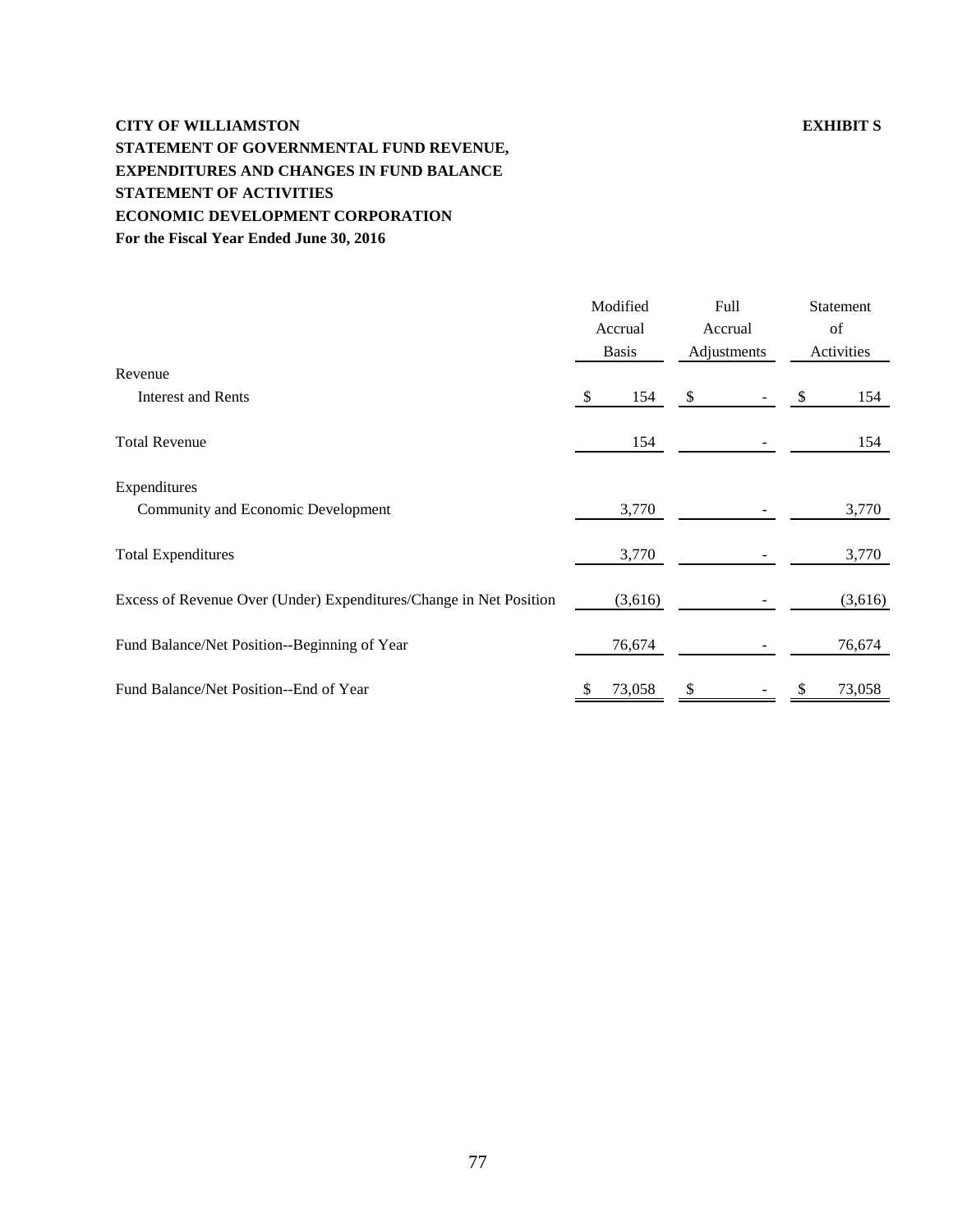# **CITY OF WILLIAMSTON EXHIBIT S STATEMENT OF GOVERNMENTAL FUND REVENUE, EXPENDITURES AND CHANGES IN FUND BALANCE STATEMENT OF ACTIVITIES ECONOMIC DEVELOPMENT CORPORATION For the Fiscal Year Ended June 30, 2016**

|                                                                    | Modified     | Full        | Statement  |
|--------------------------------------------------------------------|--------------|-------------|------------|
|                                                                    | Accrual      | Accrual     | of         |
|                                                                    | <b>Basis</b> | Adjustments | Activities |
| Revenue                                                            |              |             |            |
| <b>Interest and Rents</b>                                          | 154<br>\$.   | \$          | \$<br>154  |
| <b>Total Revenue</b>                                               | 154          |             | 154        |
| Expenditures                                                       |              |             |            |
| Community and Economic Development                                 | 3,770        |             | 3,770      |
| <b>Total Expenditures</b>                                          | 3,770        |             | 3,770      |
| Excess of Revenue Over (Under) Expenditures/Change in Net Position | (3,616)      |             | (3,616)    |
| Fund Balance/Net Position--Beginning of Year                       | 76,674       |             | 76,674     |
| Fund Balance/Net Position--End of Year                             | 73,058       |             | 73,058     |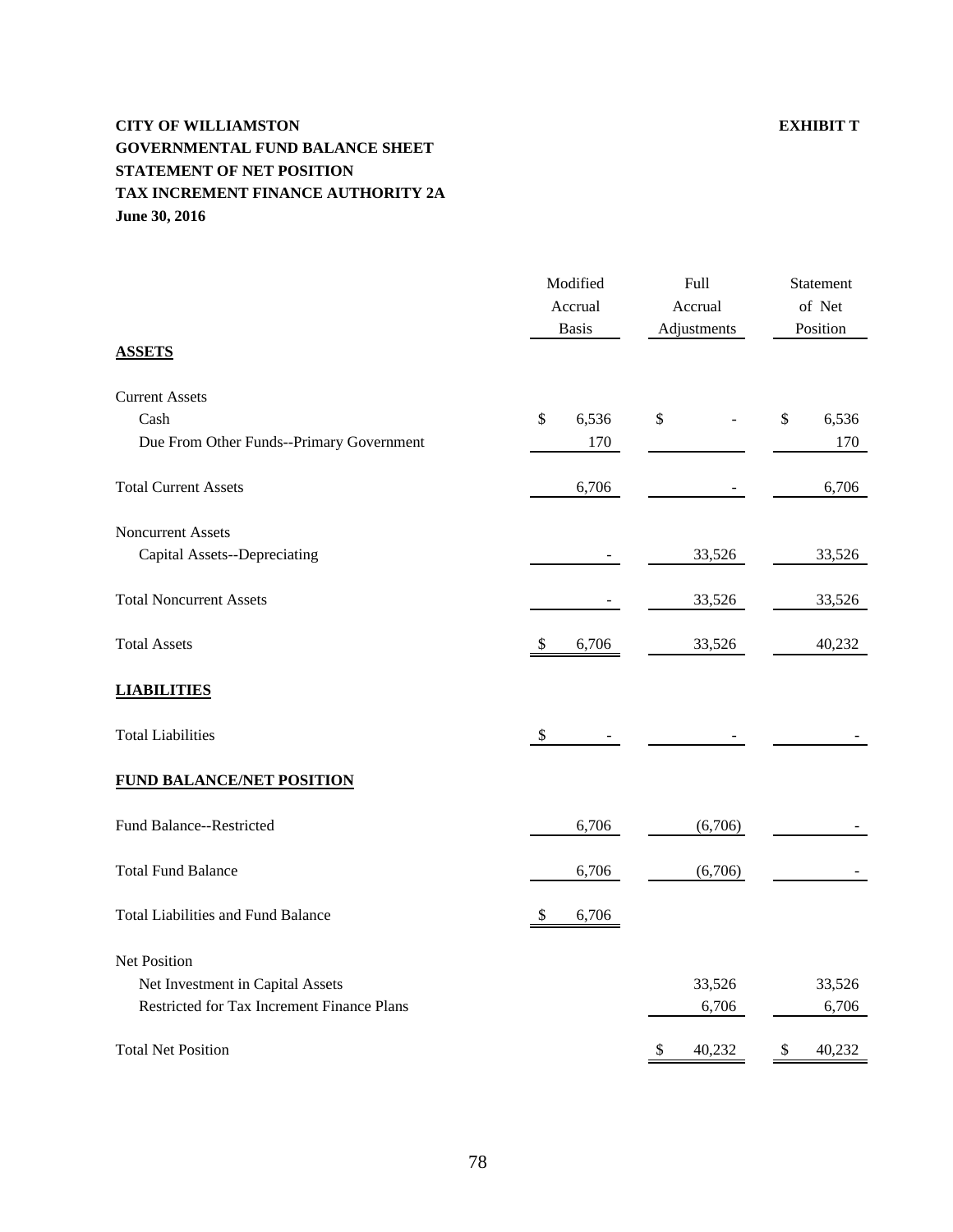# **CITY OF WILLIAMSTON EXHIBIT T GOVERNMENTAL FUND BALANCE SHEET STATEMENT OF NET POSITION TAX INCREMENT FINANCE AUTHORITY 2A June 30, 2016**

| <b>ASSETS</b>                              | Modified<br>Accrual<br><b>Basis</b> | Full<br>Accrual<br>Adjustments      | Statement<br>of Net<br>Position |
|--------------------------------------------|-------------------------------------|-------------------------------------|---------------------------------|
| <b>Current Assets</b>                      |                                     |                                     |                                 |
| Cash                                       | \$<br>6,536                         | \$                                  | \$<br>6,536                     |
| Due From Other Funds--Primary Government   | 170                                 |                                     | 170                             |
| <b>Total Current Assets</b>                | 6,706                               |                                     | 6,706                           |
| <b>Noncurrent Assets</b>                   |                                     |                                     |                                 |
| Capital Assets--Depreciating               |                                     | 33,526                              | 33,526                          |
| <b>Total Noncurrent Assets</b>             |                                     | 33,526                              | 33,526                          |
| <b>Total Assets</b>                        | 6,706<br>\$                         | 33,526                              | 40,232                          |
| <b>LIABILITIES</b>                         |                                     |                                     |                                 |
| <b>Total Liabilities</b>                   | \$                                  |                                     |                                 |
| <b>FUND BALANCE/NET POSITION</b>           |                                     |                                     |                                 |
| Fund Balance--Restricted                   | 6,706                               | (6,706)                             |                                 |
| <b>Total Fund Balance</b>                  | 6,706                               | (6,706)                             |                                 |
| <b>Total Liabilities and Fund Balance</b>  | 6,706<br>S                          |                                     |                                 |
| Net Position                               |                                     |                                     |                                 |
| Net Investment in Capital Assets           |                                     | 33,526                              | 33,526                          |
| Restricted for Tax Increment Finance Plans |                                     | 6,706                               | 6,706                           |
| <b>Total Net Position</b>                  |                                     | $\boldsymbol{\mathsf{S}}$<br>40,232 | \$<br>40,232                    |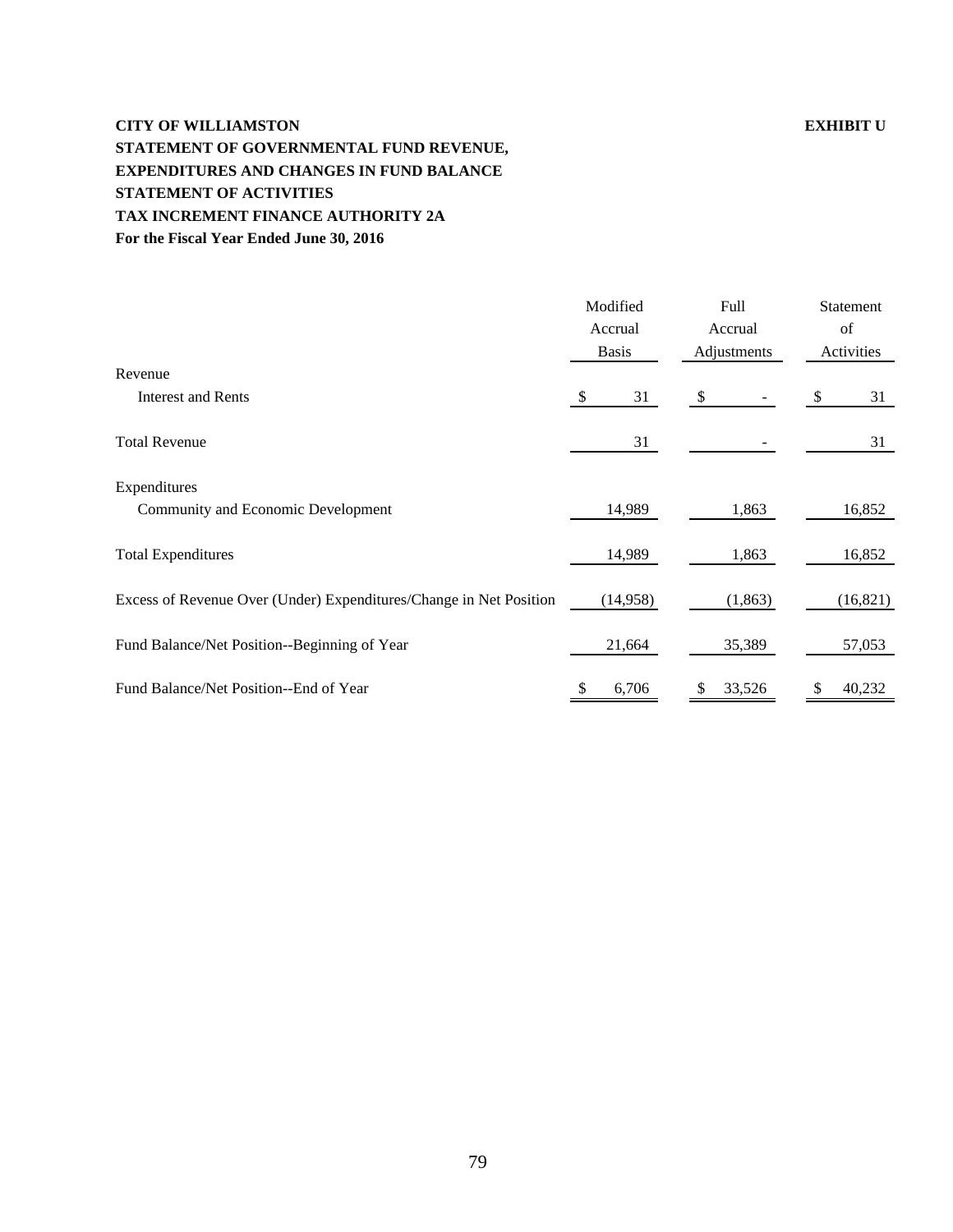# **CITY OF WILLIAMSTON EXHIBIT U STATEMENT OF GOVERNMENTAL FUND REVENUE, EXPENDITURES AND CHANGES IN FUND BALANCE STATEMENT OF ACTIVITIES TAX INCREMENT FINANCE AUTHORITY 2A For the Fiscal Year Ended June 30, 2016**

|                                                                    | Modified     | Full                      | Statement  |  |
|--------------------------------------------------------------------|--------------|---------------------------|------------|--|
|                                                                    | Accrual      | Accrual                   | of         |  |
|                                                                    | <b>Basis</b> | Adjustments               | Activities |  |
| Revenue                                                            |              |                           |            |  |
| <b>Interest and Rents</b>                                          | 31<br>-S     | $\boldsymbol{\mathsf{S}}$ | 31<br>\$   |  |
| <b>Total Revenue</b>                                               | 31           |                           | 31         |  |
| Expenditures                                                       |              |                           |            |  |
| Community and Economic Development                                 | 14,989       | 1,863                     | 16,852     |  |
| <b>Total Expenditures</b>                                          | 14,989       | 1,863                     | 16,852     |  |
| Excess of Revenue Over (Under) Expenditures/Change in Net Position | (14,958)     | (1, 863)                  | (16, 821)  |  |
| Fund Balance/Net Position--Beginning of Year                       | 21,664       | 35,389                    | 57,053     |  |
| Fund Balance/Net Position--End of Year                             | 6,706        | 33,526                    | 40,232     |  |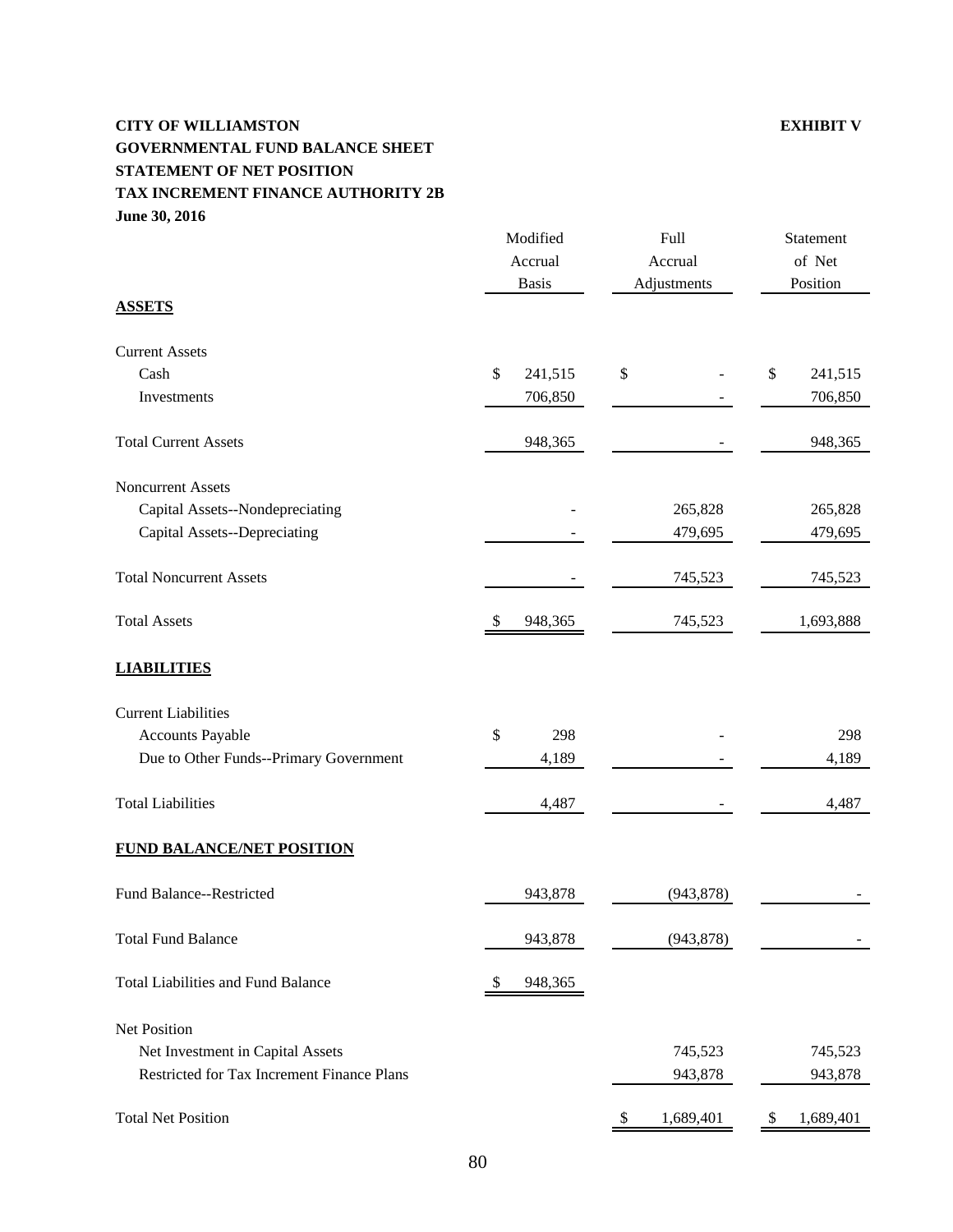# **CITY OF WILLIAMSTON EXHIBIT V GOVERNMENTAL FUND BALANCE SHEET STATEMENT OF NET POSITION TAX INCREMENT FINANCE AUTHORITY 2B June 30, 2016**

| Modified<br>Accrual<br><b>Basis</b>        |                          | Full<br>Accrual<br>Adjustments         | Statement<br>of Net<br>Position |  |
|--------------------------------------------|--------------------------|----------------------------------------|---------------------------------|--|
| <b>ASSETS</b>                              |                          |                                        |                                 |  |
| <b>Current Assets</b>                      |                          |                                        |                                 |  |
| Cash                                       | \$<br>241,515            | \$                                     | \$<br>241,515                   |  |
| Investments                                | 706,850                  |                                        | 706,850                         |  |
| <b>Total Current Assets</b>                | 948,365                  |                                        | 948,365                         |  |
| Noncurrent Assets                          |                          |                                        |                                 |  |
| Capital Assets--Nondepreciating            |                          | 265,828                                | 265,828                         |  |
| Capital Assets--Depreciating               |                          | 479,695                                | 479,695                         |  |
| <b>Total Noncurrent Assets</b>             |                          | 745,523                                | 745,523                         |  |
| <b>Total Assets</b>                        | 948,365<br><sup>\$</sup> | 745,523                                | 1,693,888                       |  |
| <b>LIABILITIES</b>                         |                          |                                        |                                 |  |
| <b>Current Liabilities</b>                 |                          |                                        |                                 |  |
| <b>Accounts Payable</b>                    | \$<br>298                |                                        | 298                             |  |
| Due to Other Funds--Primary Government     | 4,189                    |                                        | 4,189                           |  |
| <b>Total Liabilities</b>                   | 4,487                    |                                        | 4,487                           |  |
| FUND BALANCE/NET POSITION                  |                          |                                        |                                 |  |
| Fund Balance--Restricted                   | 943,878                  | (943, 878)                             |                                 |  |
| <b>Total Fund Balance</b>                  | 943,878                  | (943, 878)                             |                                 |  |
| <b>Total Liabilities and Fund Balance</b>  | 948,365<br>\$            |                                        |                                 |  |
| <b>Net Position</b>                        |                          |                                        |                                 |  |
| Net Investment in Capital Assets           |                          | 745,523                                | 745,523                         |  |
| Restricted for Tax Increment Finance Plans |                          | 943,878                                | 943,878                         |  |
| <b>Total Net Position</b>                  |                          | 1,689,401<br>$\boldsymbol{\mathsf{S}}$ | 1,689,401<br>\$                 |  |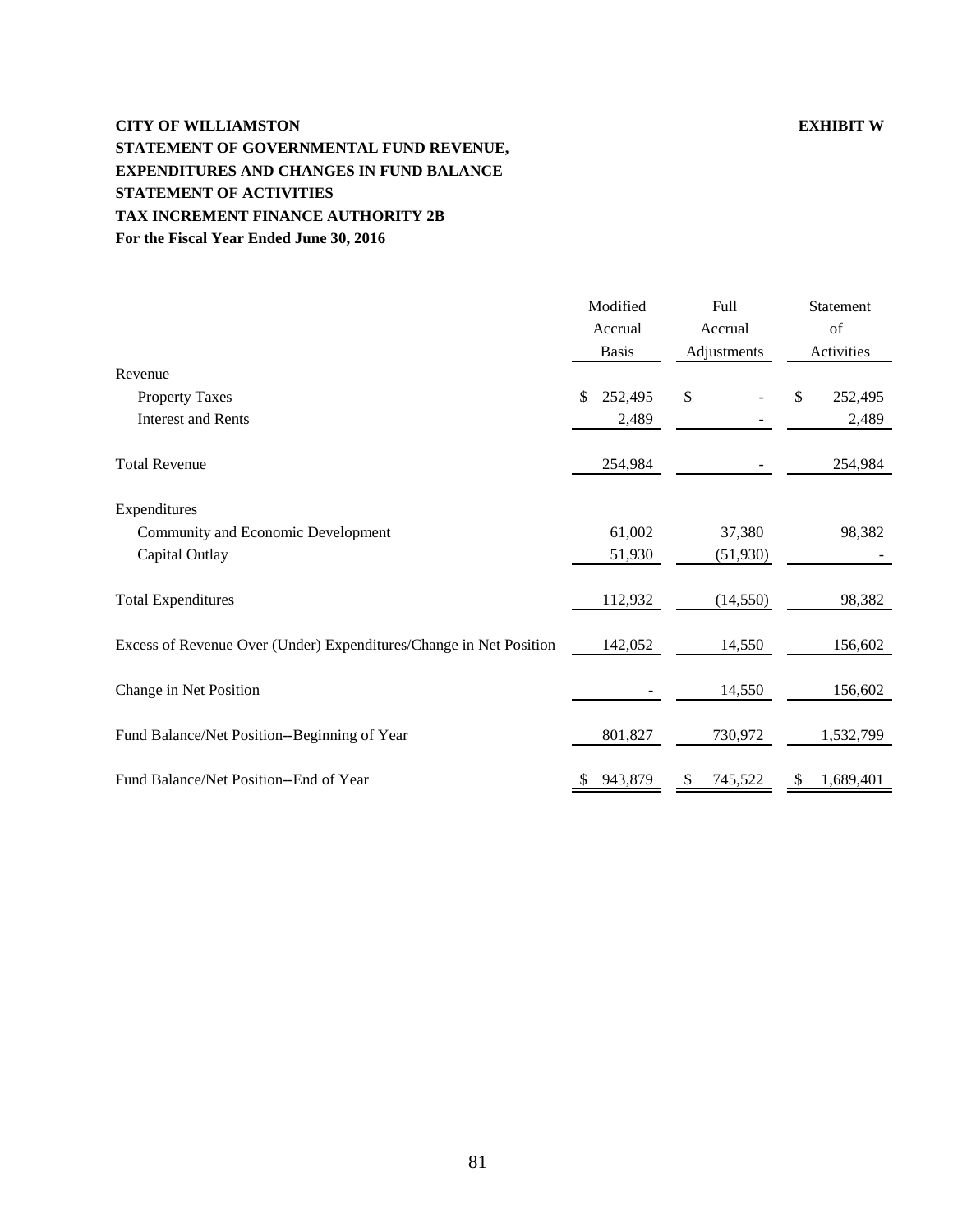# **CITY OF WILLIAMSTON EXHIBIT W STATEMENT OF GOVERNMENTAL FUND REVENUE, EXPENDITURES AND CHANGES IN FUND BALANCE STATEMENT OF ACTIVITIES TAX INCREMENT FINANCE AUTHORITY 2B For the Fiscal Year Ended June 30, 2016**

|                                                                    | Modified<br>Accrual<br><b>Basis</b> | Full<br>Accrual<br>Adjustments | Statement<br>of<br>Activities |
|--------------------------------------------------------------------|-------------------------------------|--------------------------------|-------------------------------|
| Revenue                                                            |                                     |                                |                               |
| <b>Property Taxes</b>                                              | 252,495<br>\$                       | \$                             | \$<br>252,495                 |
| <b>Interest and Rents</b>                                          | 2,489                               |                                | 2,489                         |
| <b>Total Revenue</b>                                               | 254,984                             |                                | 254,984                       |
| Expenditures                                                       |                                     |                                |                               |
| Community and Economic Development                                 | 61,002                              | 37,380                         | 98,382                        |
| Capital Outlay                                                     | 51,930                              | (51,930)                       |                               |
| <b>Total Expenditures</b>                                          | 112,932                             | (14, 550)                      | 98,382                        |
| Excess of Revenue Over (Under) Expenditures/Change in Net Position | 142,052                             | 14,550                         | 156,602                       |
| Change in Net Position                                             |                                     | 14,550                         | 156,602                       |
| Fund Balance/Net Position--Beginning of Year                       | 801,827                             | 730,972                        | 1,532,799                     |
| Fund Balance/Net Position--End of Year                             | 943,879                             | 745,522                        | 1,689,401                     |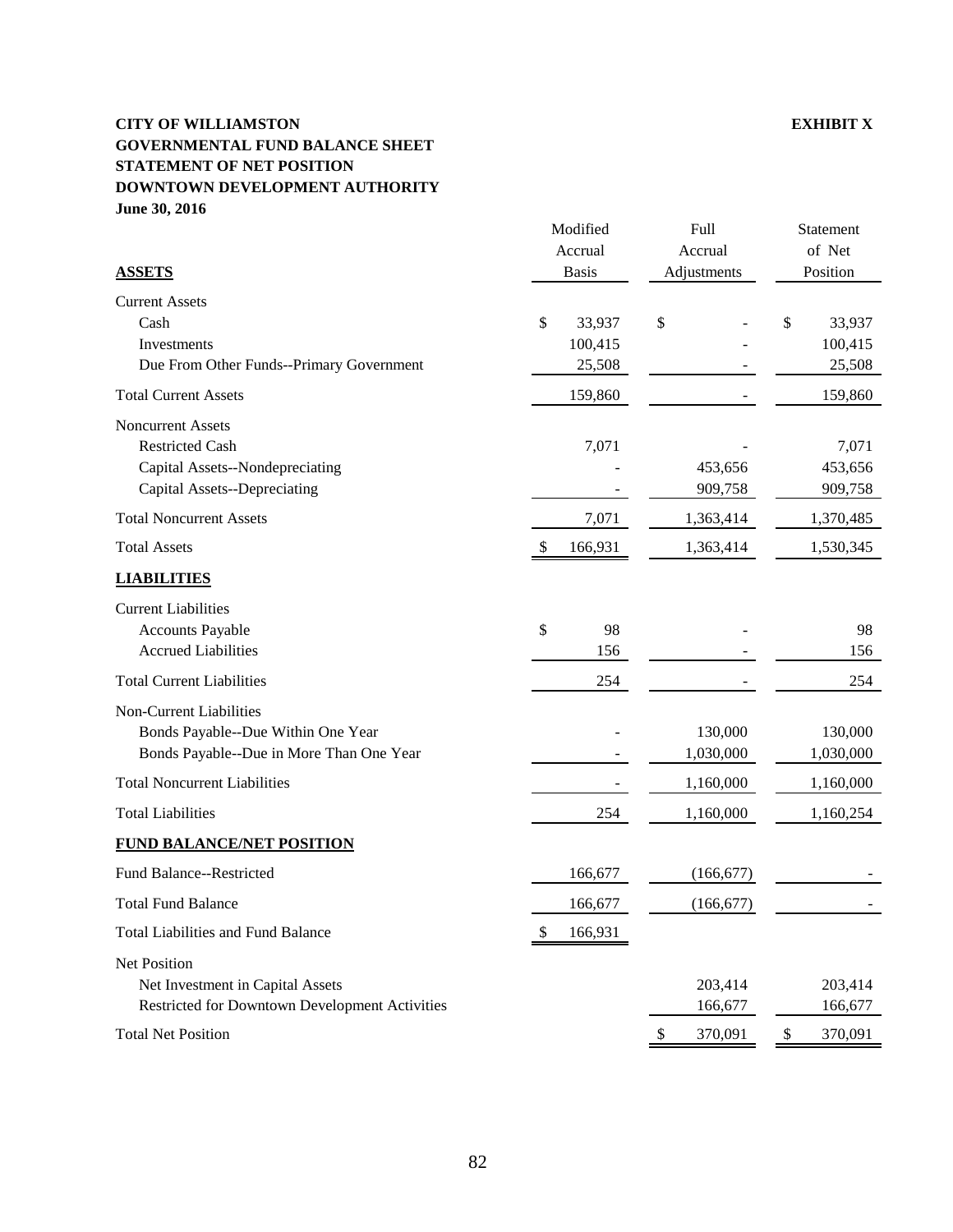### **CITY OF WILLIAMSTON EXHIBIT X GOVERNMENTAL FUND BALANCE SHEET STATEMENT OF NET POSITION DOWNTOWN DEVELOPMENT AUTHORITY June 30, 2016**

|                                                                                                                       | Modified<br>Accrual     | Full<br>Accrual      | Statement<br>of Net         |
|-----------------------------------------------------------------------------------------------------------------------|-------------------------|----------------------|-----------------------------|
| <b>ASSETS</b>                                                                                                         | <b>Basis</b>            | Adjustments          | Position                    |
| <b>Current Assets</b><br>Cash<br>Investments                                                                          | \$<br>33,937<br>100,415 | \$                   | \$<br>33,937<br>100,415     |
| Due From Other Funds--Primary Government                                                                              | 25,508                  |                      | 25,508                      |
| <b>Total Current Assets</b>                                                                                           | 159,860                 |                      | 159,860                     |
| <b>Noncurrent Assets</b><br><b>Restricted Cash</b><br>Capital Assets--Nondepreciating<br>Capital Assets--Depreciating | 7,071                   | 453,656<br>909,758   | 7,071<br>453,656<br>909,758 |
| <b>Total Noncurrent Assets</b>                                                                                        | 7,071                   | 1,363,414            | 1,370,485                   |
| <b>Total Assets</b>                                                                                                   | 166,931<br>\$           | 1,363,414            | 1,530,345                   |
| <b>LIABILITIES</b>                                                                                                    |                         |                      |                             |
| <b>Current Liabilities</b><br><b>Accounts Payable</b><br><b>Accrued Liabilities</b>                                   | \$<br>98<br>156         |                      | 98<br>156                   |
| <b>Total Current Liabilities</b>                                                                                      | 254                     |                      | 254                         |
| Non-Current Liabilities<br>Bonds Payable--Due Within One Year<br>Bonds Payable--Due in More Than One Year             |                         | 130,000<br>1,030,000 | 130,000<br>1,030,000        |
| <b>Total Noncurrent Liabilities</b>                                                                                   |                         | 1,160,000            | 1,160,000                   |
| <b>Total Liabilities</b>                                                                                              | 254                     | 1,160,000            | 1,160,254                   |
| <b>FUND BALANCE/NET POSITION</b>                                                                                      |                         |                      |                             |
| Fund Balance--Restricted                                                                                              | 166,677                 | (166, 677)           |                             |
| <b>Total Fund Balance</b>                                                                                             | 166,677                 | (166, 677)           |                             |
| <b>Total Liabilities and Fund Balance</b>                                                                             | 166,931<br>S            |                      |                             |
| Net Position<br>Net Investment in Capital Assets<br>Restricted for Downtown Development Activities                    |                         | 203,414<br>166,677   | 203,414<br>166,677          |
| <b>Total Net Position</b>                                                                                             |                         | 370,091<br>\$        | 370,091<br>\$               |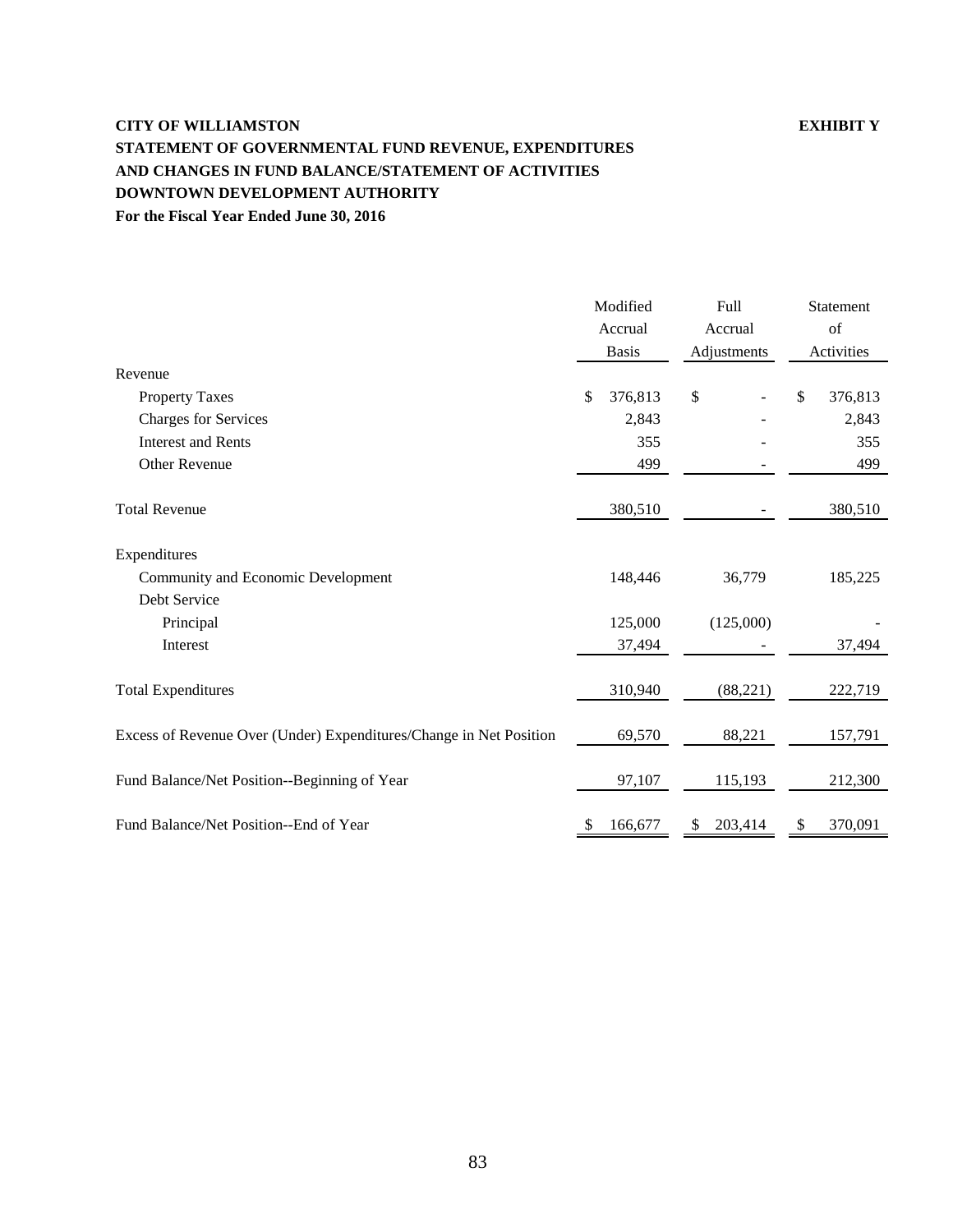# **CITY OF WILLIAMSTON EXHIBIT Y STATEMENT OF GOVERNMENTAL FUND REVENUE, EXPENDITURES AND CHANGES IN FUND BALANCE/STATEMENT OF ACTIVITIES DOWNTOWN DEVELOPMENT AUTHORITY For the Fiscal Year Ended June 30, 2016**

|                                                                    | Modified      | Full         | Statement<br>of |  |
|--------------------------------------------------------------------|---------------|--------------|-----------------|--|
|                                                                    | Accrual       | Accrual      |                 |  |
|                                                                    | <b>Basis</b>  | Adjustments  | Activities      |  |
| Revenue                                                            |               |              |                 |  |
| <b>Property Taxes</b>                                              | 376,813<br>\$ | \$           | \$<br>376,813   |  |
| <b>Charges for Services</b>                                        | 2,843         |              | 2,843           |  |
| <b>Interest and Rents</b>                                          | 355           |              | 355             |  |
| Other Revenue                                                      | 499           |              | 499             |  |
| <b>Total Revenue</b>                                               | 380,510       |              | 380,510         |  |
| Expenditures                                                       |               |              |                 |  |
| Community and Economic Development                                 | 148,446       | 36,779       | 185,225         |  |
| Debt Service                                                       |               |              |                 |  |
| Principal                                                          | 125,000       | (125,000)    |                 |  |
| Interest                                                           | 37,494        |              | 37,494          |  |
| <b>Total Expenditures</b>                                          | 310,940       | (88, 221)    | 222,719         |  |
| Excess of Revenue Over (Under) Expenditures/Change in Net Position | 69,570        | 88,221       | 157,791         |  |
| Fund Balance/Net Position--Beginning of Year                       | 97,107        | 115,193      | 212,300         |  |
| Fund Balance/Net Position--End of Year                             | 166,677       | 203,414<br>S | 370,091<br>\$   |  |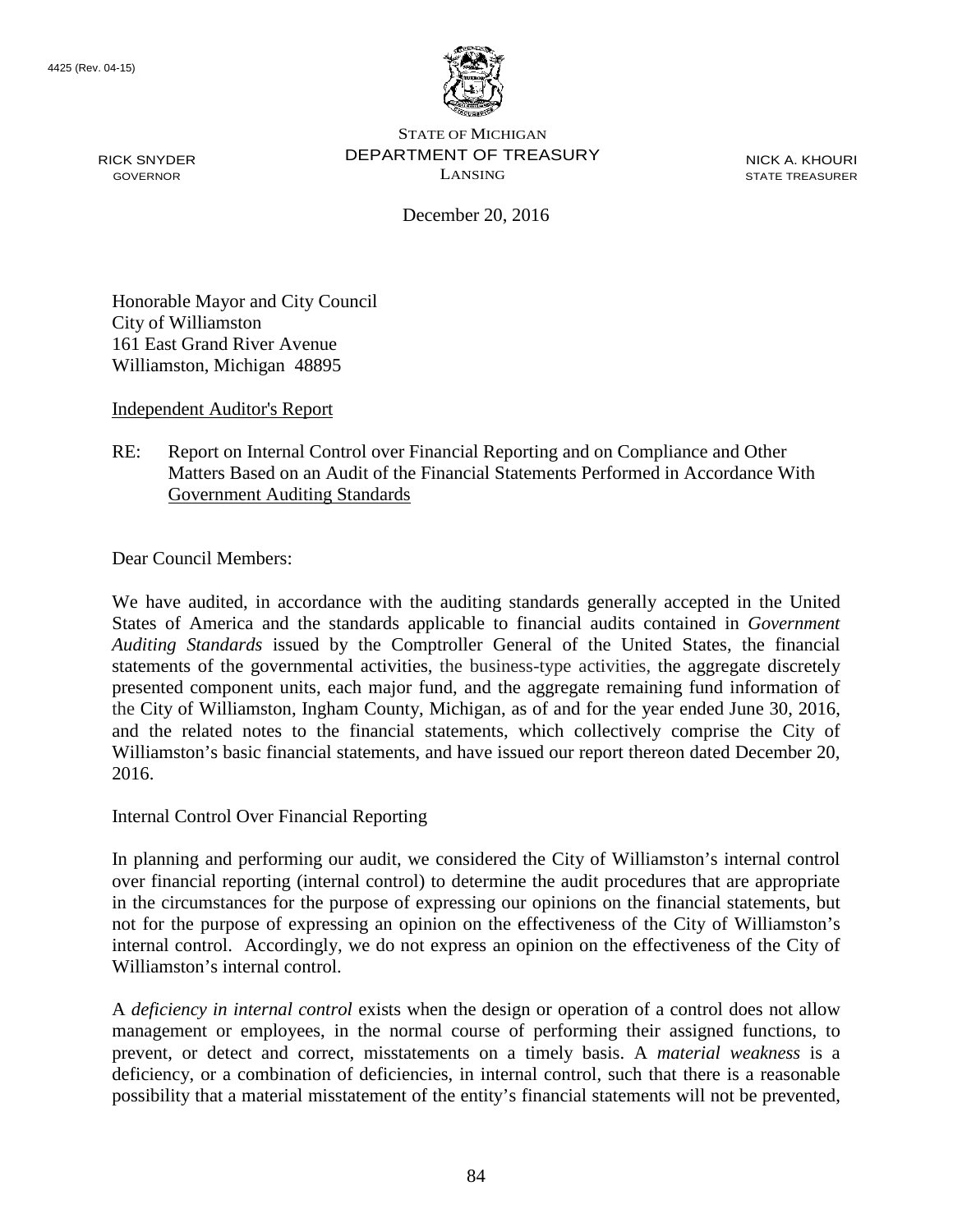RICK SNYDER GOVERNOR



STATE OF MICHIGAN DEPARTMENT OF TREASURY LANSING

NICK A. KHOURI STATE TREASURER

December 20, 2016

Honorable Mayor and City Council City of Williamston 161 East Grand River Avenue Williamston, Michigan 48895

Independent Auditor's Report

## RE: Report on Internal Control over Financial Reporting and on Compliance and Other Matters Based on an Audit of the Financial Statements Performed in Accordance With Government Auditing Standards

Dear Council Members:

We have audited, in accordance with the auditing standards generally accepted in the United States of America and the standards applicable to financial audits contained in *Government Auditing Standards* issued by the Comptroller General of the United States, the financial statements of the governmental activities, the business-type activities, the aggregate discretely presented component units, each major fund, and the aggregate remaining fund information of the City of Williamston, Ingham County, Michigan, as of and for the year ended June 30, 2016, and the related notes to the financial statements, which collectively comprise the City of Williamston's basic financial statements, and have issued our report thereon dated December 20, 2016.

Internal Control Over Financial Reporting

In planning and performing our audit, we considered the City of Williamston's internal control over financial reporting (internal control) to determine the audit procedures that are appropriate in the circumstances for the purpose of expressing our opinions on the financial statements, but not for the purpose of expressing an opinion on the effectiveness of the City of Williamston's internal control. Accordingly, we do not express an opinion on the effectiveness of the City of Williamston's internal control.

A *deficiency in internal control* exists when the design or operation of a control does not allow management or employees, in the normal course of performing their assigned functions, to prevent, or detect and correct, misstatements on a timely basis. A *material weakness* is a deficiency, or a combination of deficiencies, in internal control, such that there is a reasonable possibility that a material misstatement of the entity's financial statements will not be prevented,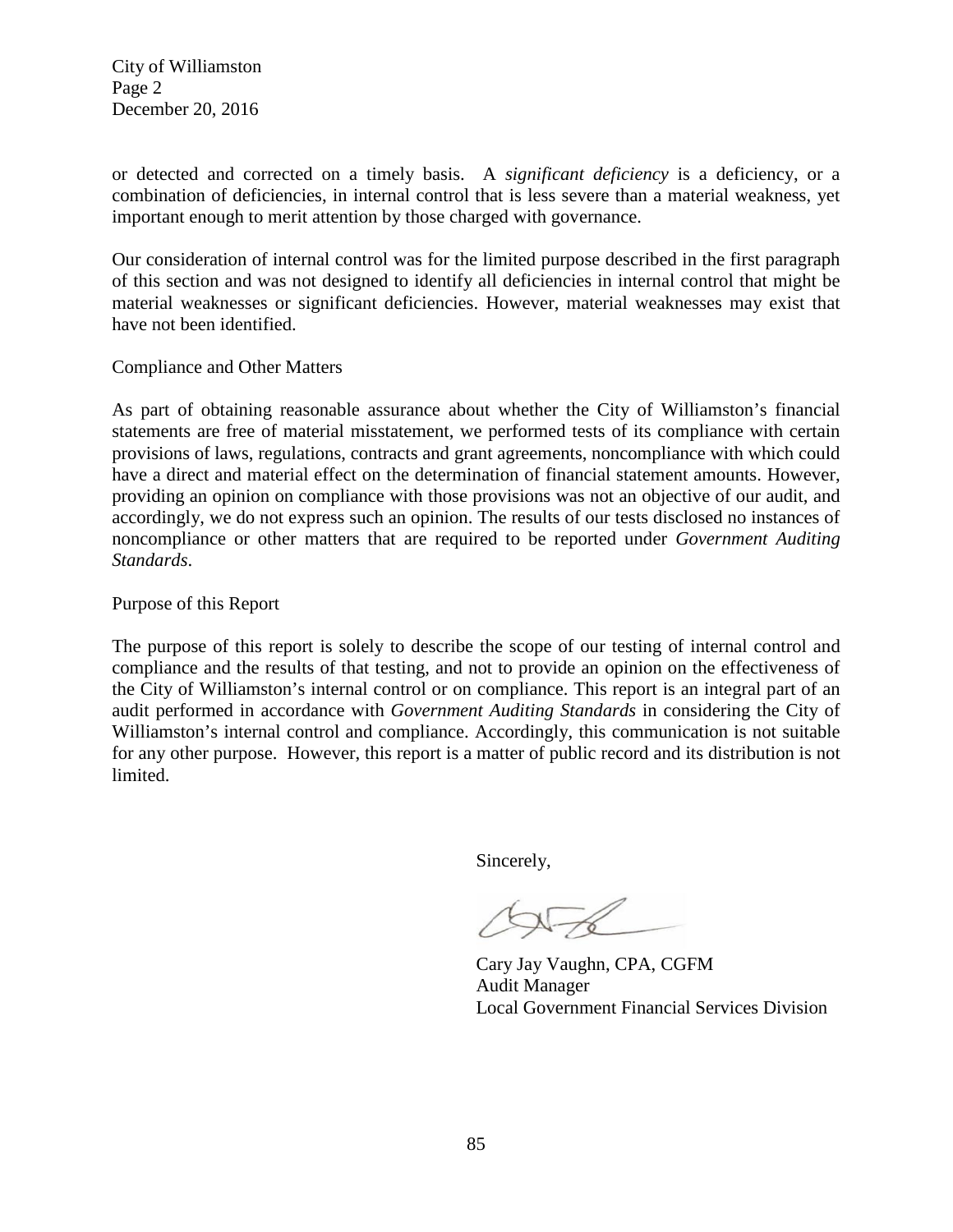City of Williamston Page 2 December 20, 2016

or detected and corrected on a timely basis. A *significant deficiency* is a deficiency, or a combination of deficiencies, in internal control that is less severe than a material weakness, yet important enough to merit attention by those charged with governance.

Our consideration of internal control was for the limited purpose described in the first paragraph of this section and was not designed to identify all deficiencies in internal control that might be material weaknesses or significant deficiencies. However, material weaknesses may exist that have not been identified.

Compliance and Other Matters

As part of obtaining reasonable assurance about whether the City of Williamston's financial statements are free of material misstatement, we performed tests of its compliance with certain provisions of laws, regulations, contracts and grant agreements, noncompliance with which could have a direct and material effect on the determination of financial statement amounts. However, providing an opinion on compliance with those provisions was not an objective of our audit, and accordingly, we do not express such an opinion. The results of our tests disclosed no instances of noncompliance or other matters that are required to be reported under *Government Auditing Standards*.

Purpose of this Report

The purpose of this report is solely to describe the scope of our testing of internal control and compliance and the results of that testing, and not to provide an opinion on the effectiveness of the City of Williamston's internal control or on compliance. This report is an integral part of an audit performed in accordance with *Government Auditing Standards* in considering the City of Williamston's internal control and compliance. Accordingly, this communication is not suitable for any other purpose. However, this report is a matter of public record and its distribution is not limited.

Sincerely,

 $\triangle\sqrt{6}$ 

Cary Jay Vaughn, CPA, CGFM Audit Manager Local Government Financial Services Division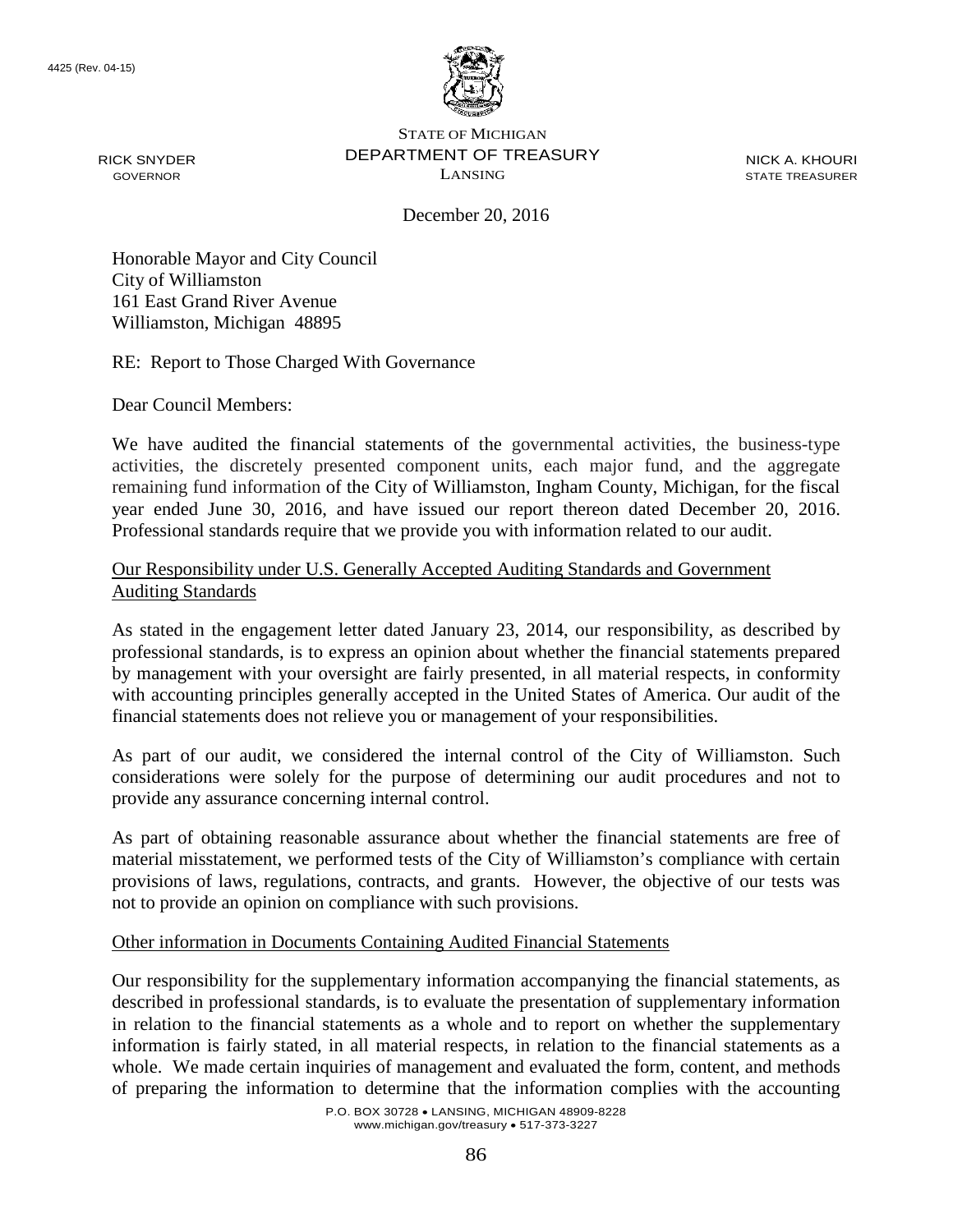

RICK SNYDER GOVERNOR

STATE OF MICHIGAN DEPARTMENT OF TREASURY LANSING

NICK A. KHOURI STATE TREASURER

December 20, 2016

Honorable Mayor and City Council City of Williamston 161 East Grand River Avenue Williamston, Michigan 48895

RE: Report to Those Charged With Governance

Dear Council Members:

We have audited the financial statements of the governmental activities, the business-type activities, the discretely presented component units, each major fund, and the aggregate remaining fund information of the City of Williamston, Ingham County, Michigan, for the fiscal year ended June 30, 2016, and have issued our report thereon dated December 20, 2016. Professional standards require that we provide you with information related to our audit.

## Our Responsibility under U.S. Generally Accepted Auditing Standards and Government Auditing Standards

As stated in the engagement letter dated January 23, 2014, our responsibility, as described by professional standards, is to express an opinion about whether the financial statements prepared by management with your oversight are fairly presented, in all material respects, in conformity with accounting principles generally accepted in the United States of America. Our audit of the financial statements does not relieve you or management of your responsibilities.

As part of our audit, we considered the internal control of the City of Williamston. Such considerations were solely for the purpose of determining our audit procedures and not to provide any assurance concerning internal control.

As part of obtaining reasonable assurance about whether the financial statements are free of material misstatement, we performed tests of the City of Williamston's compliance with certain provisions of laws, regulations, contracts, and grants. However, the objective of our tests was not to provide an opinion on compliance with such provisions.

## Other information in Documents Containing Audited Financial Statements

Our responsibility for the supplementary information accompanying the financial statements, as described in professional standards, is to evaluate the presentation of supplementary information in relation to the financial statements as a whole and to report on whether the supplementary information is fairly stated, in all material respects, in relation to the financial statements as a whole. We made certain inquiries of management and evaluated the form, content, and methods of preparing the information to determine that the information complies with the accounting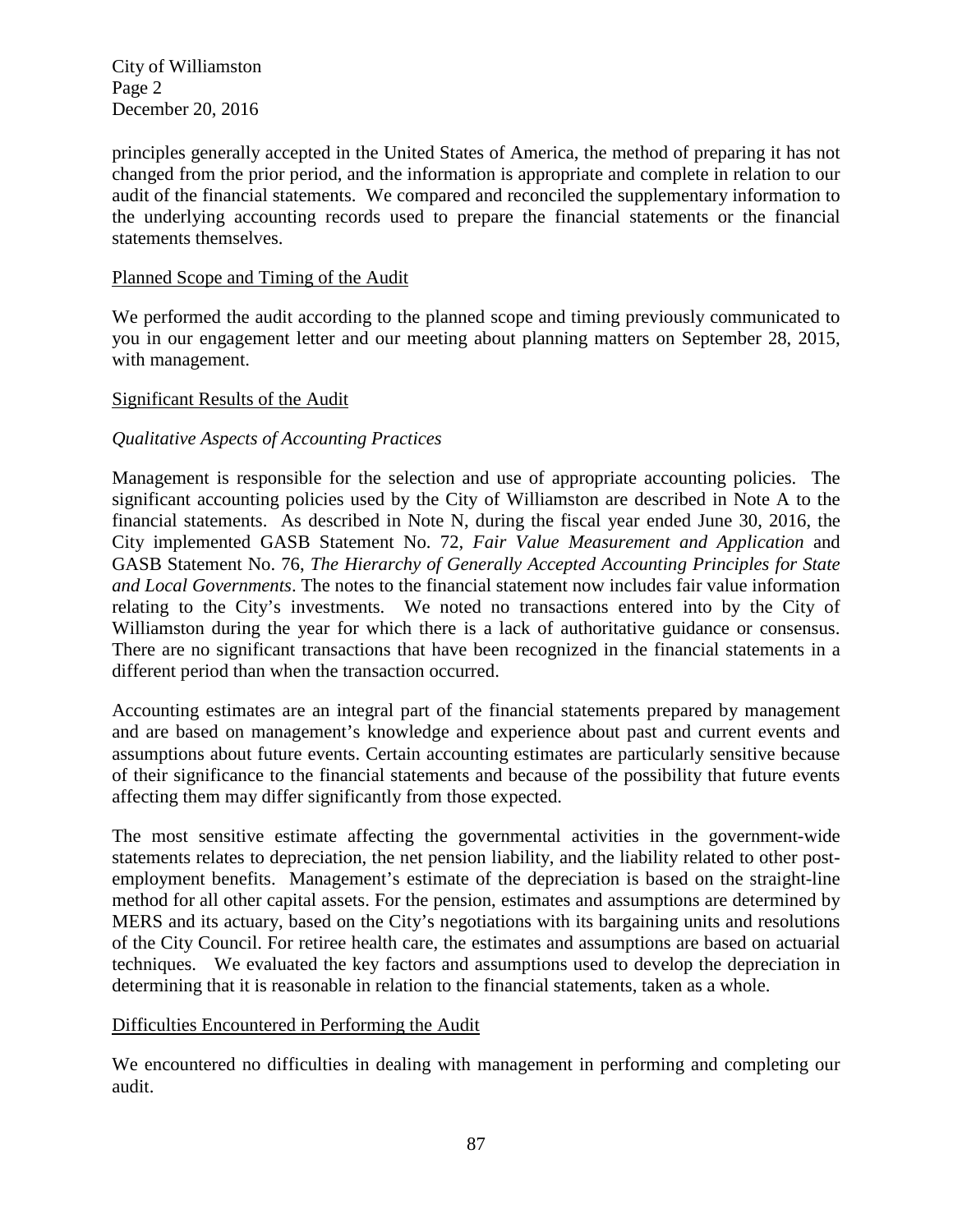City of Williamston Page 2 December 20, 2016

principles generally accepted in the United States of America, the method of preparing it has not changed from the prior period, and the information is appropriate and complete in relation to our audit of the financial statements. We compared and reconciled the supplementary information to the underlying accounting records used to prepare the financial statements or the financial statements themselves.

## Planned Scope and Timing of the Audit

We performed the audit according to the planned scope and timing previously communicated to you in our engagement letter and our meeting about planning matters on September 28, 2015, with management.

## Significant Results of the Audit

## *Qualitative Aspects of Accounting Practices*

Management is responsible for the selection and use of appropriate accounting policies. The significant accounting policies used by the City of Williamston are described in Note A to the financial statements. As described in Note N, during the fiscal year ended June 30, 2016, the City implemented GASB Statement No. 72*, Fair Value Measurement and Application* and GASB Statement No. 76, *The Hierarchy of Generally Accepted Accounting Principles for State and Local Governments*. The notes to the financial statement now includes fair value information relating to the City's investments. We noted no transactions entered into by the City of Williamston during the year for which there is a lack of authoritative guidance or consensus. There are no significant transactions that have been recognized in the financial statements in a different period than when the transaction occurred.

Accounting estimates are an integral part of the financial statements prepared by management and are based on management's knowledge and experience about past and current events and assumptions about future events. Certain accounting estimates are particularly sensitive because of their significance to the financial statements and because of the possibility that future events affecting them may differ significantly from those expected.

The most sensitive estimate affecting the governmental activities in the government-wide statements relates to depreciation, the net pension liability, and the liability related to other postemployment benefits. Management's estimate of the depreciation is based on the straight-line method for all other capital assets. For the pension, estimates and assumptions are determined by MERS and its actuary, based on the City's negotiations with its bargaining units and resolutions of the City Council. For retiree health care, the estimates and assumptions are based on actuarial techniques. We evaluated the key factors and assumptions used to develop the depreciation in determining that it is reasonable in relation to the financial statements, taken as a whole.

## Difficulties Encountered in Performing the Audit

We encountered no difficulties in dealing with management in performing and completing our audit.